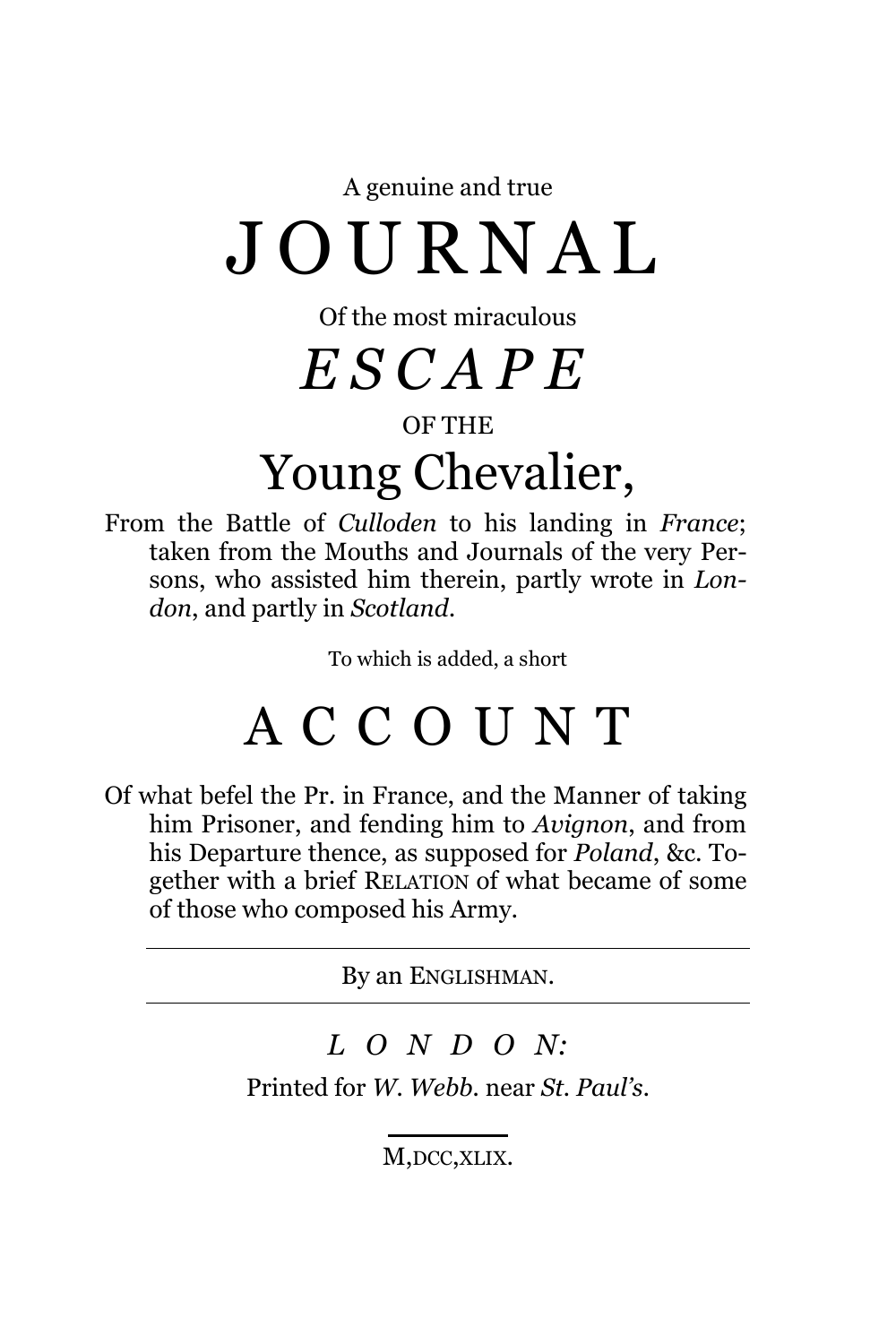A genuine and true

## J O U R N A L

Of the most miraculous

*E S C A P E*

#### OF THE

## Young Chevalier,

From the Battle of *Culloden* to his landing in *France*; taken from the Mouths and Journals of the very Persons, who assisted him therein, partly wrote in *London*, and partly in *Scotland*.

To which is added, a short

### A C C O U N T

Of what befel the Pr. in France, and the Manner of taking him Prisoner, and fending him to *Avignon*, and from his Departure thence, as supposed for *Poland*, &c. Together with a brief RELATION of what became of some of those who composed his Army.

By an ENGLISHMAN.

#### *L O N D O N:*

Printed for *W. Webb.* near *St. Paul's*.

M, DCC, XLIX.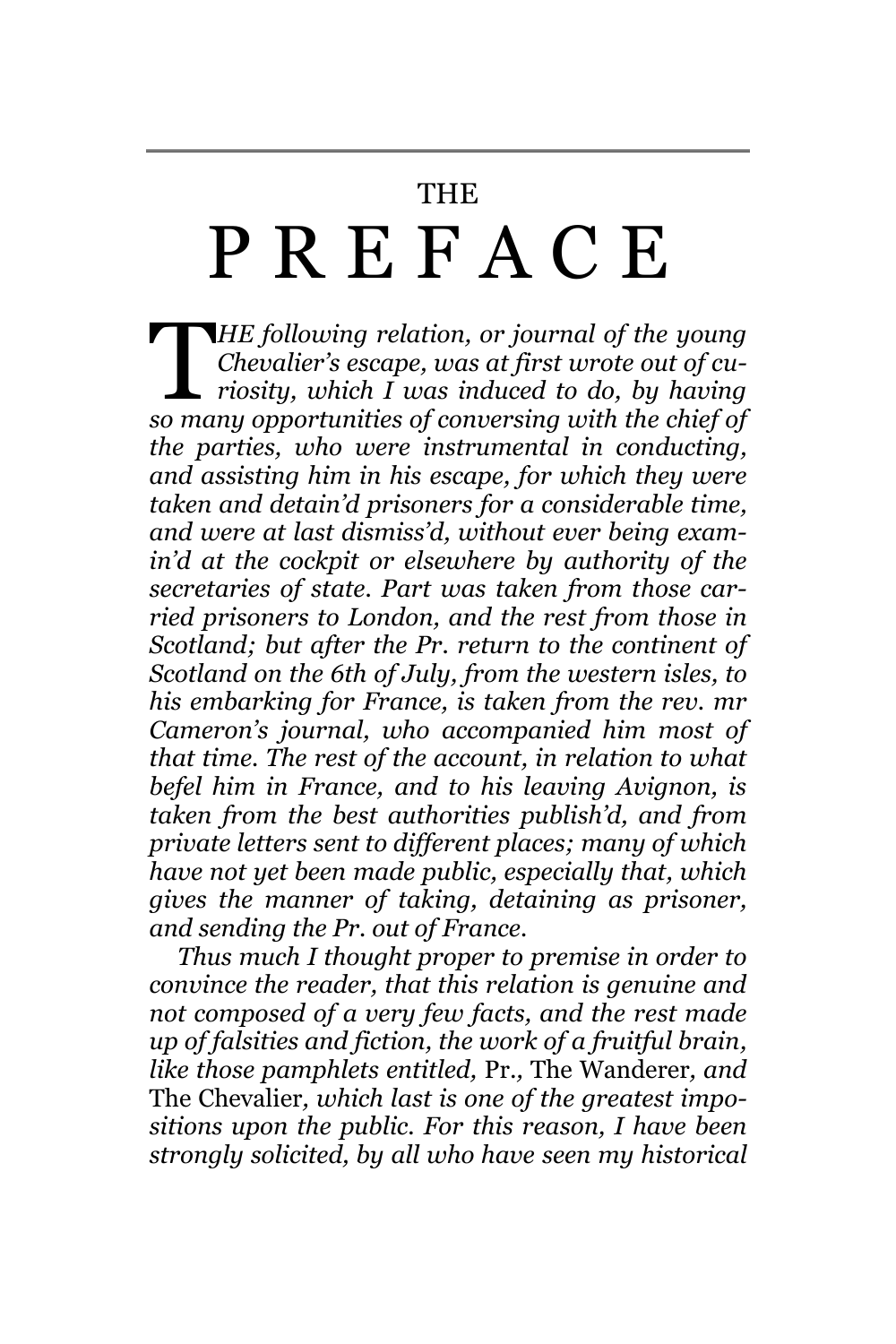#### THE

# P R E F A C E

*HE following relation, or journal of the young Chevalier's escape, was at first wrote out of curiosity, which I was induced to do, by having Sollowing relation, or journal of the young Chevalier's escape, was at first wrote out of curriosity, which I was induced to do, by having so many opportunities of conversing with the chief of the parties, who were instrumental in conducting, and assisting him in his escape, for which they were taken and detain'd prisoners for a considerable time, and were at last dismiss'd, without ever being examin'd at the cockpit or elsewhere by authority of the secretaries of state. Part was taken from those carried prisoners to London, and the rest from those in Scotland; but after the Pr. return to the continent of Scotland on the 6th of July, from the western isles, to his embarking for France, is taken from the rev. mr Cameron's journal, who accompanied him most of that time. The rest of the account, in relation to what befel him in France, and to his leaving Avignon, is taken from the best authorities publish'd, and from private letters sent to different places; many of which have not yet been made public, especially that, which gives the manner of taking, detaining as prisoner, and sending the Pr. out of France.*

*Thus much I thought proper to premise in order to convince the reader, that this relation is genuine and not composed of a very few facts, and the rest made up of falsities and fiction, the work of a fruitful brain, like those pamphlets entitled,* Pr.*,* The Wanderer*, and*  The Chevalier*, which last is one of the greatest impositions upon the public. For this reason, I have been strongly solicited, by all who have seen my historical*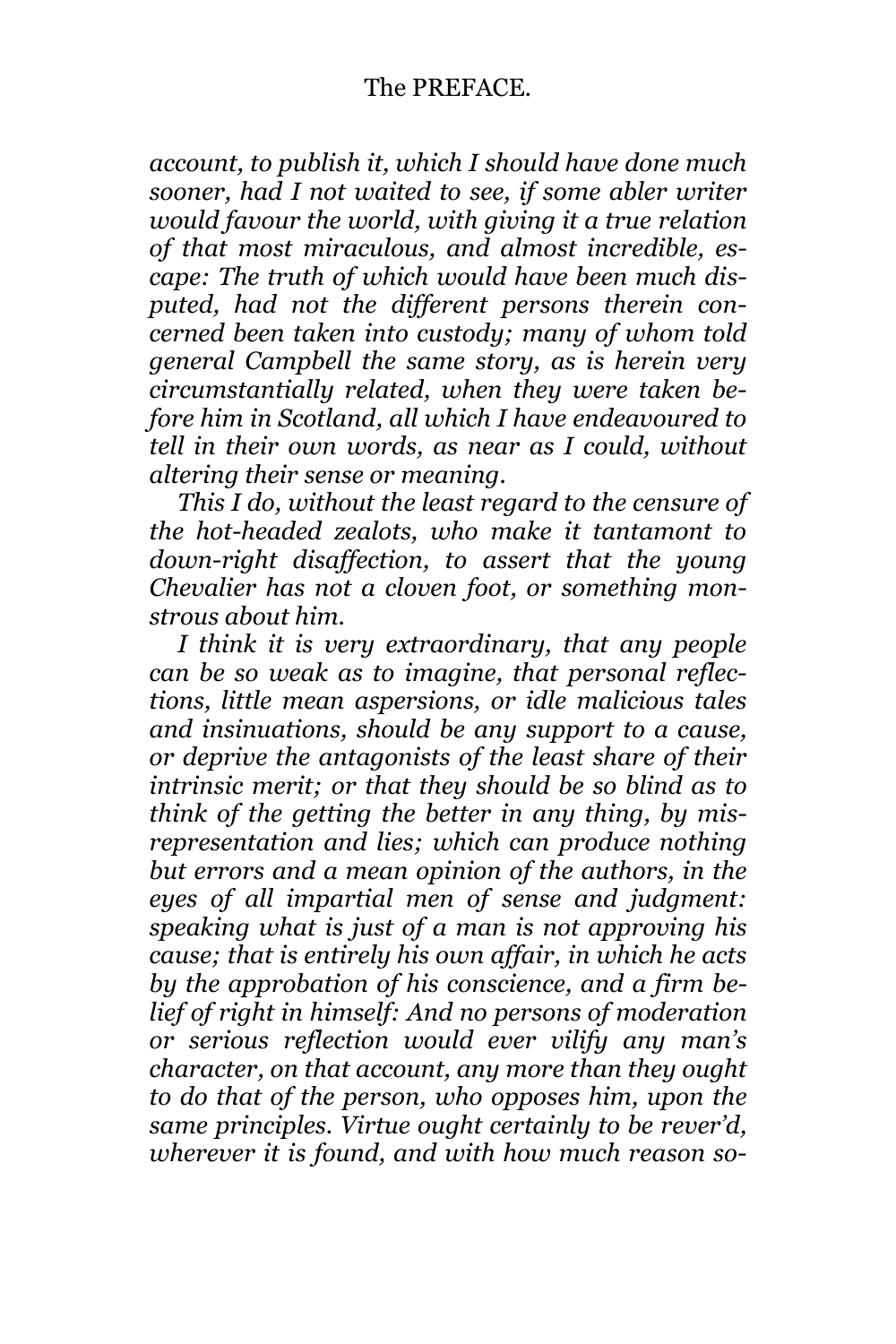*account, to publish it, which I should have done much sooner, had I not waited to see, if some abler writer would favour the world, with giving it a true relation of that most miraculous, and almost incredible, escape: The truth of which would have been much disputed, had not the different persons therein concerned been taken into custody; many of whom told general Campbell the same story, as is herein very circumstantially related, when they were taken before him in Scotland, all which I have endeavoured to tell in their own words, as near as I could, without altering their sense or meaning.*

*This I do, without the least regard to the censure of the hot-headed zealots, who make it tantamont to down-right disaffection, to assert that the young Chevalier has not a cloven foot, or something monstrous about him.*

*I think it is very extraordinary, that any people can be so weak as to imagine, that personal reflections, little mean aspersions, or idle malicious tales and insinuations, should be any support to a cause, or deprive the antagonists of the least share of their intrinsic merit; or that they should be so blind as to think of the getting the better in any thing, by misrepresentation and lies; which can produce nothing but errors and a mean opinion of the authors, in the eyes of all impartial men of sense and judgment: speaking what is just of a man is not approving his cause; that is entirely his own affair, in which he acts by the approbation of his conscience, and a firm belief of right in himself: And no persons of moderation or serious reflection would ever vilify any man's character, on that account, any more than they ought to do that of the person, who opposes him, upon the same principles. Virtue ought certainly to be rever'd, wherever it is found, and with how much reason so-*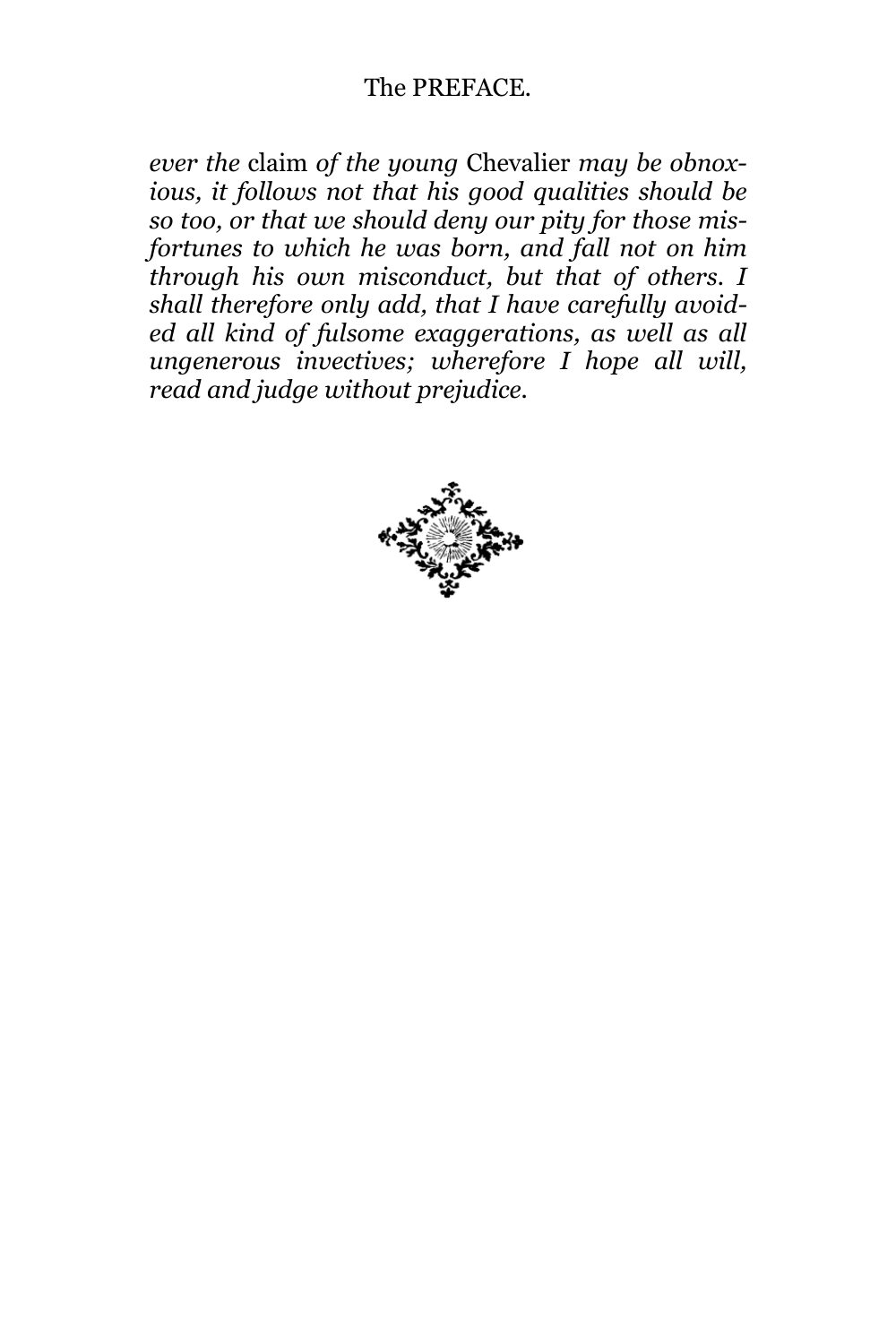*ever the* claim *of the young* Chevalier *may be obnoxious, it follows not that his good qualities should be so too, or that we should deny our pity for those misfortunes to which he was born, and fall not on him through his own misconduct, but that of others. I shall therefore only add, that I have carefully avoided all kind of fulsome exaggerations, as well as all ungenerous invectives; wherefore I hope all will, read and judge without prejudice.*

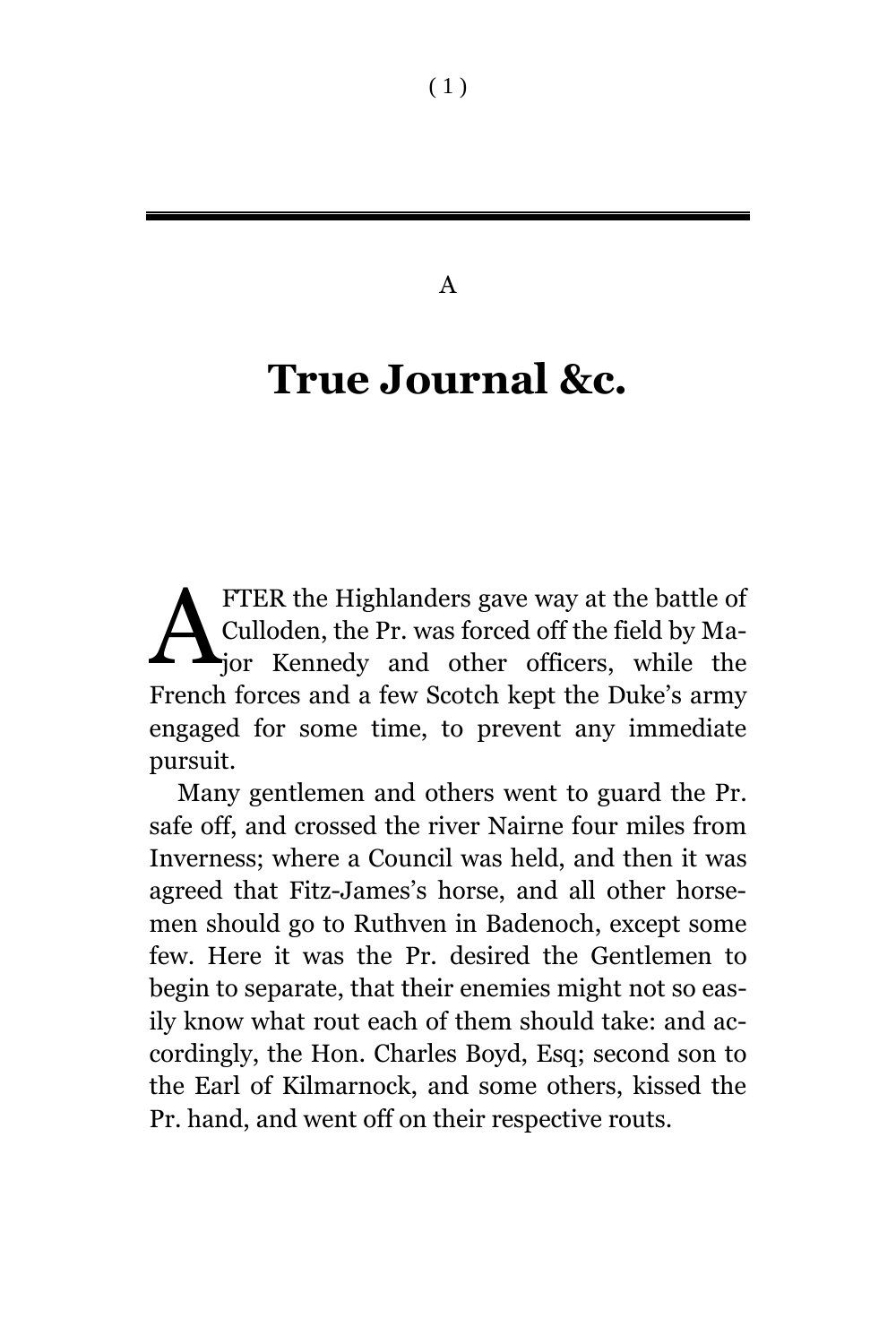#### A

### **True Journal &c.**

FTER the Highlanders gave way at the battle of Culloden, the Pr. was forced off the field by Major Kennedy and other officers, while the French forces and a few Scotch kept the Duke's army engaged for some time, to prevent any immediate pursuit. A

Many gentlemen and others went to guard the Pr. safe off, and crossed the river Nairne four miles from Inverness; where a Council was held, and then it was agreed that Fitz-James's horse, and all other horsemen should go to Ruthven in Badenoch, except some few. Here it was the Pr. desired the Gentlemen to begin to separate, that their enemies might not so easily know what rout each of them should take: and accordingly, the Hon. Charles Boyd, Esq; second son to the Earl of Kilmarnock, and some others, kissed the Pr. hand, and went off on their respective routs.

( 1 )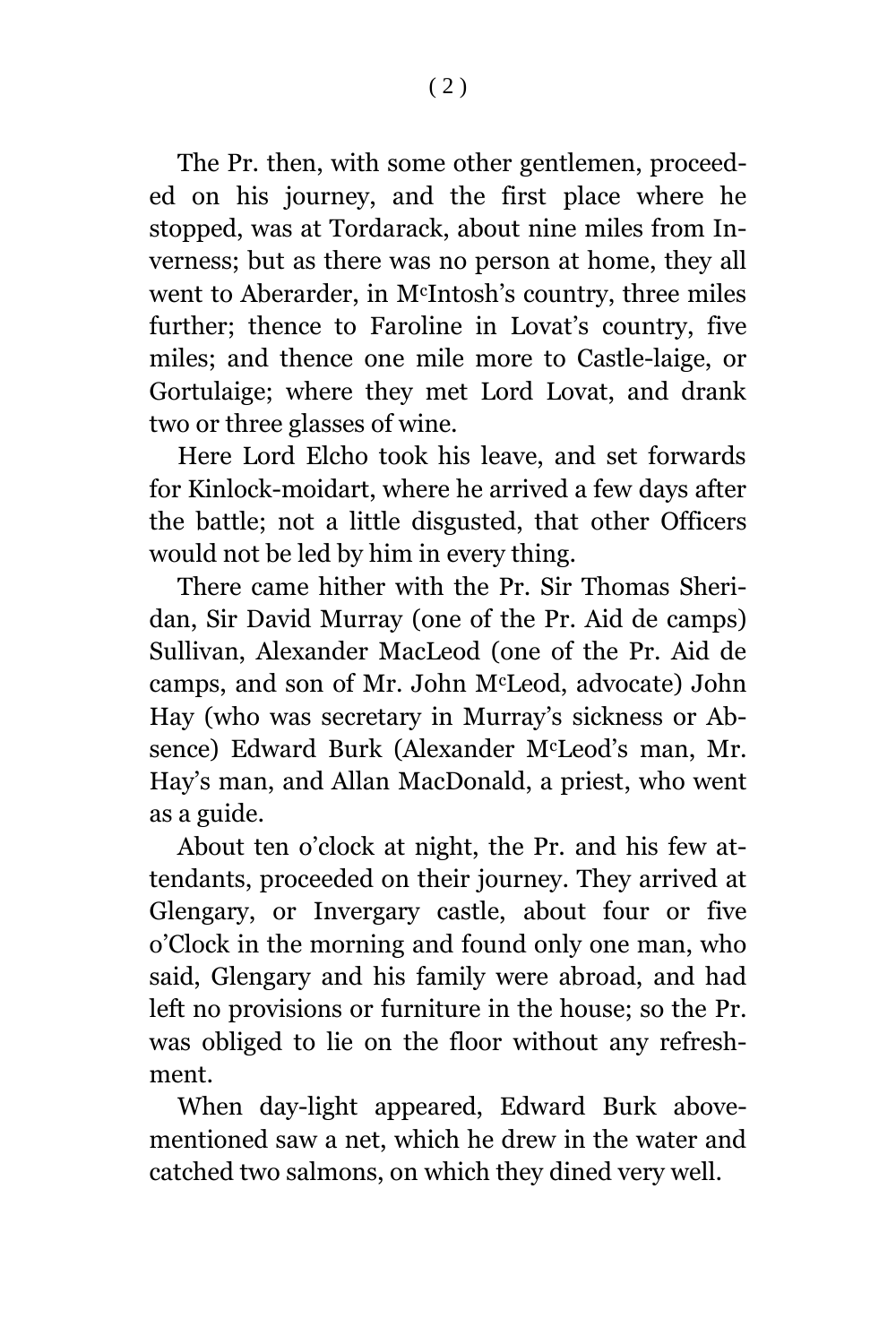The Pr. then, with some other gentlemen, proceeded on his journey, and the first place where he stopped, was at Tordarack, about nine miles from Inverness; but as there was no person at home, they all went to Aberarder, in McIntosh's country, three miles further; thence to Faroline in Lovat's country, five miles; and thence one mile more to Castle-laige, or Gortulaige; where they met Lord Lovat, and drank two or three glasses of wine.

Here Lord Elcho took his leave, and set forwards for Kinlock-moidart, where he arrived a few days after the battle; not a little disgusted, that other Officers would not be led by him in every thing.

There came hither with the Pr. Sir Thomas Sheridan, Sir David Murray (one of the Pr. Aid de camps) Sullivan, Alexander MacLeod (one of the Pr. Aid de camps, and son of Mr. John McLeod, advocate) John Hay (who was secretary in Murray's sickness or Absence) Edward Burk (Alexander McLeod's man, Mr. Hay's man, and Allan MacDonald, a priest, who went as a guide.

About ten o'clock at night, the Pr. and his few attendants, proceeded on their journey. They arrived at Glengary, or Invergary castle, about four or five o'Clock in the morning and found only one man, who said, Glengary and his family were abroad, and had left no provisions or furniture in the house; so the Pr. was obliged to lie on the floor without any refreshment.

When day-light appeared, Edward Burk abovementioned saw a net, which he drew in the water and catched two salmons, on which they dined very well.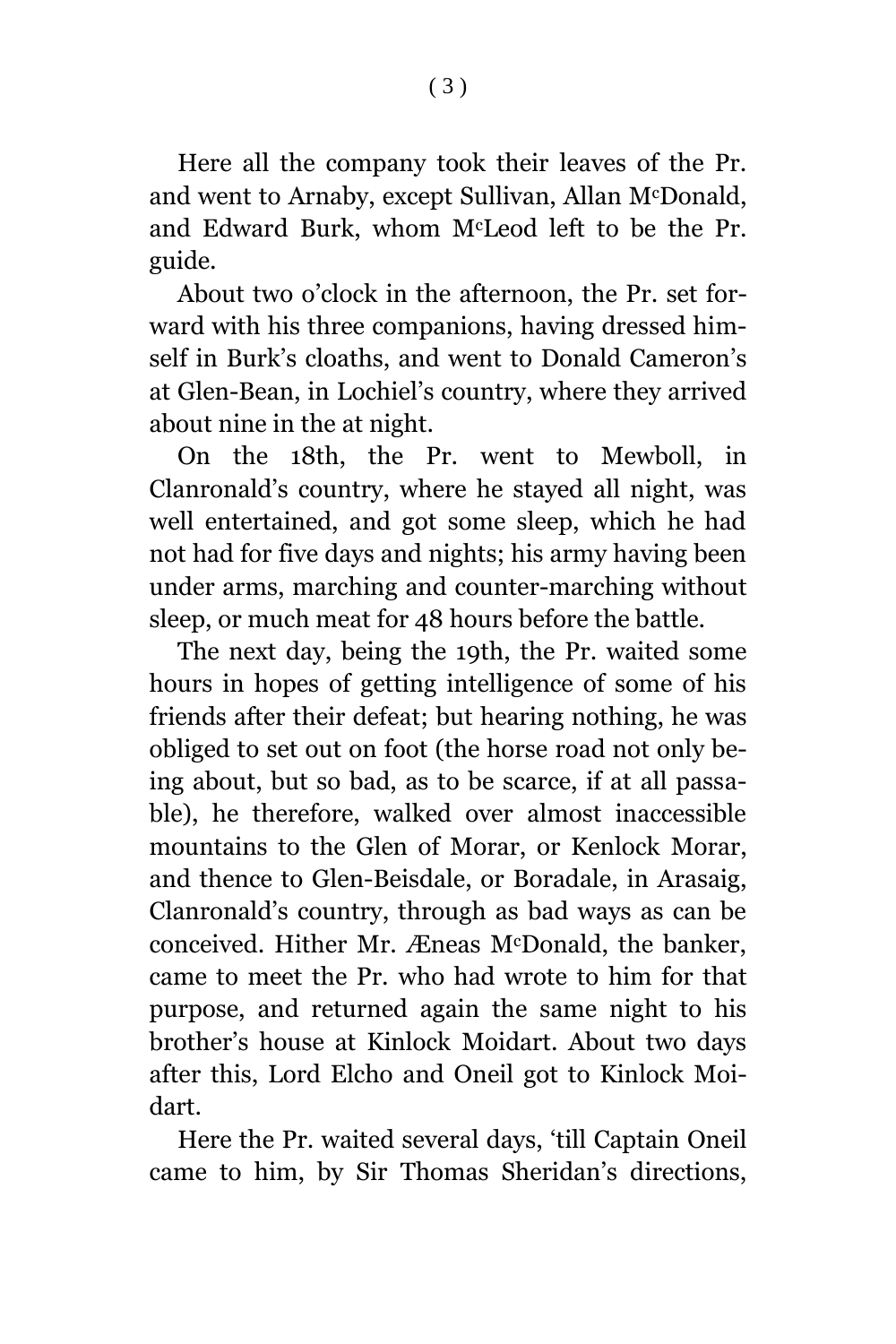Here all the company took their leaves of the Pr. and went to Arnaby, except Sullivan, Allan McDonald, and Edward Burk, whom McLeod left to be the Pr. guide.

About two o'clock in the afternoon, the Pr. set forward with his three companions, having dressed himself in Burk's cloaths, and went to Donald Cameron's at Glen-Bean, in Lochiel's country, where they arrived about nine in the at night.

On the 18th, the Pr. went to Mewboll, in Clanronald's country, where he stayed all night, was well entertained, and got some sleep, which he had not had for five days and nights; his army having been under arms, marching and counter-marching without sleep, or much meat for 48 hours before the battle.

The next day, being the 19th, the Pr. waited some hours in hopes of getting intelligence of some of his friends after their defeat; but hearing nothing, he was obliged to set out on foot (the horse road not only being about, but so bad, as to be scarce, if at all passable), he therefore, walked over almost inaccessible mountains to the Glen of Morar, or Kenlock Morar, and thence to Glen-Beisdale, or Boradale, in Arasaig, Clanronald's country, through as bad ways as can be conceived. Hither Mr. Æneas McDonald, the banker, came to meet the Pr. who had wrote to him for that purpose, and returned again the same night to his brother's house at Kinlock Moidart. About two days after this, Lord Elcho and Oneil got to Kinlock Moidart.

Here the Pr. waited several days, 'till Captain Oneil came to him, by Sir Thomas Sheridan's directions,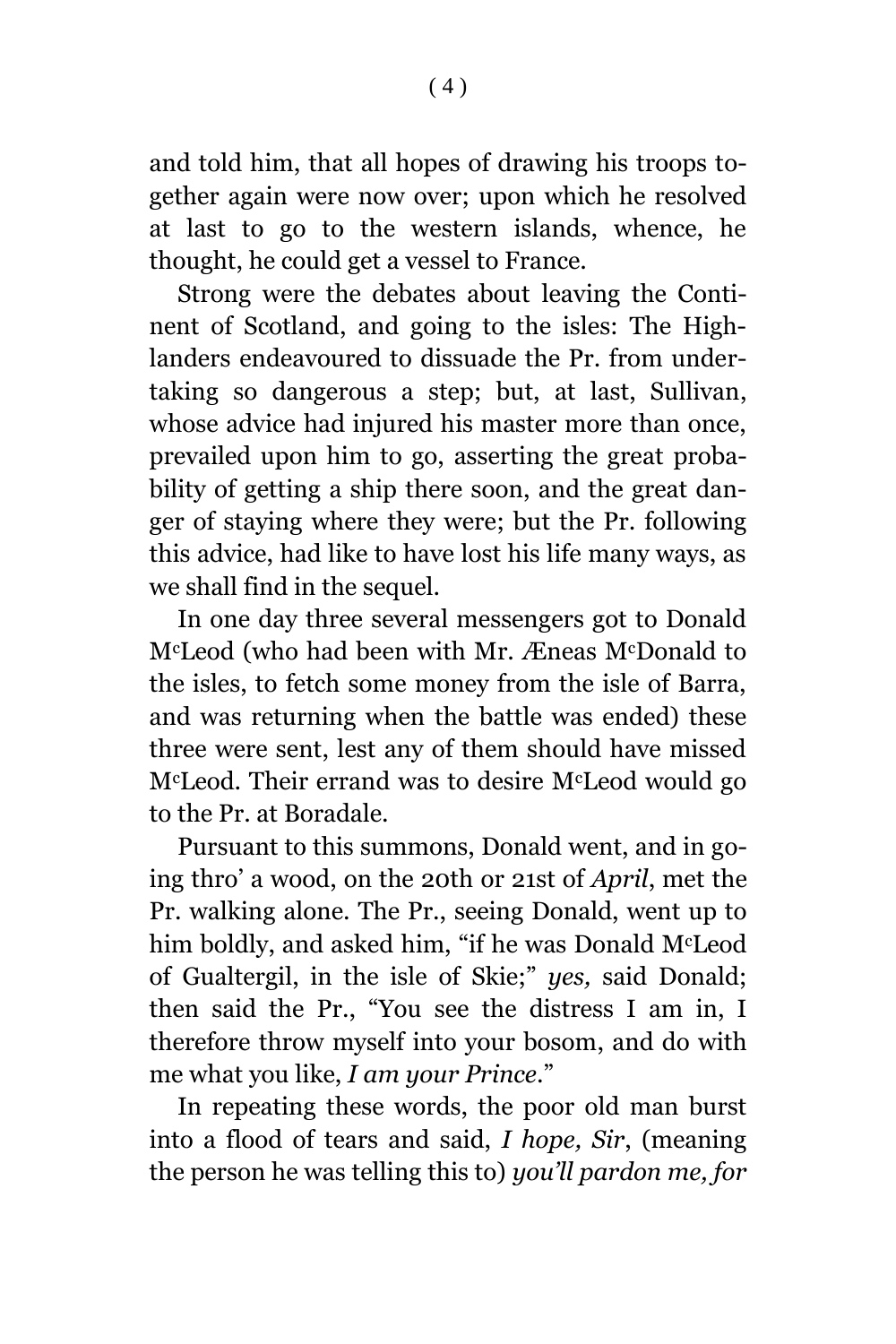and told him, that all hopes of drawing his troops together again were now over; upon which he resolved at last to go to the western islands, whence, he thought, he could get a vessel to France.

Strong were the debates about leaving the Continent of Scotland, and going to the isles: The Highlanders endeavoured to dissuade the Pr. from undertaking so dangerous a step; but, at last, Sullivan, whose advice had injured his master more than once, prevailed upon him to go, asserting the great probability of getting a ship there soon, and the great danger of staying where they were; but the Pr. following this advice, had like to have lost his life many ways, as we shall find in the sequel.

In one day three several messengers got to Donald McLeod (who had been with Mr. Æneas McDonald to the isles, to fetch some money from the isle of Barra, and was returning when the battle was ended) these three were sent, lest any of them should have missed McLeod. Their errand was to desire McLeod would go to the Pr. at Boradale.

Pursuant to this summons, Donald went, and in going thro' a wood, on the 20th or 21st of *April*, met the Pr. walking alone. The Pr., seeing Donald, went up to him boldly, and asked him, "if he was Donald McLeod of Gualtergil, in the isle of Skie;" *yes,* said Donald; then said the Pr., "You see the distress I am in, I therefore throw myself into your bosom, and do with me what you like, *I am your Prince*."

In repeating these words, the poor old man burst into a flood of tears and said, *I hope, Sir*, (meaning the person he was telling this to) *you'll pardon me, for*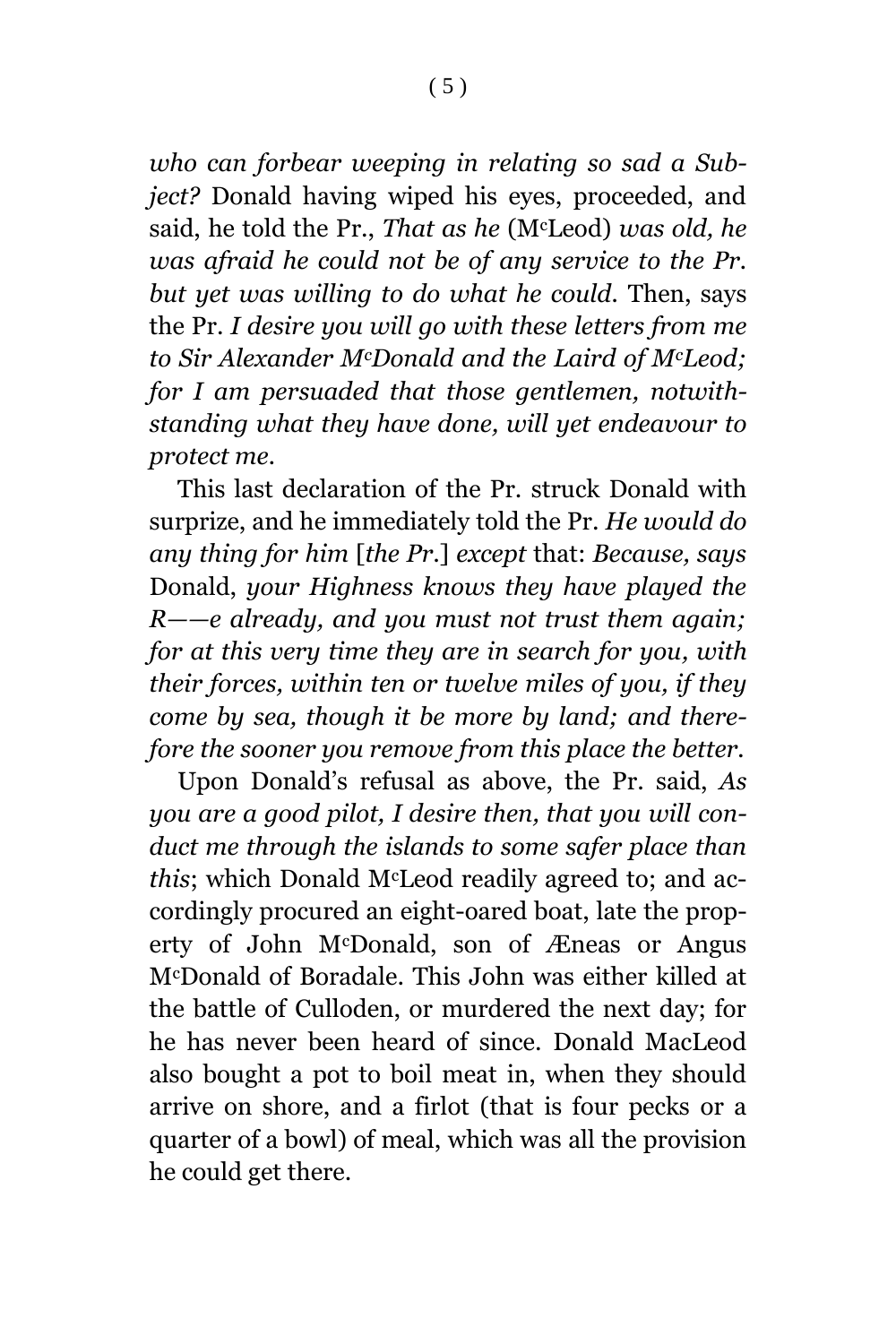*who can forbear weeping in relating so sad a Subject?* Donald having wiped his eyes, proceeded, and said, he told the Pr., *That as he* (McLeod) *was old, he was afraid he could not be of any service to the Pr. but yet was willing to do what he could.* Then, says the Pr. *I desire you will go with these letters from me to Sir Alexander McDonald and the Laird of McLeod; for I am persuaded that those gentlemen, notwithstanding what they have done, will yet endeavour to protect me.*

This last declaration of the Pr. struck Donald with surprize, and he immediately told the Pr. *He would do any thing for him* [*the Pr*.] *except* that: *Because, says*  Donald, *your Highness knows they have played the R——e already, and you must not trust them again; for at this very time they are in search for you, with their forces, within ten or twelve miles of you, if they come by sea, though it be more by land; and therefore the sooner you remove from this place the better.*

Upon Donald's refusal as above, the Pr. said, *As you are a good pilot, I desire then, that you will conduct me through the islands to some safer place than this*; which Donald McLeod readily agreed to; and accordingly procured an eight-oared boat, late the property of John McDonald, son of Æneas or Angus McDonald of Boradale. This John was either killed at the battle of Culloden, or murdered the next day; for he has never been heard of since. Donald MacLeod also bought a pot to boil meat in, when they should arrive on shore, and a firlot (that is four pecks or a quarter of a bowl) of meal, which was all the provision he could get there.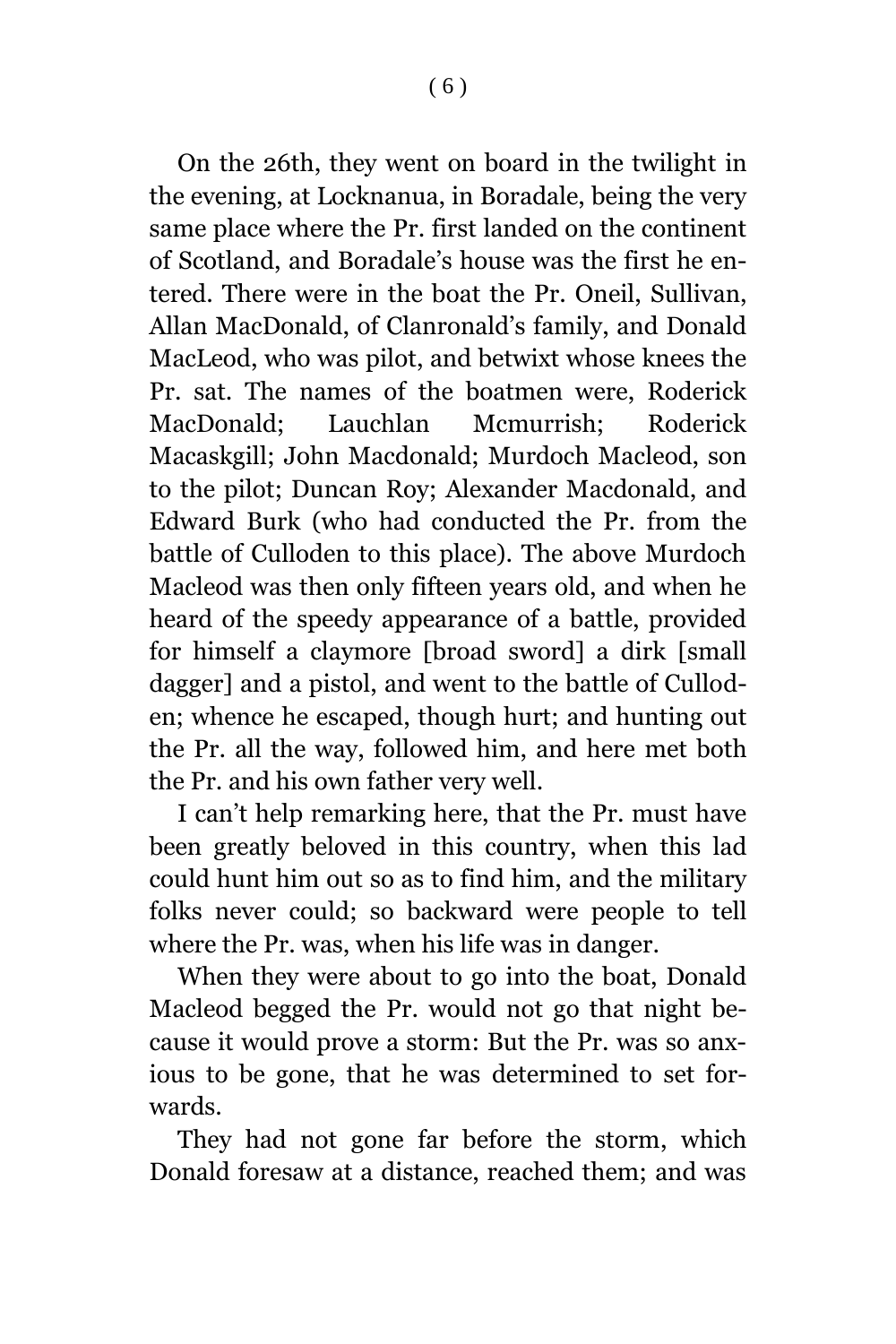On the 26th, they went on board in the twilight in the evening, at Locknanua, in Boradale, being the very same place where the Pr. first landed on the continent of Scotland, and Boradale's house was the first he entered. There were in the boat the Pr. Oneil, Sullivan, Allan MacDonald, of Clanronald's family, and Donald MacLeod, who was pilot, and betwixt whose knees the Pr. sat. The names of the boatmen were, Roderick MacDonald; Lauchlan Mcmurrish; Roderick Macaskgill; John Macdonald; Murdoch Macleod, son to the pilot; Duncan Roy; Alexander Macdonald, and Edward Burk (who had conducted the Pr. from the battle of Culloden to this place). The above Murdoch Macleod was then only fifteen years old, and when he heard of the speedy appearance of a battle, provided for himself a claymore [broad sword] a dirk [small dagger] and a pistol, and went to the battle of Culloden; whence he escaped, though hurt; and hunting out the Pr. all the way, followed him, and here met both the Pr. and his own father very well.

I can't help remarking here, that the Pr. must have been greatly beloved in this country, when this lad could hunt him out so as to find him, and the military folks never could; so backward were people to tell where the Pr. was, when his life was in danger.

When they were about to go into the boat, Donald Macleod begged the Pr. would not go that night because it would prove a storm: But the Pr. was so anxious to be gone, that he was determined to set forwards.

They had not gone far before the storm, which Donald foresaw at a distance, reached them; and was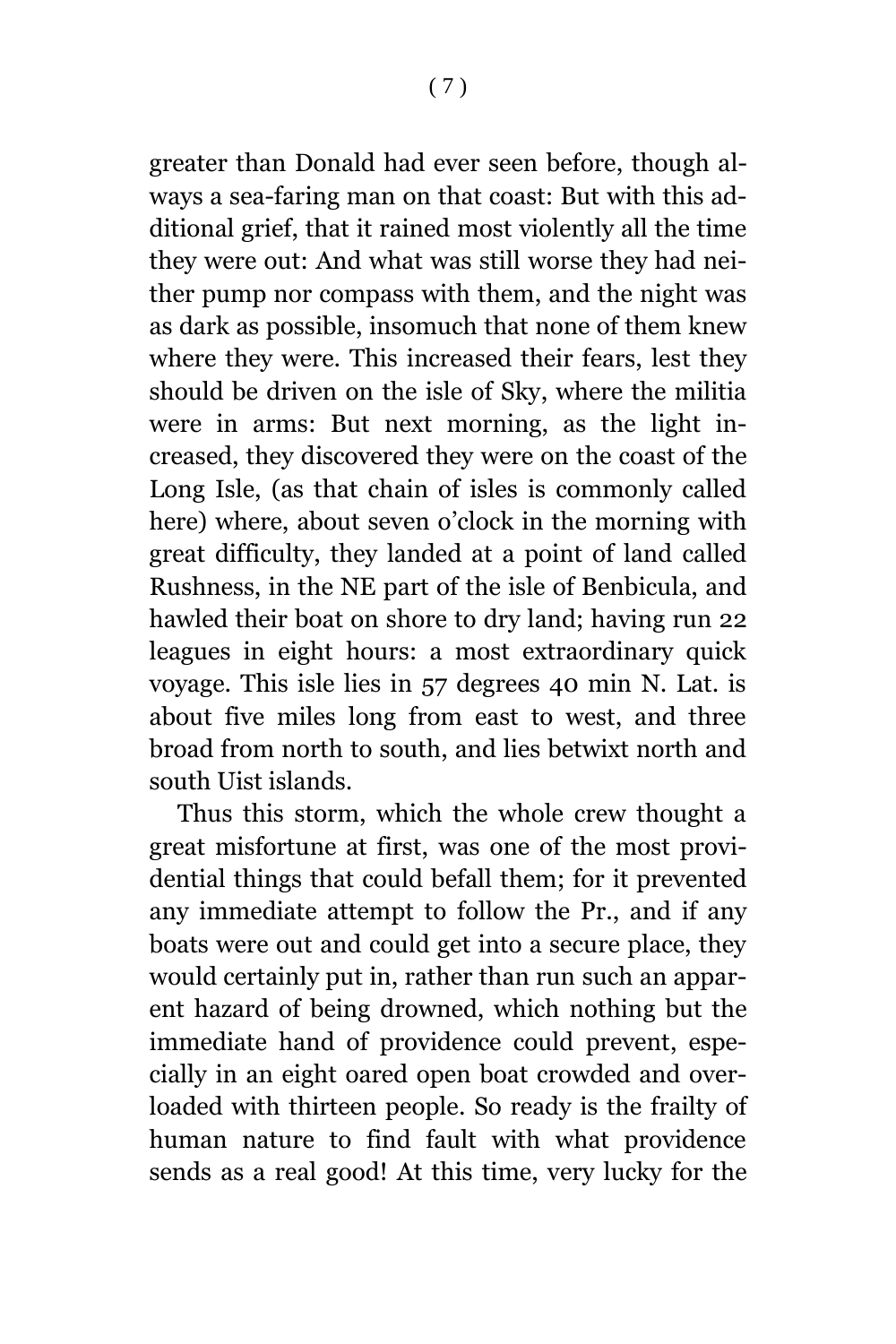greater than Donald had ever seen before, though always a sea-faring man on that coast: But with this additional grief, that it rained most violently all the time they were out: And what was still worse they had neither pump nor compass with them, and the night was as dark as possible, insomuch that none of them knew where they were. This increased their fears, lest they should be driven on the isle of Sky, where the militia were in arms: But next morning, as the light increased, they discovered they were on the coast of the Long Isle, (as that chain of isles is commonly called here) where, about seven o'clock in the morning with great difficulty, they landed at a point of land called Rushness, in the NE part of the isle of Benbicula, and hawled their boat on shore to dry land; having run 22 leagues in eight hours: a most extraordinary quick voyage. This isle lies in 57 degrees 40 min N. Lat. is about five miles long from east to west, and three broad from north to south, and lies betwixt north and south Uist islands.

Thus this storm, which the whole crew thought a great misfortune at first, was one of the most providential things that could befall them; for it prevented any immediate attempt to follow the Pr., and if any boats were out and could get into a secure place, they would certainly put in, rather than run such an apparent hazard of being drowned, which nothing but the immediate hand of providence could prevent, especially in an eight oared open boat crowded and overloaded with thirteen people. So ready is the frailty of human nature to find fault with what providence sends as a real good! At this time, very lucky for the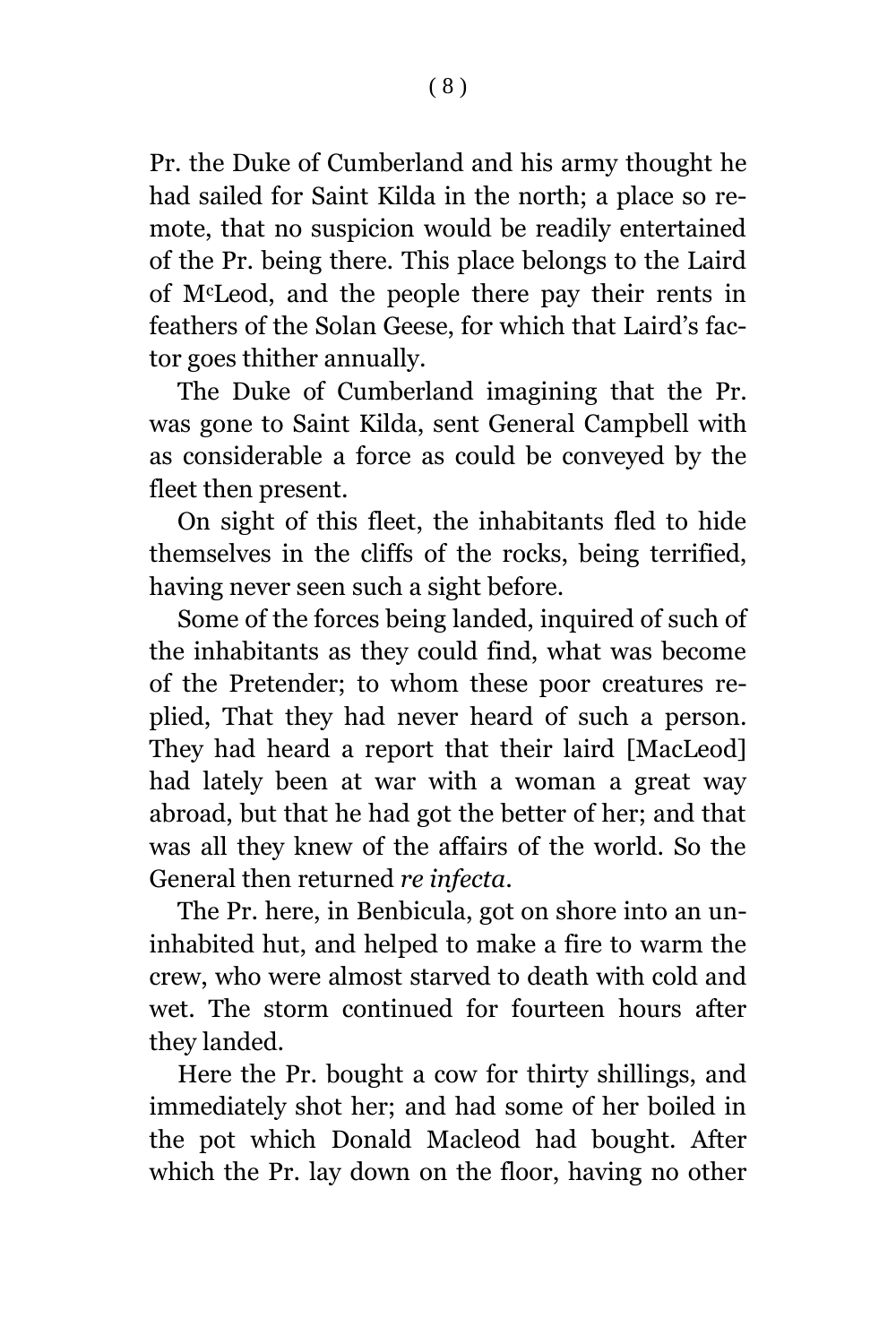Pr. the Duke of Cumberland and his army thought he had sailed for Saint Kilda in the north; a place so remote, that no suspicion would be readily entertained of the Pr. being there. This place belongs to the Laird of McLeod, and the people there pay their rents in feathers of the Solan Geese, for which that Laird's factor goes thither annually.

The Duke of Cumberland imagining that the Pr. was gone to Saint Kilda, sent General Campbell with as considerable a force as could be conveyed by the fleet then present.

On sight of this fleet, the inhabitants fled to hide themselves in the cliffs of the rocks, being terrified, having never seen such a sight before.

Some of the forces being landed, inquired of such of the inhabitants as they could find, what was become of the Pretender; to whom these poor creatures replied, That they had never heard of such a person. They had heard a report that their laird [MacLeod] had lately been at war with a woman a great way abroad, but that he had got the better of her; and that was all they knew of the affairs of the world. So the General then returned *re infecta*.

The Pr. here, in Benbicula, got on shore into an uninhabited hut, and helped to make a fire to warm the crew, who were almost starved to death with cold and wet. The storm continued for fourteen hours after they landed.

Here the Pr. bought a cow for thirty shillings, and immediately shot her; and had some of her boiled in the pot which Donald Macleod had bought. After which the Pr. lay down on the floor, having no other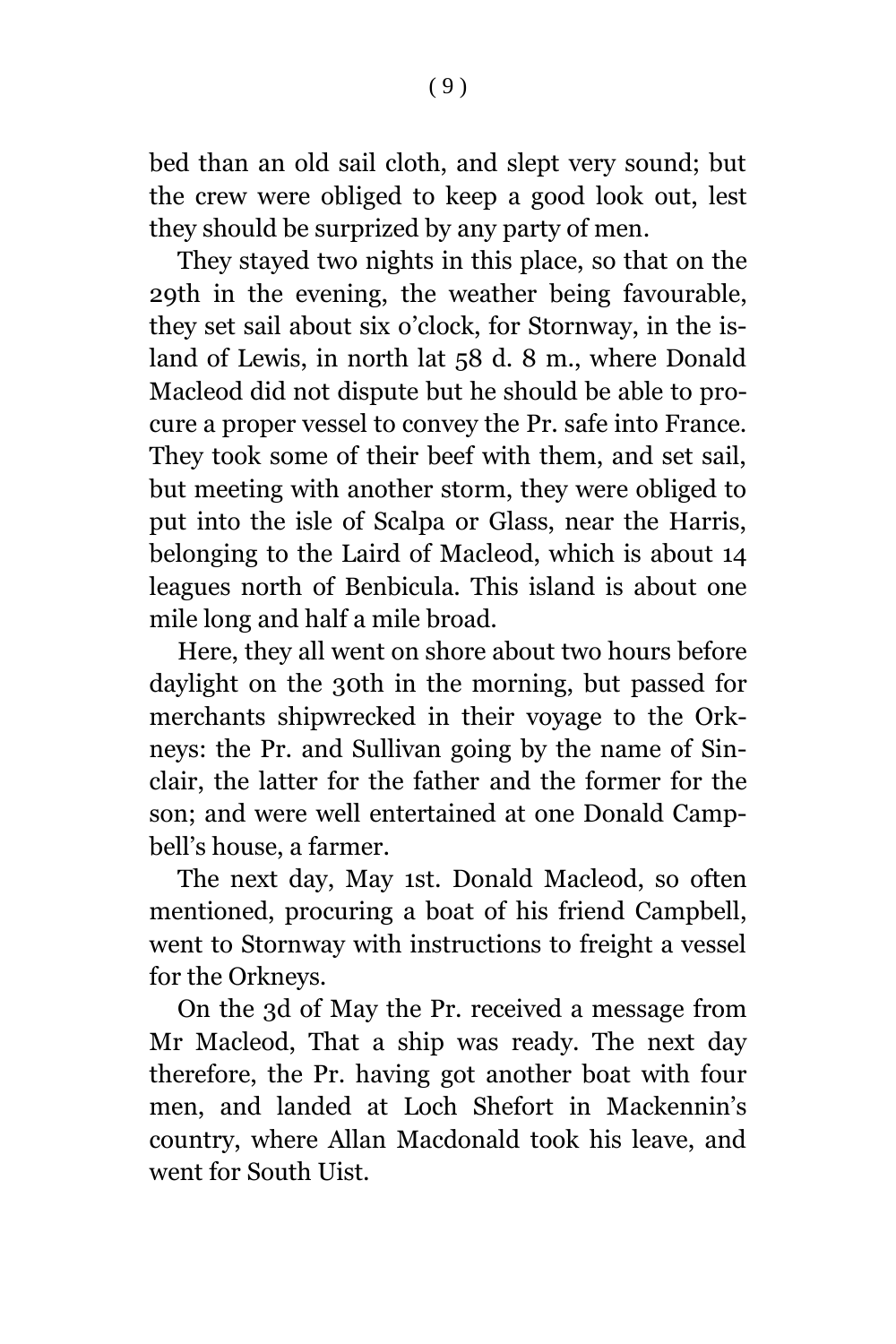bed than an old sail cloth, and slept very sound; but the crew were obliged to keep a good look out, lest they should be surprized by any party of men.

They stayed two nights in this place, so that on the 29th in the evening, the weather being favourable, they set sail about six o'clock, for Stornway, in the island of Lewis, in north lat 58 d. 8 m., where Donald Macleod did not dispute but he should be able to procure a proper vessel to convey the Pr. safe into France. They took some of their beef with them, and set sail, but meeting with another storm, they were obliged to put into the isle of Scalpa or Glass, near the Harris, belonging to the Laird of Macleod, which is about 14 leagues north of Benbicula. This island is about one mile long and half a mile broad.

Here, they all went on shore about two hours before daylight on the 30th in the morning, but passed for merchants shipwrecked in their voyage to the Orkneys: the Pr. and Sullivan going by the name of Sinclair, the latter for the father and the former for the son; and were well entertained at one Donald Campbell's house, a farmer.

The next day, May 1st. Donald Macleod, so often mentioned, procuring a boat of his friend Campbell, went to Stornway with instructions to freight a vessel for the Orkneys.

On the 3d of May the Pr. received a message from Mr Macleod, That a ship was ready. The next day therefore, the Pr. having got another boat with four men, and landed at Loch Shefort in Mackennin's country, where Allan Macdonald took his leave, and went for South Uist.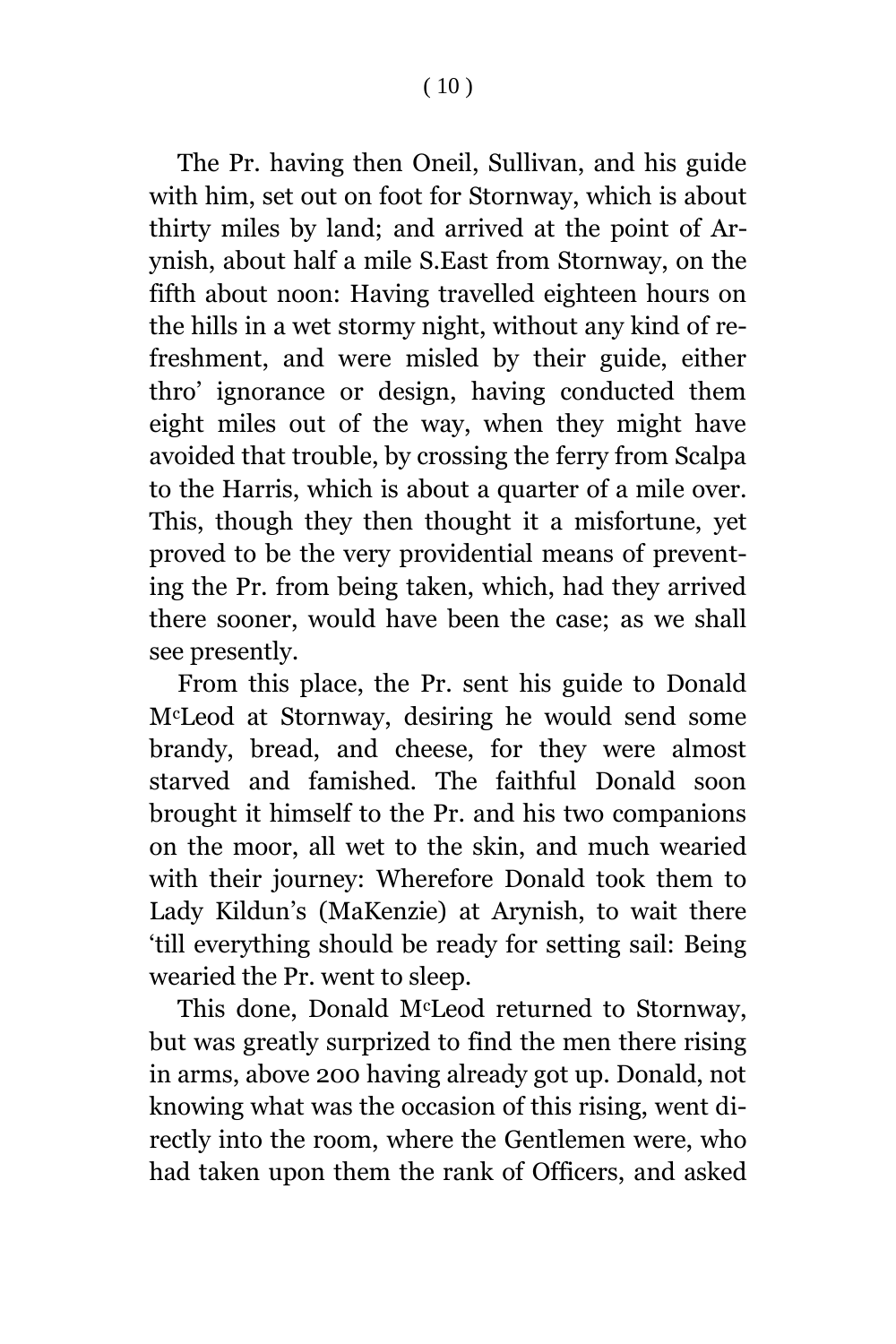The Pr. having then Oneil, Sullivan, and his guide with him, set out on foot for Stornway, which is about thirty miles by land; and arrived at the point of Arynish, about half a mile S.East from Stornway, on the fifth about noon: Having travelled eighteen hours on the hills in a wet stormy night, without any kind of refreshment, and were misled by their guide, either thro' ignorance or design, having conducted them eight miles out of the way, when they might have avoided that trouble, by crossing the ferry from Scalpa to the Harris, which is about a quarter of a mile over. This, though they then thought it a misfortune, yet proved to be the very providential means of preventing the Pr. from being taken, which, had they arrived there sooner, would have been the case; as we shall see presently.

From this place, the Pr. sent his guide to Donald McLeod at Stornway, desiring he would send some brandy, bread, and cheese, for they were almost starved and famished. The faithful Donald soon brought it himself to the Pr. and his two companions on the moor, all wet to the skin, and much wearied with their journey: Wherefore Donald took them to Lady Kildun's (MaKenzie) at Arynish, to wait there 'till everything should be ready for setting sail: Being wearied the Pr. went to sleep.

This done, Donald McLeod returned to Stornway, but was greatly surprized to find the men there rising in arms, above 200 having already got up. Donald, not knowing what was the occasion of this rising, went directly into the room, where the Gentlemen were, who had taken upon them the rank of Officers, and asked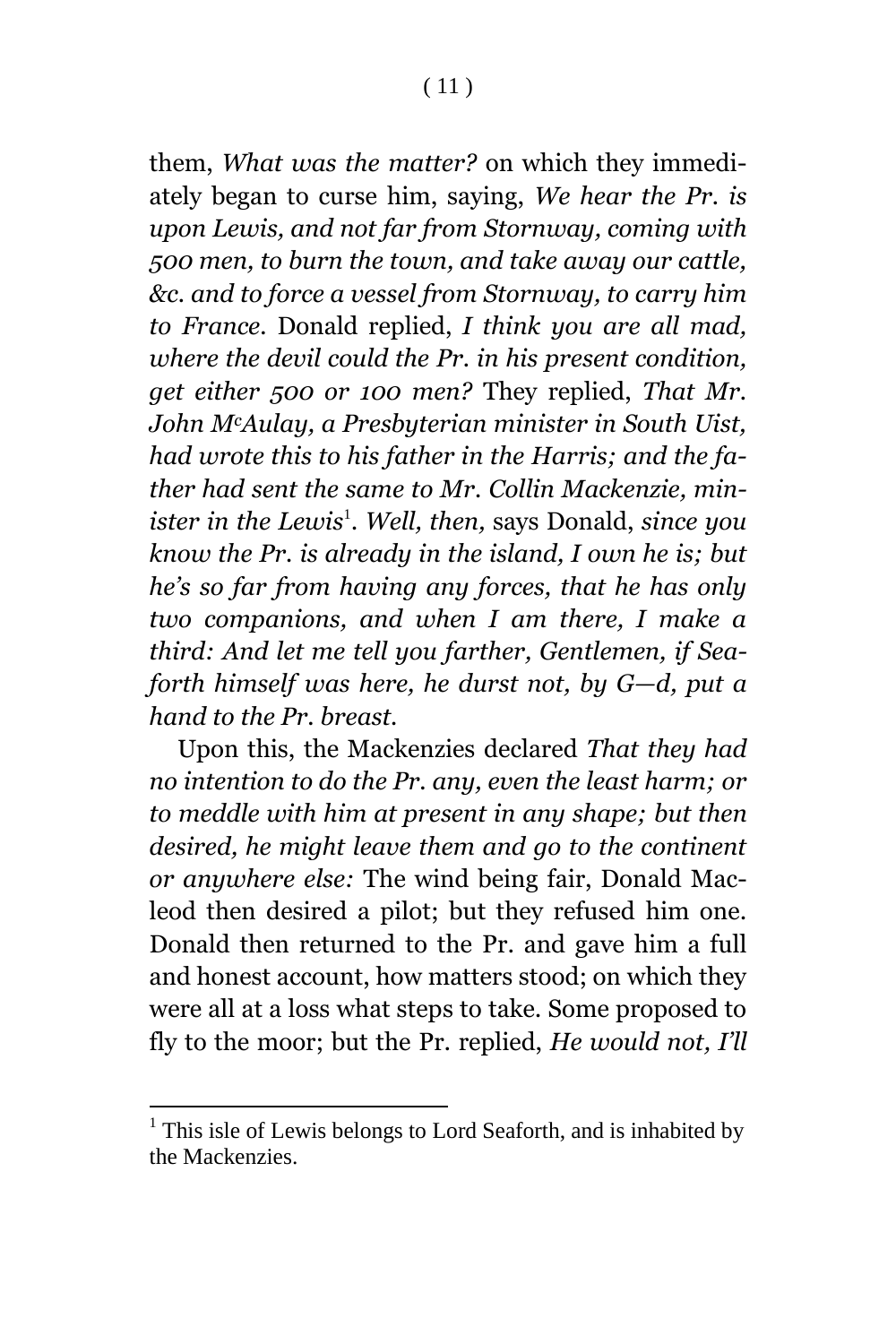them, *What was the matter?* on which they immediately began to curse him, saying, *We hear the Pr. is upon Lewis, and not far from Stornway, coming with 500 men, to burn the town, and take away our cattle, &c. and to force a vessel from Stornway, to carry him to France.* Donald replied, *I think you are all mad, where the devil could the Pr. in his present condition, get either 500 or 100 men?* They replied, *That Mr. John McAulay, a Presbyterian minister in South Uist, had wrote this to his father in the Harris; and the father had sent the same to Mr. Collin Mackenzie, minister in the Lewis*<sup>1</sup> . *Well, then,* says Donald, *since you know the Pr. is already in the island, I own he is; but he's so far from having any forces, that he has only two companions, and when I am there, I make a third: And let me tell you farther, Gentlemen, if Seaforth himself was here, he durst not, by G—d, put a hand to the Pr. breast.*

Upon this, the Mackenzies declared *That they had no intention to do the Pr. any, even the least harm; or to meddle with him at present in any shape; but then desired, he might leave them and go to the continent or anywhere else:* The wind being fair, Donald Macleod then desired a pilot; but they refused him one. Donald then returned to the Pr. and gave him a full and honest account, how matters stood; on which they were all at a loss what steps to take. Some proposed to fly to the moor; but the Pr. replied, *He would not, I'll* 

l

 $<sup>1</sup>$  This isle of Lewis belongs to Lord Seaforth, and is inhabited by</sup> the Mackenzies.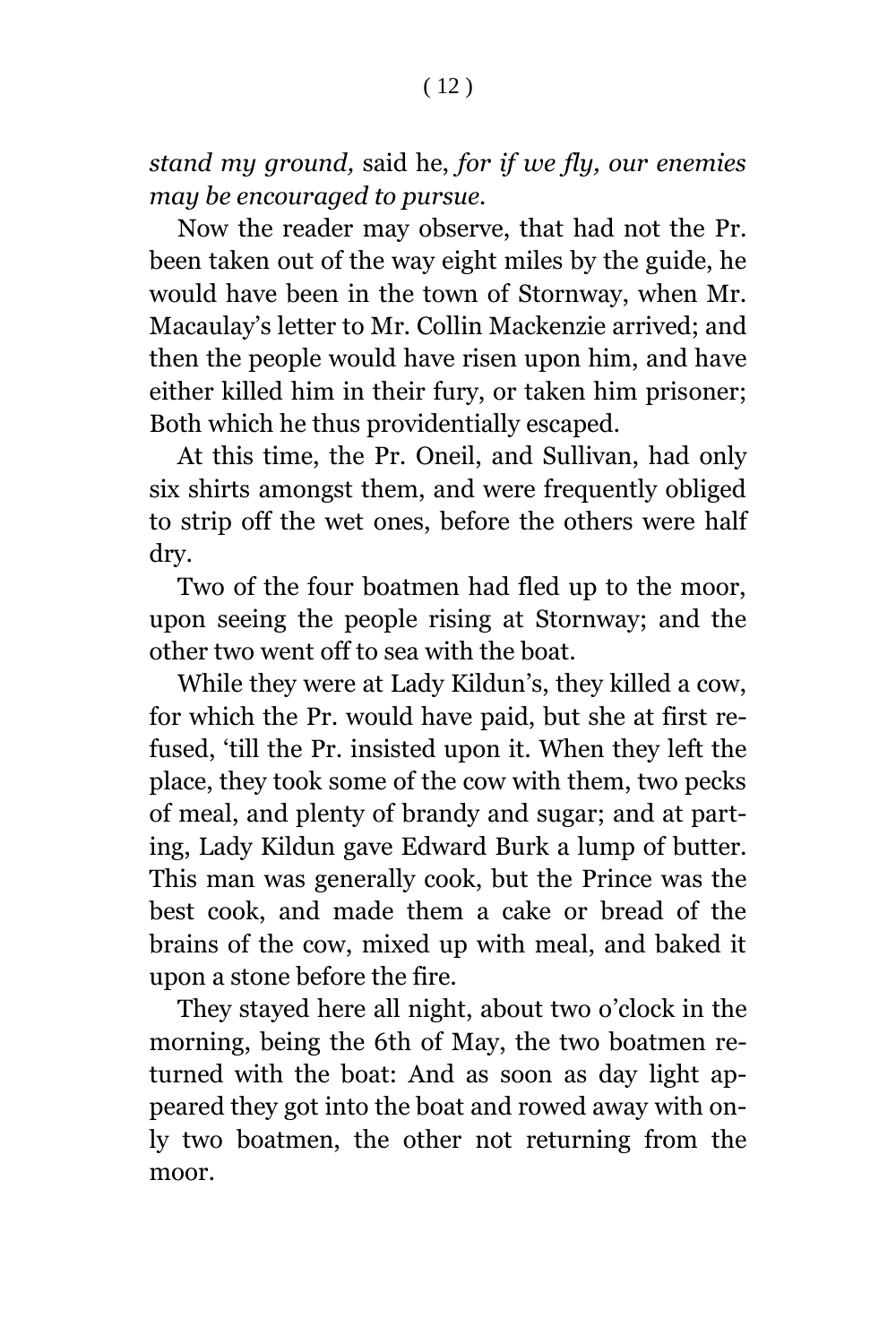*stand my ground,* said he, *for if we fly, our enemies may be encouraged to pursue.*

Now the reader may observe, that had not the Pr. been taken out of the way eight miles by the guide, he would have been in the town of Stornway, when Mr. Macaulay's letter to Mr. Collin Mackenzie arrived; and then the people would have risen upon him, and have either killed him in their fury, or taken him prisoner; Both which he thus providentially escaped.

At this time, the Pr. Oneil, and Sullivan, had only six shirts amongst them, and were frequently obliged to strip off the wet ones, before the others were half dry.

Two of the four boatmen had fled up to the moor, upon seeing the people rising at Stornway; and the other two went off to sea with the boat.

While they were at Lady Kildun's, they killed a cow, for which the Pr. would have paid, but she at first refused, 'till the Pr. insisted upon it. When they left the place, they took some of the cow with them, two pecks of meal, and plenty of brandy and sugar; and at parting, Lady Kildun gave Edward Burk a lump of butter. This man was generally cook, but the Prince was the best cook, and made them a cake or bread of the brains of the cow, mixed up with meal, and baked it upon a stone before the fire.

They stayed here all night, about two o'clock in the morning, being the 6th of May, the two boatmen returned with the boat: And as soon as day light appeared they got into the boat and rowed away with only two boatmen, the other not returning from the moor.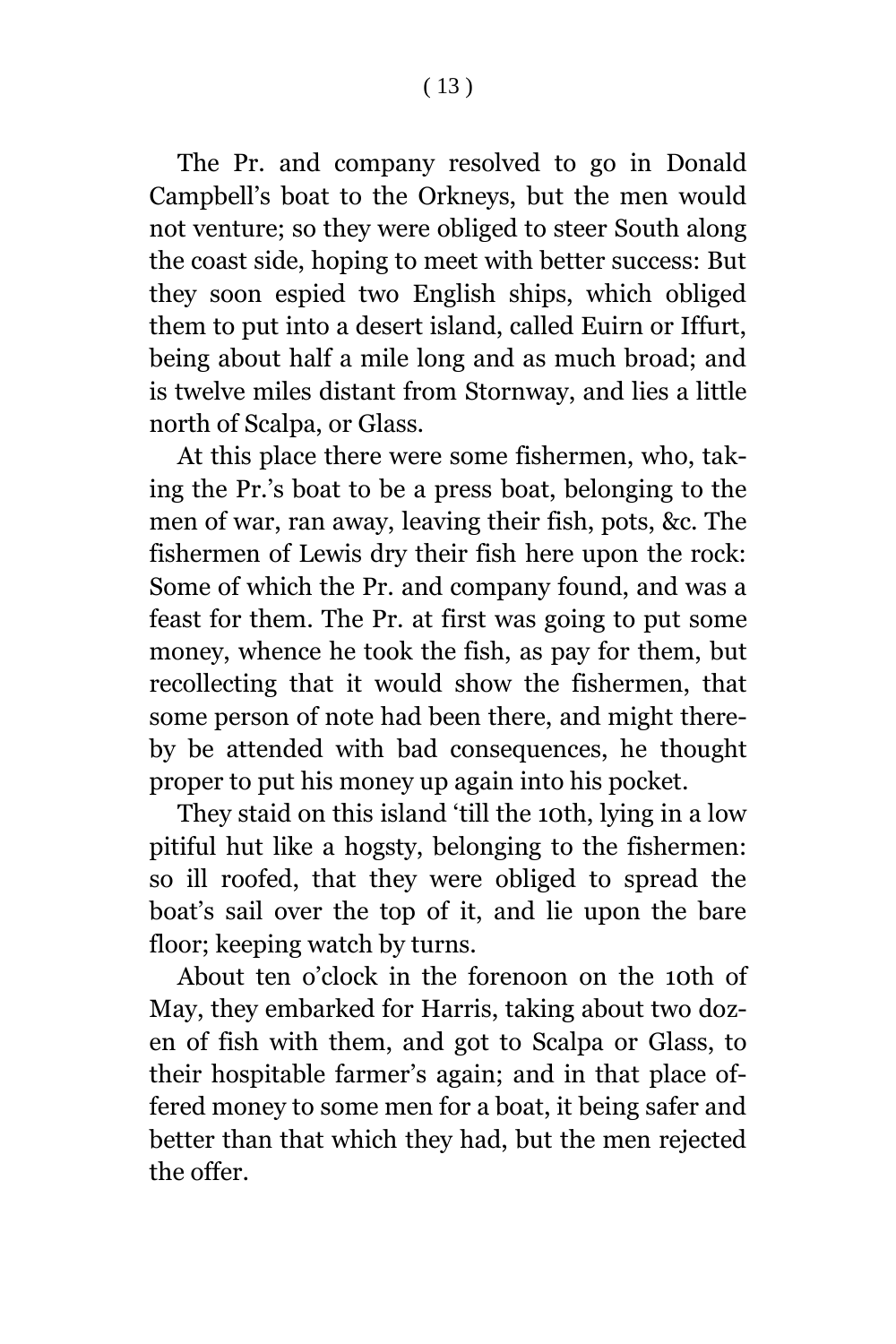( 13 )

The Pr. and company resolved to go in Donald Campbell's boat to the Orkneys, but the men would not venture; so they were obliged to steer South along the coast side, hoping to meet with better success: But they soon espied two English ships, which obliged them to put into a desert island, called Euirn or Iffurt, being about half a mile long and as much broad; and is twelve miles distant from Stornway, and lies a little north of Scalpa, or Glass.

At this place there were some fishermen, who, taking the Pr.'s boat to be a press boat, belonging to the men of war, ran away, leaving their fish, pots, &c. The fishermen of Lewis dry their fish here upon the rock: Some of which the Pr. and company found, and was a feast for them. The Pr. at first was going to put some money, whence he took the fish, as pay for them, but recollecting that it would show the fishermen, that some person of note had been there, and might thereby be attended with bad consequences, he thought proper to put his money up again into his pocket.

They staid on this island 'till the 10th, lying in a low pitiful hut like a hogsty, belonging to the fishermen: so ill roofed, that they were obliged to spread the boat's sail over the top of it, and lie upon the bare floor; keeping watch by turns.

About ten o'clock in the forenoon on the 10th of May, they embarked for Harris, taking about two dozen of fish with them, and got to Scalpa or Glass, to their hospitable farmer's again; and in that place offered money to some men for a boat, it being safer and better than that which they had, but the men rejected the offer.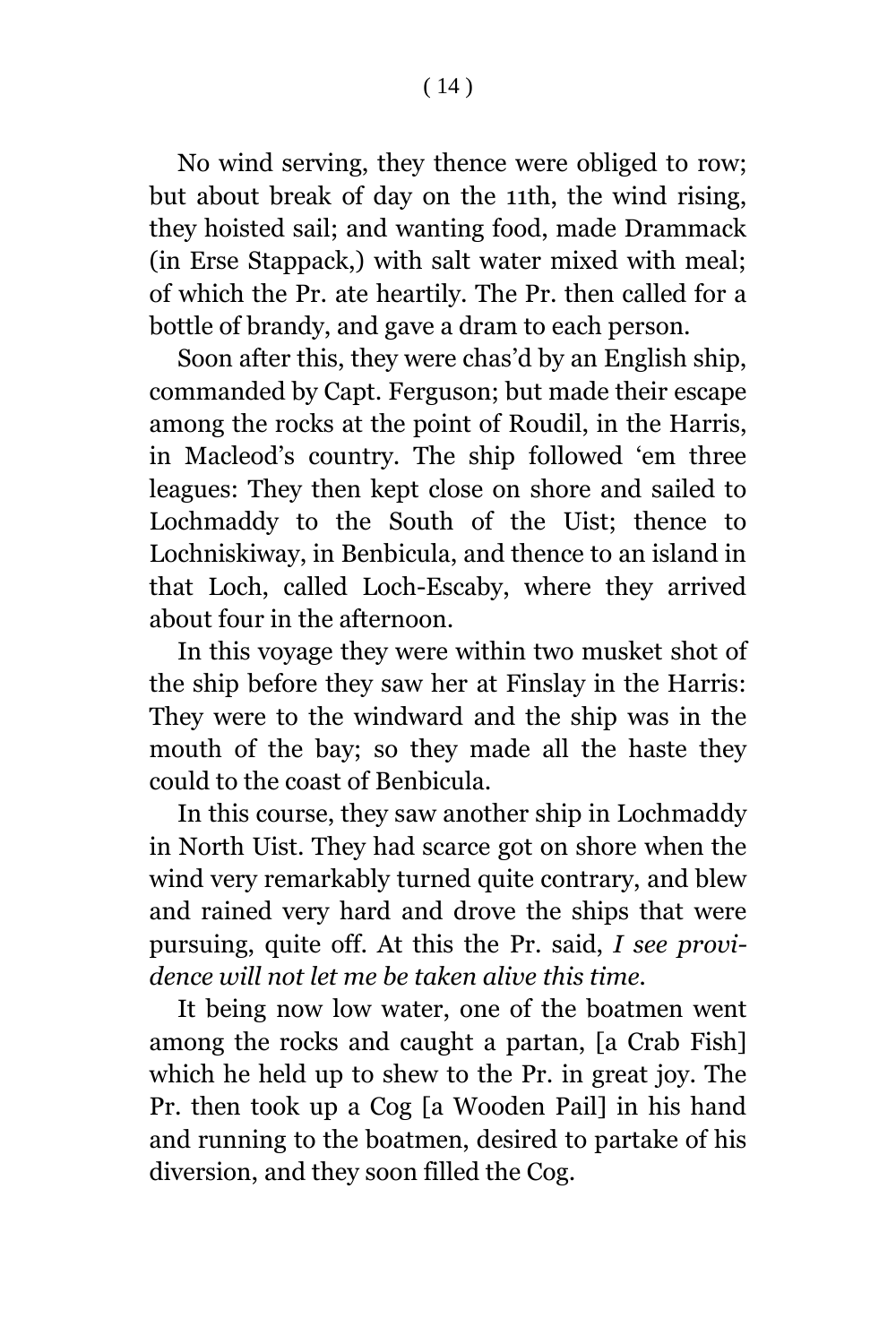No wind serving, they thence were obliged to row; but about break of day on the 11th, the wind rising, they hoisted sail; and wanting food, made Drammack (in Erse Stappack,) with salt water mixed with meal; of which the Pr. ate heartily. The Pr. then called for a bottle of brandy, and gave a dram to each person.

Soon after this, they were chas'd by an English ship, commanded by Capt. Ferguson; but made their escape among the rocks at the point of Roudil, in the Harris, in Macleod's country. The ship followed 'em three leagues: They then kept close on shore and sailed to Lochmaddy to the South of the Uist; thence to Lochniskiway, in Benbicula, and thence to an island in that Loch, called Loch-Escaby, where they arrived about four in the afternoon.

In this voyage they were within two musket shot of the ship before they saw her at Finslay in the Harris: They were to the windward and the ship was in the mouth of the bay; so they made all the haste they could to the coast of Benbicula.

In this course, they saw another ship in Lochmaddy in North Uist. They had scarce got on shore when the wind very remarkably turned quite contrary, and blew and rained very hard and drove the ships that were pursuing, quite off. At this the Pr. said, *I see providence will not let me be taken alive this time.*

It being now low water, one of the boatmen went among the rocks and caught a partan, [a Crab Fish] which he held up to shew to the Pr. in great joy. The Pr. then took up a Cog [a Wooden Pail] in his hand and running to the boatmen, desired to partake of his diversion, and they soon filled the Cog.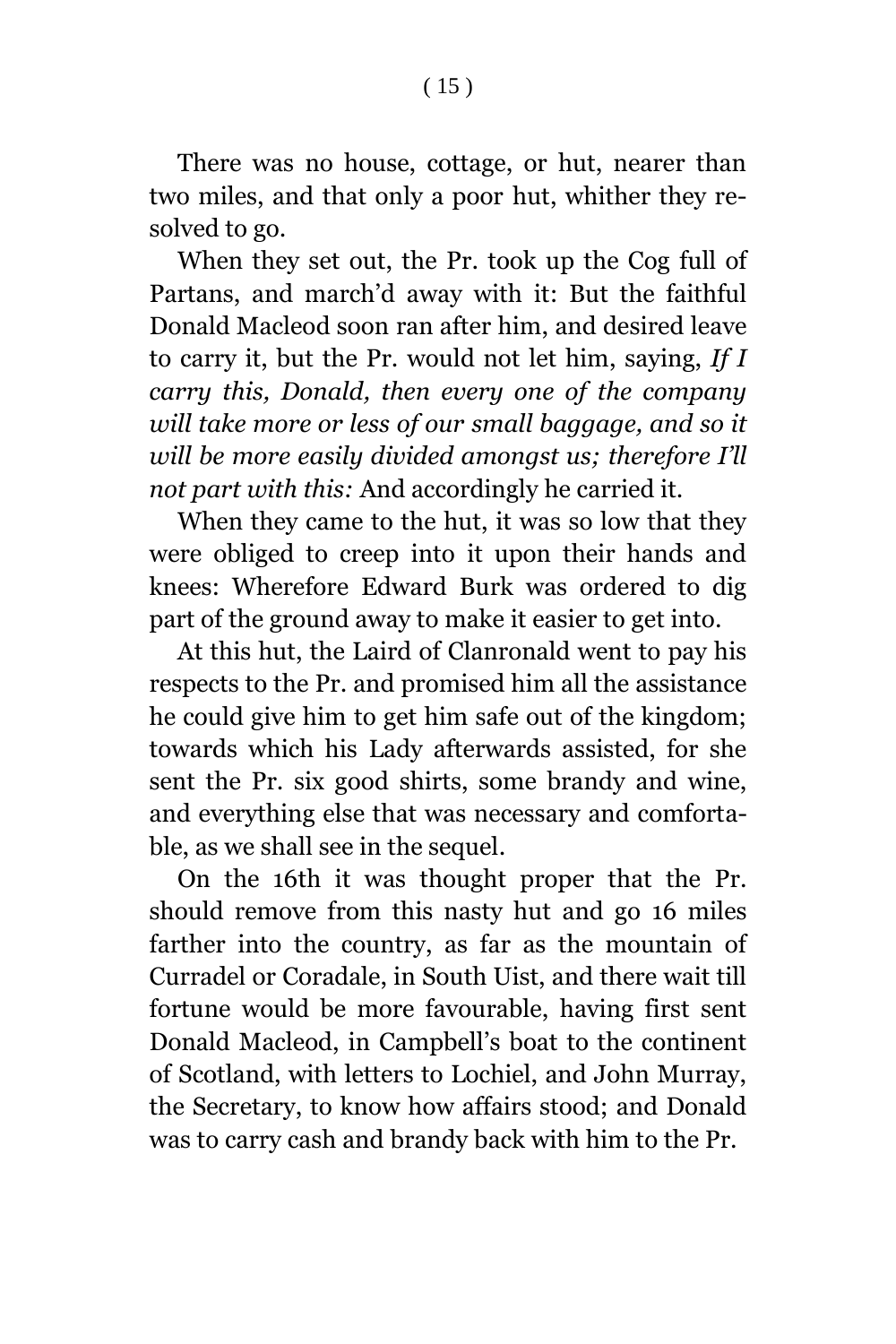There was no house, cottage, or hut, nearer than two miles, and that only a poor hut, whither they resolved to go.

When they set out, the Pr. took up the Cog full of Partans, and march'd away with it: But the faithful Donald Macleod soon ran after him, and desired leave to carry it, but the Pr. would not let him, saying, *If I carry this, Donald, then every one of the company will take more or less of our small baggage, and so it will be more easily divided amongst us; therefore I'll not part with this:* And accordingly he carried it.

When they came to the hut, it was so low that they were obliged to creep into it upon their hands and knees: Wherefore Edward Burk was ordered to dig part of the ground away to make it easier to get into.

At this hut, the Laird of Clanronald went to pay his respects to the Pr. and promised him all the assistance he could give him to get him safe out of the kingdom; towards which his Lady afterwards assisted, for she sent the Pr. six good shirts, some brandy and wine, and everything else that was necessary and comfortable, as we shall see in the sequel.

On the 16th it was thought proper that the Pr. should remove from this nasty hut and go 16 miles farther into the country, as far as the mountain of Curradel or Coradale, in South Uist, and there wait till fortune would be more favourable, having first sent Donald Macleod, in Campbell's boat to the continent of Scotland, with letters to Lochiel, and John Murray, the Secretary, to know how affairs stood; and Donald was to carry cash and brandy back with him to the Pr.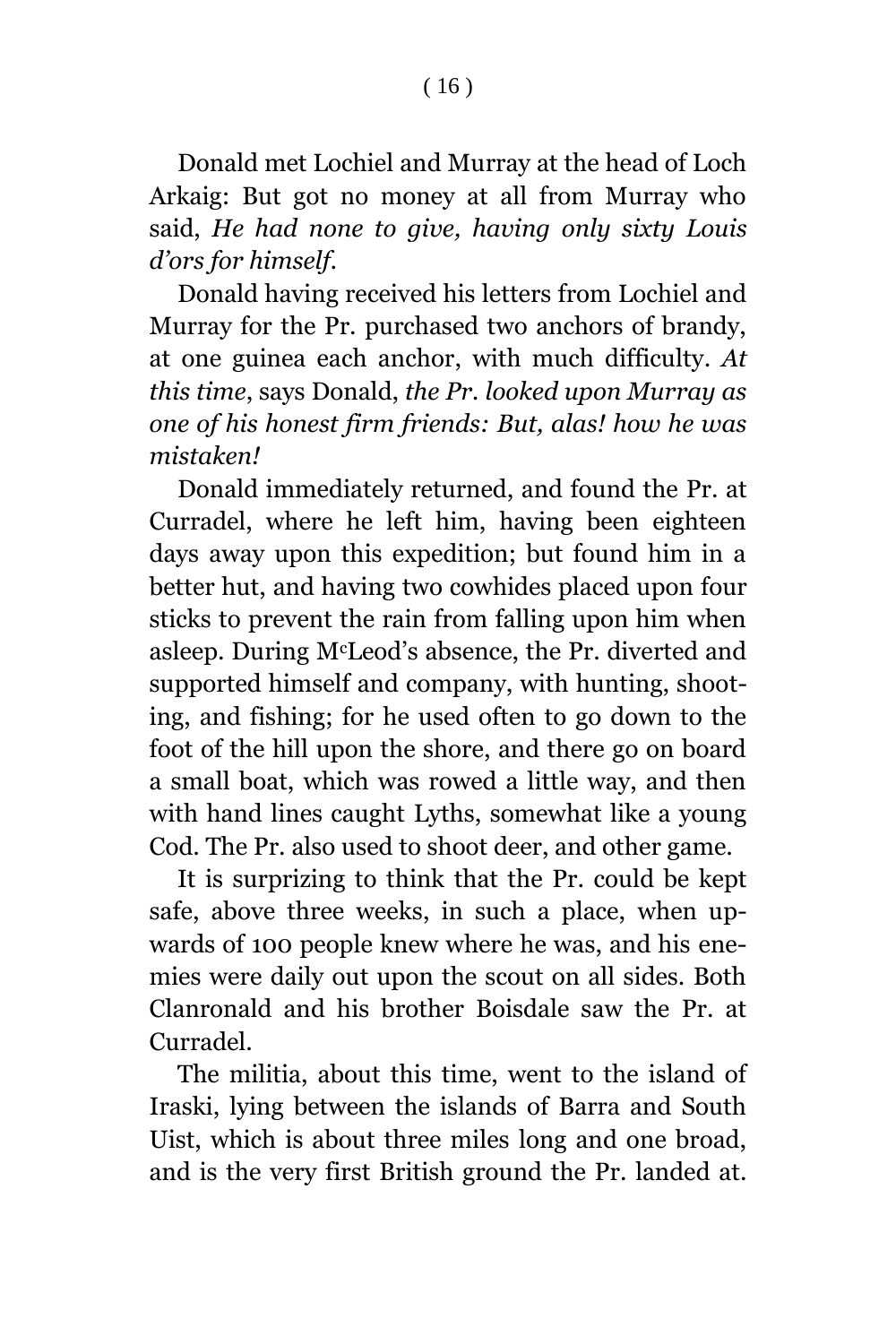Donald met Lochiel and Murray at the head of Loch Arkaig: But got no money at all from Murray who said, *He had none to give, having only sixty Louis d'ors for himself.*

Donald having received his letters from Lochiel and Murray for the Pr. purchased two anchors of brandy, at one guinea each anchor, with much difficulty. *At this time*, says Donald, *the Pr. looked upon Murray as one of his honest firm friends: But, alas! how he was mistaken!*

Donald immediately returned, and found the Pr. at Curradel, where he left him, having been eighteen days away upon this expedition; but found him in a better hut, and having two cowhides placed upon four sticks to prevent the rain from falling upon him when asleep. During McLeod's absence, the Pr. diverted and supported himself and company, with hunting, shooting, and fishing; for he used often to go down to the foot of the hill upon the shore, and there go on board a small boat, which was rowed a little way, and then with hand lines caught Lyths, somewhat like a young Cod. The Pr. also used to shoot deer, and other game.

It is surprizing to think that the Pr. could be kept safe, above three weeks, in such a place, when upwards of 100 people knew where he was, and his enemies were daily out upon the scout on all sides. Both Clanronald and his brother Boisdale saw the Pr. at Curradel.

The militia, about this time, went to the island of Iraski, lying between the islands of Barra and South Uist, which is about three miles long and one broad, and is the very first British ground the Pr. landed at.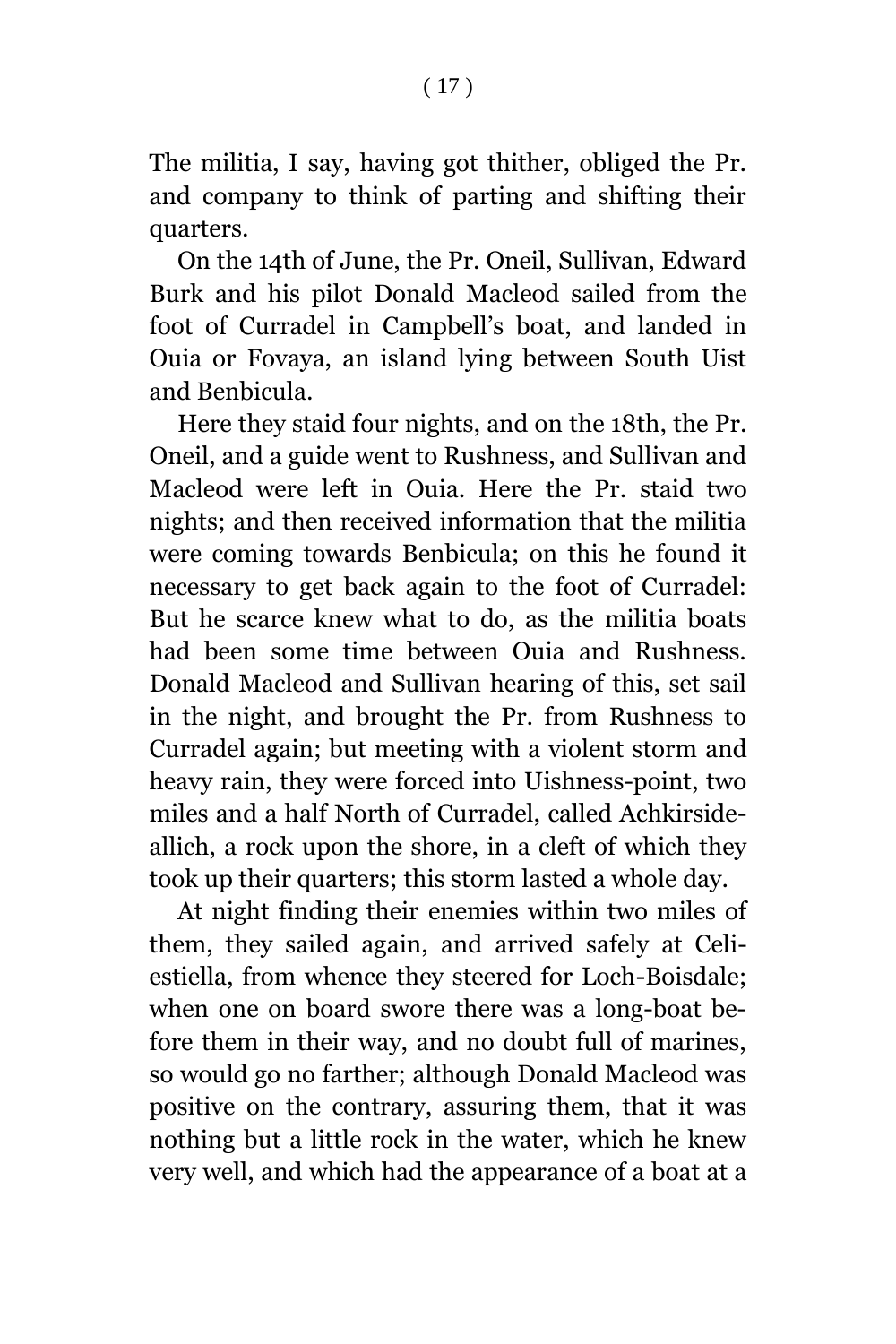The militia, I say, having got thither, obliged the Pr. and company to think of parting and shifting their quarters.

On the 14th of June, the Pr. Oneil, Sullivan, Edward Burk and his pilot Donald Macleod sailed from the foot of Curradel in Campbell's boat, and landed in Ouia or Fovaya, an island lying between South Uist and Benbicula.

Here they staid four nights, and on the 18th, the Pr. Oneil, and a guide went to Rushness, and Sullivan and Macleod were left in Ouia. Here the Pr. staid two nights; and then received information that the militia were coming towards Benbicula; on this he found it necessary to get back again to the foot of Curradel: But he scarce knew what to do, as the militia boats had been some time between Ouia and Rushness. Donald Macleod and Sullivan hearing of this, set sail in the night, and brought the Pr. from Rushness to Curradel again; but meeting with a violent storm and heavy rain, they were forced into Uishness-point, two miles and a half North of Curradel, called Achkirsideallich, a rock upon the shore, in a cleft of which they took up their quarters; this storm lasted a whole day.

At night finding their enemies within two miles of them, they sailed again, and arrived safely at Celiestiella, from whence they steered for Loch-Boisdale; when one on board swore there was a long-boat before them in their way, and no doubt full of marines, so would go no farther; although Donald Macleod was positive on the contrary, assuring them, that it was nothing but a little rock in the water, which he knew very well, and which had the appearance of a boat at a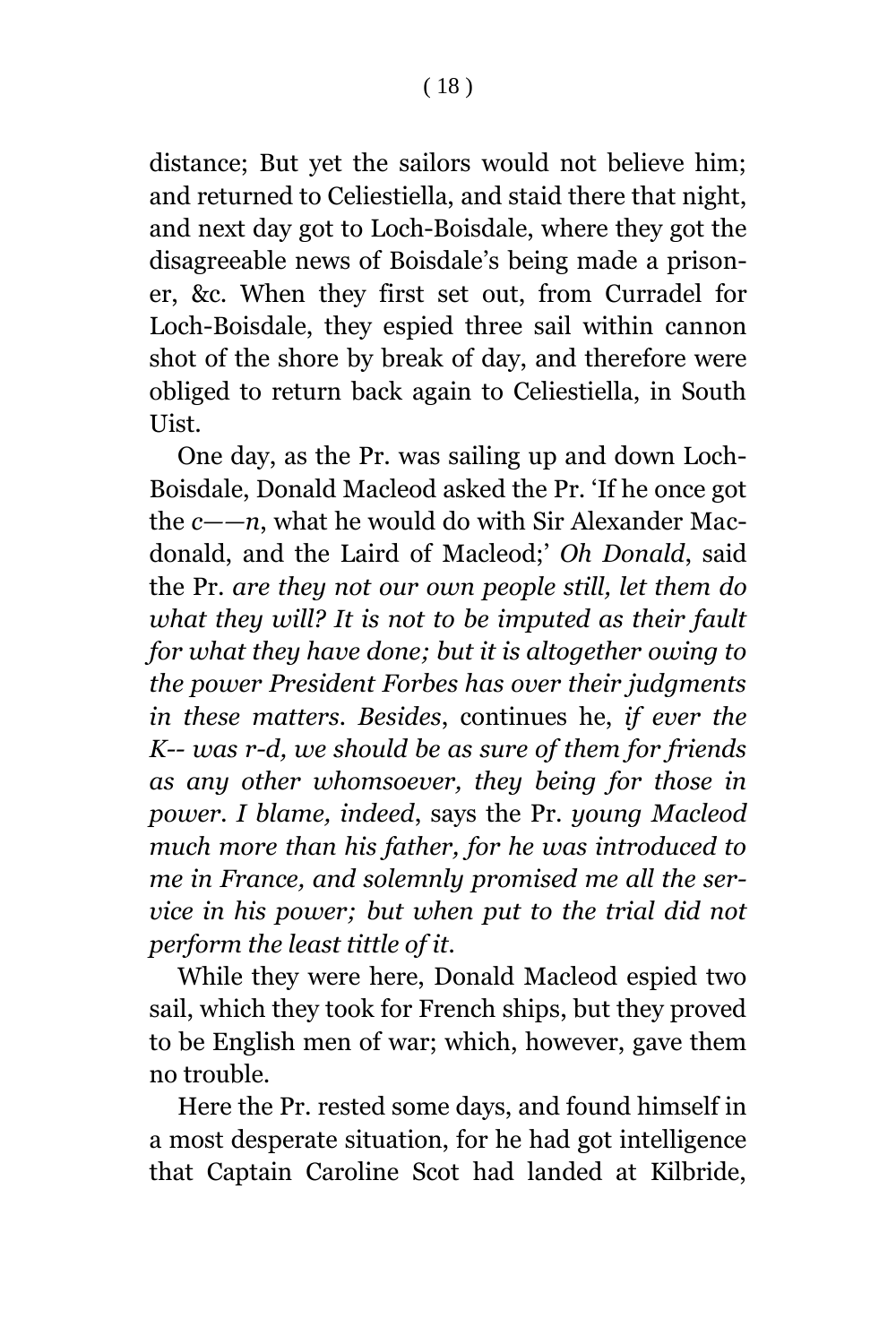distance; But yet the sailors would not believe him; and returned to Celiestiella, and staid there that night, and next day got to Loch-Boisdale, where they got the disagreeable news of Boisdale's being made a prisoner, &c. When they first set out, from Curradel for Loch-Boisdale, they espied three sail within cannon shot of the shore by break of day, and therefore were obliged to return back again to Celiestiella, in South Uist.

One day, as the Pr. was sailing up and down Loch-Boisdale, Donald Macleod asked the Pr. 'If he once got the *c——n*, what he would do with Sir Alexander Macdonald, and the Laird of Macleod;' *Oh Donald*, said the Pr. *are they not our own people still, let them do what they will? It is not to be imputed as their fault for what they have done; but it is altogether owing to the power President Forbes has over their judgments in these matters. Besides*, continues he, *if ever the K-- was r-d, we should be as sure of them for friends as any other whomsoever, they being for those in power. I blame, indeed*, says the Pr. *young Macleod much more than his father, for he was introduced to me in France, and solemnly promised me all the service in his power; but when put to the trial did not perform the least tittle of it.*

While they were here, Donald Macleod espied two sail, which they took for French ships, but they proved to be English men of war; which, however, gave them no trouble.

Here the Pr. rested some days, and found himself in a most desperate situation, for he had got intelligence that Captain Caroline Scot had landed at Kilbride,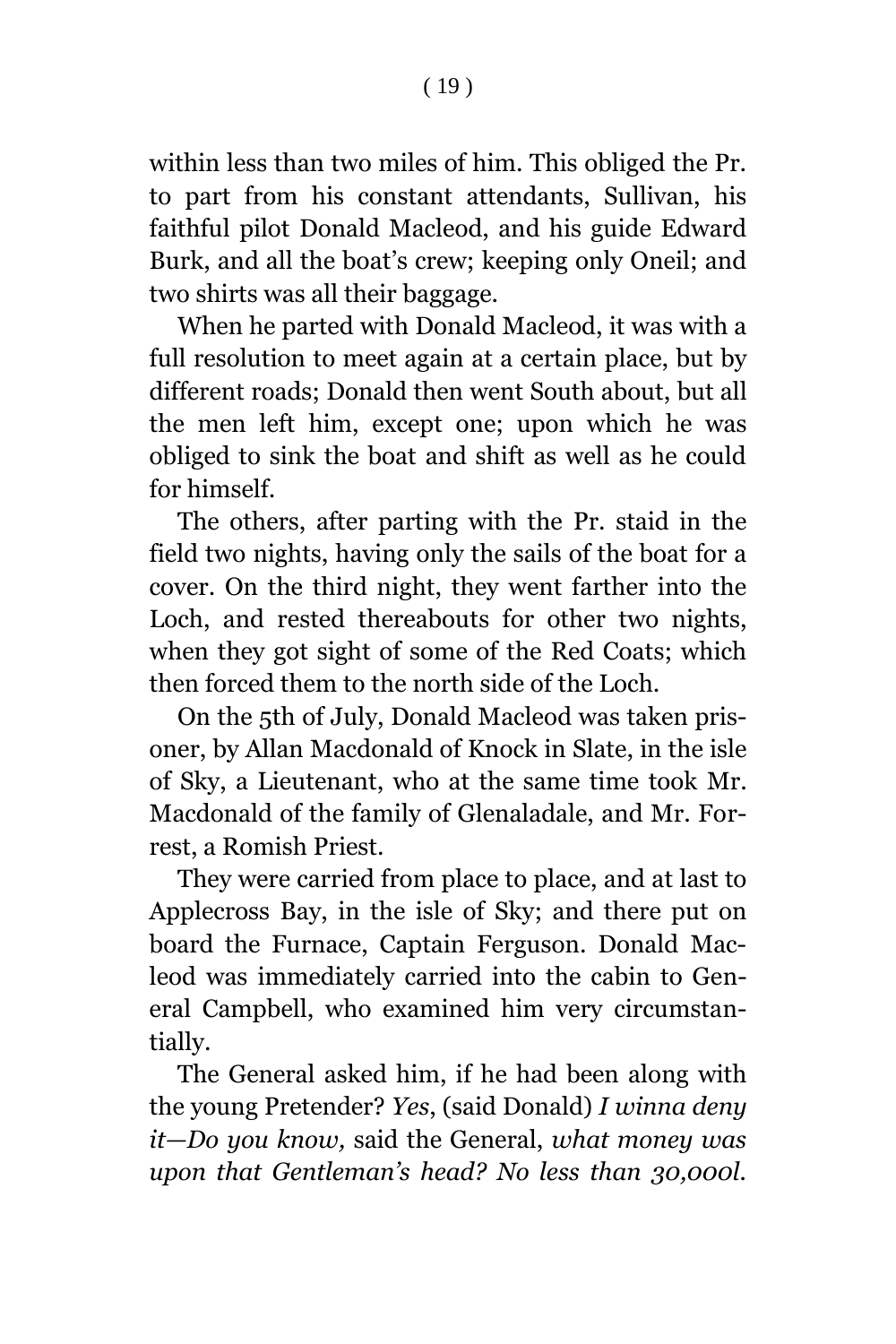within less than two miles of him. This obliged the Pr. to part from his constant attendants, Sullivan, his faithful pilot Donald Macleod, and his guide Edward Burk, and all the boat's crew; keeping only Oneil; and two shirts was all their baggage.

When he parted with Donald Macleod, it was with a full resolution to meet again at a certain place, but by different roads; Donald then went South about, but all the men left him, except one; upon which he was obliged to sink the boat and shift as well as he could for himself.

The others, after parting with the Pr. staid in the field two nights, having only the sails of the boat for a cover. On the third night, they went farther into the Loch, and rested thereabouts for other two nights, when they got sight of some of the Red Coats; which then forced them to the north side of the Loch.

On the 5th of July, Donald Macleod was taken prisoner, by Allan Macdonald of Knock in Slate, in the isle of Sky, a Lieutenant, who at the same time took Mr. Macdonald of the family of Glenaladale, and Mr. Forrest, a Romish Priest.

They were carried from place to place, and at last to Applecross Bay, in the isle of Sky; and there put on board the Furnace, Captain Ferguson. Donald Macleod was immediately carried into the cabin to General Campbell, who examined him very circumstantially.

The General asked him, if he had been along with the young Pretender? *Yes*, (said Donald) *I winna deny it—Do you know,* said the General, *what money was upon that Gentleman's head? No less than 30,000l.*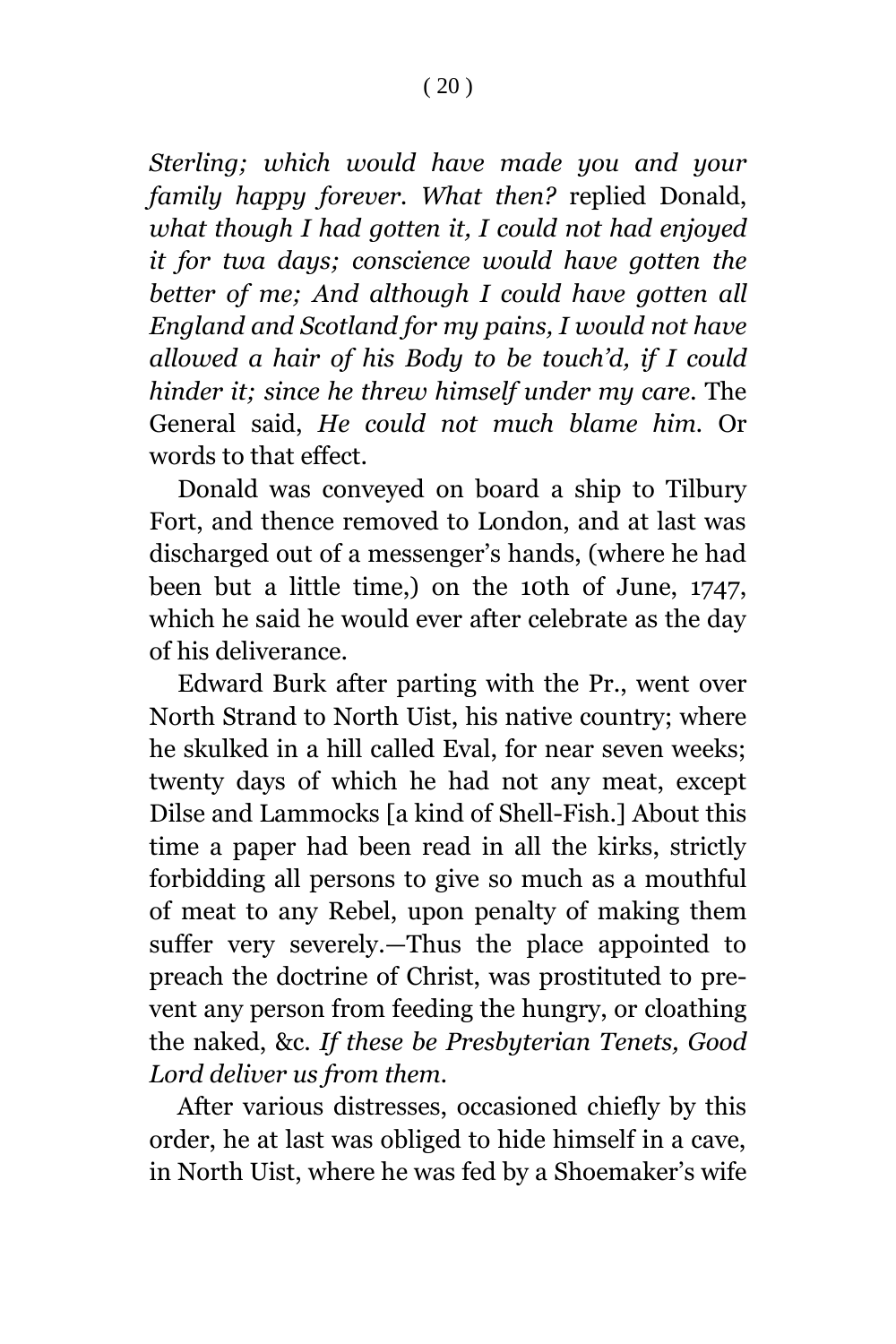*Sterling; which would have made you and your family happy forever. What then?* replied Donald, *what though I had gotten it, I could not had enjoyed it for twa days; conscience would have gotten the better of me; And although I could have gotten all England and Scotland for my pains, I would not have allowed a hair of his Body to be touch'd, if I could hinder it; since he threw himself under my care.* The General said, *He could not much blame him.* Or words to that effect.

Donald was conveyed on board a ship to Tilbury Fort, and thence removed to London, and at last was discharged out of a messenger's hands, (where he had been but a little time,) on the 10th of June, 1747, which he said he would ever after celebrate as the day of his deliverance.

Edward Burk after parting with the Pr., went over North Strand to North Uist, his native country; where he skulked in a hill called Eval, for near seven weeks; twenty days of which he had not any meat, except Dilse and Lammocks [a kind of Shell-Fish.] About this time a paper had been read in all the kirks, strictly forbidding all persons to give so much as a mouthful of meat to any Rebel, upon penalty of making them suffer very severely.—Thus the place appointed to preach the doctrine of Christ, was prostituted to prevent any person from feeding the hungry, or cloathing the naked, &c. *If these be Presbyterian Tenets, Good Lord deliver us from them.*

After various distresses, occasioned chiefly by this order, he at last was obliged to hide himself in a cave, in North Uist, where he was fed by a Shoemaker's wife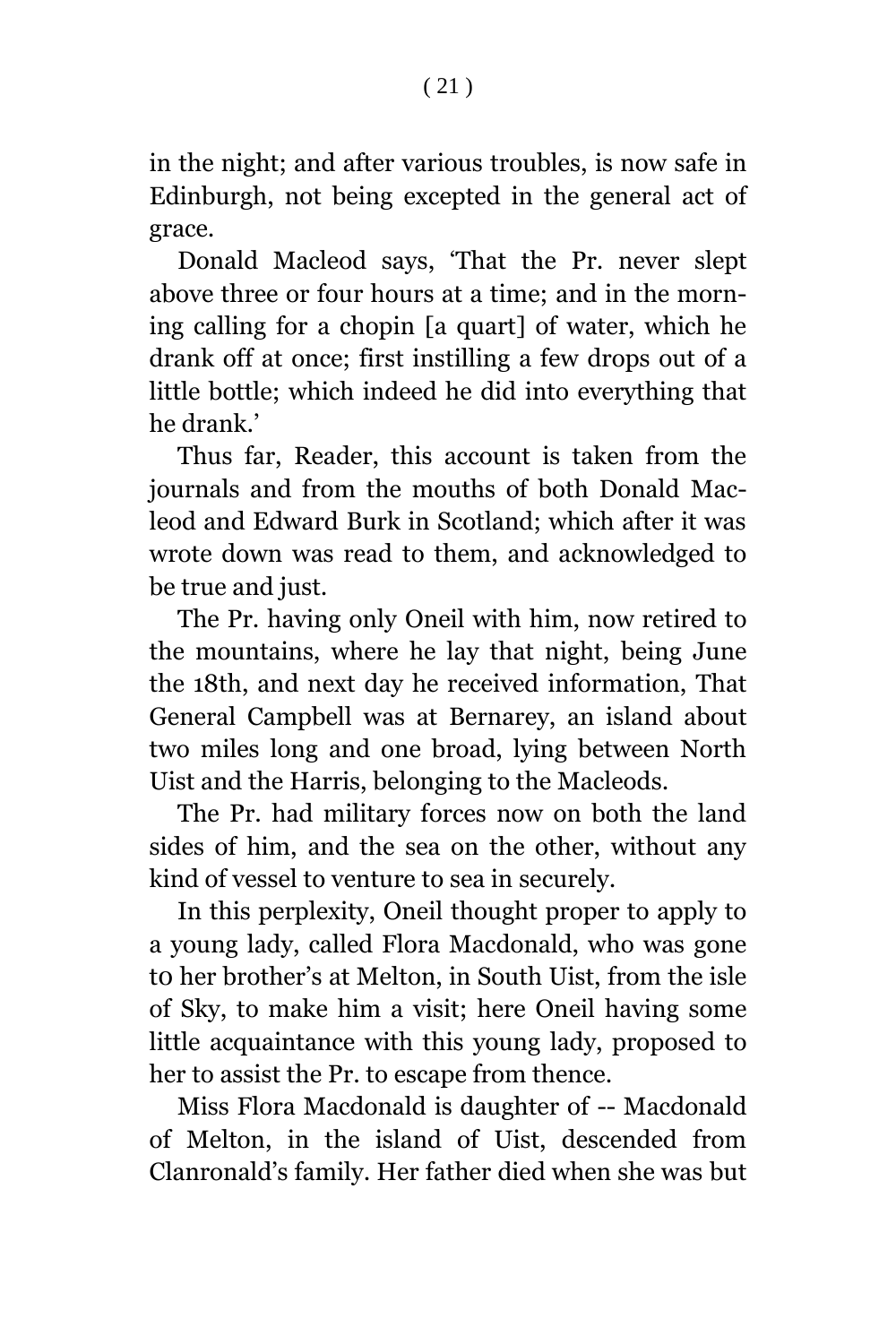in the night; and after various troubles, is now safe in Edinburgh, not being excepted in the general act of grace.

Donald Macleod says, 'That the Pr. never slept above three or four hours at a time; and in the morning calling for a chopin [a quart] of water, which he drank off at once; first instilling a few drops out of a little bottle; which indeed he did into everything that he drank.'

Thus far, Reader, this account is taken from the journals and from the mouths of both Donald Macleod and Edward Burk in Scotland; which after it was wrote down was read to them, and acknowledged to be true and just.

The Pr. having only Oneil with him, now retired to the mountains, where he lay that night, being June the 18th, and next day he received information, That General Campbell was at Bernarey, an island about two miles long and one broad, lying between North Uist and the Harris, belonging to the Macleods.

The Pr. had military forces now on both the land sides of him, and the sea on the other, without any kind of vessel to venture to sea in securely.

In this perplexity, Oneil thought proper to apply to a young lady, called Flora Macdonald, who was gone t0 her brother's at Melton, in South Uist, from the isle of Sky, to make him a visit; here Oneil having some little acquaintance with this young lady, proposed to her to assist the Pr. to escape from thence.

Miss Flora Macdonald is daughter of -- Macdonald of Melton, in the island of Uist, descended from Clanronald's family. Her father died when she was but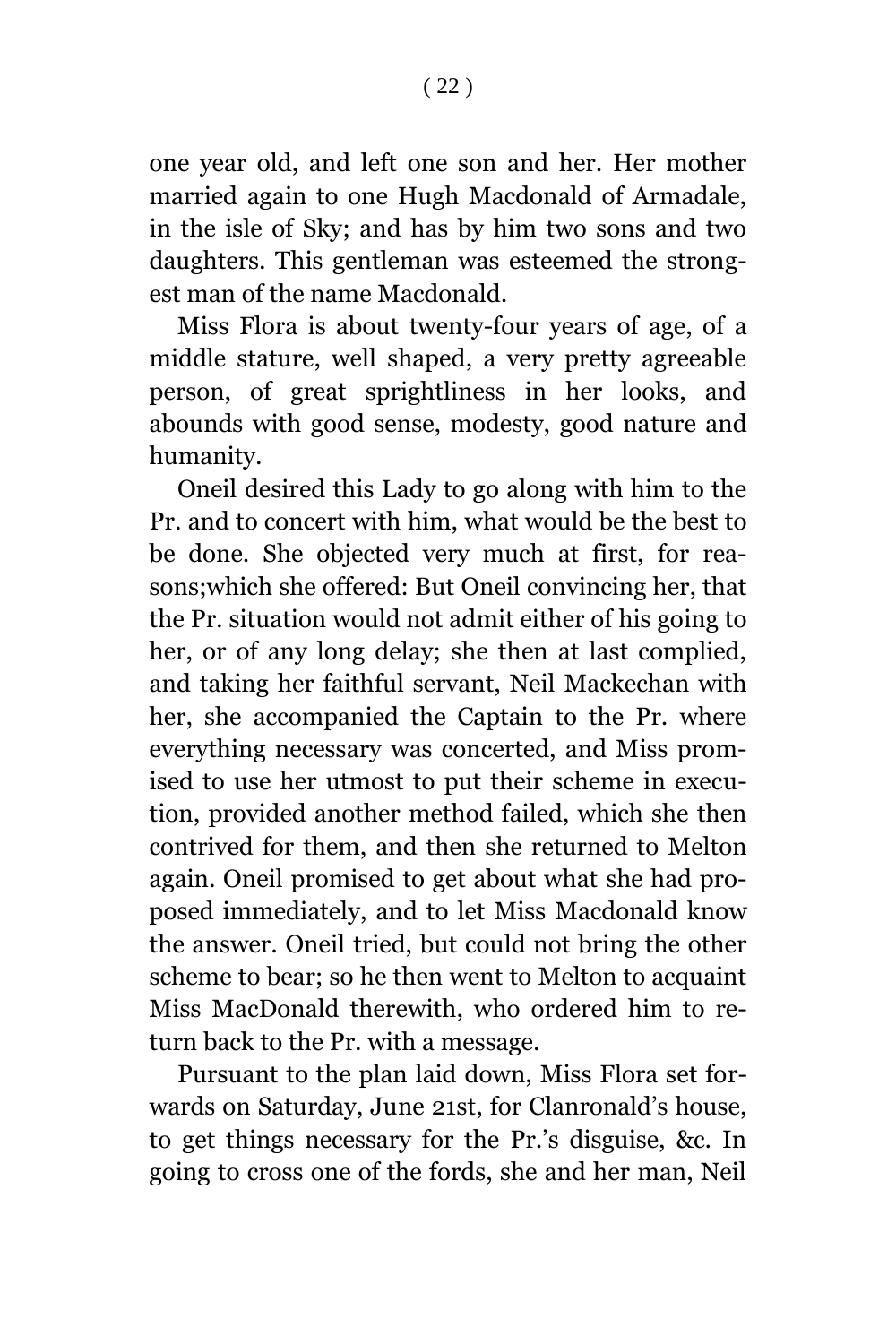one year old, and left one son and her. Her mother married again to one Hugh Macdonald of Armadale, in the isle of Sky; and has by him two sons and two daughters. This gentleman was esteemed the strongest man of the name Macdonald.

Miss Flora is about twenty-four years of age, of a middle stature, well shaped, a very pretty agreeable person, of great sprightliness in her looks, and abounds with good sense, modesty, good nature and humanity.

Oneil desired this Lady to go along with him to the Pr. and to concert with him, what would be the best to be done. She objected very much at first, for reasons;which she offered: But Oneil convincing her, that the Pr. situation would not admit either of his going to her, or of any long delay; she then at last complied, and taking her faithful servant, Neil Mackechan with her, she accompanied the Captain to the Pr. where everything necessary was concerted, and Miss promised to use her utmost to put their scheme in execution, provided another method failed, which she then contrived for them, and then she returned to Melton again. Oneil promised to get about what she had proposed immediately, and to let Miss Macdonald know the answer. Oneil tried, but could not bring the other scheme to bear; so he then went to Melton to acquaint Miss MacDonald therewith, who ordered him to return back to the Pr. with a message.

Pursuant to the plan laid down, Miss Flora set forwards on Saturday, June 21st, for Clanronald's house, to get things necessary for the Pr.'s disguise, &c. In going to cross one of the fords, she and her man, Neil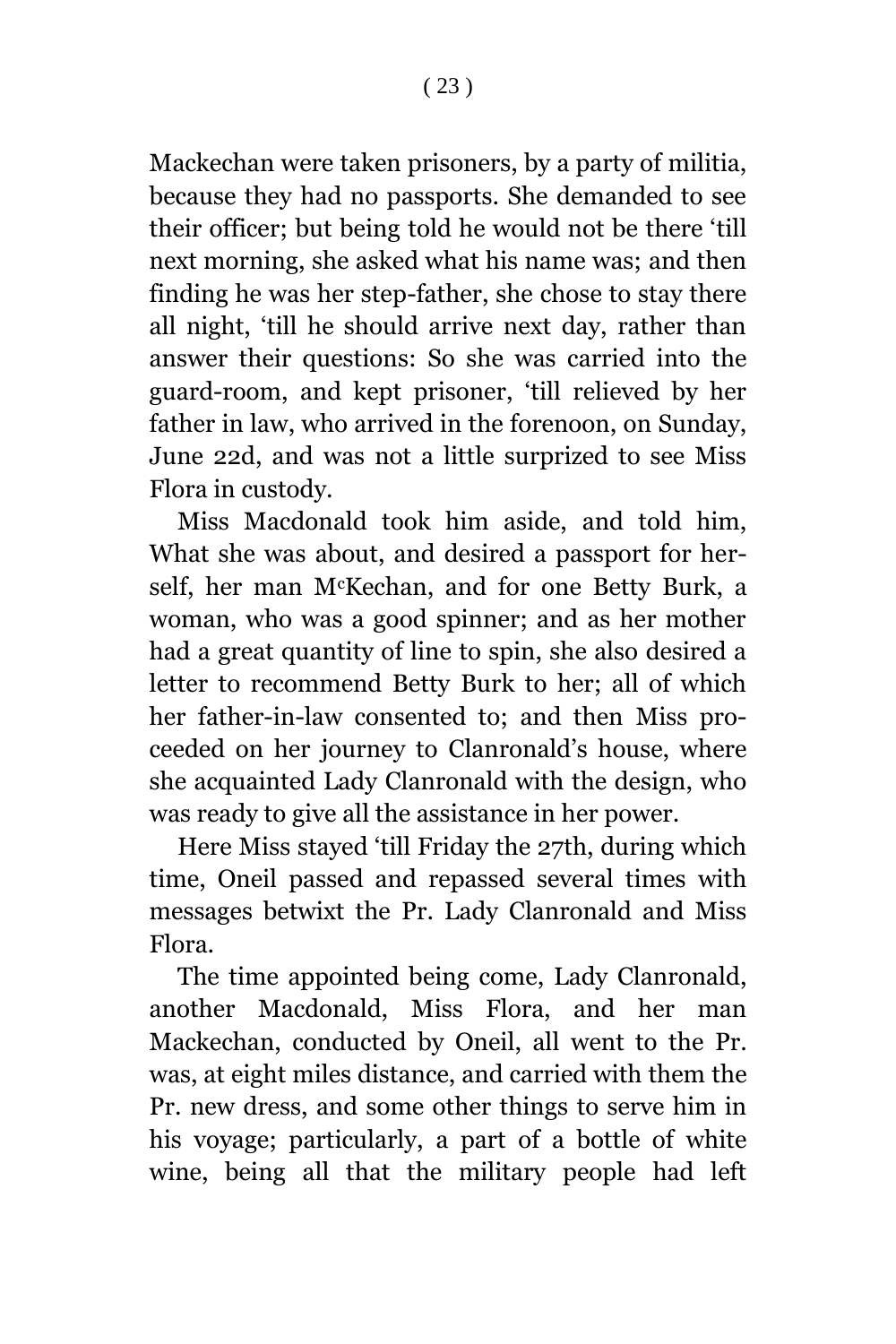Mackechan were taken prisoners, by a party of militia, because they had no passports. She demanded to see their officer; but being told he would not be there 'till next morning, she asked what his name was; and then finding he was her step-father, she chose to stay there all night, 'till he should arrive next day, rather than answer their questions: So she was carried into the guard-room, and kept prisoner, 'till relieved by her father in law, who arrived in the forenoon, on Sunday, June 22d, and was not a little surprized to see Miss Flora in custody.

Miss Macdonald took him aside, and told him, What she was about, and desired a passport for herself, her man McKechan, and for one Betty Burk, a woman, who was a good spinner; and as her mother had a great quantity of line to spin, she also desired a letter to recommend Betty Burk to her; all of which her father-in-law consented to; and then Miss proceeded on her journey to Clanronald's house, where she acquainted Lady Clanronald with the design, who was ready to give all the assistance in her power.

Here Miss stayed 'till Friday the 27th, during which time, Oneil passed and repassed several times with messages betwixt the Pr. Lady Clanronald and Miss Flora.

The time appointed being come, Lady Clanronald, another Macdonald, Miss Flora, and her man Mackechan, conducted by Oneil, all went to the Pr. was, at eight miles distance, and carried with them the Pr. new dress, and some other things to serve him in his voyage; particularly, a part of a bottle of white wine, being all that the military people had left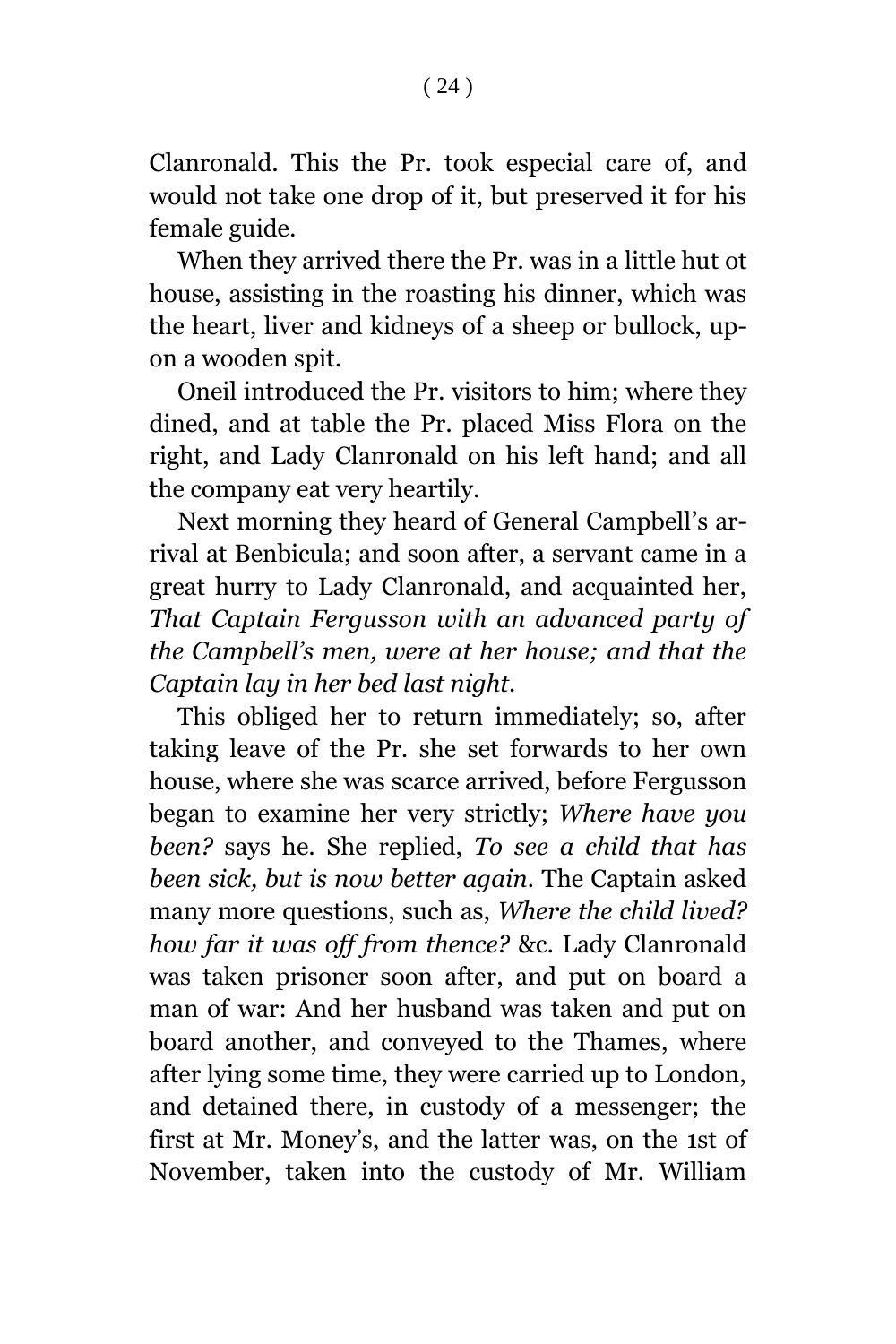Clanronald. This the Pr. took especial care of, and would not take one drop of it, but preserved it for his female guide.

When they arrived there the Pr. was in a little hut ot house, assisting in the roasting his dinner, which was the heart, liver and kidneys of a sheep or bullock, upon a wooden spit.

Oneil introduced the Pr. visitors to him; where they dined, and at table the Pr. placed Miss Flora on the right, and Lady Clanronald on his left hand; and all the company eat very heartily.

Next morning they heard of General Campbell's arrival at Benbicula; and soon after, a servant came in a great hurry to Lady Clanronald, and acquainted her, *That Captain Fergusson with an advanced party of the Campbell's men, were at her house; and that the Captain lay in her bed last night.*

This obliged her to return immediately; so, after taking leave of the Pr. she set forwards to her own house, where she was scarce arrived, before Fergusson began to examine her very strictly; *Where have you been?* says he. She replied, *To see a child that has been sick, but is now better again.* The Captain asked many more questions, such as, *Where the child lived? how far it was off from thence?* &c. Lady Clanronald was taken prisoner soon after, and put on board a man of war: And her husband was taken and put on board another, and conveyed to the Thames, where after lying some time, they were carried up to London, and detained there, in custody of a messenger; the first at Mr. Money's, and the latter was, on the 1st of November, taken into the custody of Mr. William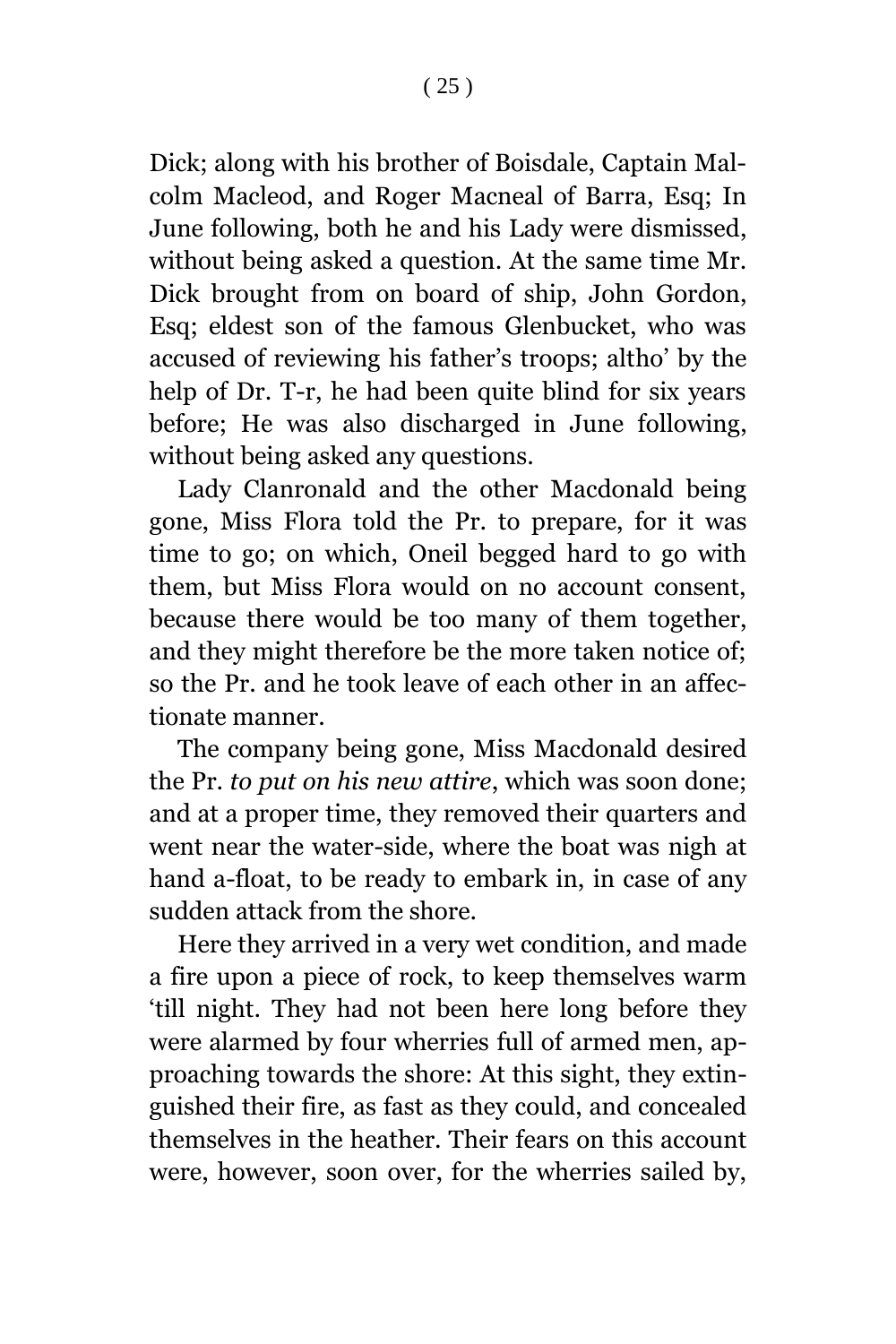Dick; along with his brother of Boisdale, Captain Malcolm Macleod, and Roger Macneal of Barra, Esq; In June following, both he and his Lady were dismissed, without being asked a question. At the same time Mr. Dick brought from on board of ship, John Gordon, Esq; eldest son of the famous Glenbucket, who was accused of reviewing his father's troops; altho' by the help of Dr. T-r, he had been quite blind for six years before; He was also discharged in June following, without being asked any questions.

Lady Clanronald and the other Macdonald being gone, Miss Flora told the Pr. to prepare, for it was time to go; on which, Oneil begged hard to go with them, but Miss Flora would on no account consent, because there would be too many of them together, and they might therefore be the more taken notice of; so the Pr. and he took leave of each other in an affectionate manner.

The company being gone, Miss Macdonald desired the Pr. *to put on his new attire*, which was soon done; and at a proper time, they removed their quarters and went near the water-side, where the boat was nigh at hand a-float, to be ready to embark in, in case of any sudden attack from the shore.

Here they arrived in a very wet condition, and made a fire upon a piece of rock, to keep themselves warm 'till night. They had not been here long before they were alarmed by four wherries full of armed men, approaching towards the shore: At this sight, they extinguished their fire, as fast as they could, and concealed themselves in the heather. Their fears on this account were, however, soon over, for the wherries sailed by,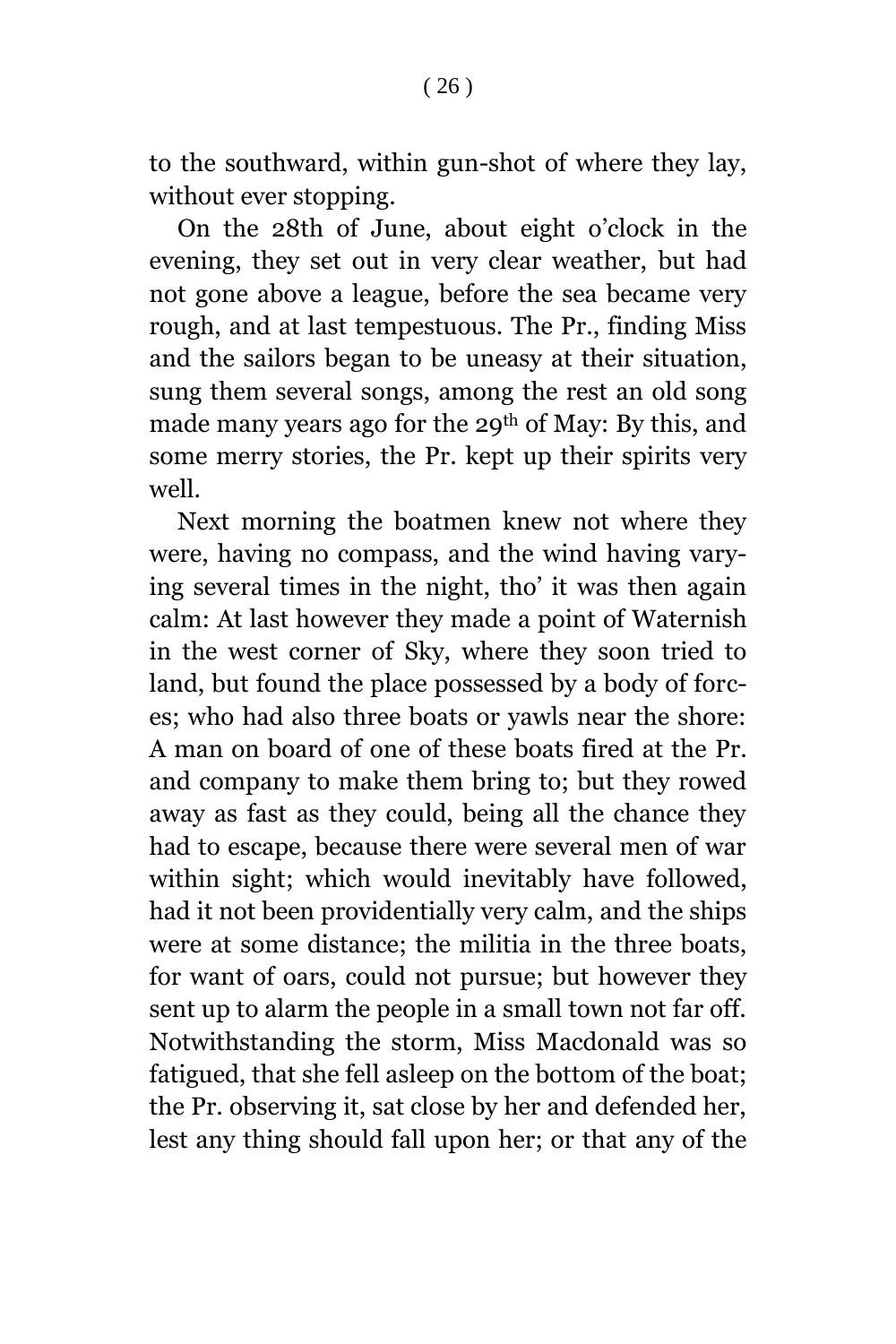to the southward, within gun-shot of where they lay, without ever stopping.

On the 28th of June, about eight o'clock in the evening, they set out in very clear weather, but had not gone above a league, before the sea became very rough, and at last tempestuous. The Pr., finding Miss and the sailors began to be uneasy at their situation, sung them several songs, among the rest an old song made many years ago for the 29th of May: By this, and some merry stories, the Pr. kept up their spirits very well.

Next morning the boatmen knew not where they were, having no compass, and the wind having varying several times in the night, tho' it was then again calm: At last however they made a point of Waternish in the west corner of Sky, where they soon tried to land, but found the place possessed by a body of forces; who had also three boats or yawls near the shore: A man on board of one of these boats fired at the Pr. and company to make them bring to; but they rowed away as fast as they could, being all the chance they had to escape, because there were several men of war within sight; which would inevitably have followed, had it not been providentially very calm, and the ships were at some distance; the militia in the three boats, for want of oars, could not pursue; but however they sent up to alarm the people in a small town not far off. Notwithstanding the storm, Miss Macdonald was so fatigued, that she fell asleep on the bottom of the boat; the Pr. observing it, sat close by her and defended her, lest any thing should fall upon her; or that any of the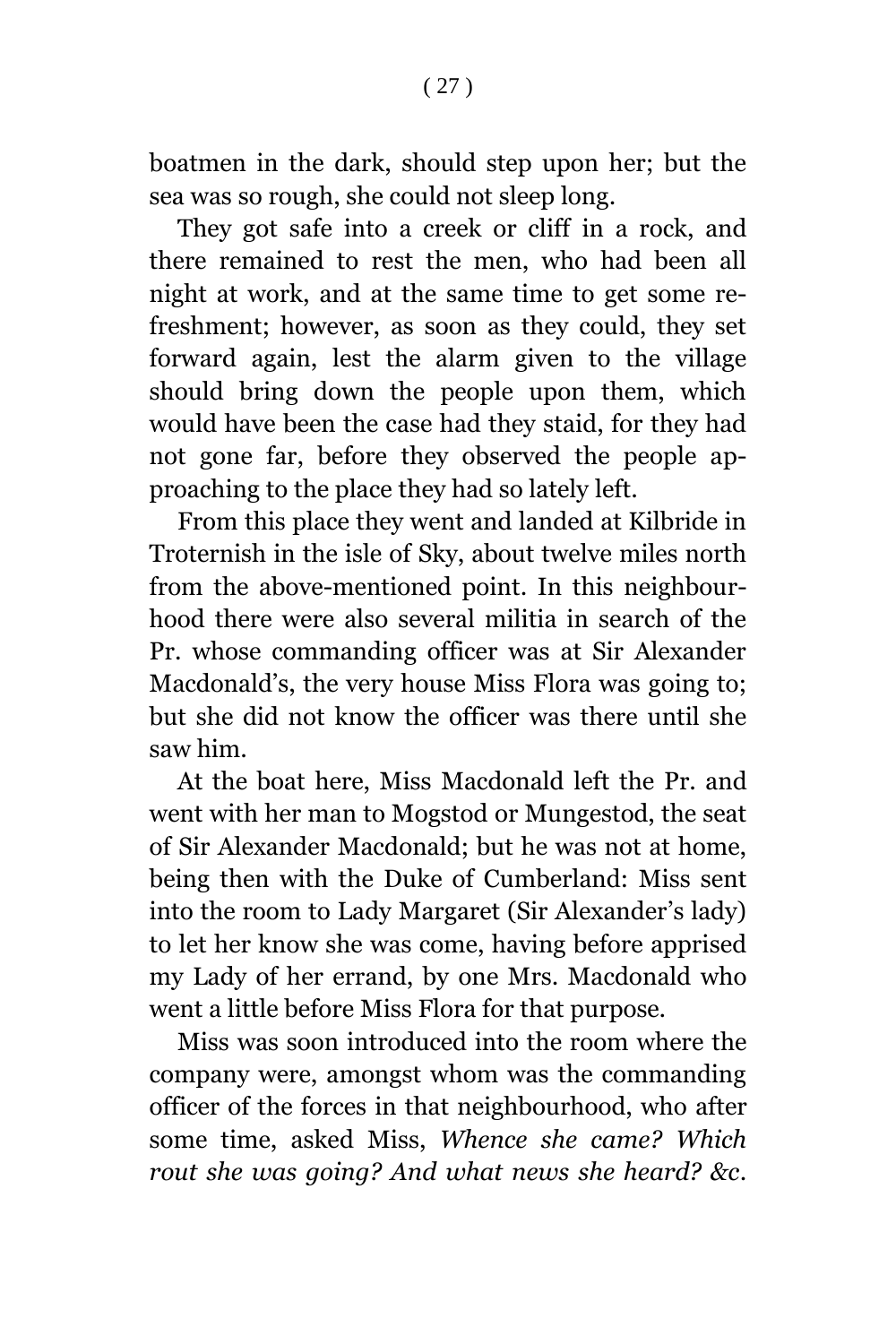boatmen in the dark, should step upon her; but the sea was so rough, she could not sleep long.

They got safe into a creek or cliff in a rock, and there remained to rest the men, who had been all night at work, and at the same time to get some refreshment; however, as soon as they could, they set forward again, lest the alarm given to the village should bring down the people upon them, which would have been the case had they staid, for they had not gone far, before they observed the people approaching to the place they had so lately left.

From this place they went and landed at Kilbride in Troternish in the isle of Sky, about twelve miles north from the above-mentioned point. In this neighbourhood there were also several militia in search of the Pr. whose commanding officer was at Sir Alexander Macdonald's, the very house Miss Flora was going to; but she did not know the officer was there until she saw him.

At the boat here, Miss Macdonald left the Pr. and went with her man to Mogstod or Mungestod, the seat of Sir Alexander Macdonald; but he was not at home, being then with the Duke of Cumberland: Miss sent into the room to Lady Margaret (Sir Alexander's lady) to let her know she was come, having before apprised my Lady of her errand, by one Mrs. Macdonald who went a little before Miss Flora for that purpose.

Miss was soon introduced into the room where the company were, amongst whom was the commanding officer of the forces in that neighbourhood, who after some time, asked Miss, *Whence she came? Which rout she was going? And what news she heard? &c*.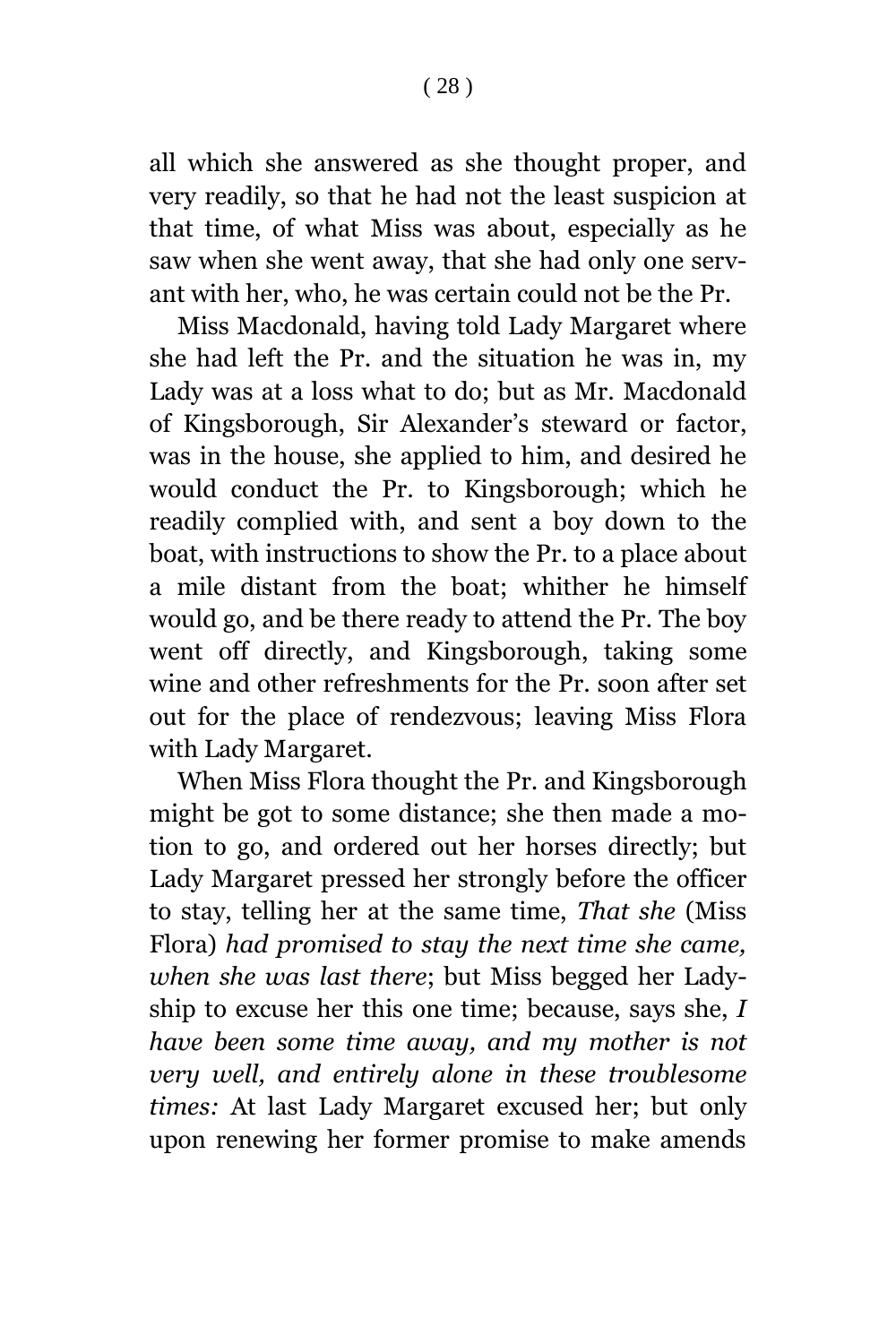all which she answered as she thought proper, and very readily, so that he had not the least suspicion at that time, of what Miss was about, especially as he saw when she went away, that she had only one servant with her, who, he was certain could not be the Pr.

Miss Macdonald, having told Lady Margaret where she had left the Pr. and the situation he was in, my Lady was at a loss what to do; but as Mr. Macdonald of Kingsborough, Sir Alexander's steward or factor, was in the house, she applied to him, and desired he would conduct the Pr. to Kingsborough; which he readily complied with, and sent a boy down to the boat, with instructions to show the Pr. to a place about a mile distant from the boat; whither he himself would go, and be there ready to attend the Pr. The boy went off directly, and Kingsborough, taking some wine and other refreshments for the Pr. soon after set out for the place of rendezvous; leaving Miss Flora with Lady Margaret.

When Miss Flora thought the Pr. and Kingsborough might be got to some distance; she then made a motion to go, and ordered out her horses directly; but Lady Margaret pressed her strongly before the officer to stay, telling her at the same time, *That she* (Miss Flora) *had promised to stay the next time she came, when she was last there*; but Miss begged her Ladyship to excuse her this one time; because, says she, *I have been some time away, and my mother is not very well, and entirely alone in these troublesome times:* At last Lady Margaret excused her; but only upon renewing her former promise to make amends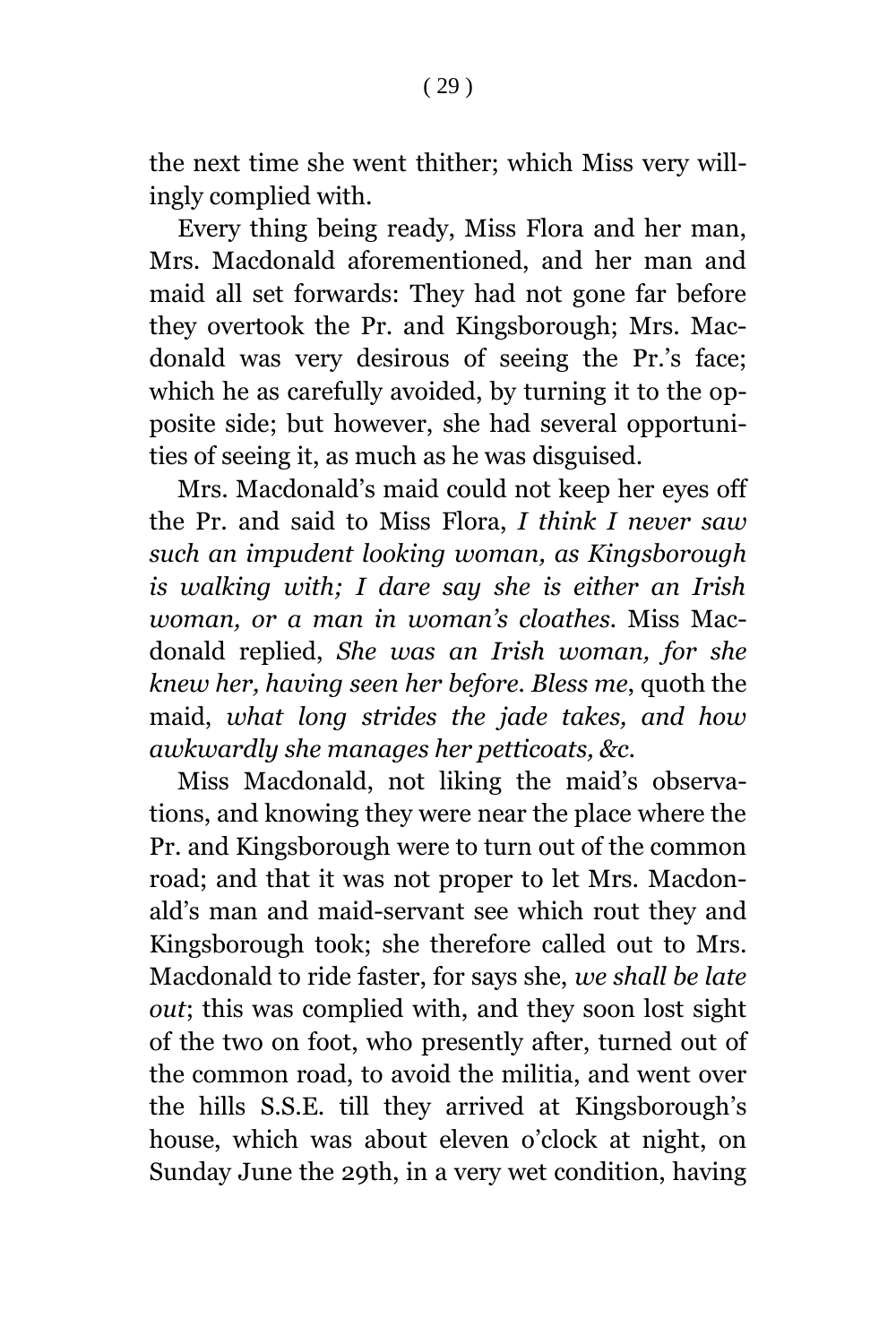the next time she went thither; which Miss very willingly complied with.

Every thing being ready, Miss Flora and her man, Mrs. Macdonald aforementioned, and her man and maid all set forwards: They had not gone far before they overtook the Pr. and Kingsborough; Mrs. Macdonald was very desirous of seeing the Pr.'s face; which he as carefully avoided, by turning it to the opposite side; but however, she had several opportunities of seeing it, as much as he was disguised.

Mrs. Macdonald's maid could not keep her eyes off the Pr. and said to Miss Flora, *I think I never saw such an impudent looking woman, as Kingsborough is walking with; I dare say she is either an Irish woman, or a man in woman's cloathes.* Miss Macdonald replied, *She was an Irish woman, for she knew her, having seen her before. Bless me*, quoth the maid, *what long strides the jade takes, and how awkwardly she manages her petticoats, &c.*

Miss Macdonald, not liking the maid's observations, and knowing they were near the place where the Pr. and Kingsborough were to turn out of the common road; and that it was not proper to let Mrs. Macdonald's man and maid-servant see which rout they and Kingsborough took; she therefore called out to Mrs. Macdonald to ride faster, for says she, *we shall be late out*; this was complied with, and they soon lost sight of the two on foot, who presently after, turned out of the common road, to avoid the militia, and went over the hills S.S.E. till they arrived at Kingsborough's house, which was about eleven o'clock at night, on Sunday June the 29th, in a very wet condition, having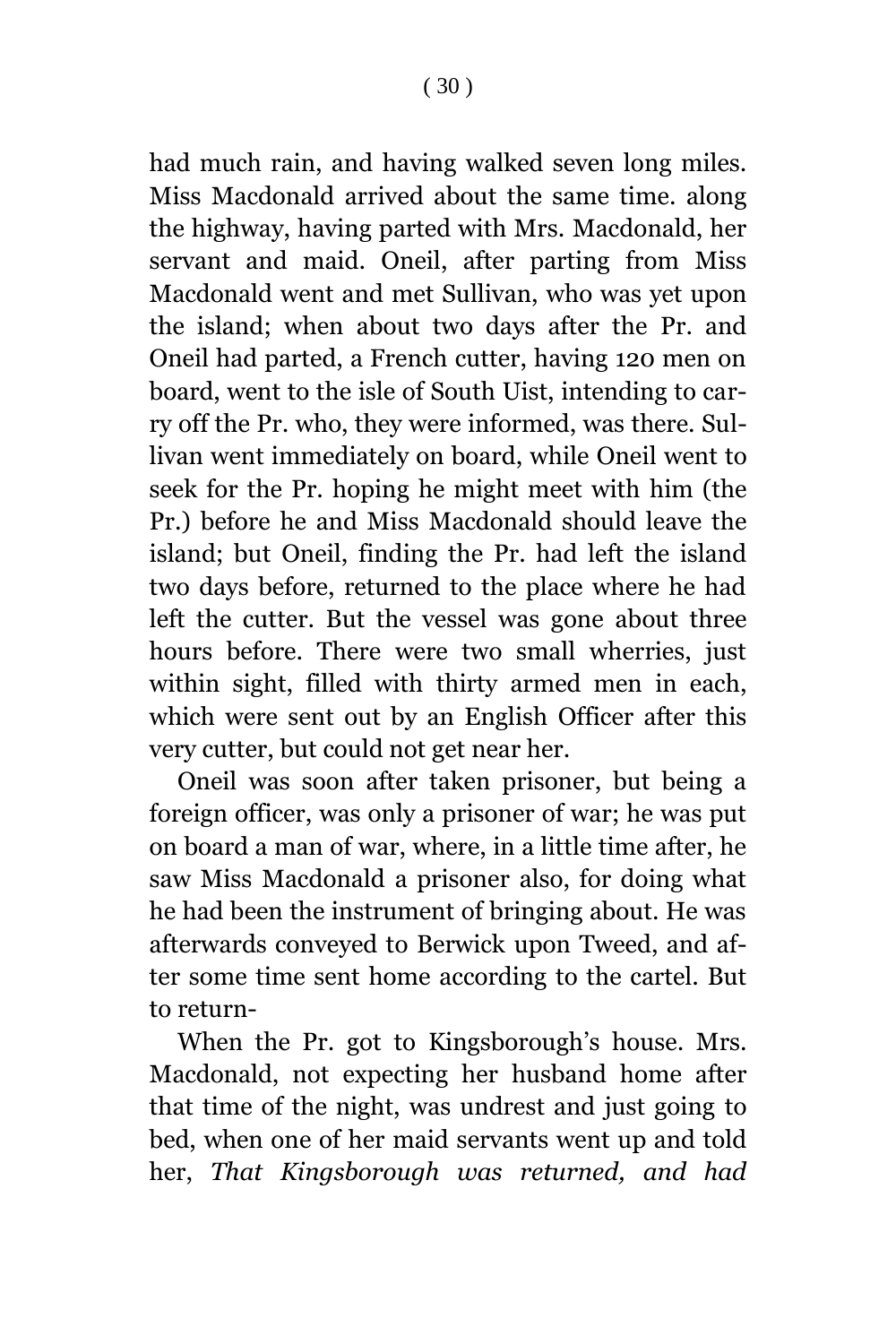had much rain, and having walked seven long miles. Miss Macdonald arrived about the same time. along the highway, having parted with Mrs. Macdonald, her servant and maid. Oneil, after parting from Miss Macdonald went and met Sullivan, who was yet upon the island; when about two days after the Pr. and Oneil had parted, a French cutter, having 120 men on board, went to the isle of South Uist, intending to carry off the Pr. who, they were informed, was there. Sullivan went immediately on board, while Oneil went to seek for the Pr. hoping he might meet with him (the Pr.) before he and Miss Macdonald should leave the island; but Oneil, finding the Pr. had left the island two days before, returned to the place where he had left the cutter. But the vessel was gone about three hours before. There were two small wherries, just within sight, filled with thirty armed men in each, which were sent out by an English Officer after this very cutter, but could not get near her.

Oneil was soon after taken prisoner, but being a foreign officer, was only a prisoner of war; he was put on board a man of war, where, in a little time after, he saw Miss Macdonald a prisoner also, for doing what he had been the instrument of bringing about. He was afterwards conveyed to Berwick upon Tweed, and after some time sent home according to the cartel. But to return-

When the Pr. got to Kingsborough's house. Mrs. Macdonald, not expecting her husband home after that time of the night, was undrest and just going to bed, when one of her maid servants went up and told her, *That Kingsborough was returned, and had*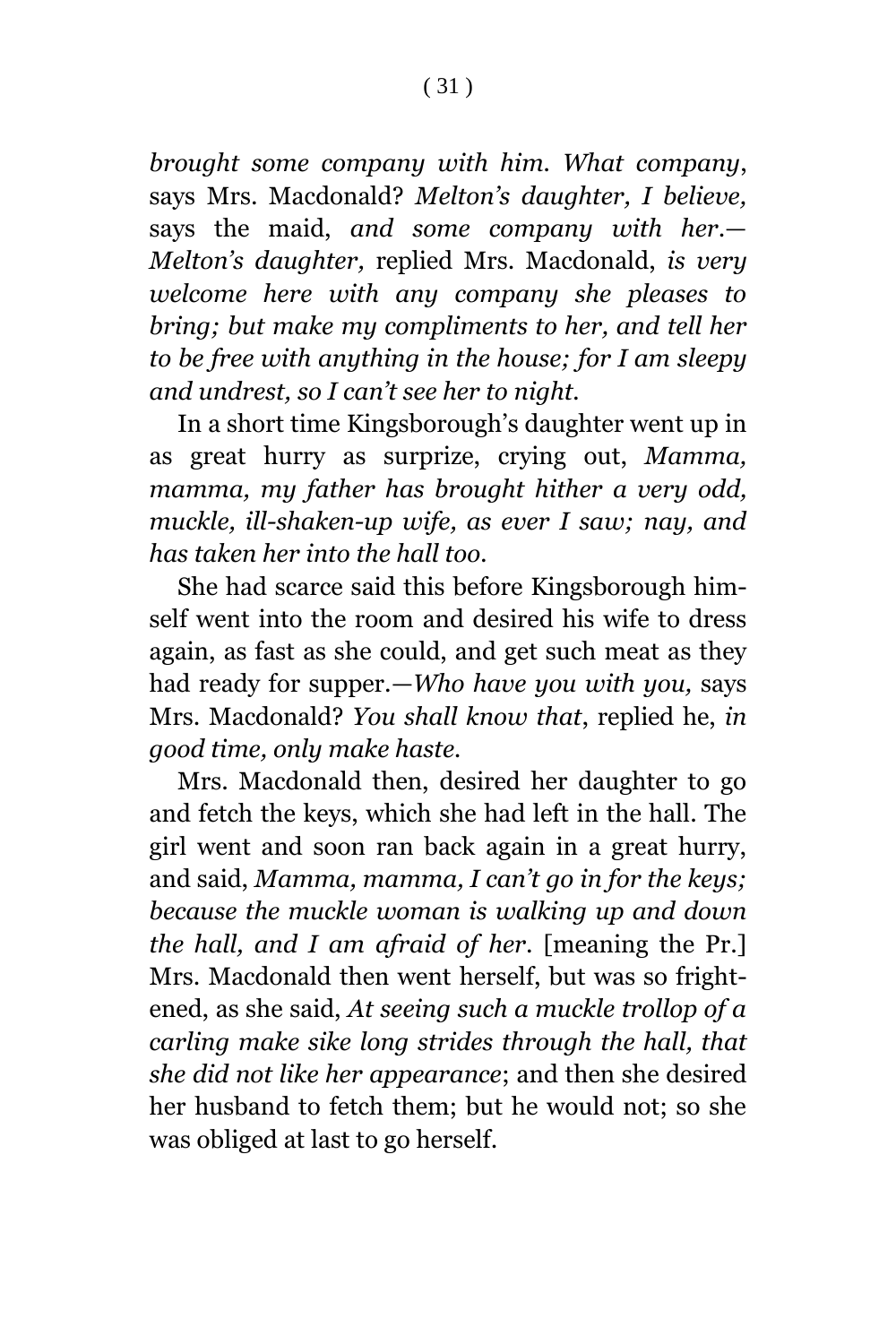*brought some company with him. What company*, says Mrs. Macdonald? *Melton's daughter, I believe,* says the maid, *and some company with her*.— *Melton's daughter,* replied Mrs. Macdonald, *is very welcome here with any company she pleases to bring; but make my compliments to her, and tell her to be free with anything in the house; for I am sleepy and undrest, so I can't see her to night.*

In a short time Kingsborough's daughter went up in as great hurry as surprize, crying out, *Mamma, mamma, my father has brought hither a very odd, muckle, ill-shaken-up wife, as ever I saw; nay, and has taken her into the hall too.*

She had scarce said this before Kingsborough himself went into the room and desired his wife to dress again, as fast as she could, and get such meat as they had ready for supper.—*Who have you with you,* says Mrs. Macdonald? *You shall know that*, replied he, *in good time, only make haste.*

Mrs. Macdonald then, desired her daughter to go and fetch the keys, which she had left in the hall. The girl went and soon ran back again in a great hurry, and said, *Mamma, mamma, I can't go in for the keys; because the muckle woman is walking up and down the hall, and I am afraid of her*. [meaning the Pr.] Mrs. Macdonald then went herself, but was so frightened, as she said, *At seeing such a muckle trollop of a carling make sike long strides through the hall, that she did not like her appearance*; and then she desired her husband to fetch them; but he would not; so she was obliged at last to go herself.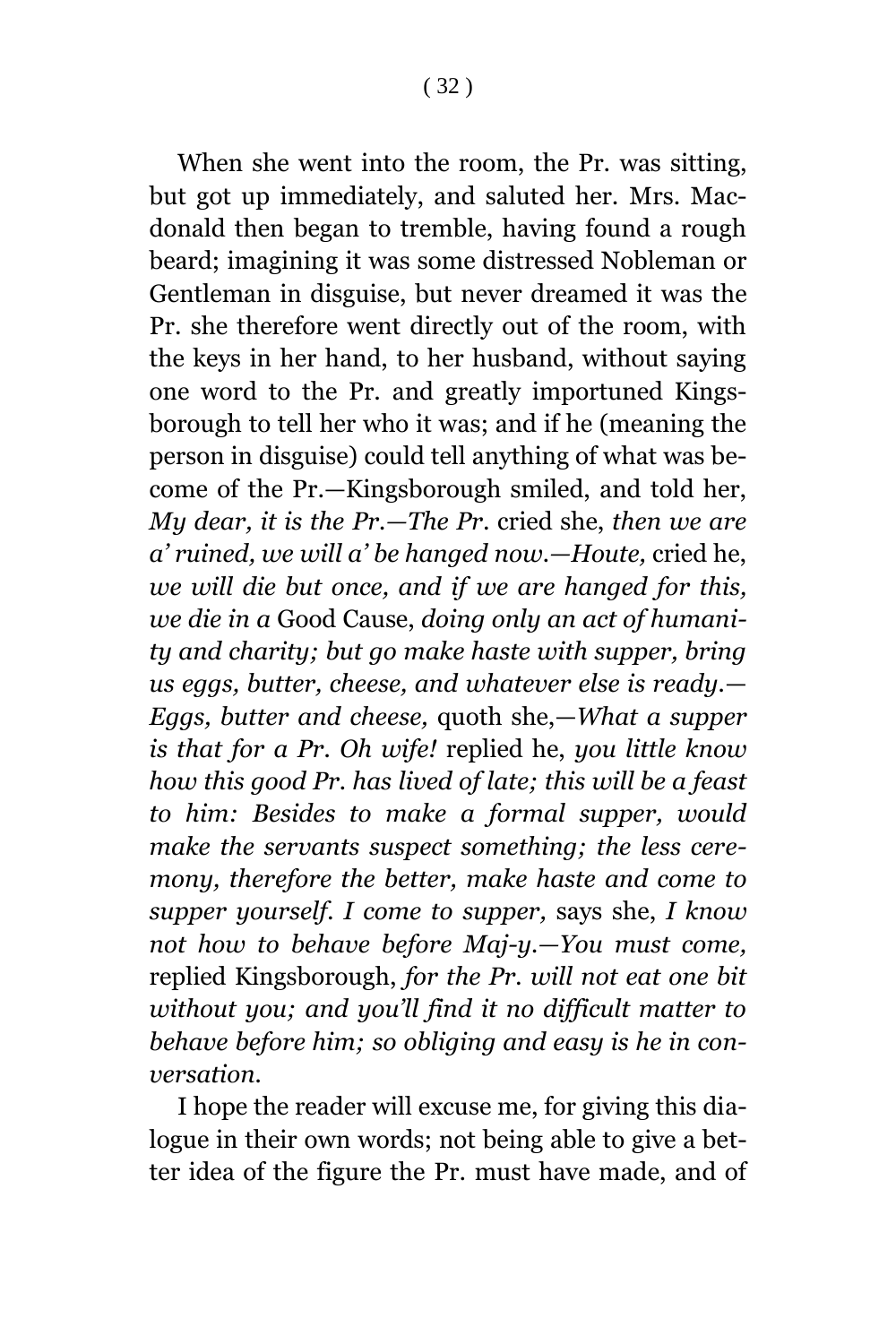( 32 )

When she went into the room, the Pr. was sitting, but got up immediately, and saluted her. Mrs. Macdonald then began to tremble, having found a rough beard; imagining it was some distressed Nobleman or Gentleman in disguise, but never dreamed it was the Pr. she therefore went directly out of the room, with the keys in her hand, to her husband, without saying one word to the Pr. and greatly importuned Kingsborough to tell her who it was; and if he (meaning the person in disguise) could tell anything of what was become of the Pr.—Kingsborough smiled, and told her, *My dear, it is the Pr.—The Pr*. cried she, *then we are a' ruined, we will a' be hanged now.—Houte,* cried he, *we will die but once, and if we are hanged for this, we die in a* Good Cause, *doing only an act of humanity and charity; but go make haste with supper, bring us eggs, butter, cheese, and whatever else is ready.*— *Eggs, butter and cheese,* quoth she,—*What a supper is that for a Pr. Oh wife!* replied he, *you little know how this good Pr. has lived of late; this will be a feast to him: Besides to make a formal supper, would make the servants suspect something; the less ceremony, therefore the better, make haste and come to supper yourself. I come to supper,* says she, *I know not how to behave before Maj-y.—You must come,* replied Kingsborough, *for the Pr. will not eat one bit without you; and you'll find it no difficult matter to behave before him; so obliging and easy is he in conversation.*

I hope the reader will excuse me, for giving this dialogue in their own words; not being able to give a better idea of the figure the Pr. must have made, and of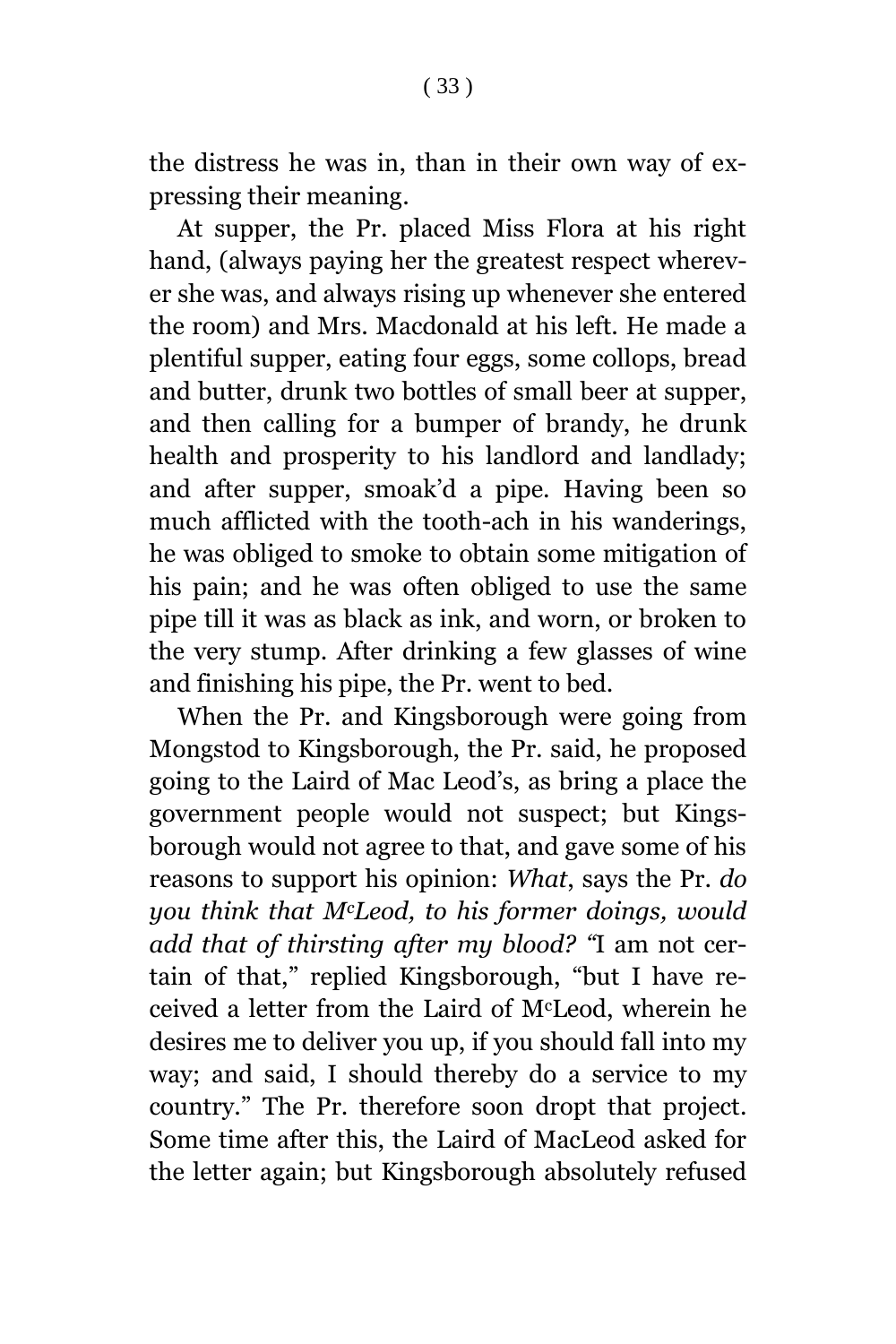the distress he was in, than in their own way of expressing their meaning.

At supper, the Pr. placed Miss Flora at his right hand, (always paying her the greatest respect wherever she was, and always rising up whenever she entered the room) and Mrs. Macdonald at his left. He made a plentiful supper, eating four eggs, some collops, bread and butter, drunk two bottles of small beer at supper, and then calling for a bumper of brandy, he drunk health and prosperity to his landlord and landlady; and after supper, smoak'd a pipe. Having been so much afflicted with the tooth-ach in his wanderings, he was obliged to smoke to obtain some mitigation of his pain; and he was often obliged to use the same pipe till it was as black as ink, and worn, or broken to the very stump. After drinking a few glasses of wine and finishing his pipe, the Pr. went to bed.

When the Pr. and Kingsborough were going from Mongstod to Kingsborough, the Pr. said, he proposed going to the Laird of Mac Leod's, as bring a place the government people would not suspect; but Kingsborough would not agree to that, and gave some of his reasons to support his opinion: *What*, says the Pr. *do you think that McLeod, to his former doings, would add that of thirsting after my blood? "*I am not certain of that," replied Kingsborough, "but I have received a letter from the Laird of McLeod, wherein he desires me to deliver you up, if you should fall into my way; and said, I should thereby do a service to my country." The Pr. therefore soon dropt that project. Some time after this, the Laird of MacLeod asked for the letter again; but Kingsborough absolutely refused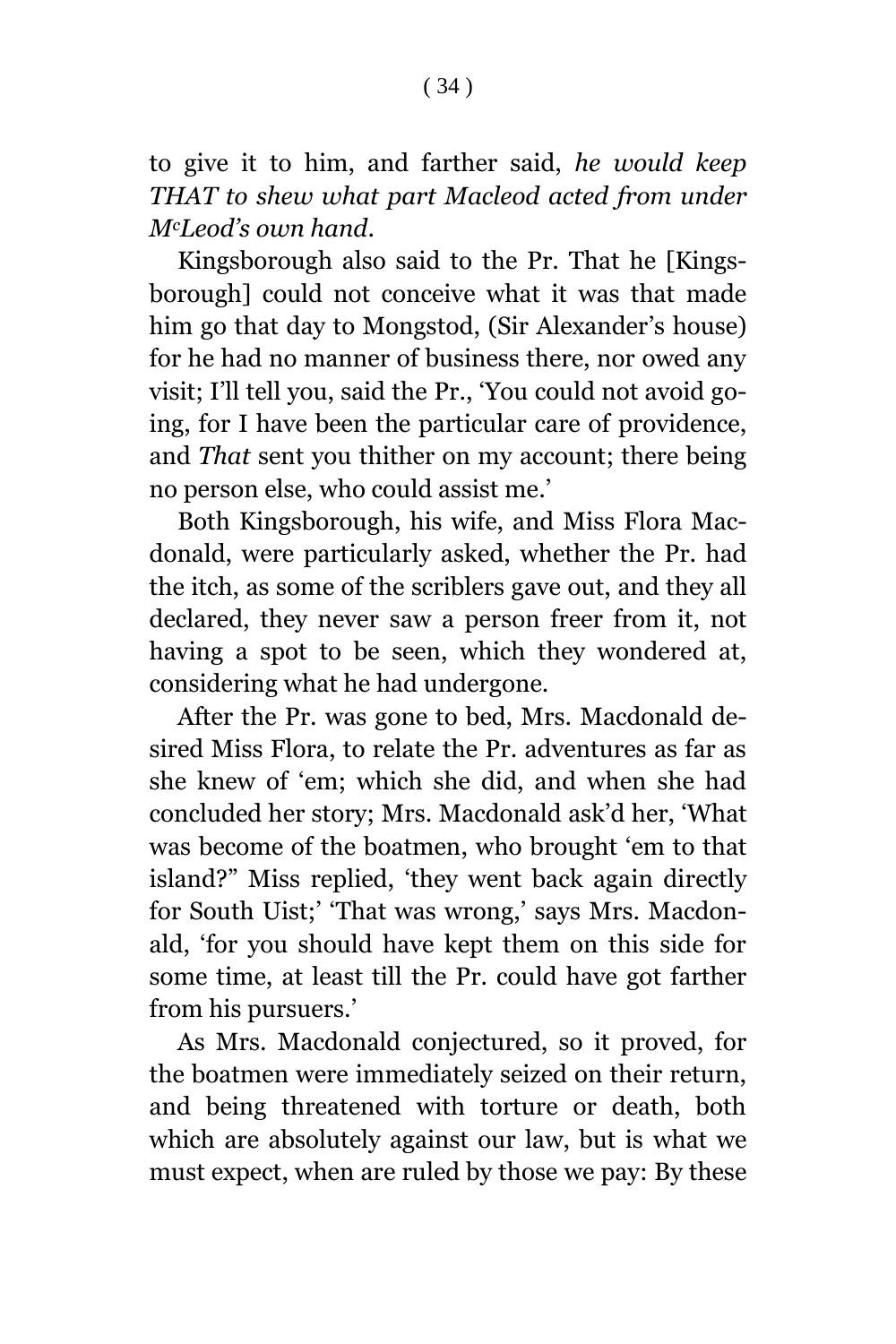to give it to him, and farther said, *he would keep THAT to shew what part Macleod acted from under McLeod's own hand*.

Kingsborough also said to the Pr. That he [Kingsborough] could not conceive what it was that made him go that day to Mongstod, (Sir Alexander's house) for he had no manner of business there, nor owed any visit; I'll tell you, said the Pr., 'You could not avoid going, for I have been the particular care of providence, and *That* sent you thither on my account; there being no person else, who could assist me.'

Both Kingsborough, his wife, and Miss Flora Macdonald, were particularly asked, whether the Pr. had the itch, as some of the scriblers gave out, and they all declared, they never saw a person freer from it, not having a spot to be seen, which they wondered at, considering what he had undergone.

After the Pr. was gone to bed, Mrs. Macdonald desired Miss Flora, to relate the Pr. adventures as far as she knew of 'em; which she did, and when she had concluded her story; Mrs. Macdonald ask'd her, 'What was become of the boatmen, who brought 'em to that island?" Miss replied, 'they went back again directly for South Uist;' 'That was wrong,' says Mrs. Macdonald, 'for you should have kept them on this side for some time, at least till the Pr. could have got farther from his pursuers.'

As Mrs. Macdonald conjectured, so it proved, for the boatmen were immediately seized on their return, and being threatened with torture or death, both which are absolutely against our law, but is what we must expect, when are ruled by those we pay: By these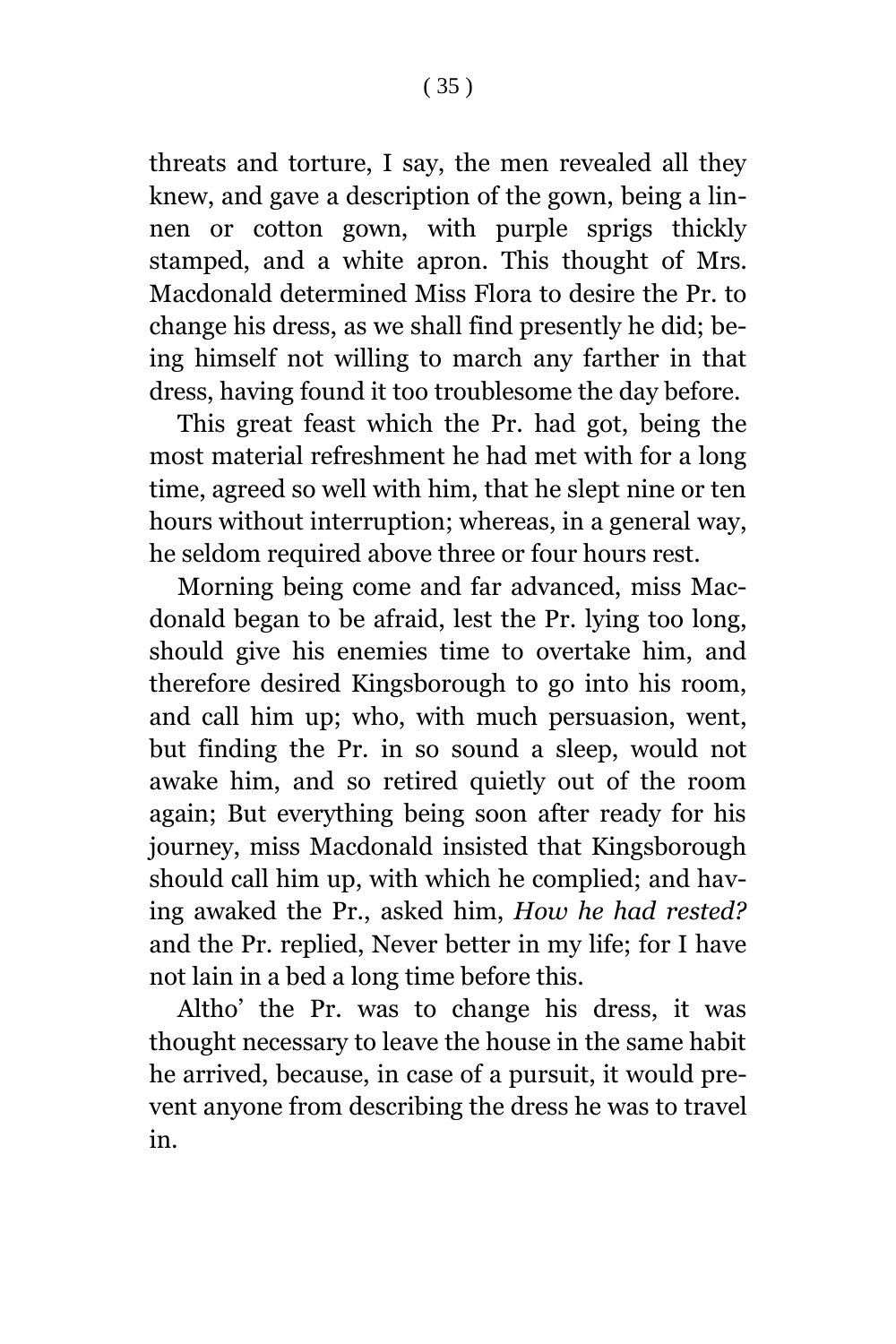threats and torture, I say, the men revealed all they knew, and gave a description of the gown, being a linnen or cotton gown, with purple sprigs thickly stamped, and a white apron. This thought of Mrs. Macdonald determined Miss Flora to desire the Pr. to change his dress, as we shall find presently he did; being himself not willing to march any farther in that dress, having found it too troublesome the day before.

This great feast which the Pr. had got, being the most material refreshment he had met with for a long time, agreed so well with him, that he slept nine or ten hours without interruption; whereas, in a general way, he seldom required above three or four hours rest.

Morning being come and far advanced, miss Macdonald began to be afraid, lest the Pr. lying too long, should give his enemies time to overtake him, and therefore desired Kingsborough to go into his room, and call him up; who, with much persuasion, went, but finding the Pr. in so sound a sleep, would not awake him, and so retired quietly out of the room again; But everything being soon after ready for his journey, miss Macdonald insisted that Kingsborough should call him up, with which he complied; and having awaked the Pr., asked him, *How he had rested?* and the Pr. replied, Never better in my life; for I have not lain in a bed a long time before this.

Altho' the Pr. was to change his dress, it was thought necessary to leave the house in the same habit he arrived, because, in case of a pursuit, it would prevent anyone from describing the dress he was to travel in.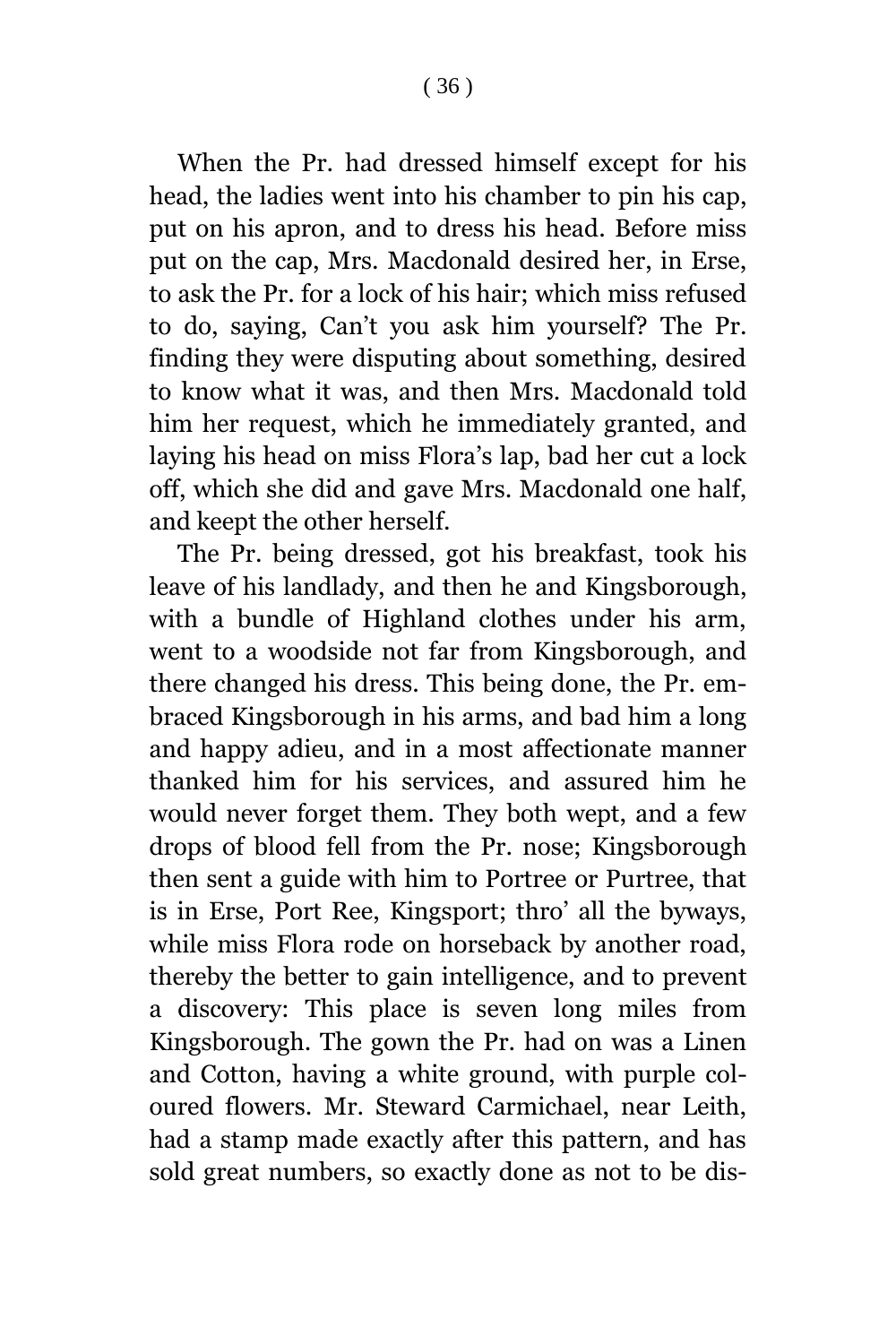When the Pr. had dressed himself except for his head, the ladies went into his chamber to pin his cap, put on his apron, and to dress his head. Before miss put on the cap, Mrs. Macdonald desired her, in Erse, to ask the Pr. for a lock of his hair; which miss refused to do, saying, Can't you ask him yourself? The Pr. finding they were disputing about something, desired to know what it was, and then Mrs. Macdonald told him her request, which he immediately granted, and laying his head on miss Flora's lap, bad her cut a lock off, which she did and gave Mrs. Macdonald one half, and keept the other herself.

The Pr. being dressed, got his breakfast, took his leave of his landlady, and then he and Kingsborough, with a bundle of Highland clothes under his arm, went to a woodside not far from Kingsborough, and there changed his dress. This being done, the Pr. embraced Kingsborough in his arms, and bad him a long and happy adieu, and in a most affectionate manner thanked him for his services, and assured him he would never forget them. They both wept, and a few drops of blood fell from the Pr. nose; Kingsborough then sent a guide with him to Portree or Purtree, that is in Erse, Port Ree, Kingsport; thro' all the byways, while miss Flora rode on horseback by another road, thereby the better to gain intelligence, and to prevent a discovery: This place is seven long miles from Kingsborough. The gown the Pr. had on was a Linen and Cotton, having a white ground, with purple coloured flowers. Mr. Steward Carmichael, near Leith, had a stamp made exactly after this pattern, and has sold great numbers, so exactly done as not to be dis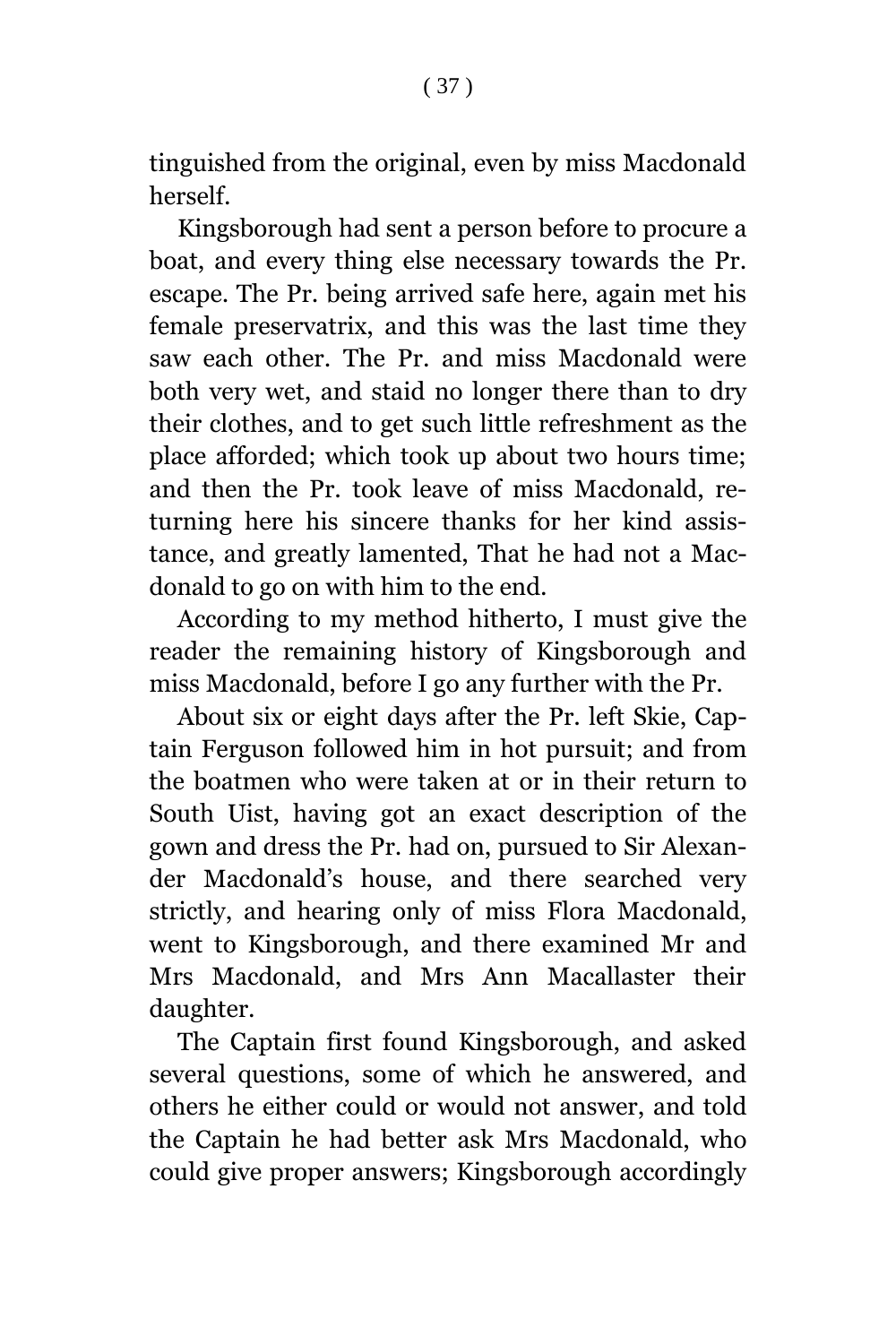tinguished from the original, even by miss Macdonald herself.

Kingsborough had sent a person before to procure a boat, and every thing else necessary towards the Pr. escape. The Pr. being arrived safe here, again met his female preservatrix, and this was the last time they saw each other. The Pr. and miss Macdonald were both very wet, and staid no longer there than to dry their clothes, and to get such little refreshment as the place afforded; which took up about two hours time; and then the Pr. took leave of miss Macdonald, returning here his sincere thanks for her kind assistance, and greatly lamented, That he had not a Macdonald to go on with him to the end.

According to my method hitherto, I must give the reader the remaining history of Kingsborough and miss Macdonald, before I go any further with the Pr.

About six or eight days after the Pr. left Skie, Captain Ferguson followed him in hot pursuit; and from the boatmen who were taken at or in their return to South Uist, having got an exact description of the gown and dress the Pr. had on, pursued to Sir Alexander Macdonald's house, and there searched very strictly, and hearing only of miss Flora Macdonald, went to Kingsborough, and there examined Mr and Mrs Macdonald, and Mrs Ann Macallaster their daughter.

The Captain first found Kingsborough, and asked several questions, some of which he answered, and others he either could or would not answer, and told the Captain he had better ask Mrs Macdonald, who could give proper answers; Kingsborough accordingly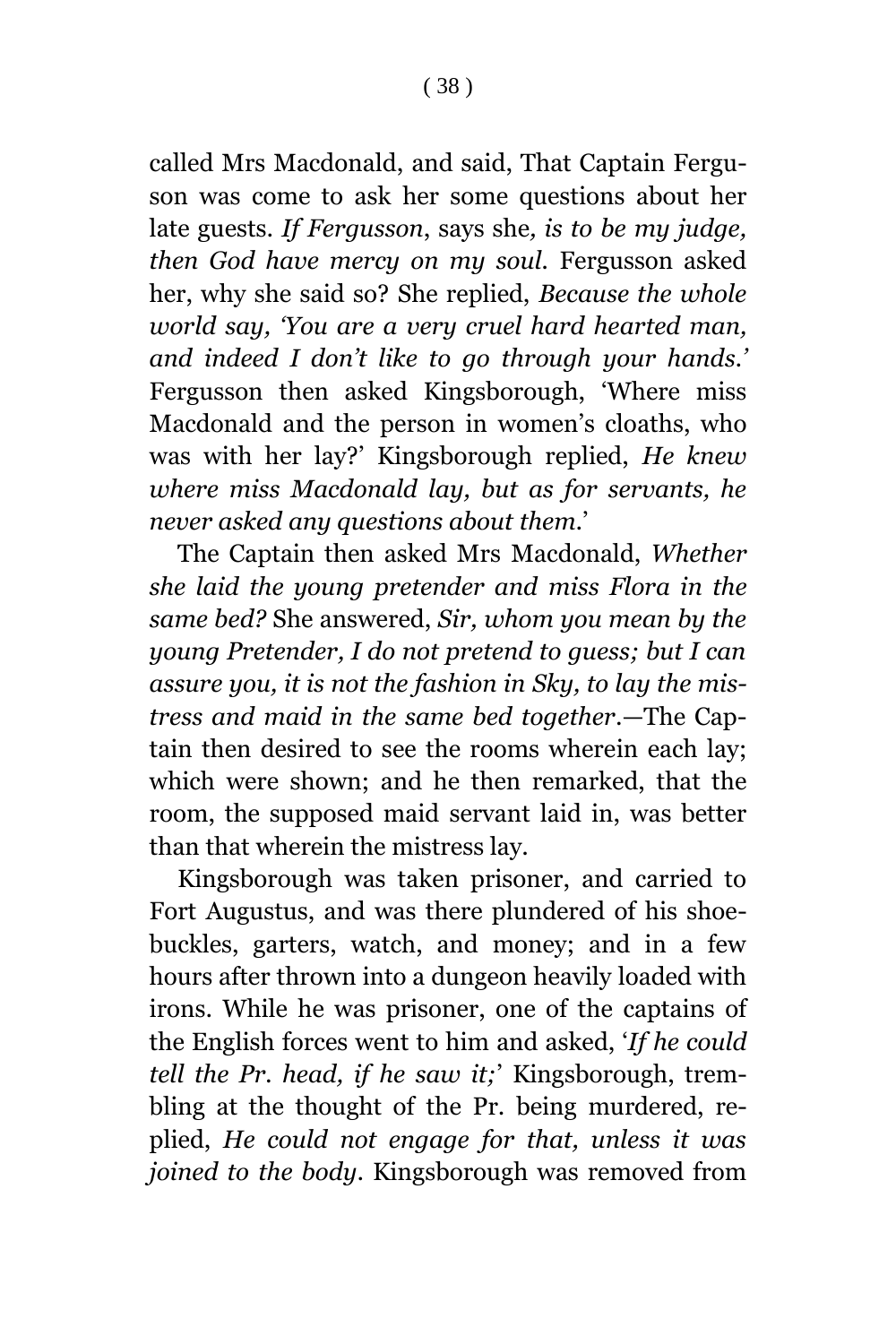called Mrs Macdonald, and said, That Captain Ferguson was come to ask her some questions about her late guests. *If Fergusson*, says she*, is to be my judge, then God have mercy on my soul.* Fergusson asked her, why she said so? She replied, *Because the whole world say, 'You are a very cruel hard hearted man, and indeed I don't like to go through your hands.'* Fergusson then asked Kingsborough, 'Where miss Macdonald and the person in women's cloaths, who was with her lay?' Kingsborough replied, *He knew where miss Macdonald lay, but as for servants, he never asked any questions about them*.'

The Captain then asked Mrs Macdonald, *Whether she laid the young pretender and miss Flora in the same bed?* She answered, *Sir, whom you mean by the young Pretender, I do not pretend to guess; but I can assure you, it is not the fashion in Sky, to lay the mistress and maid in the same bed together*.—The Captain then desired to see the rooms wherein each lay; which were shown; and he then remarked, that the room, the supposed maid servant laid in, was better than that wherein the mistress lay.

Kingsborough was taken prisoner, and carried to Fort Augustus, and was there plundered of his shoebuckles, garters, watch, and money; and in a few hours after thrown into a dungeon heavily loaded with irons. While he was prisoner, one of the captains of the English forces went to him and asked, '*If he could tell the Pr. head, if he saw it;*' Kingsborough, trembling at the thought of the Pr. being murdered, replied, *He could not engage for that, unless it was joined to the body*. Kingsborough was removed from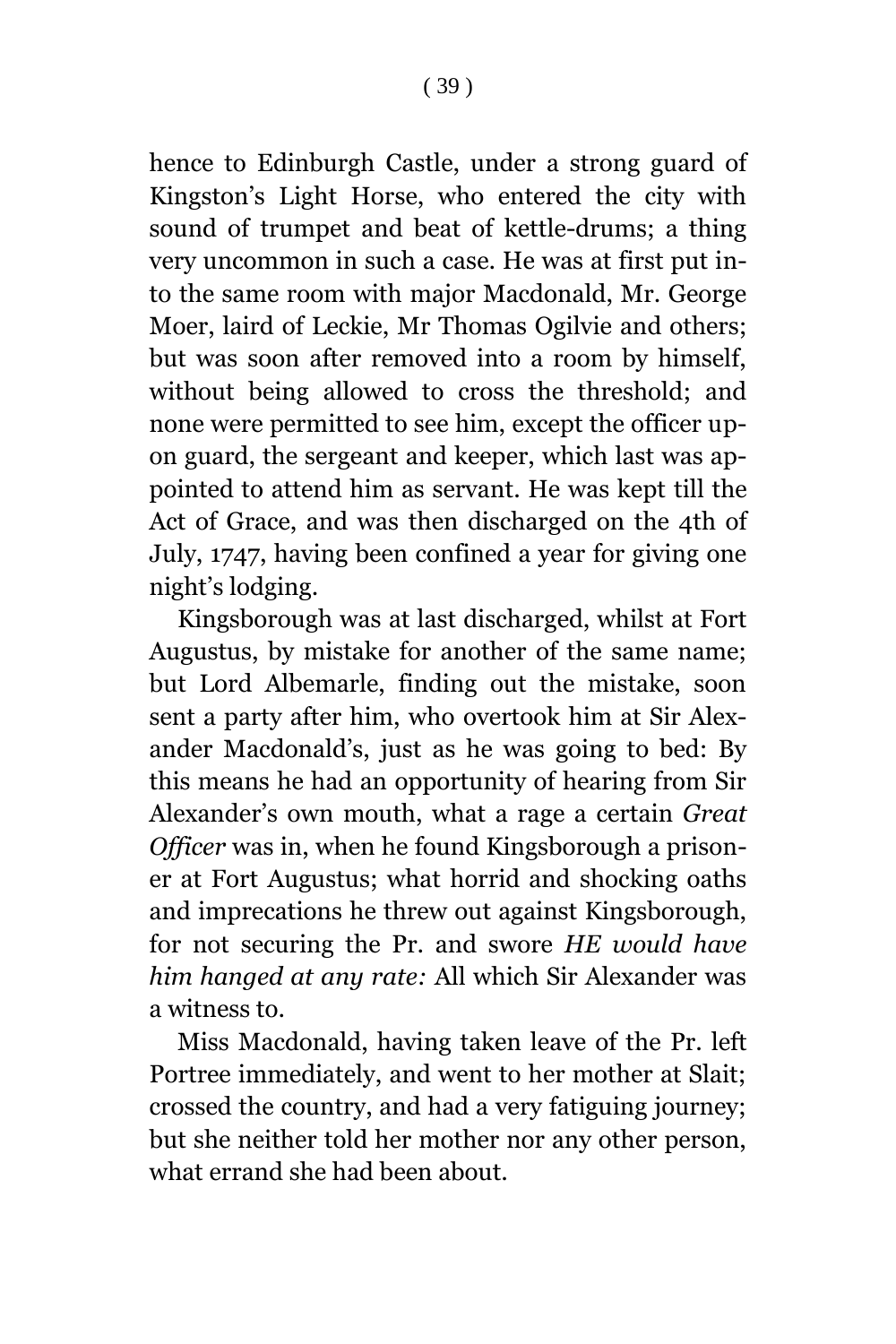hence to Edinburgh Castle, under a strong guard of Kingston's Light Horse, who entered the city with sound of trumpet and beat of kettle-drums; a thing very uncommon in such a case. He was at first put into the same room with major Macdonald, Mr. George Moer, laird of Leckie, Mr Thomas Ogilvie and others; but was soon after removed into a room by himself, without being allowed to cross the threshold; and none were permitted to see him, except the officer upon guard, the sergeant and keeper, which last was appointed to attend him as servant. He was kept till the Act of Grace, and was then discharged on the 4th of July, 1747, having been confined a year for giving one night's lodging.

Kingsborough was at last discharged, whilst at Fort Augustus, by mistake for another of the same name; but Lord Albemarle, finding out the mistake, soon sent a party after him, who overtook him at Sir Alexander Macdonald's, just as he was going to bed: By this means he had an opportunity of hearing from Sir Alexander's own mouth, what a rage a certain *Great Officer* was in, when he found Kingsborough a prisoner at Fort Augustus; what horrid and shocking oaths and imprecations he threw out against Kingsborough, for not securing the Pr. and swore *HE would have him hanged at any rate:* All which Sir Alexander was a witness to.

Miss Macdonald, having taken leave of the Pr. left Portree immediately, and went to her mother at Slait; crossed the country, and had a very fatiguing journey; but she neither told her mother nor any other person, what errand she had been about.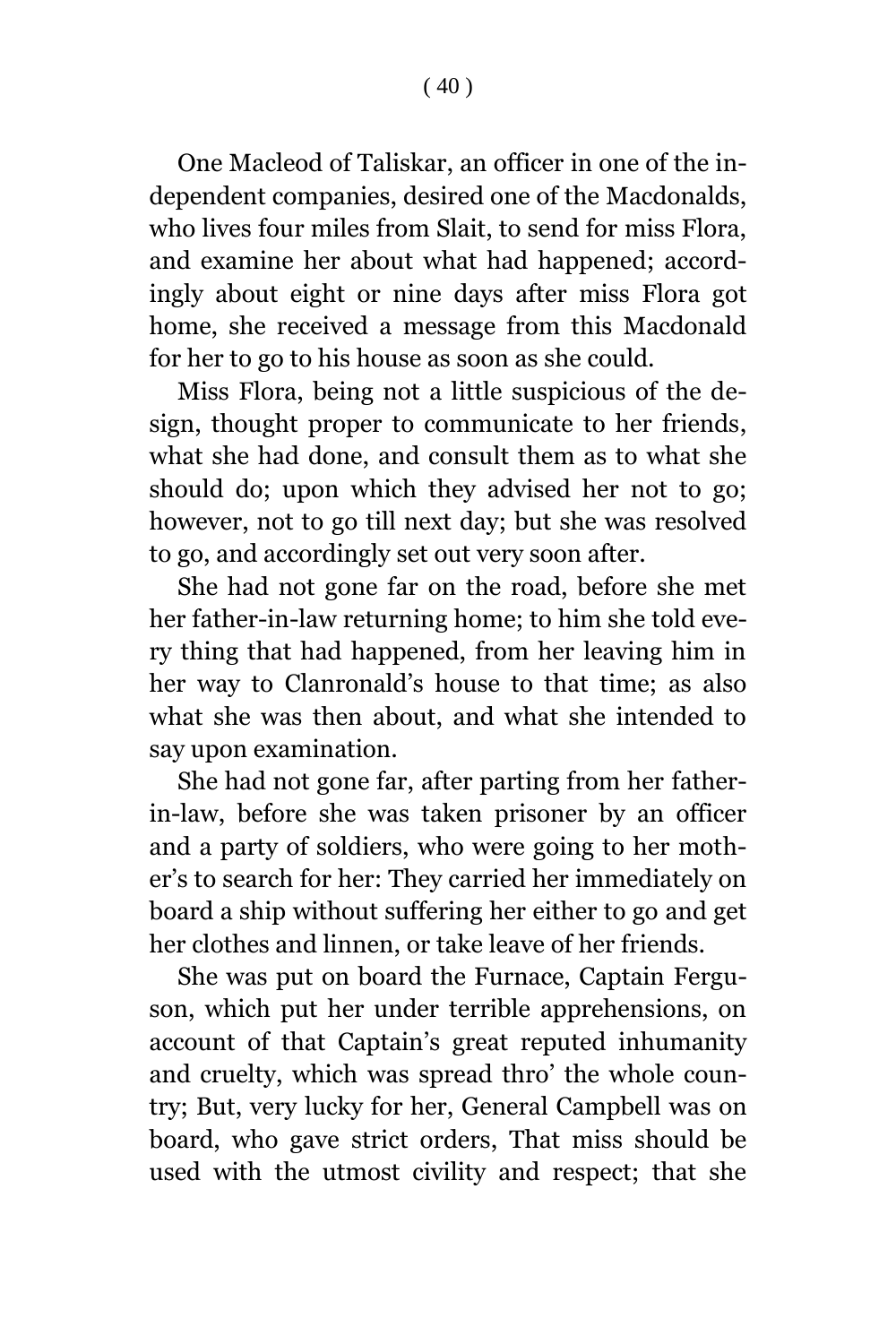One Macleod of Taliskar, an officer in one of the independent companies, desired one of the Macdonalds, who lives four miles from Slait, to send for miss Flora, and examine her about what had happened; accordingly about eight or nine days after miss Flora got home, she received a message from this Macdonald for her to go to his house as soon as she could.

Miss Flora, being not a little suspicious of the design, thought proper to communicate to her friends, what she had done, and consult them as to what she should do; upon which they advised her not to go; however, not to go till next day; but she was resolved to go, and accordingly set out very soon after.

She had not gone far on the road, before she met her father-in-law returning home; to him she told every thing that had happened, from her leaving him in her way to Clanronald's house to that time; as also what she was then about, and what she intended to say upon examination.

She had not gone far, after parting from her fatherin-law, before she was taken prisoner by an officer and a party of soldiers, who were going to her mother's to search for her: They carried her immediately on board a ship without suffering her either to go and get her clothes and linnen, or take leave of her friends.

She was put on board the Furnace, Captain Ferguson, which put her under terrible apprehensions, on account of that Captain's great reputed inhumanity and cruelty, which was spread thro' the whole country; But, very lucky for her, General Campbell was on board, who gave strict orders, That miss should be used with the utmost civility and respect; that she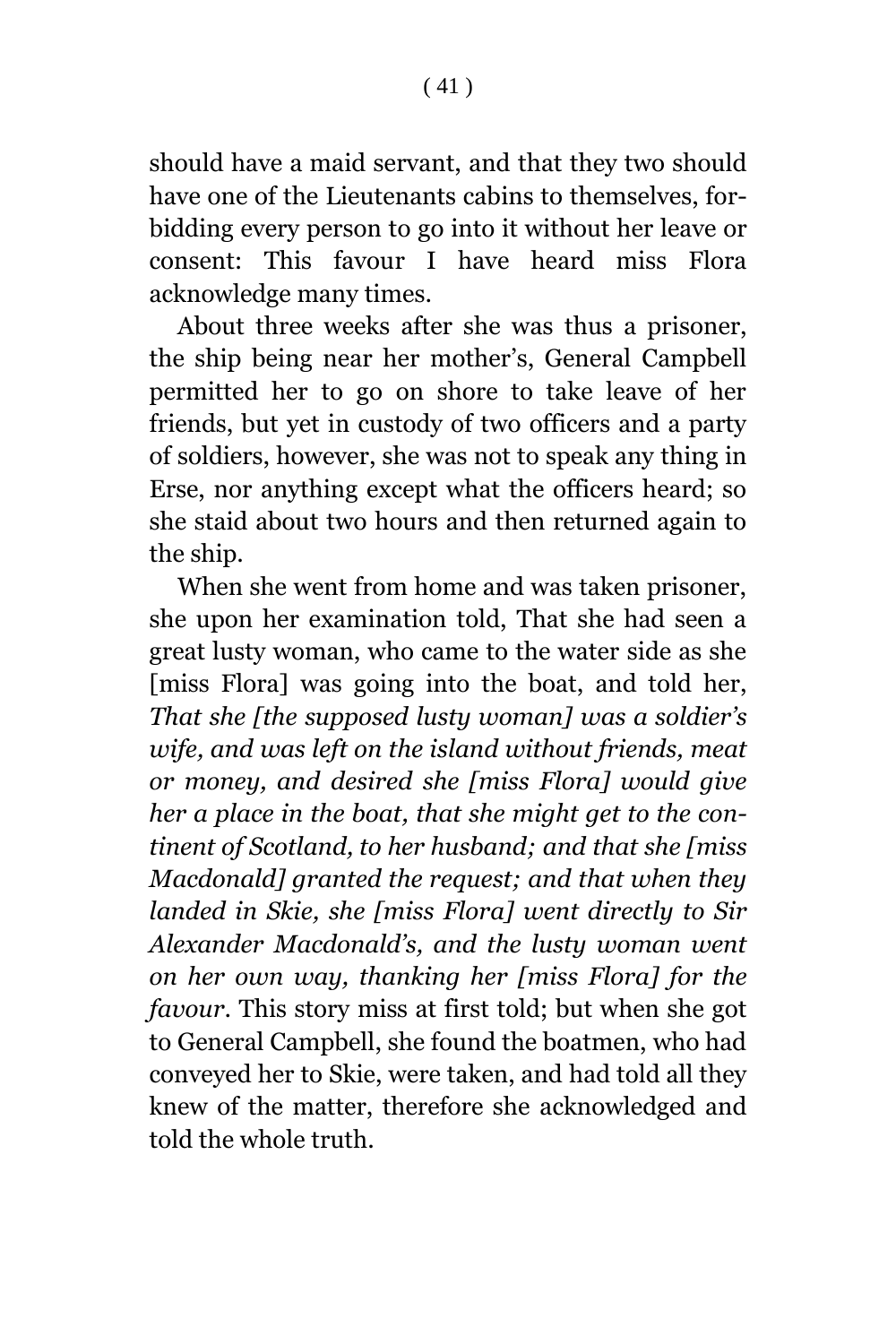should have a maid servant, and that they two should have one of the Lieutenants cabins to themselves, forbidding every person to go into it without her leave or consent: This favour I have heard miss Flora acknowledge many times.

About three weeks after she was thus a prisoner, the ship being near her mother's, General Campbell permitted her to go on shore to take leave of her friends, but yet in custody of two officers and a party of soldiers, however, she was not to speak any thing in Erse, nor anything except what the officers heard; so she staid about two hours and then returned again to the ship.

When she went from home and was taken prisoner, she upon her examination told, That she had seen a great lusty woman, who came to the water side as she [miss Flora] was going into the boat, and told her, *That she [the supposed lusty woman] was a soldier's wife, and was left on the island without friends, meat or money, and desired she [miss Flora] would give her a place in the boat, that she might get to the continent of Scotland, to her husband; and that she [miss Macdonald] granted the request; and that when they landed in Skie, she [miss Flora] went directly to Sir Alexander Macdonald's, and the lusty woman went on her own way, thanking her [miss Flora] for the favour*. This story miss at first told; but when she got to General Campbell, she found the boatmen, who had conveyed her to Skie, were taken, and had told all they knew of the matter, therefore she acknowledged and told the whole truth.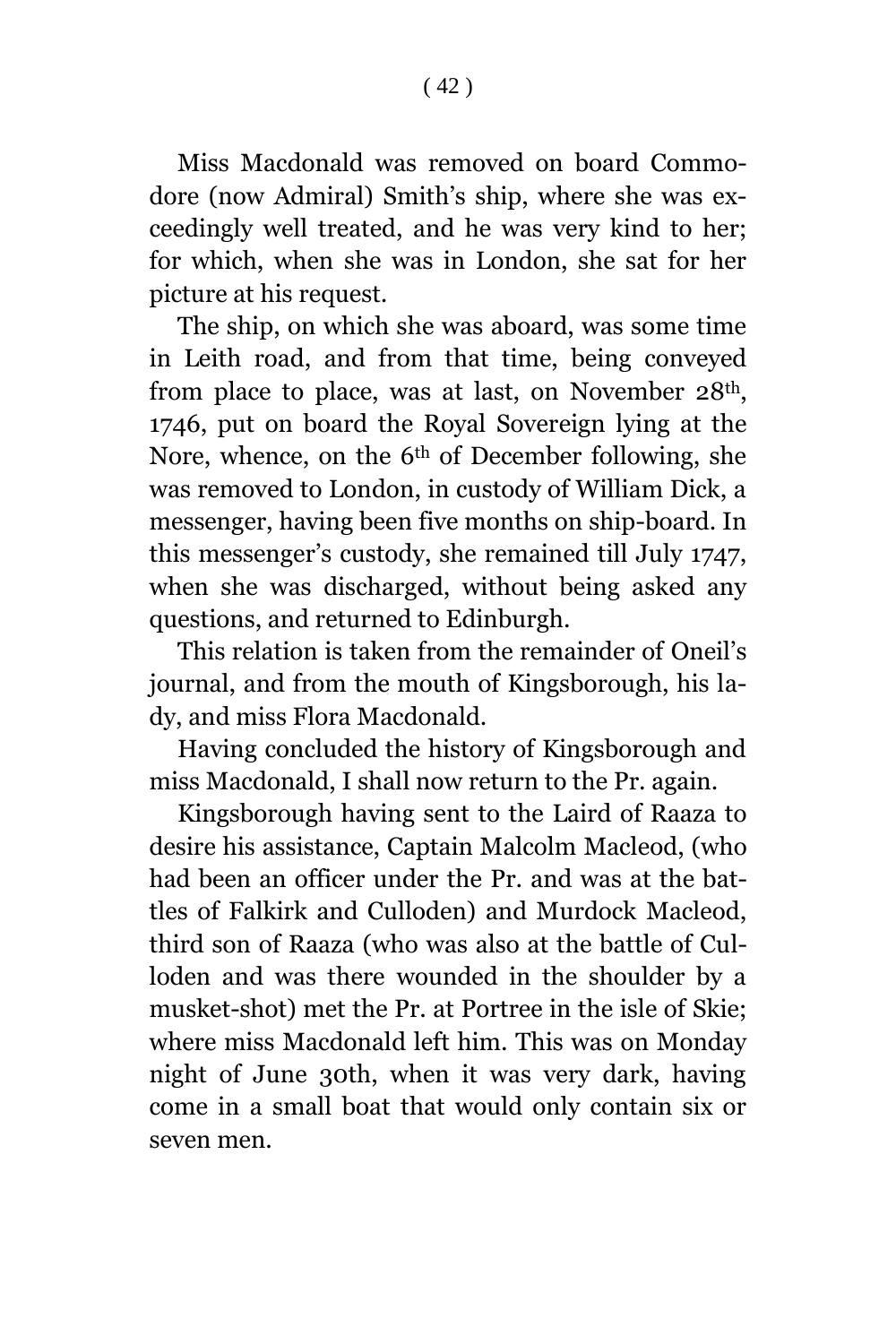Miss Macdonald was removed on board Commodore (now Admiral) Smith's ship, where she was exceedingly well treated, and he was very kind to her; for which, when she was in London, she sat for her picture at his request.

The ship, on which she was aboard, was some time in Leith road, and from that time, being conveyed from place to place, was at last, on November 28th, 1746, put on board the Royal Sovereign lying at the Nore, whence, on the 6th of December following, she was removed to London, in custody of William Dick, a messenger, having been five months on ship-board. In this messenger's custody, she remained till July 1747, when she was discharged, without being asked any questions, and returned to Edinburgh.

This relation is taken from the remainder of Oneil's journal, and from the mouth of Kingsborough, his lady, and miss Flora Macdonald.

Having concluded the history of Kingsborough and miss Macdonald, I shall now return to the Pr. again.

Kingsborough having sent to the Laird of Raaza to desire his assistance, Captain Malcolm Macleod, (who had been an officer under the Pr. and was at the battles of Falkirk and Culloden) and Murdock Macleod, third son of Raaza (who was also at the battle of Culloden and was there wounded in the shoulder by a musket-shot) met the Pr. at Portree in the isle of Skie; where miss Macdonald left him. This was on Monday night of June 30th, when it was very dark, having come in a small boat that would only contain six or seven men.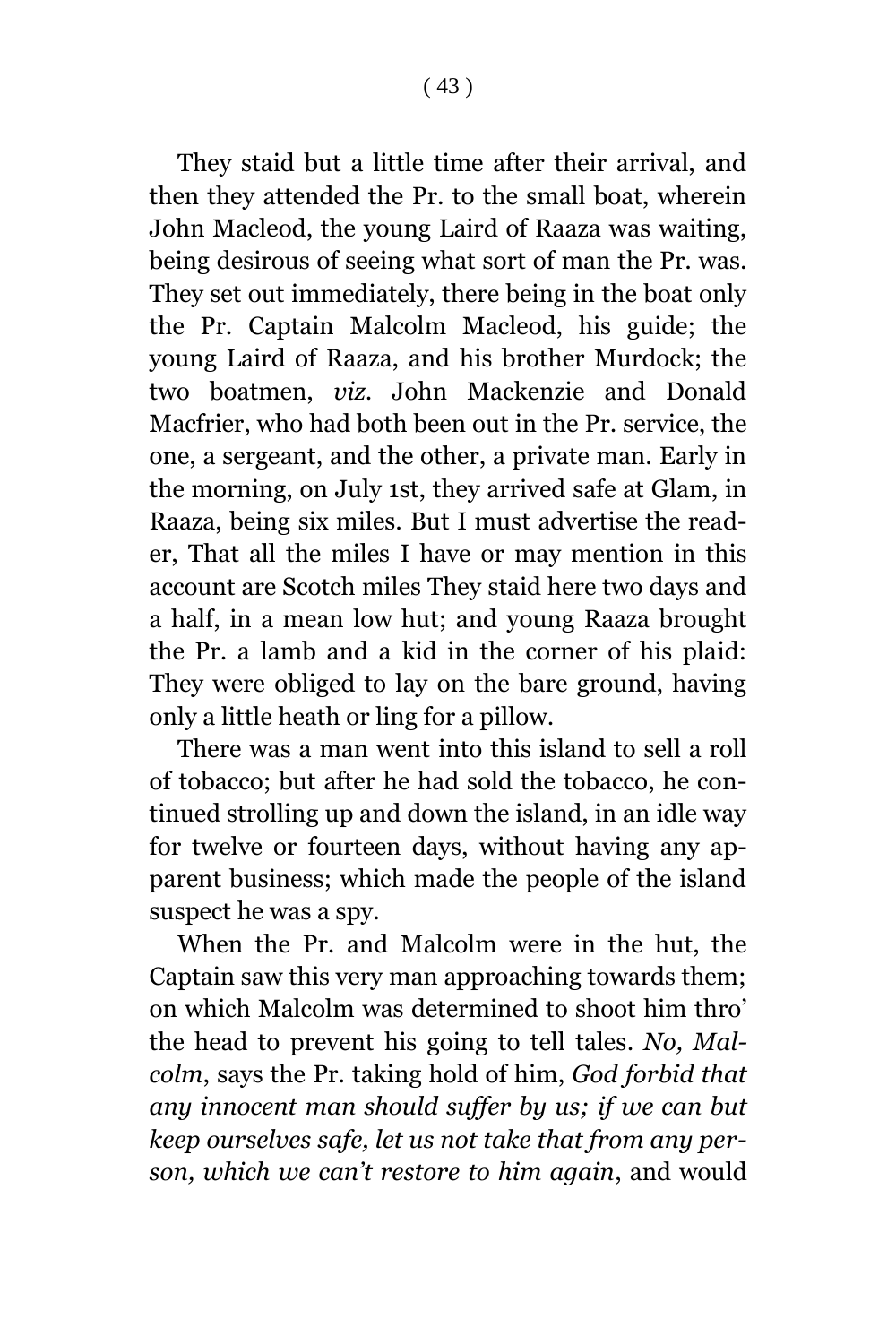They staid but a little time after their arrival, and then they attended the Pr. to the small boat, wherein John Macleod, the young Laird of Raaza was waiting, being desirous of seeing what sort of man the Pr. was. They set out immediately, there being in the boat only the Pr. Captain Malcolm Macleod, his guide; the young Laird of Raaza, and his brother Murdock; the two boatmen, *viz*. John Mackenzie and Donald Macfrier, who had both been out in the Pr. service, the one, a sergeant, and the other, a private man. Early in the morning, on July 1st, they arrived safe at Glam, in Raaza, being six miles. But I must advertise the reader, That all the miles I have or may mention in this account are Scotch miles They staid here two days and a half, in a mean low hut; and young Raaza brought the Pr. a lamb and a kid in the corner of his plaid: They were obliged to lay on the bare ground, having only a little heath or ling for a pillow.

There was a man went into this island to sell a roll of tobacco; but after he had sold the tobacco, he continued strolling up and down the island, in an idle way for twelve or fourteen days, without having any apparent business; which made the people of the island suspect he was a spy.

When the Pr. and Malcolm were in the hut, the Captain saw this very man approaching towards them; on which Malcolm was determined to shoot him thro' the head to prevent his going to tell tales. *No, Malcolm*, says the Pr. taking hold of him, *God forbid that any innocent man should suffer by us; if we can but keep ourselves safe, let us not take that from any person, which we can't restore to him again*, and would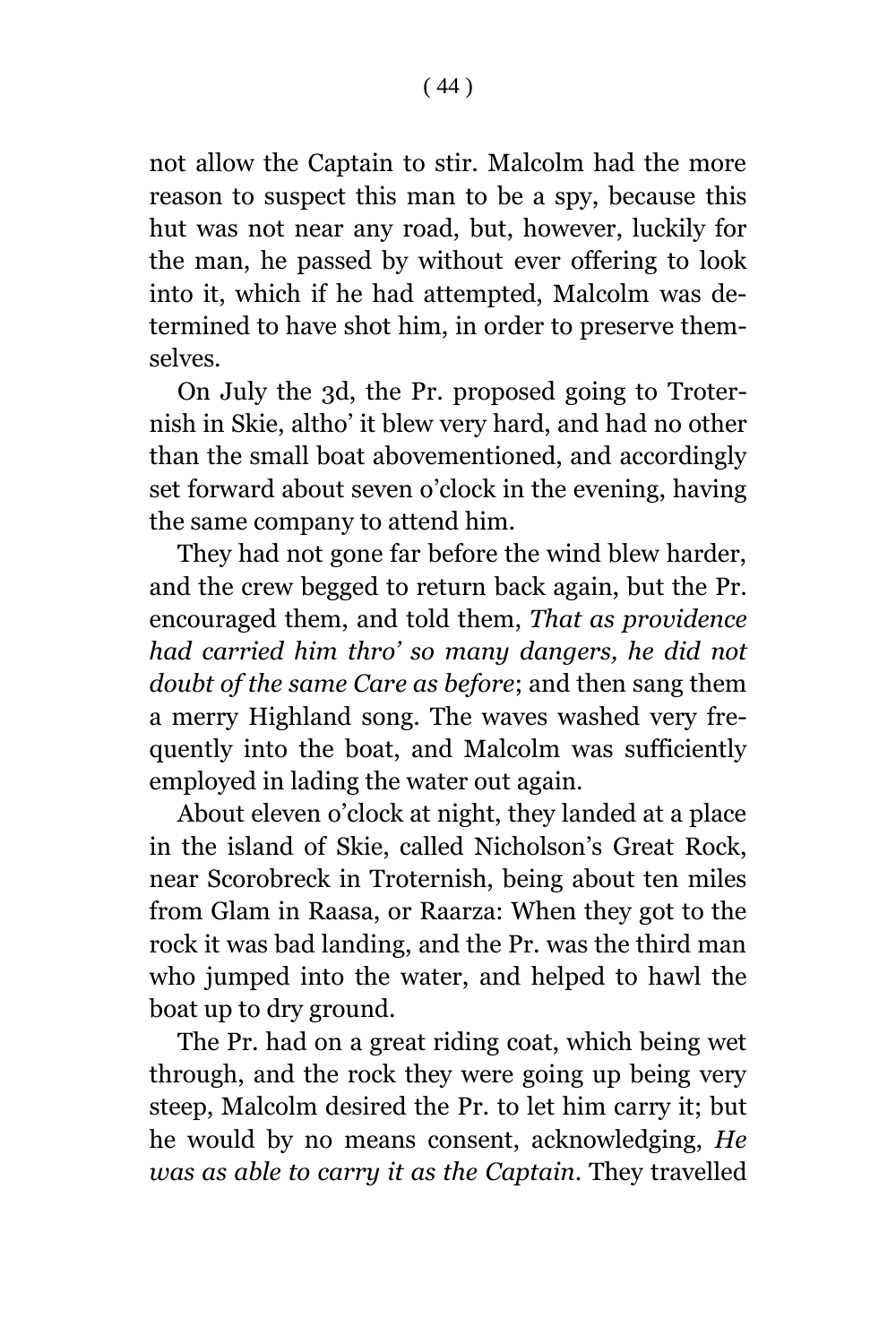not allow the Captain to stir. Malcolm had the more reason to suspect this man to be a spy, because this hut was not near any road, but, however, luckily for the man, he passed by without ever offering to look into it, which if he had attempted, Malcolm was determined to have shot him, in order to preserve themselves.

On July the 3d, the Pr. proposed going to Troternish in Skie, altho' it blew very hard, and had no other than the small boat abovementioned, and accordingly set forward about seven o'clock in the evening, having the same company to attend him.

They had not gone far before the wind blew harder, and the crew begged to return back again, but the Pr. encouraged them, and told them, *That as providence had carried him thro' so many dangers, he did not doubt of the same Care as before*; and then sang them a merry Highland song. The waves washed very frequently into the boat, and Malcolm was sufficiently employed in lading the water out again.

About eleven o'clock at night, they landed at a place in the island of Skie, called Nicholson's Great Rock, near Scorobreck in Troternish, being about ten miles from Glam in Raasa, or Raarza: When they got to the rock it was bad landing, and the Pr. was the third man who jumped into the water, and helped to hawl the boat up to dry ground.

The Pr. had on a great riding coat, which being wet through, and the rock they were going up being very steep, Malcolm desired the Pr. to let him carry it; but he would by no means consent, acknowledging, *He was as able to carry it as the Captain*. They travelled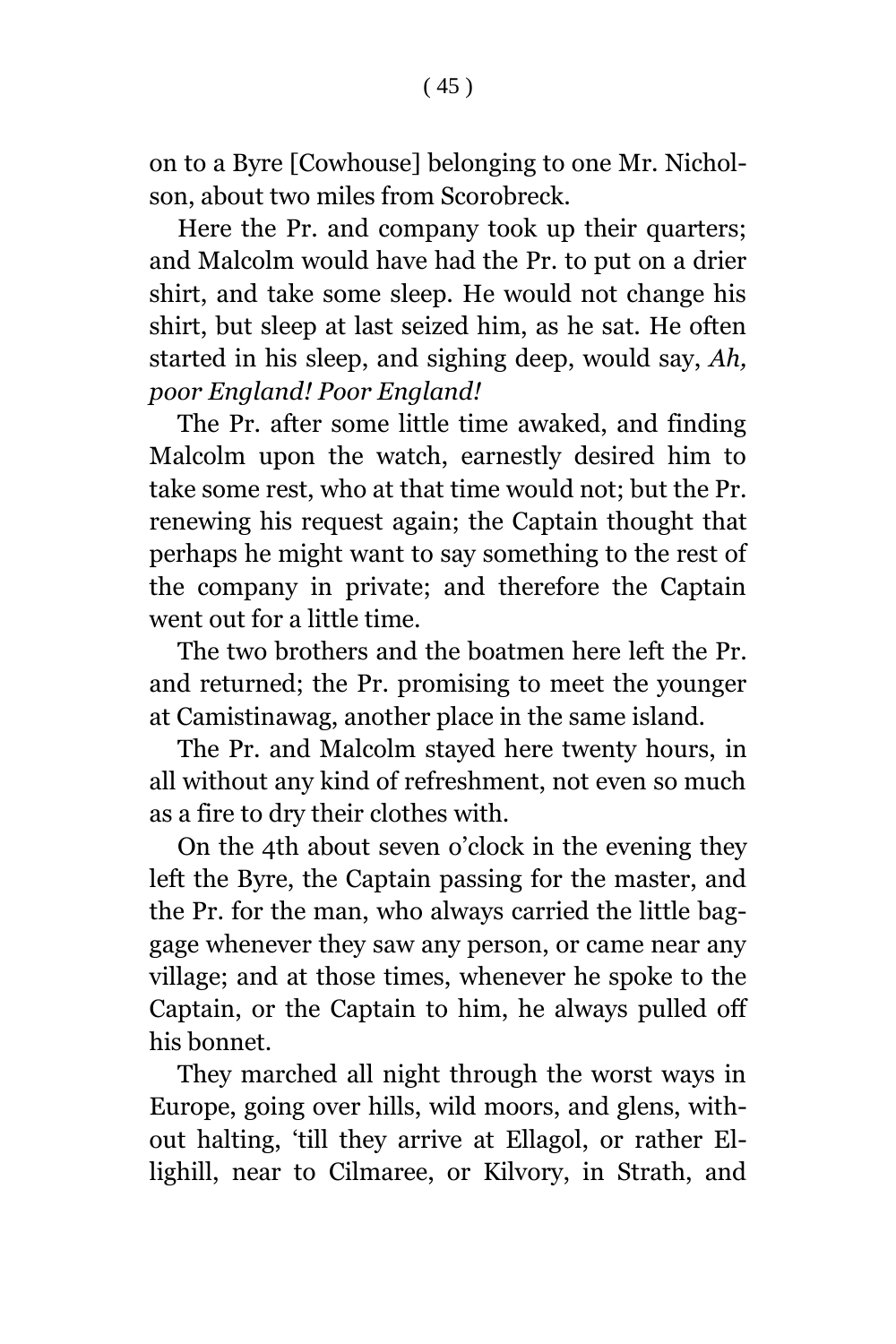on to a Byre [Cowhouse] belonging to one Mr. Nicholson, about two miles from Scorobreck.

Here the Pr. and company took up their quarters; and Malcolm would have had the Pr. to put on a drier shirt, and take some sleep. He would not change his shirt, but sleep at last seized him, as he sat. He often started in his sleep, and sighing deep, would say, *Ah, poor England! Poor England!*

The Pr. after some little time awaked, and finding Malcolm upon the watch, earnestly desired him to take some rest, who at that time would not; but the Pr. renewing his request again; the Captain thought that perhaps he might want to say something to the rest of the company in private; and therefore the Captain went out for a little time.

The two brothers and the boatmen here left the Pr. and returned; the Pr. promising to meet the younger at Camistinawag, another place in the same island.

The Pr. and Malcolm stayed here twenty hours, in all without any kind of refreshment, not even so much as a fire to dry their clothes with.

On the 4th about seven o'clock in the evening they left the Byre, the Captain passing for the master, and the Pr. for the man, who always carried the little baggage whenever they saw any person, or came near any village; and at those times, whenever he spoke to the Captain, or the Captain to him, he always pulled off his bonnet.

They marched all night through the worst ways in Europe, going over hills, wild moors, and glens, without halting, 'till they arrive at Ellagol, or rather Ellighill, near to Cilmaree, or Kilvory, in Strath, and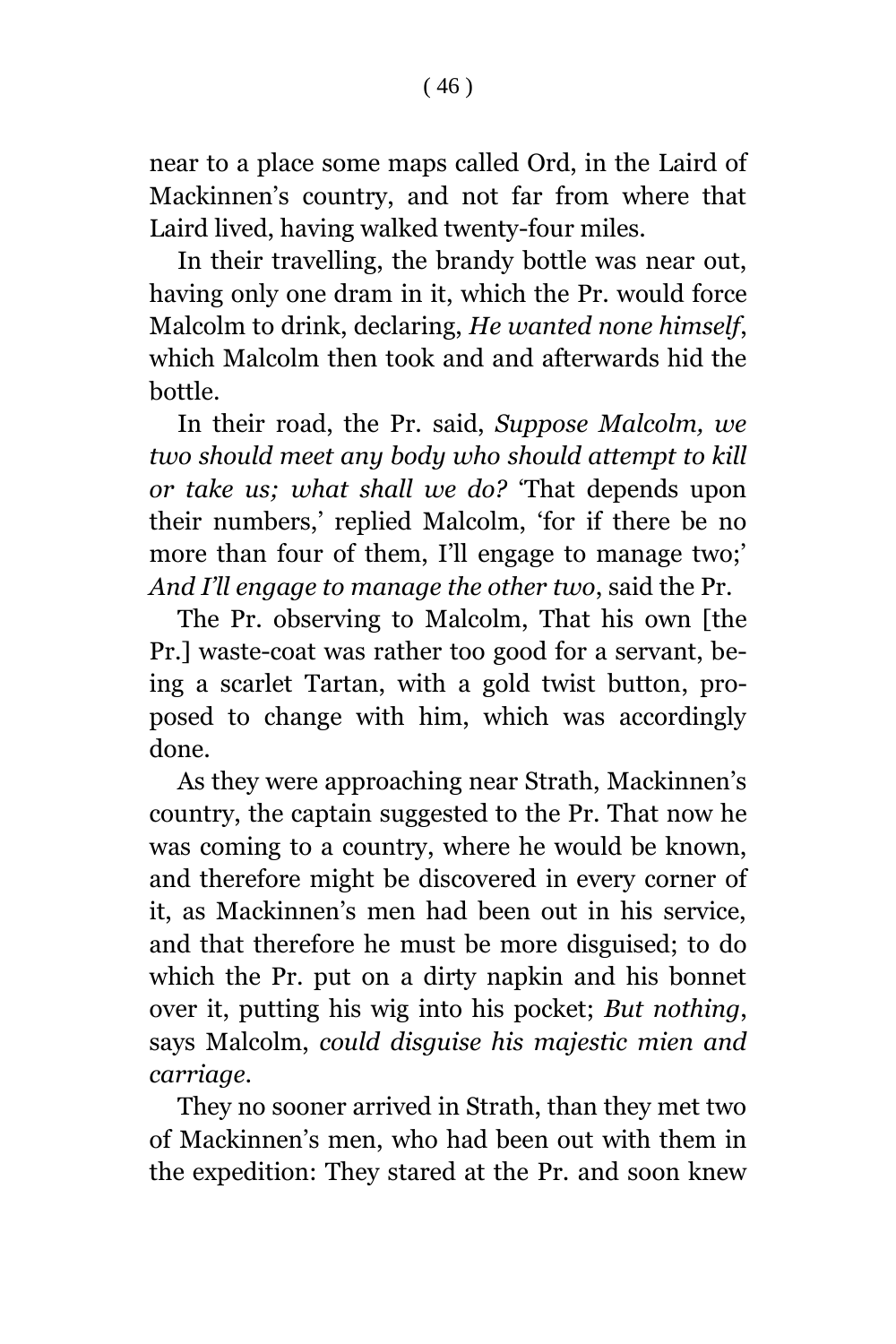$(46)$ 

near to a place some maps called Ord, in the Laird of Mackinnen's country, and not far from where that Laird lived, having walked twenty-four miles.

In their travelling, the brandy bottle was near out, having only one dram in it, which the Pr. would force Malcolm to drink, declaring, *He wanted none himself*, which Malcolm then took and and afterwards hid the bottle.

In their road, the Pr. said, *Suppose Malcolm, we two should meet any body who should attempt to kill or take us; what shall we do?* 'That depends upon their numbers,' replied Malcolm, 'for if there be no more than four of them, I'll engage to manage two;' *And I'll engage to manage the other two*, said the Pr.

The Pr. observing to Malcolm, That his own [the Pr.] waste-coat was rather too good for a servant, being a scarlet Tartan, with a gold twist button, proposed to change with him, which was accordingly done.

As they were approaching near Strath, Mackinnen's country, the captain suggested to the Pr. That now he was coming to a country, where he would be known, and therefore might be discovered in every corner of it, as Mackinnen's men had been out in his service, and that therefore he must be more disguised; to do which the Pr. put on a dirty napkin and his bonnet over it, putting his wig into his pocket; *But nothing*, says Malcolm, *could disguise his majestic mien and carriage*.

They no sooner arrived in Strath, than they met two of Mackinnen's men, who had been out with them in the expedition: They stared at the Pr. and soon knew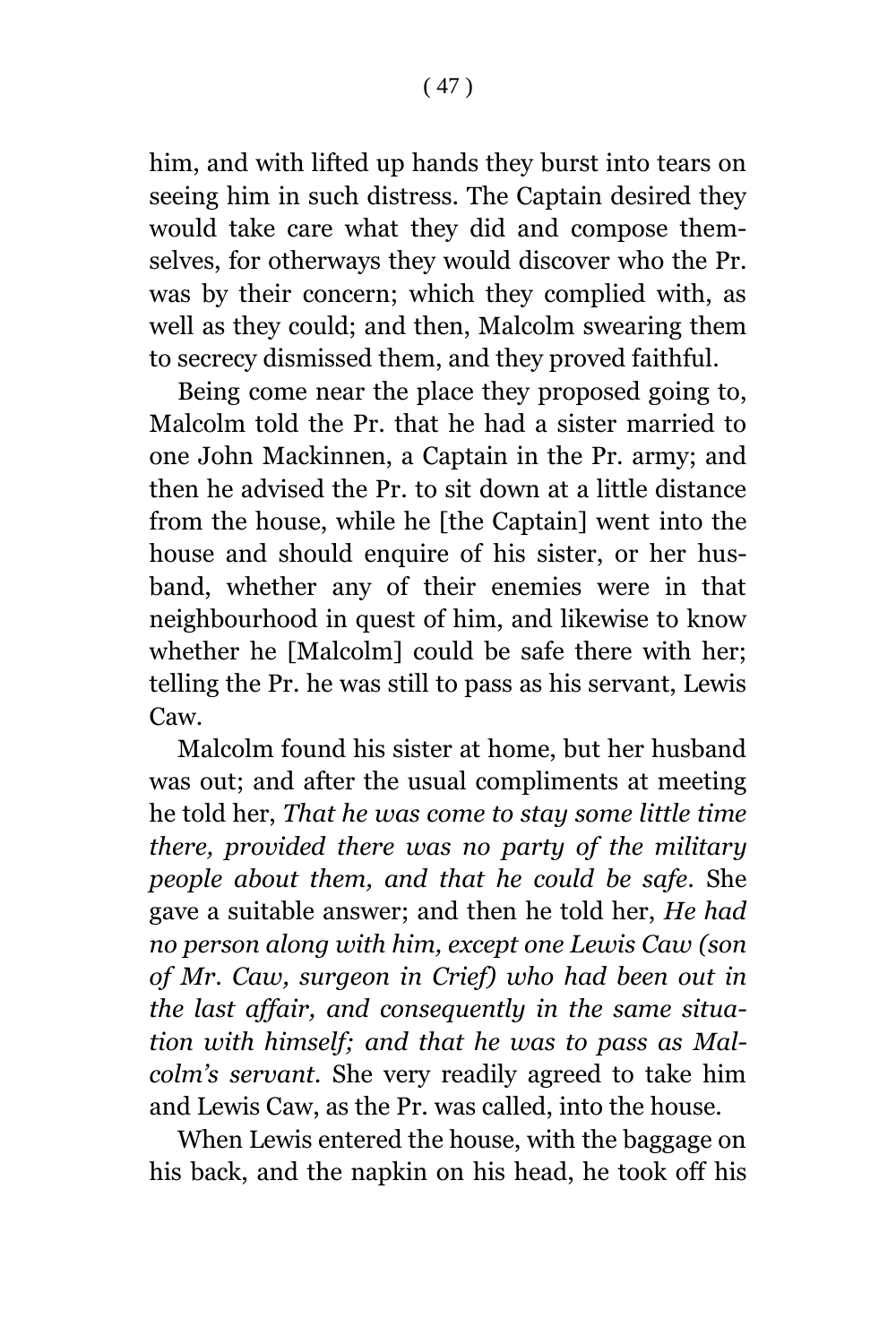him, and with lifted up hands they burst into tears on seeing him in such distress. The Captain desired they would take care what they did and compose themselves, for otherways they would discover who the Pr. was by their concern; which they complied with, as well as they could; and then, Malcolm swearing them to secrecy dismissed them, and they proved faithful.

Being come near the place they proposed going to, Malcolm told the Pr. that he had a sister married to one John Mackinnen, a Captain in the Pr. army; and then he advised the Pr. to sit down at a little distance from the house, while he [the Captain] went into the house and should enquire of his sister, or her husband, whether any of their enemies were in that neighbourhood in quest of him, and likewise to know whether he [Malcolm] could be safe there with her; telling the Pr. he was still to pass as his servant, Lewis Caw.

Malcolm found his sister at home, but her husband was out; and after the usual compliments at meeting he told her, *That he was come to stay some little time there, provided there was no party of the military people about them, and that he could be safe.* She gave a suitable answer; and then he told her, *He had no person along with him, except one Lewis Caw (son of Mr. Caw, surgeon in Crief) who had been out in the last affair, and consequently in the same situation with himself; and that he was to pass as Malcolm's servant.* She very readily agreed to take him and Lewis Caw, as the Pr. was called, into the house.

When Lewis entered the house, with the baggage on his back, and the napkin on his head, he took off his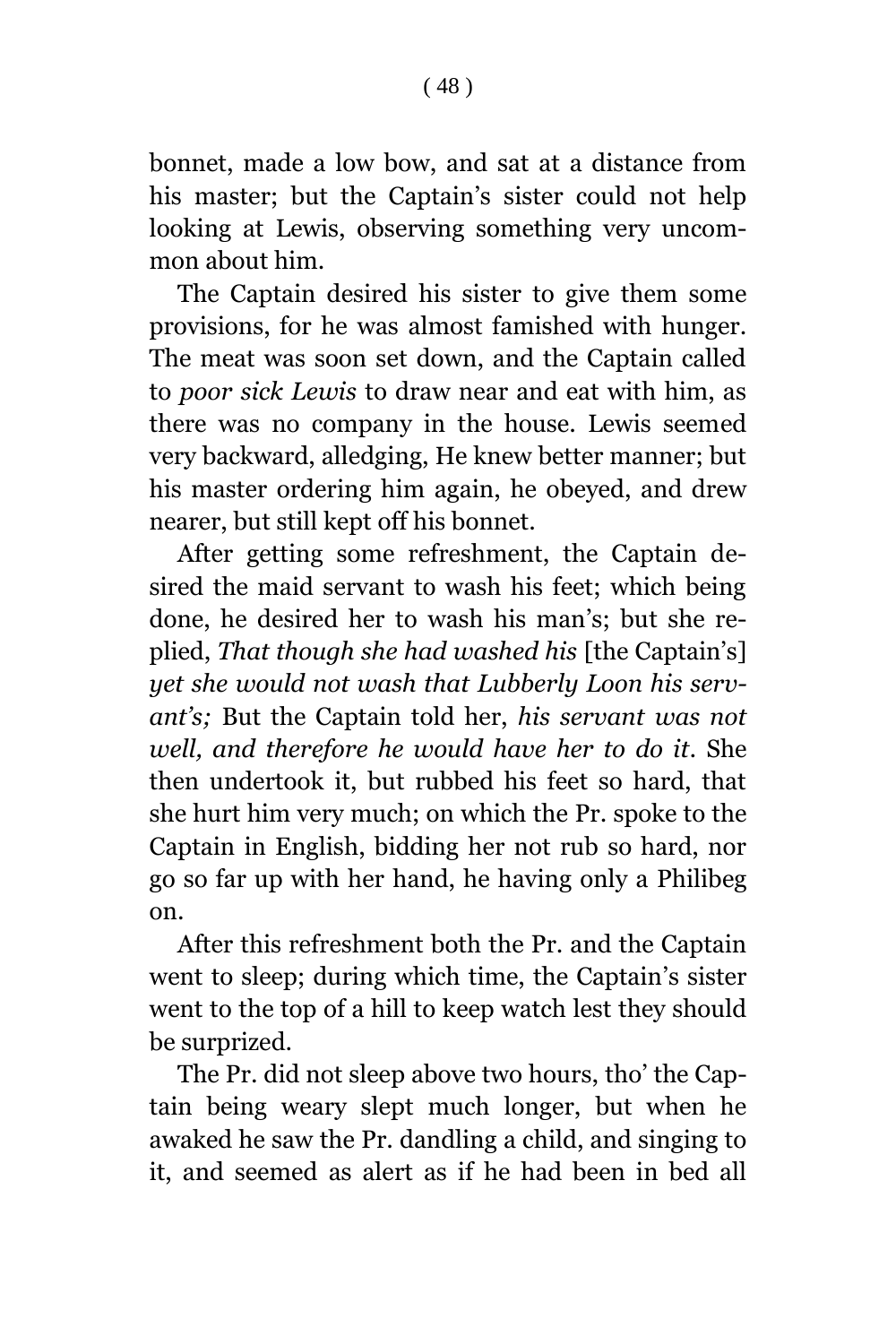bonnet, made a low bow, and sat at a distance from his master; but the Captain's sister could not help looking at Lewis, observing something very uncommon about him.

The Captain desired his sister to give them some provisions, for he was almost famished with hunger. The meat was soon set down, and the Captain called to *poor sick Lewis* to draw near and eat with him, as there was no company in the house. Lewis seemed very backward, alledging, He knew better manner; but his master ordering him again, he obeyed, and drew nearer, but still kept off his bonnet.

After getting some refreshment, the Captain desired the maid servant to wash his feet; which being done, he desired her to wash his man's; but she replied, *That though she had washed his* [the Captain's] *yet she would not wash that Lubberly Loon his servant's;* But the Captain told her, *his servant was not well, and therefore he would have her to do it.* She then undertook it, but rubbed his feet so hard, that she hurt him very much; on which the Pr. spoke to the Captain in English, bidding her not rub so hard, nor go so far up with her hand, he having only a Philibeg on.

After this refreshment both the Pr. and the Captain went to sleep; during which time, the Captain's sister went to the top of a hill to keep watch lest they should be surprized.

The Pr. did not sleep above two hours, tho' the Captain being weary slept much longer, but when he awaked he saw the Pr. dandling a child, and singing to it, and seemed as alert as if he had been in bed all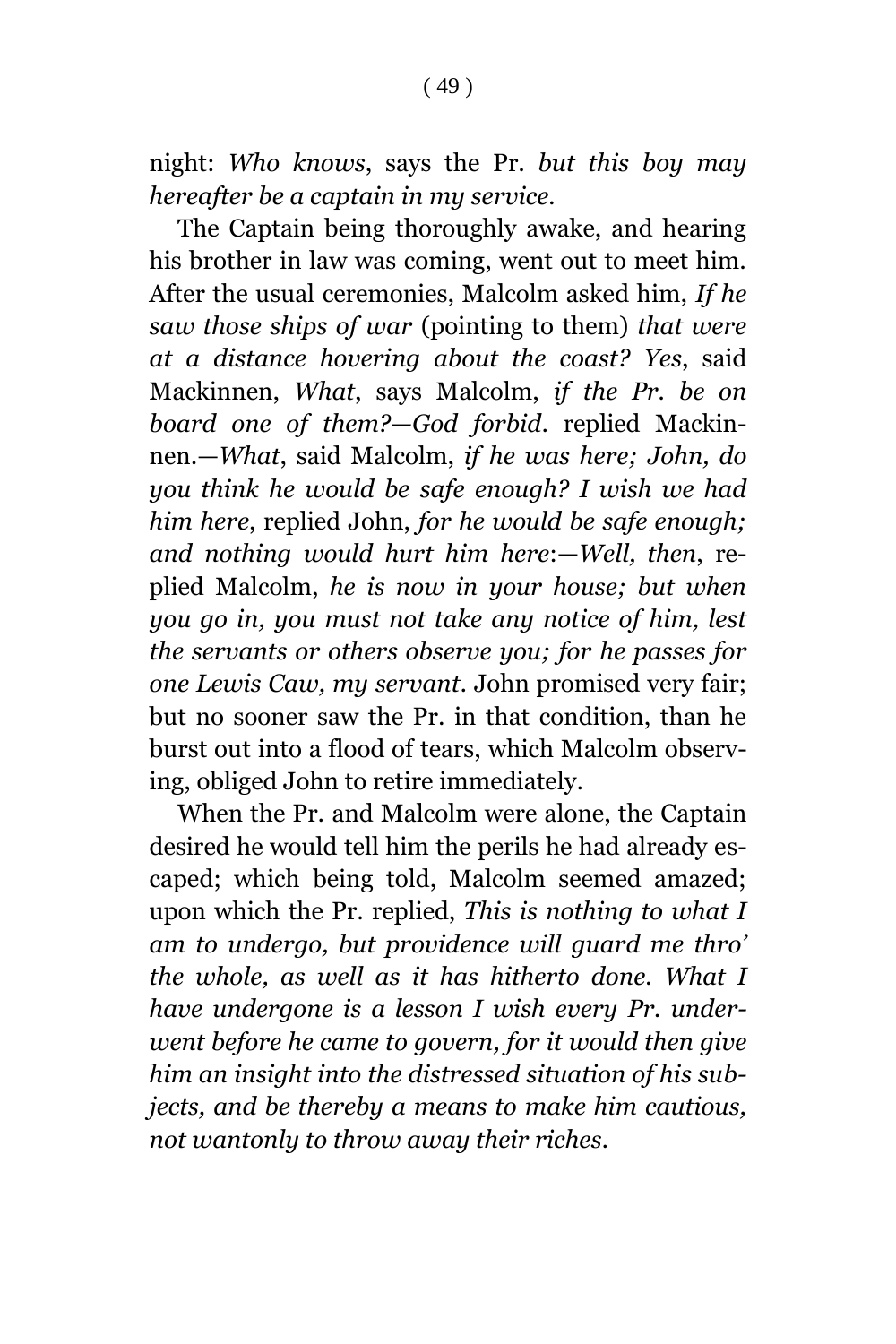night: *Who knows*, says the Pr. *but this boy may hereafter be a captain in my service.*

The Captain being thoroughly awake, and hearing his brother in law was coming, went out to meet him. After the usual ceremonies, Malcolm asked him, *If he saw those ships of war* (pointing to them) *that were at a distance hovering about the coast? Yes*, said Mackinnen, *What*, says Malcolm, *if the Pr. be on board one of them?—God forbid*. replied Mackinnen.—*What*, said Malcolm, *if he was here; John, do you think he would be safe enough? I wish we had him here*, replied John, *for he would be safe enough; and nothing would hurt him here*:—*Well, then*, replied Malcolm, *he is now in your house; but when you go in, you must not take any notice of him, lest the servants or others observe you; for he passes for one Lewis Caw, my servant*. John promised very fair; but no sooner saw the Pr. in that condition, than he burst out into a flood of tears, which Malcolm observing, obliged John to retire immediately.

When the Pr. and Malcolm were alone, the Captain desired he would tell him the perils he had already escaped; which being told, Malcolm seemed amazed; upon which the Pr. replied, *This is nothing to what I am to undergo, but providence will guard me thro' the whole, as well as it has hitherto done. What I have undergone is a lesson I wish every Pr. underwent before he came to govern, for it would then give him an insight into the distressed situation of his subjects, and be thereby a means to make him cautious, not wantonly to throw away their riches.*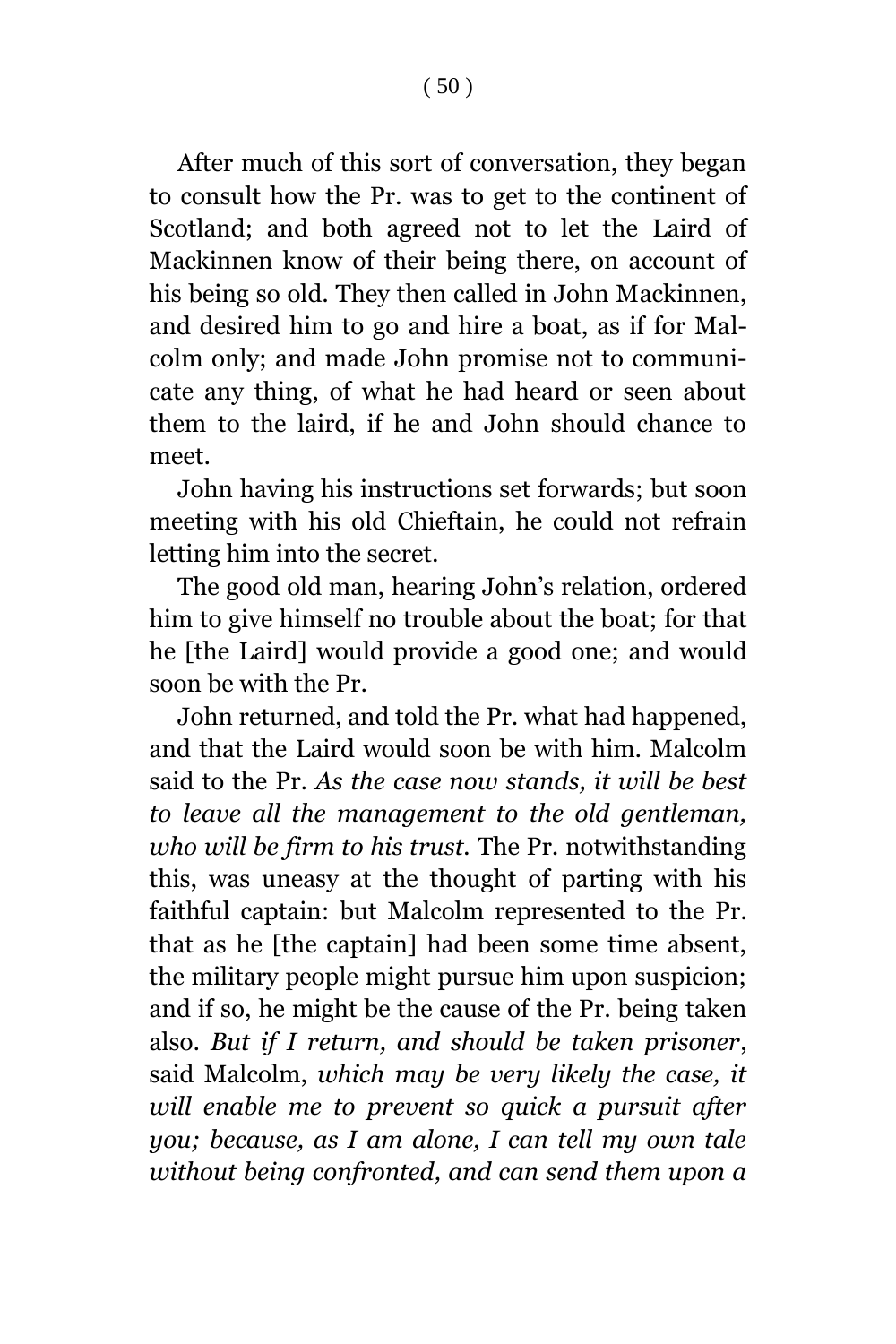After much of this sort of conversation, they began to consult how the Pr. was to get to the continent of Scotland; and both agreed not to let the Laird of Mackinnen know of their being there, on account of his being so old. They then called in John Mackinnen, and desired him to go and hire a boat, as if for Malcolm only; and made John promise not to communicate any thing, of what he had heard or seen about them to the laird, if he and John should chance to

John having his instructions set forwards; but soon meeting with his old Chieftain, he could not refrain letting him into the secret.

meet.

The good old man, hearing John's relation, ordered him to give himself no trouble about the boat; for that he [the Laird] would provide a good one; and would soon be with the Pr.

John returned, and told the Pr. what had happened, and that the Laird would soon be with him. Malcolm said to the Pr. *As the case now stands, it will be best to leave all the management to the old gentleman, who will be firm to his trust.* The Pr. notwithstanding this, was uneasy at the thought of parting with his faithful captain: but Malcolm represented to the Pr. that as he [the captain] had been some time absent, the military people might pursue him upon suspicion; and if so, he might be the cause of the Pr. being taken also. *But if I return, and should be taken prisoner*, said Malcolm, *which may be very likely the case, it will enable me to prevent so quick a pursuit after you; because, as I am alone, I can tell my own tale without being confronted, and can send them upon a*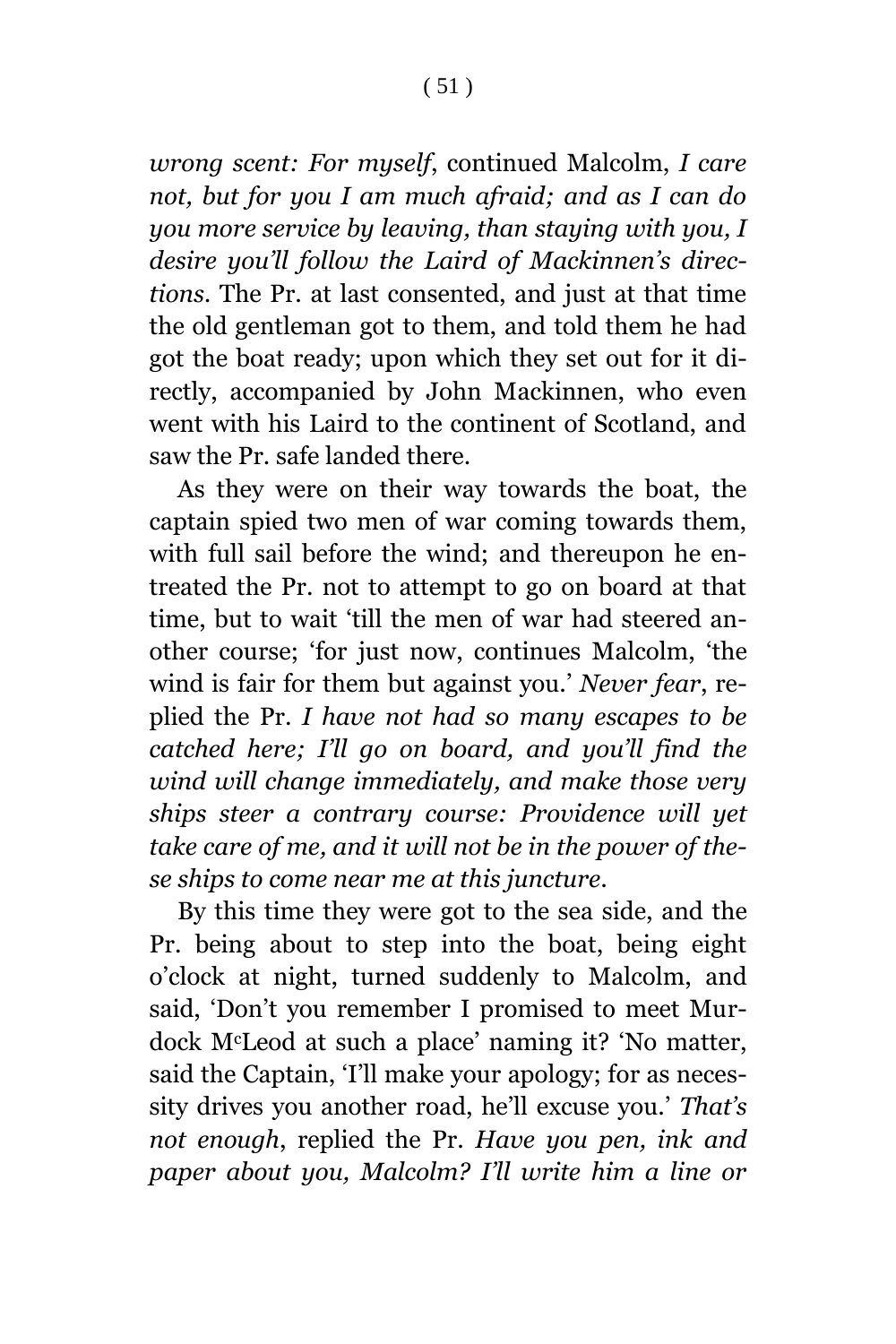*wrong scent: For myself*, continued Malcolm, *I care not, but for you I am much afraid; and as I can do you more service by leaving, than staying with you, I desire you'll follow the Laird of Mackinnen's directions.* The Pr. at last consented, and just at that time the old gentleman got to them, and told them he had got the boat ready; upon which they set out for it directly, accompanied by John Mackinnen, who even went with his Laird to the continent of Scotland, and saw the Pr. safe landed there.

As they were on their way towards the boat, the captain spied two men of war coming towards them, with full sail before the wind; and thereupon he entreated the Pr. not to attempt to go on board at that time, but to wait 'till the men of war had steered another course; 'for just now, continues Malcolm, 'the wind is fair for them but against you.' *Never fear*, replied the Pr. *I have not had so many escapes to be catched here; I'll go on board, and you'll find the wind will change immediately, and make those very ships steer a contrary course: Providence will yet take care of me, and it will not be in the power of these ships to come near me at this juncture*.

By this time they were got to the sea side, and the Pr. being about to step into the boat, being eight o'clock at night, turned suddenly to Malcolm, and said, 'Don't you remember I promised to meet Murdock McLeod at such a place' naming it? 'No matter, said the Captain, 'I'll make your apology; for as necessity drives you another road, he'll excuse you.' *That's not enough*, replied the Pr. *Have you pen, ink and paper about you, Malcolm? I'll write him a line or*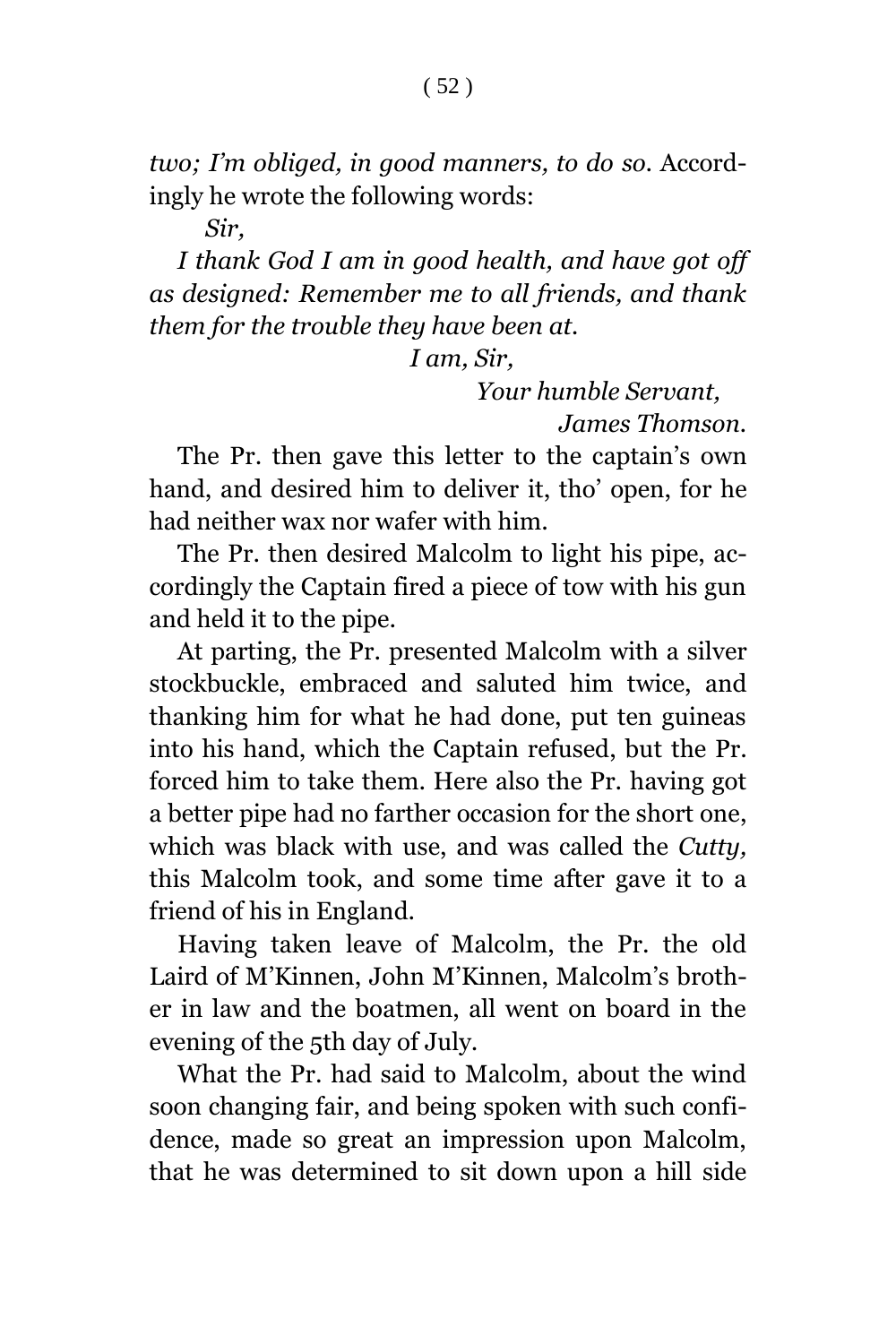*two; I'm obliged, in good manners, to do so*. Accordingly he wrote the following words:

*Sir,*

*I thank God I am in good health, and have got off as designed: Remember me to all friends, and thank them for the trouble they have been at.*

*I am, Sir,*

*Your humble Servant, James Thomson.*

The Pr. then gave this letter to the captain's own hand, and desired him to deliver it, tho' open, for he had neither wax nor wafer with him.

The Pr. then desired Malcolm to light his pipe, accordingly the Captain fired a piece of tow with his gun and held it to the pipe.

At parting, the Pr. presented Malcolm with a silver stockbuckle, embraced and saluted him twice, and thanking him for what he had done, put ten guineas into his hand, which the Captain refused, but the Pr. forced him to take them. Here also the Pr. having got a better pipe had no farther occasion for the short one, which was black with use, and was called the *Cutty,* this Malcolm took, and some time after gave it to a friend of his in England.

Having taken leave of Malcolm, the Pr. the old Laird of M'Kinnen, John M'Kinnen, Malcolm's brother in law and the boatmen, all went on board in the evening of the 5th day of July.

What the Pr. had said to Malcolm, about the wind soon changing fair, and being spoken with such confidence, made so great an impression upon Malcolm, that he was determined to sit down upon a hill side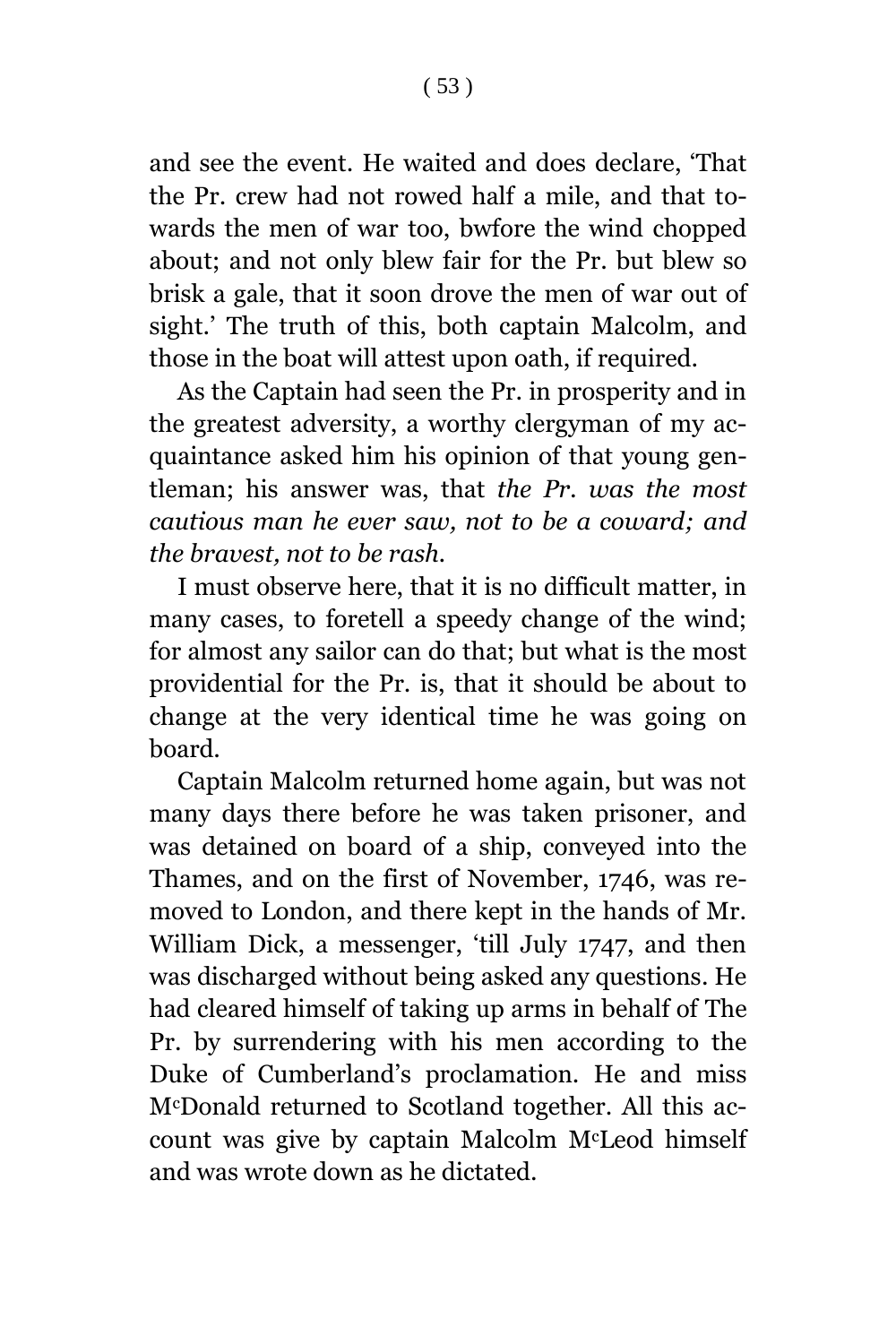and see the event. He waited and does declare, 'That the Pr. crew had not rowed half a mile, and that towards the men of war too, bwfore the wind chopped about; and not only blew fair for the Pr. but blew so brisk a gale, that it soon drove the men of war out of sight.' The truth of this, both captain Malcolm, and those in the boat will attest upon oath, if required.

As the Captain had seen the Pr. in prosperity and in the greatest adversity, a worthy clergyman of my acquaintance asked him his opinion of that young gentleman; his answer was, that *the Pr. was the most cautious man he ever saw, not to be a coward; and the bravest, not to be rash.*

I must observe here, that it is no difficult matter, in many cases, to foretell a speedy change of the wind; for almost any sailor can do that; but what is the most providential for the Pr. is, that it should be about to change at the very identical time he was going on board.

Captain Malcolm returned home again, but was not many days there before he was taken prisoner, and was detained on board of a ship, conveyed into the Thames, and on the first of November, 1746, was removed to London, and there kept in the hands of Mr. William Dick, a messenger, 'till July 1747, and then was discharged without being asked any questions. He had cleared himself of taking up arms in behalf of The Pr. by surrendering with his men according to the Duke of Cumberland's proclamation. He and miss McDonald returned to Scotland together. All this account was give by captain Malcolm McLeod himself and was wrote down as he dictated.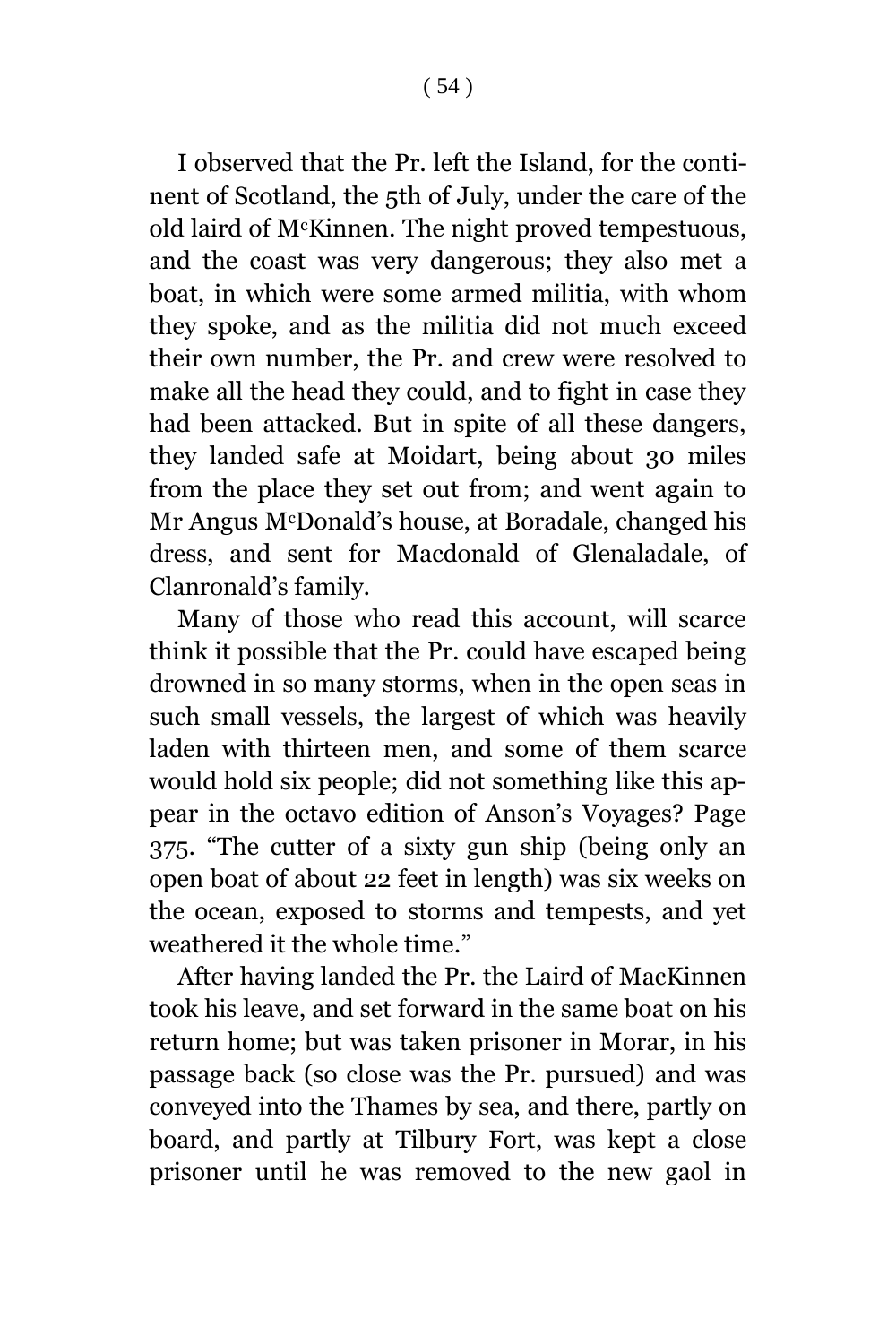I observed that the Pr. left the Island, for the continent of Scotland, the 5th of July, under the care of the old laird of McKinnen. The night proved tempestuous, and the coast was very dangerous; they also met a boat, in which were some armed militia, with whom they spoke, and as the militia did not much exceed their own number, the Pr. and crew were resolved to make all the head they could, and to fight in case they had been attacked. But in spite of all these dangers, they landed safe at Moidart, being about 30 miles from the place they set out from; and went again to Mr Angus McDonald's house, at Boradale, changed his dress, and sent for Macdonald of Glenaladale, of Clanronald's family.

Many of those who read this account, will scarce think it possible that the Pr. could have escaped being drowned in so many storms, when in the open seas in such small vessels, the largest of which was heavily laden with thirteen men, and some of them scarce would hold six people; did not something like this appear in the octavo edition of Anson's Voyages? Page 375. "The cutter of a sixty gun ship (being only an open boat of about 22 feet in length) was six weeks on the ocean, exposed to storms and tempests, and yet weathered it the whole time."

After having landed the Pr. the Laird of MacKinnen took his leave, and set forward in the same boat on his return home; but was taken prisoner in Morar, in his passage back (so close was the Pr. pursued) and was conveyed into the Thames by sea, and there, partly on board, and partly at Tilbury Fort, was kept a close prisoner until he was removed to the new gaol in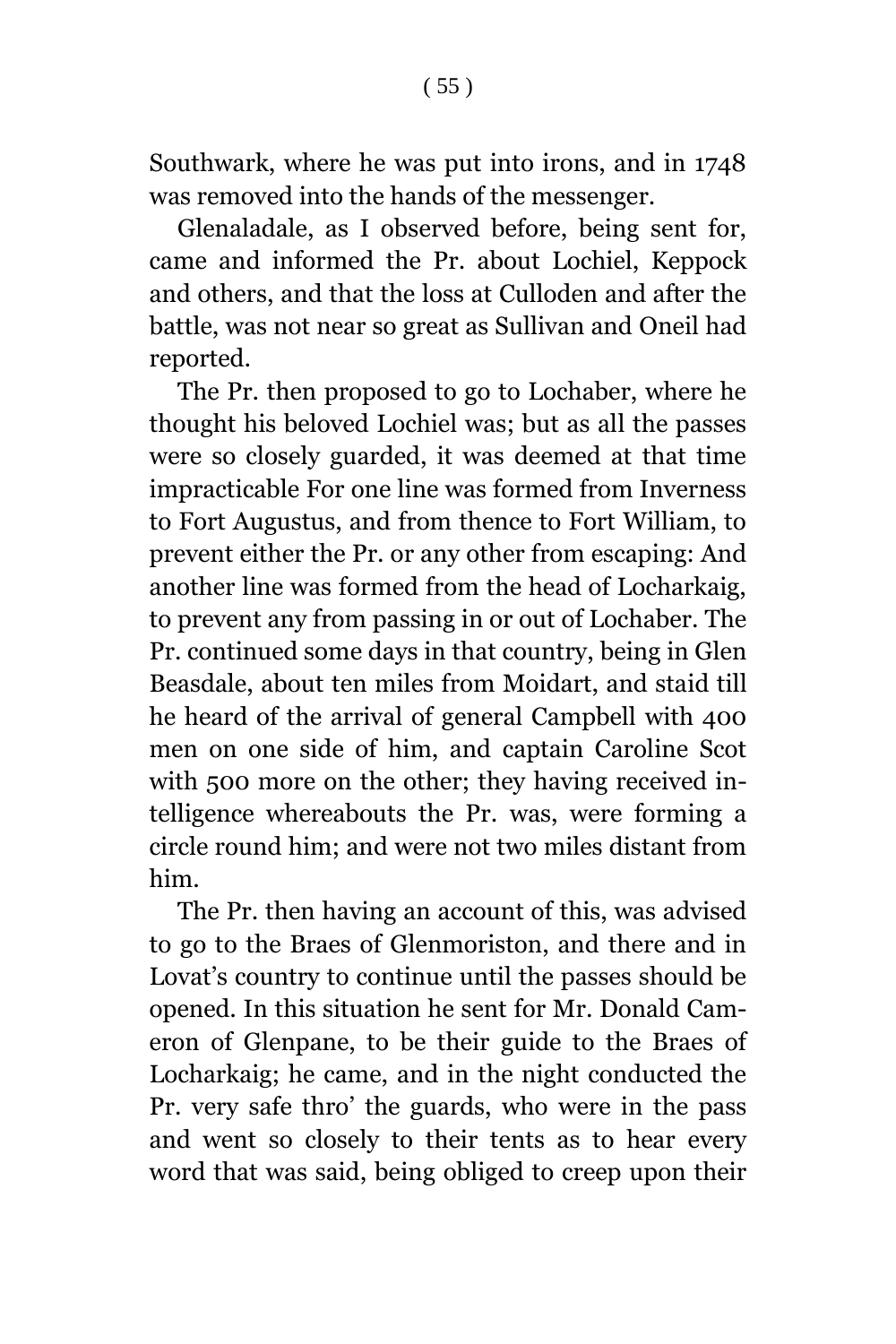Southwark, where he was put into irons, and in 1748 was removed into the hands of the messenger.

Glenaladale, as I observed before, being sent for, came and informed the Pr. about Lochiel, Keppock and others, and that the loss at Culloden and after the battle, was not near so great as Sullivan and Oneil had reported.

The Pr. then proposed to go to Lochaber, where he thought his beloved Lochiel was; but as all the passes were so closely guarded, it was deemed at that time impracticable For one line was formed from Inverness to Fort Augustus, and from thence to Fort William, to prevent either the Pr. or any other from escaping: And another line was formed from the head of Locharkaig, to prevent any from passing in or out of Lochaber. The Pr. continued some days in that country, being in Glen Beasdale, about ten miles from Moidart, and staid till he heard of the arrival of general Campbell with 400 men on one side of him, and captain Caroline Scot with 500 more on the other; they having received intelligence whereabouts the Pr. was, were forming a circle round him; and were not two miles distant from him.

The Pr. then having an account of this, was advised to go to the Braes of Glenmoriston, and there and in Lovat's country to continue until the passes should be opened. In this situation he sent for Mr. Donald Cameron of Glenpane, to be their guide to the Braes of Locharkaig; he came, and in the night conducted the Pr. very safe thro' the guards, who were in the pass and went so closely to their tents as to hear every word that was said, being obliged to creep upon their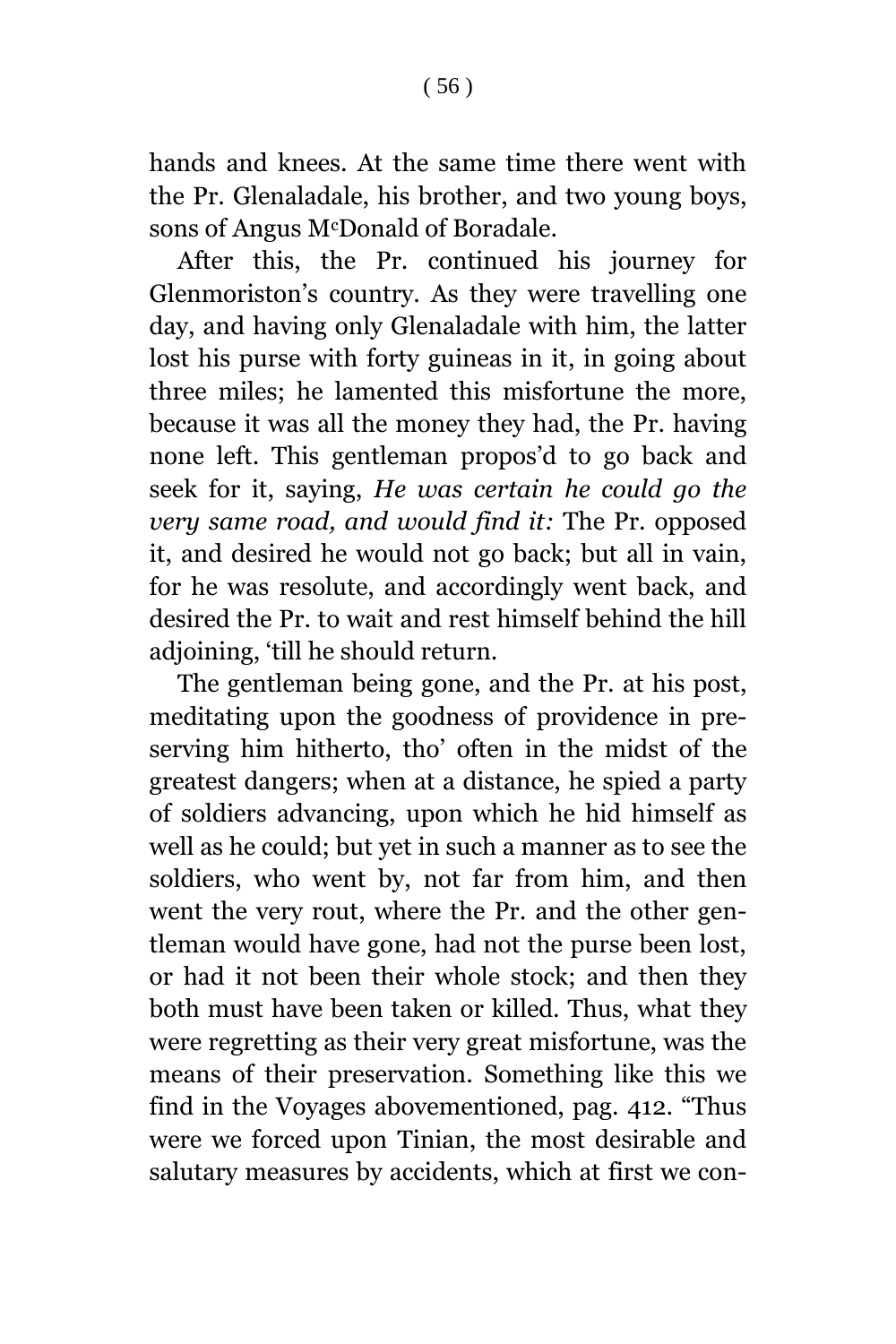hands and knees. At the same time there went with the Pr. Glenaladale, his brother, and two young boys, sons of Angus McDonald of Boradale.

After this, the Pr. continued his journey for Glenmoriston's country. As they were travelling one day, and having only Glenaladale with him, the latter lost his purse with forty guineas in it, in going about three miles; he lamented this misfortune the more, because it was all the money they had, the Pr. having none left. This gentleman propos'd to go back and seek for it, saying, *He was certain he could go the very same road, and would find it:* The Pr. opposed it, and desired he would not go back; but all in vain, for he was resolute, and accordingly went back, and desired the Pr. to wait and rest himself behind the hill adjoining, 'till he should return.

The gentleman being gone, and the Pr. at his post, meditating upon the goodness of providence in preserving him hitherto, tho' often in the midst of the greatest dangers; when at a distance, he spied a party of soldiers advancing, upon which he hid himself as well as he could; but yet in such a manner as to see the soldiers, who went by, not far from him, and then went the very rout, where the Pr. and the other gentleman would have gone, had not the purse been lost, or had it not been their whole stock; and then they both must have been taken or killed. Thus, what they were regretting as their very great misfortune, was the means of their preservation. Something like this we find in the Voyages abovementioned, pag. 412. "Thus were we forced upon Tinian, the most desirable and salutary measures by accidents, which at first we con-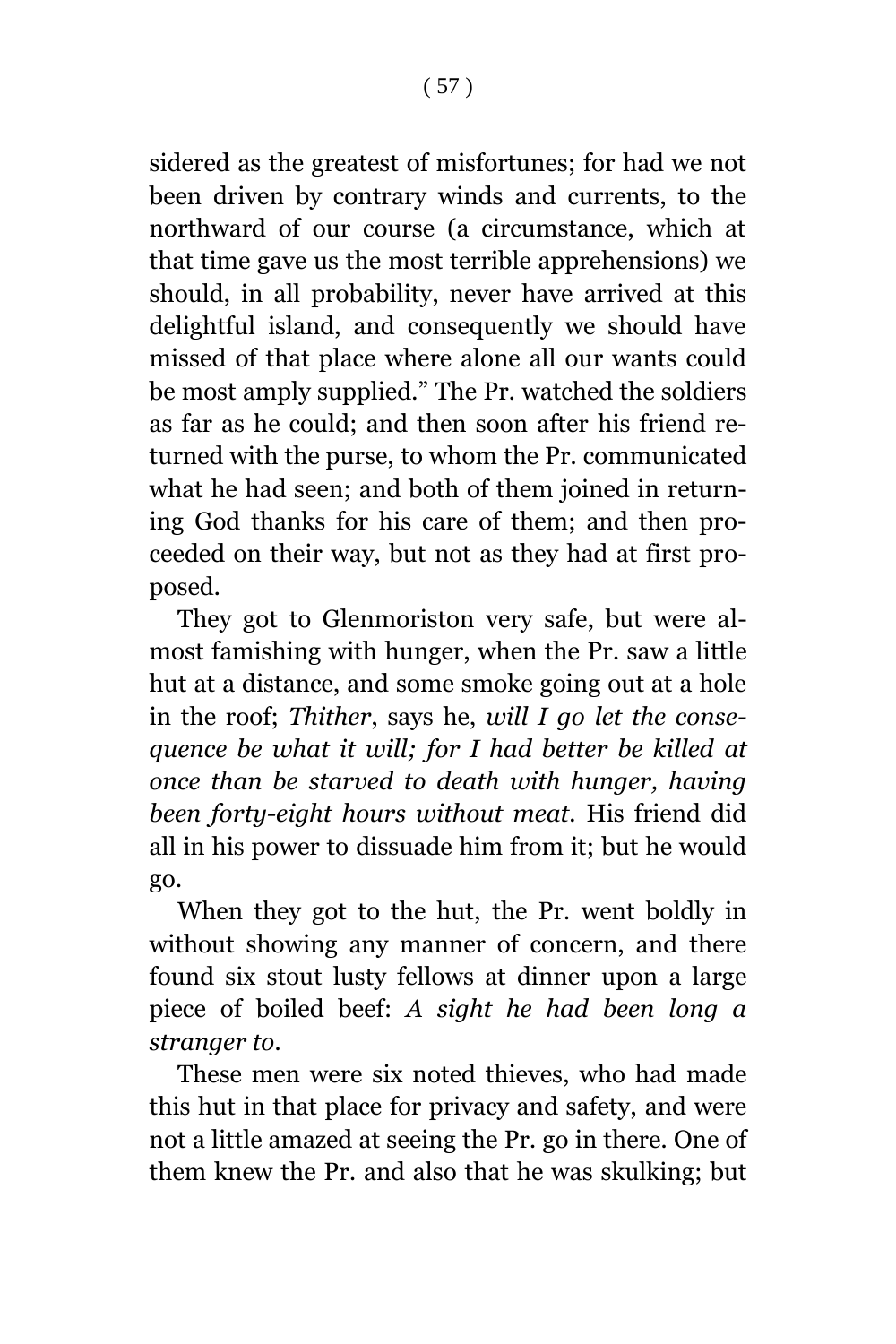sidered as the greatest of misfortunes; for had we not been driven by contrary winds and currents, to the northward of our course (a circumstance, which at that time gave us the most terrible apprehensions) we should, in all probability, never have arrived at this delightful island, and consequently we should have missed of that place where alone all our wants could be most amply supplied." The Pr. watched the soldiers as far as he could; and then soon after his friend returned with the purse, to whom the Pr. communicated what he had seen; and both of them joined in returning God thanks for his care of them; and then proceeded on their way, but not as they had at first proposed.

They got to Glenmoriston very safe, but were almost famishing with hunger, when the Pr. saw a little hut at a distance, and some smoke going out at a hole in the roof; *Thither*, says he, *will I go let the consequence be what it will; for I had better be killed at once than be starved to death with hunger, having been forty-eight hours without meat.* His friend did all in his power to dissuade him from it; but he would go.

When they got to the hut, the Pr. went boldly in without showing any manner of concern, and there found six stout lusty fellows at dinner upon a large piece of boiled beef: *A sight he had been long a stranger to*.

These men were six noted thieves, who had made this hut in that place for privacy and safety, and were not a little amazed at seeing the Pr. go in there. One of them knew the Pr. and also that he was skulking; but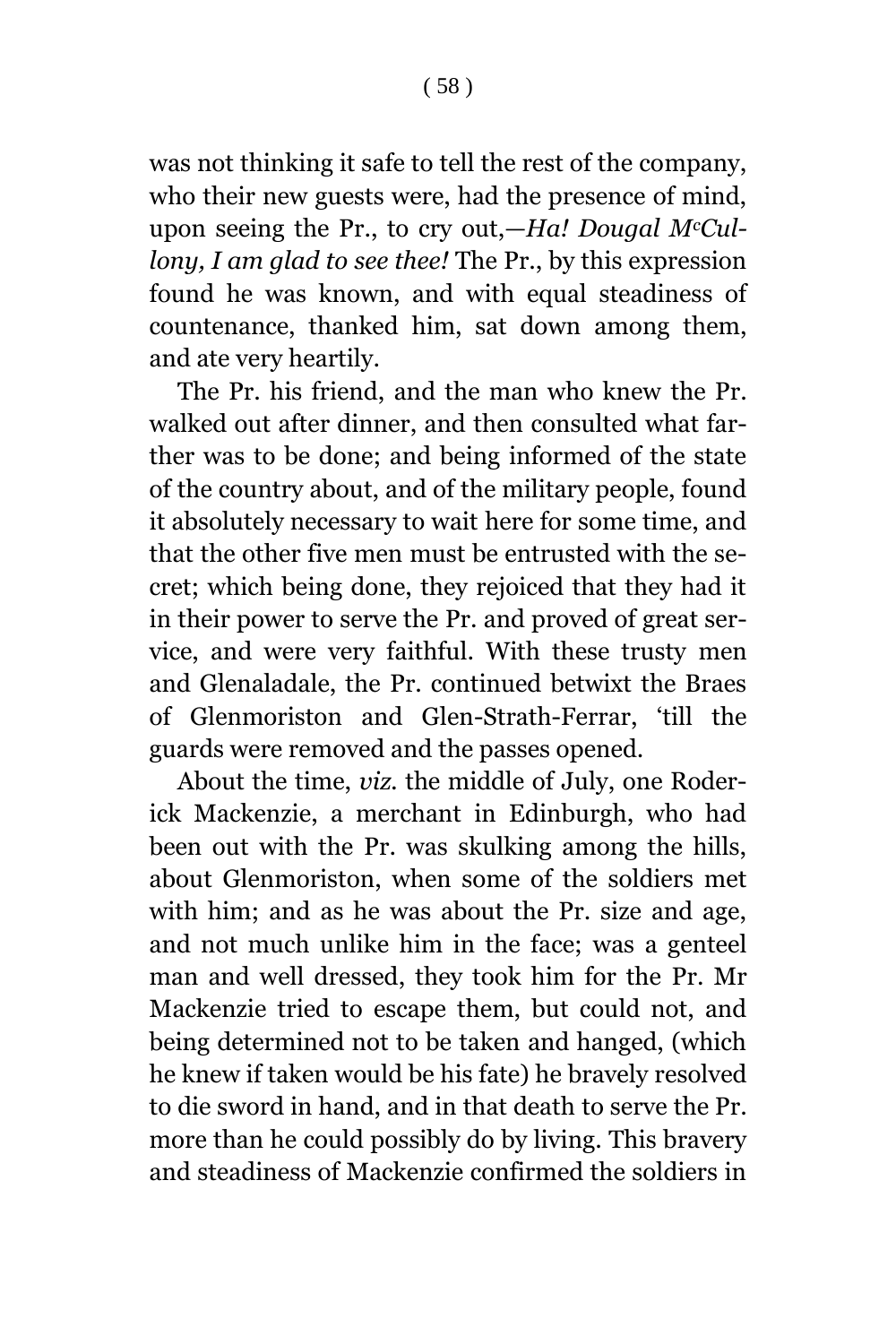was not thinking it safe to tell the rest of the company, who their new guests were, had the presence of mind, upon seeing the Pr., to cry out,—*Ha! Dougal McCullony, I am glad to see thee!* The Pr., by this expression found he was known, and with equal steadiness of countenance, thanked him, sat down among them, and ate very heartily.

The Pr. his friend, and the man who knew the Pr. walked out after dinner, and then consulted what farther was to be done; and being informed of the state of the country about, and of the military people, found it absolutely necessary to wait here for some time, and that the other five men must be entrusted with the secret; which being done, they rejoiced that they had it in their power to serve the Pr. and proved of great service, and were very faithful. With these trusty men and Glenaladale, the Pr. continued betwixt the Braes of Glenmoriston and Glen-Strath-Ferrar, 'till the guards were removed and the passes opened.

About the time, *viz.* the middle of July, one Roderick Mackenzie, a merchant in Edinburgh, who had been out with the Pr. was skulking among the hills, about Glenmoriston, when some of the soldiers met with him; and as he was about the Pr. size and age, and not much unlike him in the face; was a genteel man and well dressed, they took him for the Pr. Mr Mackenzie tried to escape them, but could not, and being determined not to be taken and hanged, (which he knew if taken would be his fate) he bravely resolved to die sword in hand, and in that death to serve the Pr. more than he could possibly do by living. This bravery and steadiness of Mackenzie confirmed the soldiers in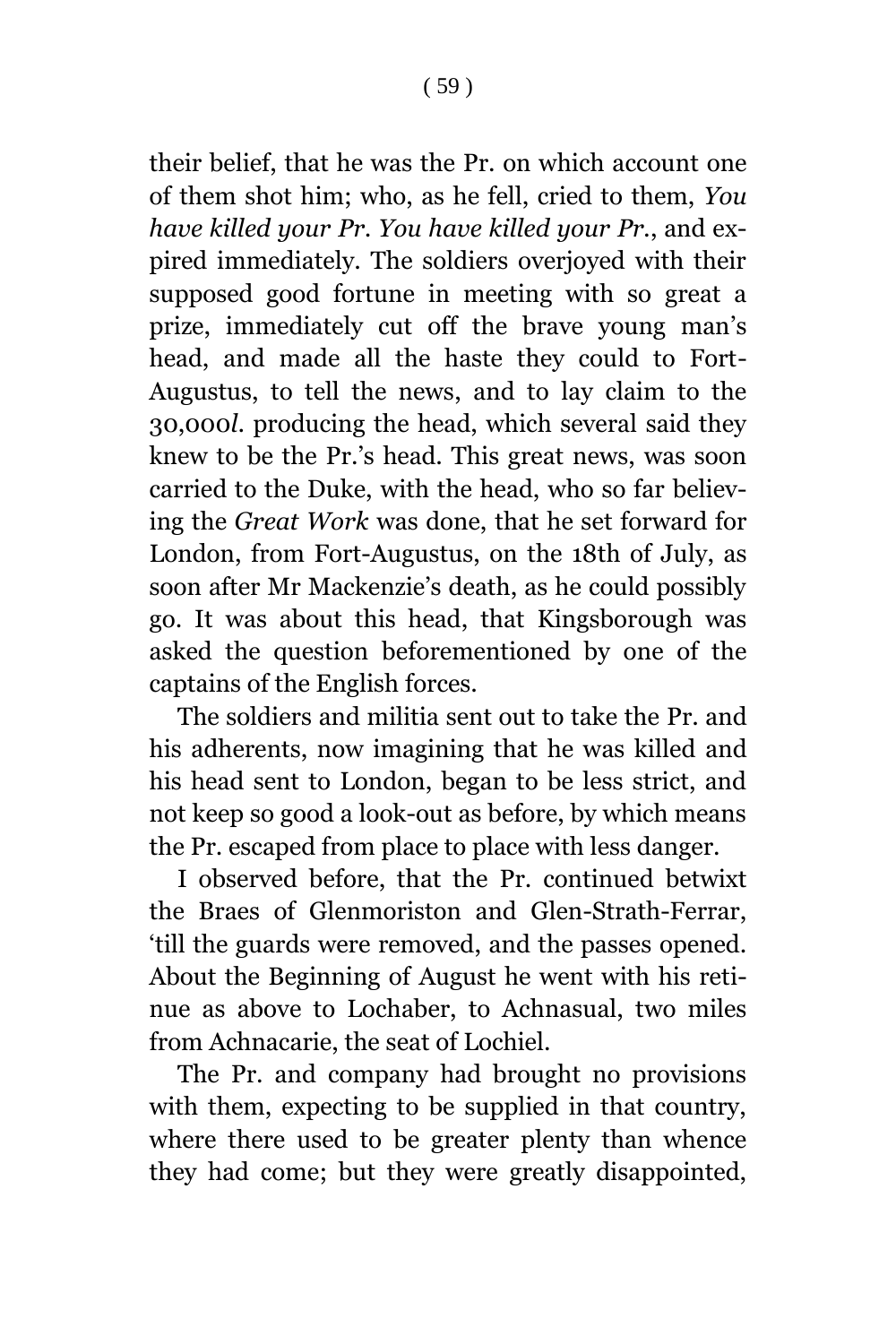their belief, that he was the Pr. on which account one of them shot him; who, as he fell, cried to them, *You have killed your Pr. You have killed your Pr.*, and expired immediately. The soldiers overjoyed with their supposed good fortune in meeting with so great a prize, immediately cut off the brave young man's head, and made all the haste they could to Fort-Augustus, to tell the news, and to lay claim to the 30,000*l*. producing the head, which several said they knew to be the Pr.'s head. This great news, was soon carried to the Duke, with the head, who so far believing the *Great Work* was done, that he set forward for London, from Fort-Augustus, on the 18th of July, as soon after Mr Mackenzie's death, as he could possibly go. It was about this head, that Kingsborough was asked the question beforementioned by one of the captains of the English forces.

The soldiers and militia sent out to take the Pr. and his adherents, now imagining that he was killed and his head sent to London, began to be less strict, and not keep so good a look-out as before, by which means the Pr. escaped from place to place with less danger.

I observed before, that the Pr. continued betwixt the Braes of Glenmoriston and Glen-Strath-Ferrar, 'till the guards were removed, and the passes opened. About the Beginning of August he went with his retinue as above to Lochaber, to Achnasual, two miles from Achnacarie, the seat of Lochiel.

The Pr. and company had brought no provisions with them, expecting to be supplied in that country, where there used to be greater plenty than whence they had come; but they were greatly disappointed,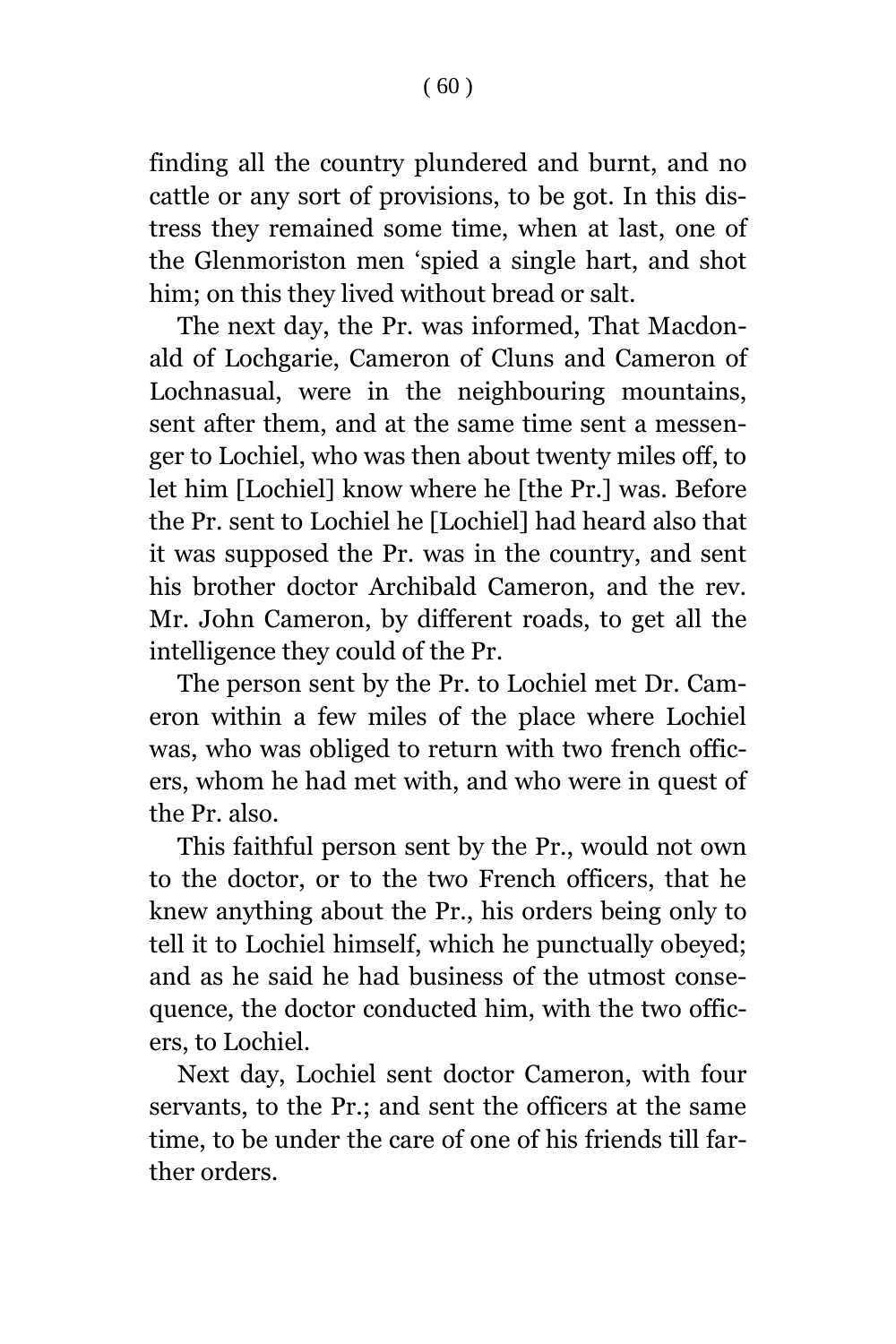finding all the country plundered and burnt, and no cattle or any sort of provisions, to be got. In this distress they remained some time, when at last, one of the Glenmoriston men 'spied a single hart, and shot him; on this they lived without bread or salt.

The next day, the Pr. was informed, That Macdonald of Lochgarie, Cameron of Cluns and Cameron of Lochnasual, were in the neighbouring mountains, sent after them, and at the same time sent a messenger to Lochiel, who was then about twenty miles off, to let him [Lochiel] know where he [the Pr.] was. Before the Pr. sent to Lochiel he [Lochiel] had heard also that it was supposed the Pr. was in the country, and sent his brother doctor Archibald Cameron, and the rev. Mr. John Cameron, by different roads, to get all the intelligence they could of the Pr.

The person sent by the Pr. to Lochiel met Dr. Cameron within a few miles of the place where Lochiel was, who was obliged to return with two french officers, whom he had met with, and who were in quest of the Pr. also.

This faithful person sent by the Pr., would not own to the doctor, or to the two French officers, that he knew anything about the Pr., his orders being only to tell it to Lochiel himself, which he punctually obeyed; and as he said he had business of the utmost consequence, the doctor conducted him, with the two officers, to Lochiel.

Next day, Lochiel sent doctor Cameron, with four servants, to the Pr.; and sent the officers at the same time, to be under the care of one of his friends till farther orders.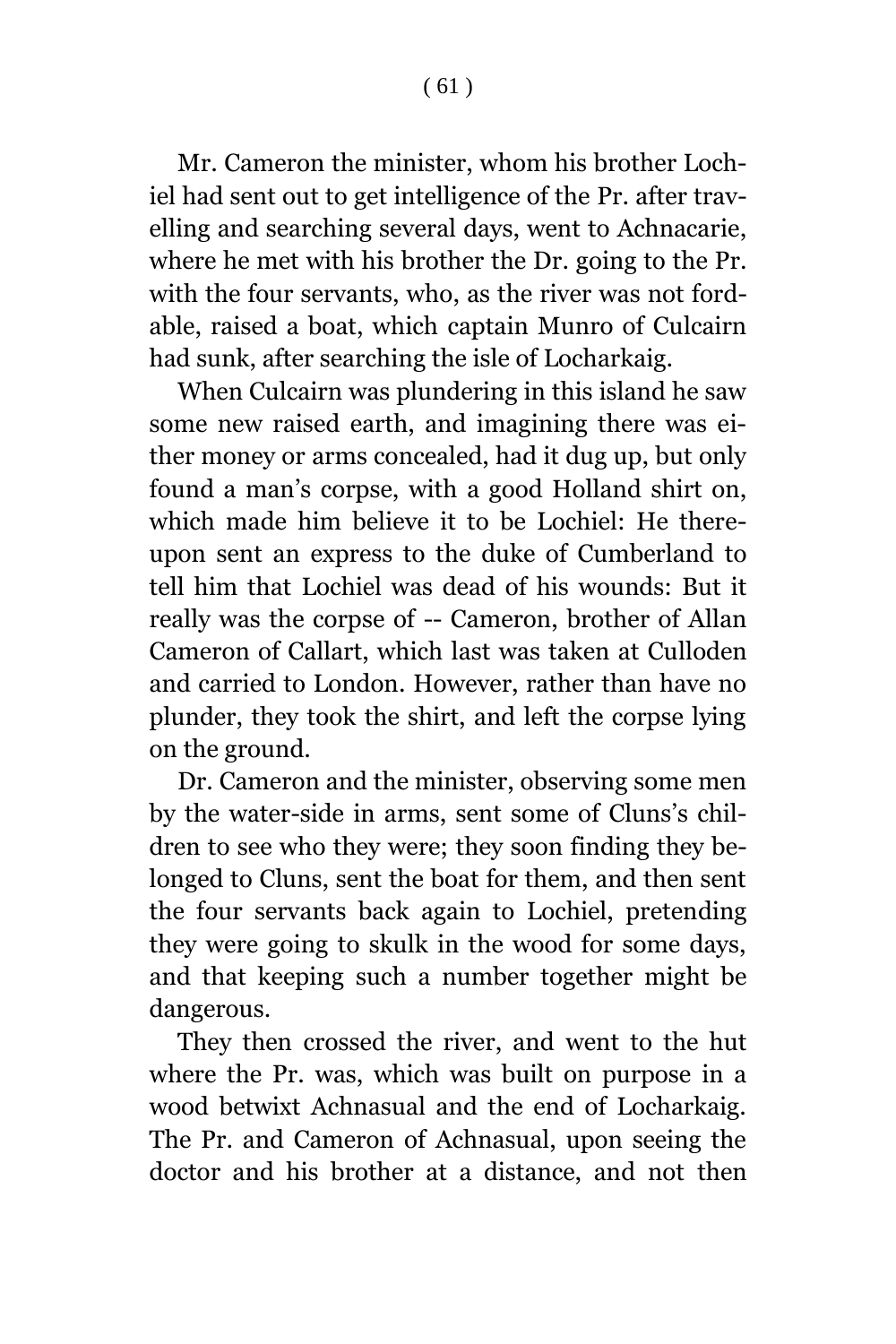Mr. Cameron the minister, whom his brother Lochiel had sent out to get intelligence of the Pr. after travelling and searching several days, went to Achnacarie, where he met with his brother the Dr. going to the Pr. with the four servants, who, as the river was not fordable, raised a boat, which captain Munro of Culcairn had sunk, after searching the isle of Locharkaig.

When Culcairn was plundering in this island he saw some new raised earth, and imagining there was either money or arms concealed, had it dug up, but only found a man's corpse, with a good Holland shirt on, which made him believe it to be Lochiel: He thereupon sent an express to the duke of Cumberland to tell him that Lochiel was dead of his wounds: But it really was the corpse of -- Cameron, brother of Allan Cameron of Callart, which last was taken at Culloden and carried to London. However, rather than have no plunder, they took the shirt, and left the corpse lying on the ground.

Dr. Cameron and the minister, observing some men by the water-side in arms, sent some of Cluns's children to see who they were; they soon finding they belonged to Cluns, sent the boat for them, and then sent the four servants back again to Lochiel, pretending they were going to skulk in the wood for some days, and that keeping such a number together might be dangerous.

They then crossed the river, and went to the hut where the Pr. was, which was built on purpose in a wood betwixt Achnasual and the end of Locharkaig. The Pr. and Cameron of Achnasual, upon seeing the doctor and his brother at a distance, and not then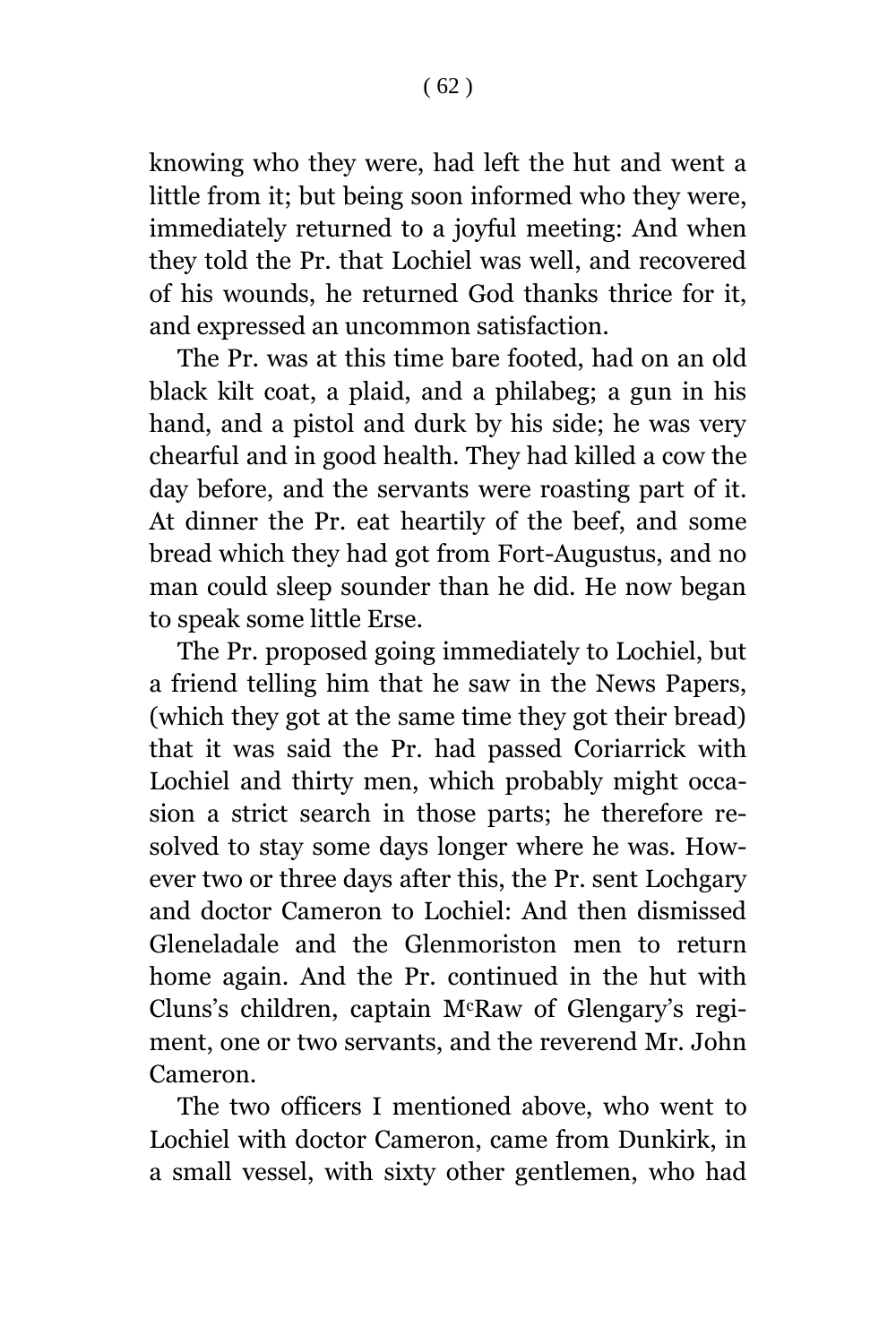knowing who they were, had left the hut and went a little from it; but being soon informed who they were, immediately returned to a joyful meeting: And when they told the Pr. that Lochiel was well, and recovered of his wounds, he returned God thanks thrice for it, and expressed an uncommon satisfaction.

The Pr. was at this time bare footed, had on an old black kilt coat, a plaid, and a philabeg; a gun in his hand, and a pistol and durk by his side; he was very chearful and in good health. They had killed a cow the day before, and the servants were roasting part of it. At dinner the Pr. eat heartily of the beef, and some bread which they had got from Fort-Augustus, and no man could sleep sounder than he did. He now began to speak some little Erse.

The Pr. proposed going immediately to Lochiel, but a friend telling him that he saw in the News Papers, (which they got at the same time they got their bread) that it was said the Pr. had passed Coriarrick with Lochiel and thirty men, which probably might occasion a strict search in those parts; he therefore resolved to stay some days longer where he was. However two or three days after this, the Pr. sent Lochgary and doctor Cameron to Lochiel: And then dismissed Gleneladale and the Glenmoriston men to return home again. And the Pr. continued in the hut with Cluns's children, captain McRaw of Glengary's regiment, one or two servants, and the reverend Mr. John Cameron.

The two officers I mentioned above, who went to Lochiel with doctor Cameron, came from Dunkirk, in a small vessel, with sixty other gentlemen, who had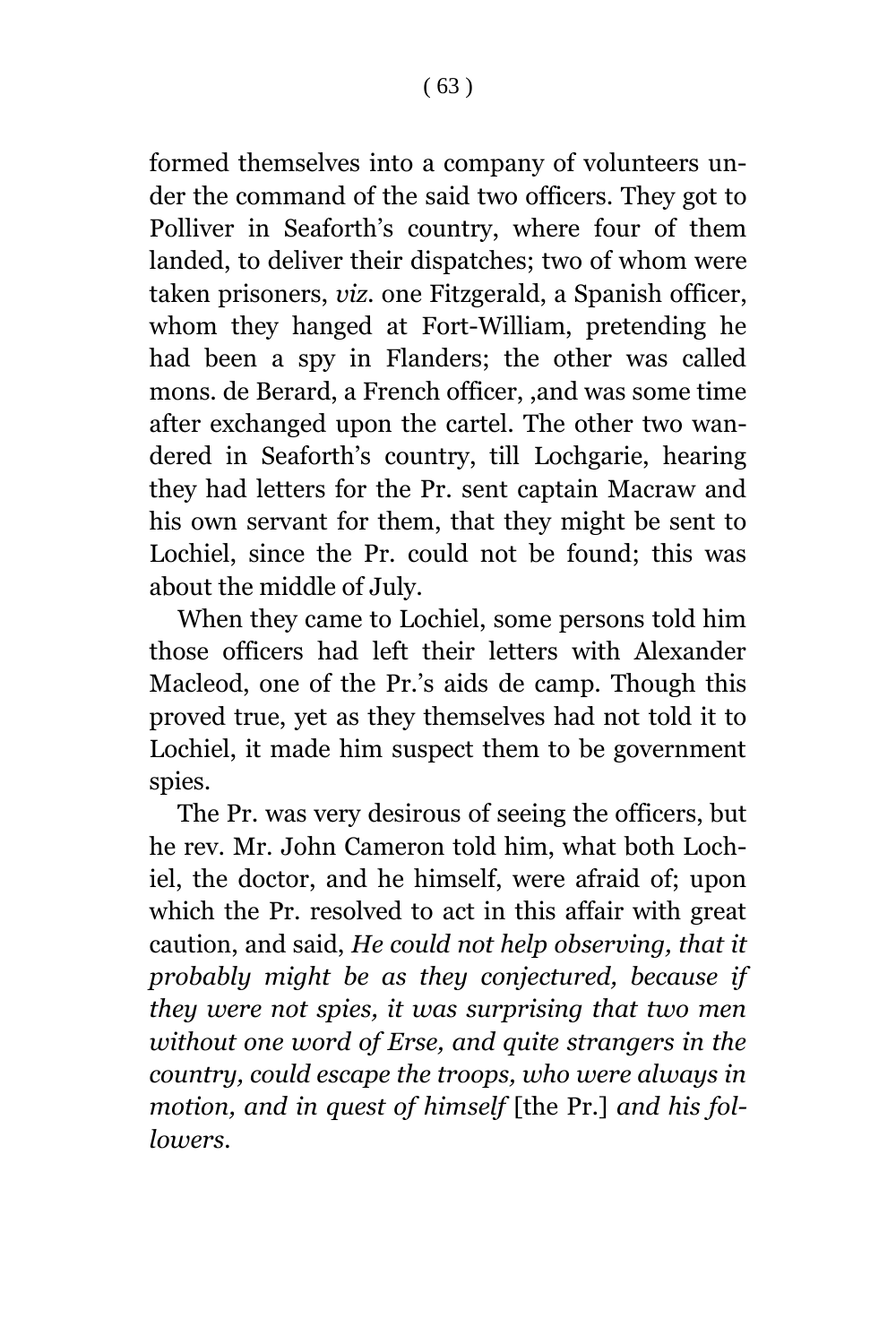formed themselves into a company of volunteers under the command of the said two officers. They got to Polliver in Seaforth's country, where four of them landed, to deliver their dispatches; two of whom were taken prisoners, *viz*. one Fitzgerald, a Spanish officer, whom they hanged at Fort-William, pretending he had been a spy in Flanders; the other was called mons. de Berard, a French officer, ,and was some time after exchanged upon the cartel. The other two wandered in Seaforth's country, till Lochgarie, hearing they had letters for the Pr. sent captain Macraw and his own servant for them, that they might be sent to Lochiel, since the Pr. could not be found; this was about the middle of July.

When they came to Lochiel, some persons told him those officers had left their letters with Alexander Macleod, one of the Pr.'s aids de camp. Though this proved true, yet as they themselves had not told it to Lochiel, it made him suspect them to be government spies.

The Pr. was very desirous of seeing the officers, but he rev. Mr. John Cameron told him, what both Lochiel, the doctor, and he himself, were afraid of; upon which the Pr. resolved to act in this affair with great caution, and said, *He could not help observing, that it probably might be as they conjectured, because if they were not spies, it was surprising that two men without one word of Erse, and quite strangers in the country, could escape the troops, who were always in motion, and in quest of himself* [the Pr.] *and his followers.*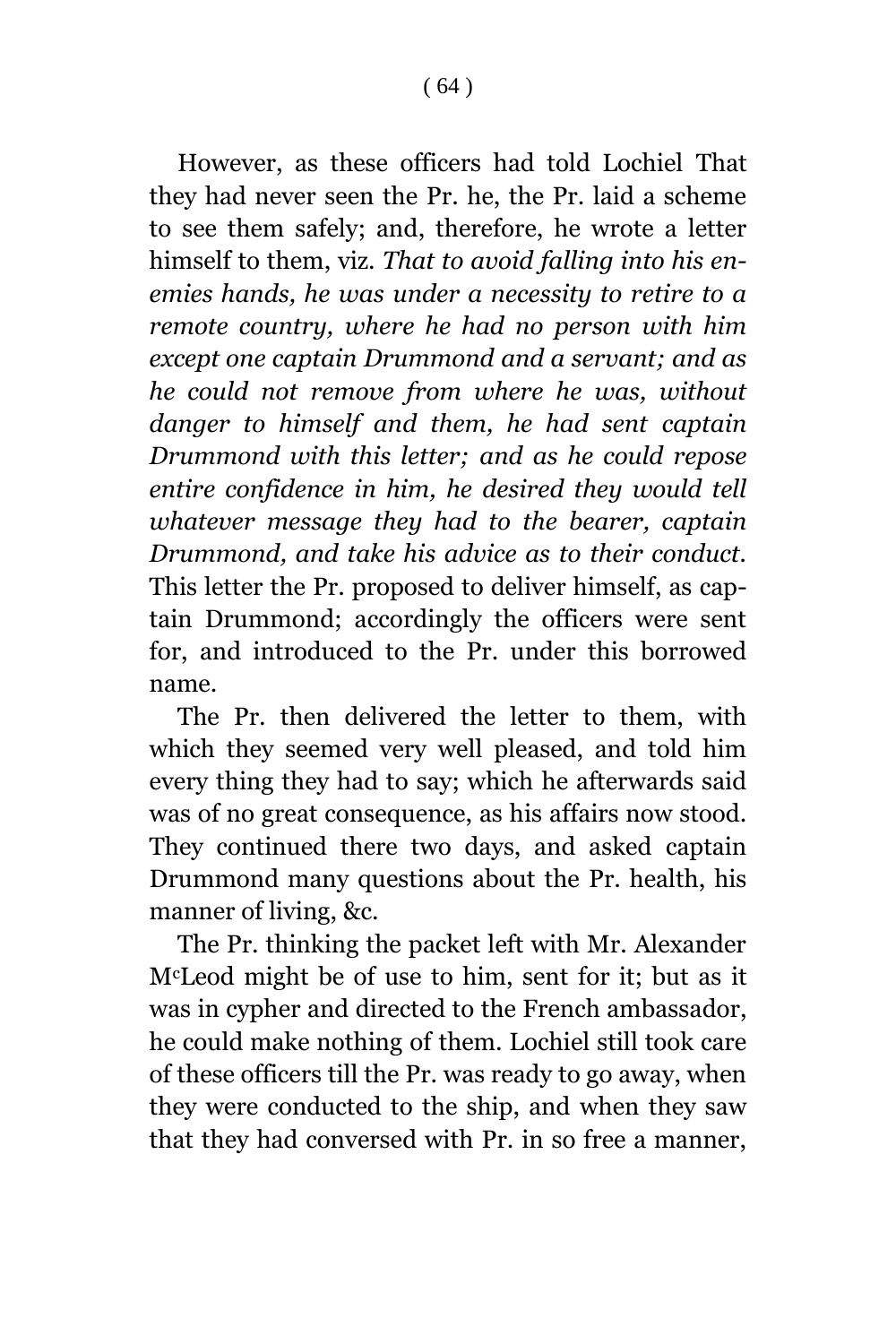However, as these officers had told Lochiel That they had never seen the Pr. he, the Pr. laid a scheme to see them safely; and, therefore, he wrote a letter himself to them, viz. *That to avoid falling into his enemies hands, he was under a necessity to retire to a remote country, where he had no person with him except one captain Drummond and a servant; and as he could not remove from where he was, without danger to himself and them, he had sent captain Drummond with this letter; and as he could repose entire confidence in him, he desired they would tell whatever message they had to the bearer, captain Drummond, and take his advice as to their conduct.* This letter the Pr. proposed to deliver himself, as captain Drummond; accordingly the officers were sent for, and introduced to the Pr. under this borrowed name.

The Pr. then delivered the letter to them, with which they seemed very well pleased, and told him every thing they had to say; which he afterwards said was of no great consequence, as his affairs now stood. They continued there two days, and asked captain Drummond many questions about the Pr. health, his manner of living, &c.

The Pr. thinking the packet left with Mr. Alexander McLeod might be of use to him, sent for it; but as it was in cypher and directed to the French ambassador, he could make nothing of them. Lochiel still took care of these officers till the Pr. was ready to go away, when they were conducted to the ship, and when they saw that they had conversed with Pr. in so free a manner,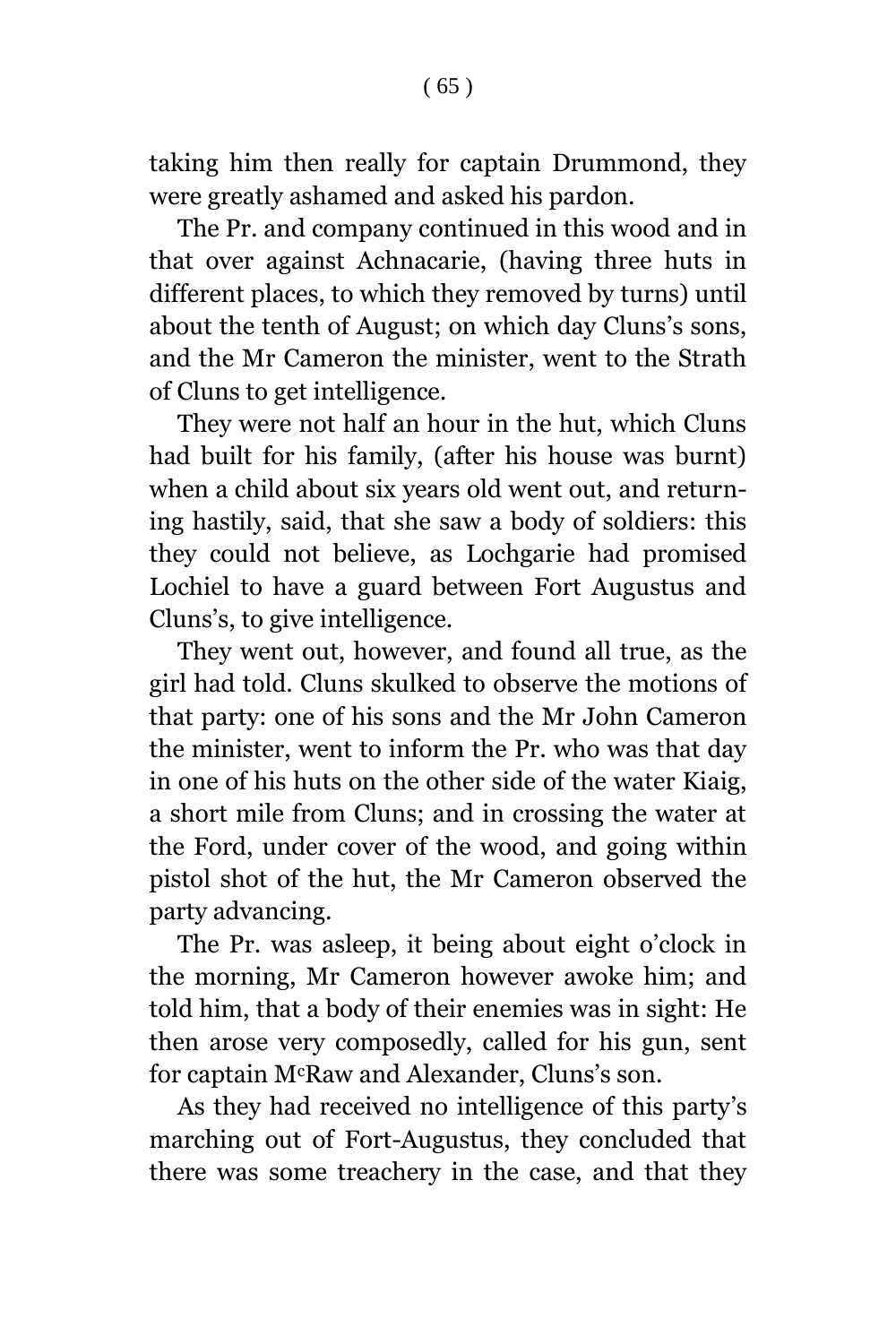taking him then really for captain Drummond, they were greatly ashamed and asked his pardon.

The Pr. and company continued in this wood and in that over against Achnacarie, (having three huts in different places, to which they removed by turns) until about the tenth of August; on which day Cluns's sons, and the Mr Cameron the minister, went to the Strath of Cluns to get intelligence.

They were not half an hour in the hut, which Cluns had built for his family, (after his house was burnt) when a child about six years old went out, and returning hastily, said, that she saw a body of soldiers: this they could not believe, as Lochgarie had promised Lochiel to have a guard between Fort Augustus and Cluns's, to give intelligence.

They went out, however, and found all true, as the girl had told. Cluns skulked to observe the motions of that party: one of his sons and the Mr John Cameron the minister, went to inform the Pr. who was that day in one of his huts on the other side of the water Kiaig, a short mile from Cluns; and in crossing the water at the Ford, under cover of the wood, and going within pistol shot of the hut, the Mr Cameron observed the party advancing.

The Pr. was asleep, it being about eight o'clock in the morning, Mr Cameron however awoke him; and told him, that a body of their enemies was in sight: He then arose very composedly, called for his gun, sent for captain McRaw and Alexander, Cluns's son.

As they had received no intelligence of this party's marching out of Fort-Augustus, they concluded that there was some treachery in the case, and that they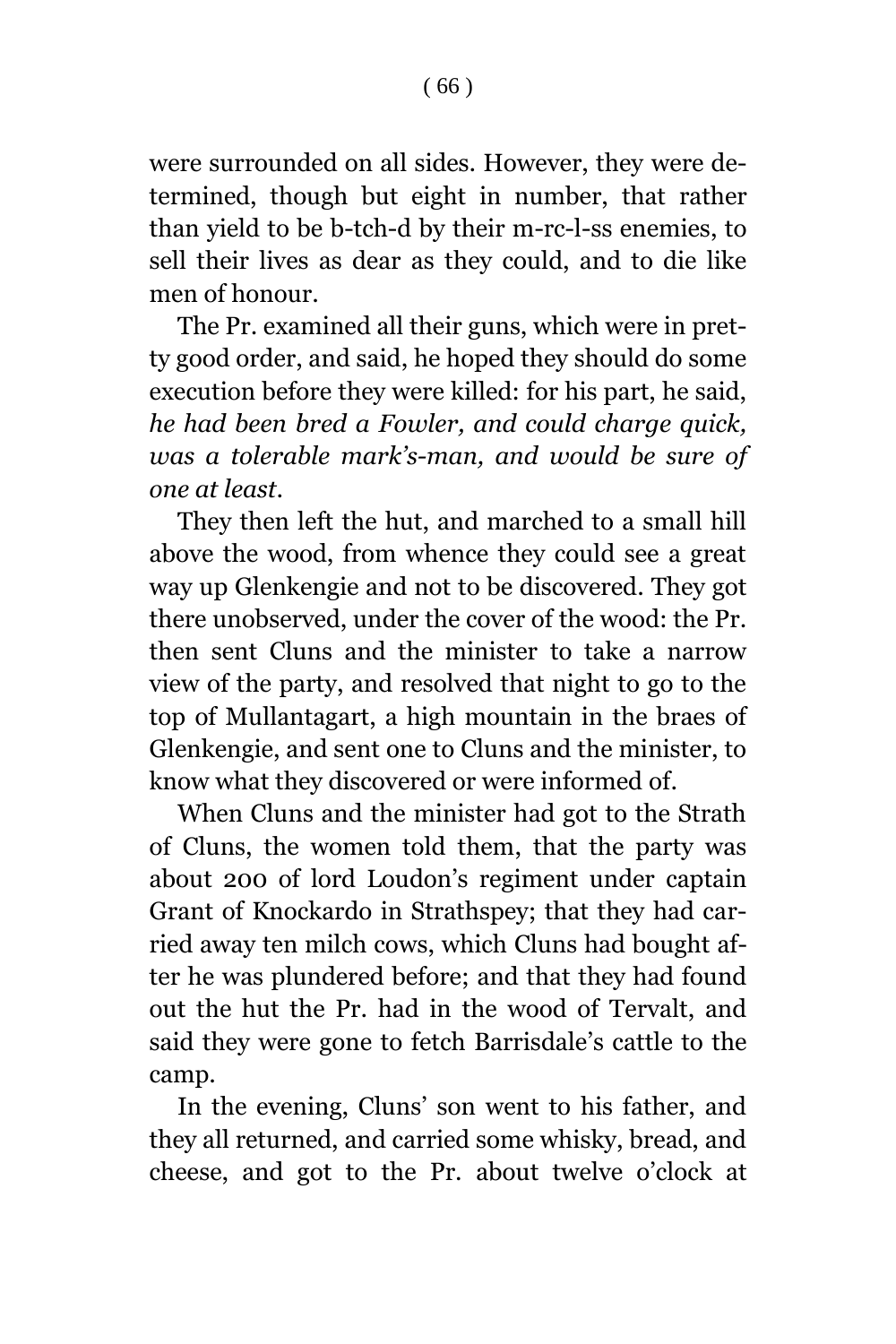were surrounded on all sides. However, they were determined, though but eight in number, that rather than yield to be b-tch-d by their m-rc-l-ss enemies, to sell their lives as dear as they could, and to die like men of honour.

The Pr. examined all their guns, which were in pretty good order, and said, he hoped they should do some execution before they were killed: for his part, he said, *he had been bred a Fowler, and could charge quick, was a tolerable mark's-man, and would be sure of one at least*.

They then left the hut, and marched to a small hill above the wood, from whence they could see a great way up Glenkengie and not to be discovered. They got there unobserved, under the cover of the wood: the Pr. then sent Cluns and the minister to take a narrow view of the party, and resolved that night to go to the top of Mullantagart, a high mountain in the braes of Glenkengie, and sent one to Cluns and the minister, to know what they discovered or were informed of.

When Cluns and the minister had got to the Strath of Cluns, the women told them, that the party was about 200 of lord Loudon's regiment under captain Grant of Knockardo in Strathspey; that they had carried away ten milch cows, which Cluns had bought after he was plundered before; and that they had found out the hut the Pr. had in the wood of Tervalt, and said they were gone to fetch Barrisdale's cattle to the camp.

In the evening, Cluns' son went to his father, and they all returned, and carried some whisky, bread, and cheese, and got to the Pr. about twelve o'clock at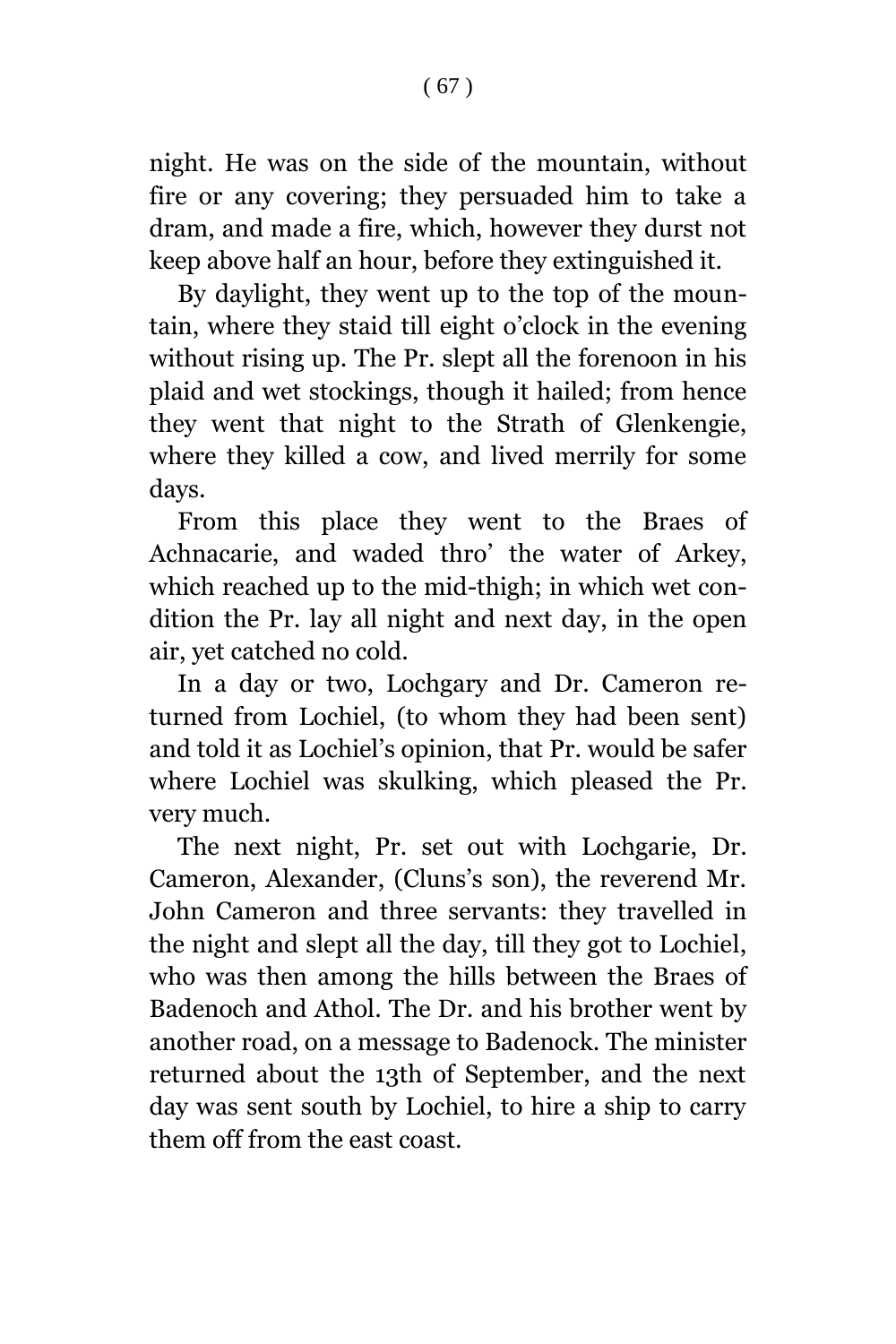night. He was on the side of the mountain, without fire or any covering; they persuaded him to take a dram, and made a fire, which, however they durst not keep above half an hour, before they extinguished it.

By daylight, they went up to the top of the mountain, where they staid till eight o'clock in the evening without rising up. The Pr. slept all the forenoon in his plaid and wet stockings, though it hailed; from hence they went that night to the Strath of Glenkengie, where they killed a cow, and lived merrily for some days.

From this place they went to the Braes of Achnacarie, and waded thro' the water of Arkey, which reached up to the mid-thigh; in which wet condition the Pr. lay all night and next day, in the open air, yet catched no cold.

In a day or two, Lochgary and Dr. Cameron returned from Lochiel, (to whom they had been sent) and told it as Lochiel's opinion, that Pr. would be safer where Lochiel was skulking, which pleased the Pr. very much.

The next night, Pr. set out with Lochgarie, Dr. Cameron, Alexander, (Cluns's son), the reverend Mr. John Cameron and three servants: they travelled in the night and slept all the day, till they got to Lochiel, who was then among the hills between the Braes of Badenoch and Athol. The Dr. and his brother went by another road, on a message to Badenock. The minister returned about the 13th of September, and the next day was sent south by Lochiel, to hire a ship to carry them off from the east coast.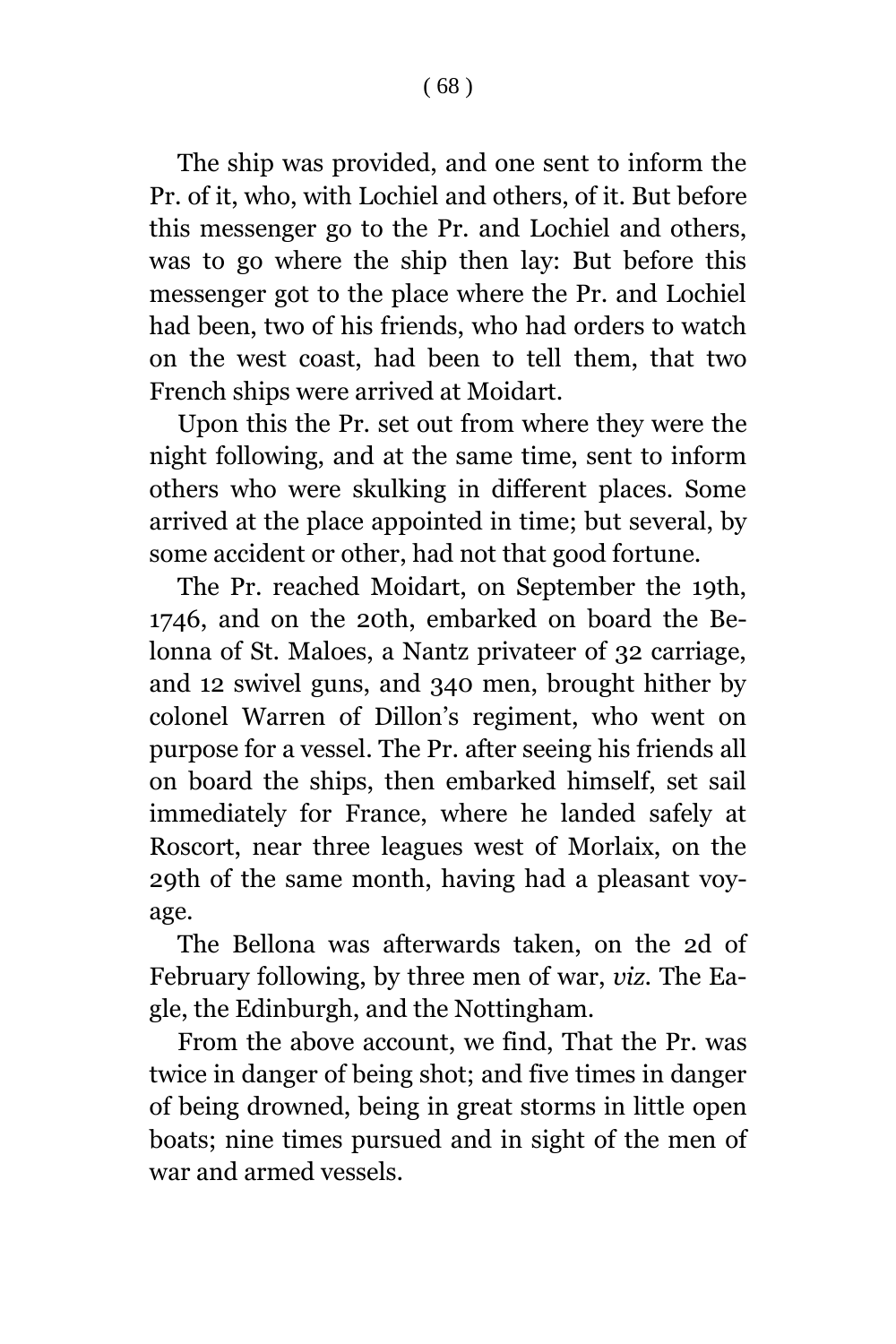The ship was provided, and one sent to inform the Pr. of it, who, with Lochiel and others, of it. But before this messenger go to the Pr. and Lochiel and others, was to go where the ship then lay: But before this messenger got to the place where the Pr. and Lochiel had been, two of his friends, who had orders to watch on the west coast, had been to tell them, that two French ships were arrived at Moidart.

Upon this the Pr. set out from where they were the night following, and at the same time, sent to inform others who were skulking in different places. Some arrived at the place appointed in time; but several, by some accident or other, had not that good fortune.

The Pr. reached Moidart, on September the 19th, 1746, and on the 20th, embarked on board the Belonna of St. Maloes, a Nantz privateer of 32 carriage, and 12 swivel guns, and 340 men, brought hither by colonel Warren of Dillon's regiment, who went on purpose for a vessel. The Pr. after seeing his friends all on board the ships, then embarked himself, set sail immediately for France, where he landed safely at Roscort, near three leagues west of Morlaix, on the 29th of the same month, having had a pleasant voyage.

The Bellona was afterwards taken, on the 2d of February following, by three men of war, *viz*. The Eagle, the Edinburgh, and the Nottingham.

From the above account, we find, That the Pr. was twice in danger of being shot; and five times in danger of being drowned, being in great storms in little open boats; nine times pursued and in sight of the men of war and armed vessels.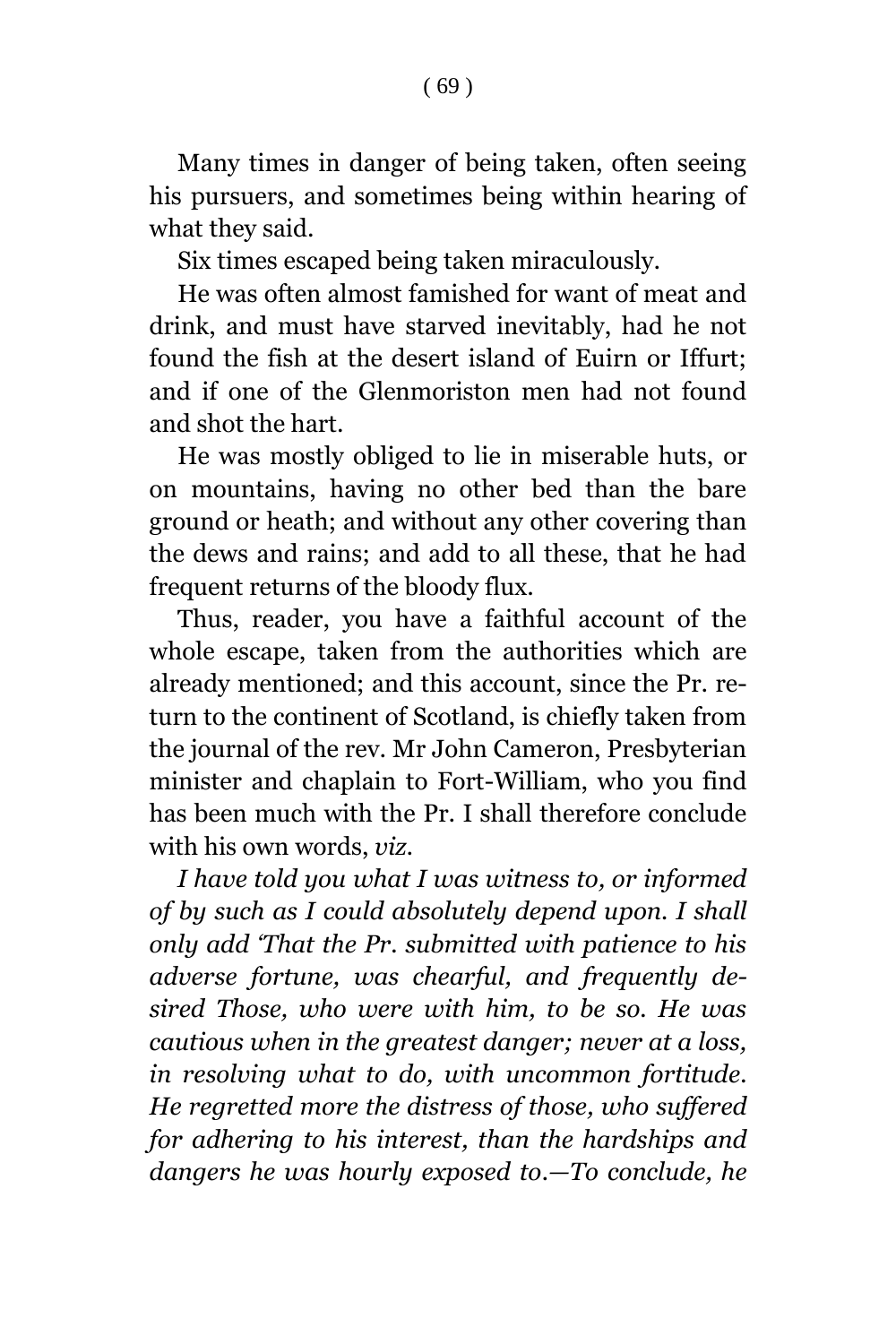Many times in danger of being taken, often seeing his pursuers, and sometimes being within hearing of what they said.

Six times escaped being taken miraculously.

He was often almost famished for want of meat and drink, and must have starved inevitably, had he not found the fish at the desert island of Euirn or Iffurt; and if one of the Glenmoriston men had not found and shot the hart.

He was mostly obliged to lie in miserable huts, or on mountains, having no other bed than the bare ground or heath; and without any other covering than the dews and rains; and add to all these, that he had frequent returns of the bloody flux.

Thus, reader, you have a faithful account of the whole escape, taken from the authorities which are already mentioned; and this account, since the Pr. return to the continent of Scotland, is chiefly taken from the journal of the rev. Mr John Cameron, Presbyterian minister and chaplain to Fort-William, who you find has been much with the Pr. I shall therefore conclude with his own words, *viz*.

*I have told you what I was witness to, or informed of by such as I could absolutely depend upon. I shall only add 'That the Pr. submitted with patience to his adverse fortune, was chearful, and frequently desired Those, who were with him, to be so. He was cautious when in the greatest danger; never at a loss, in resolving what to do, with uncommon fortitude. He regretted more the distress of those, who suffered for adhering to his interest, than the hardships and dangers he was hourly exposed to.—To conclude, he*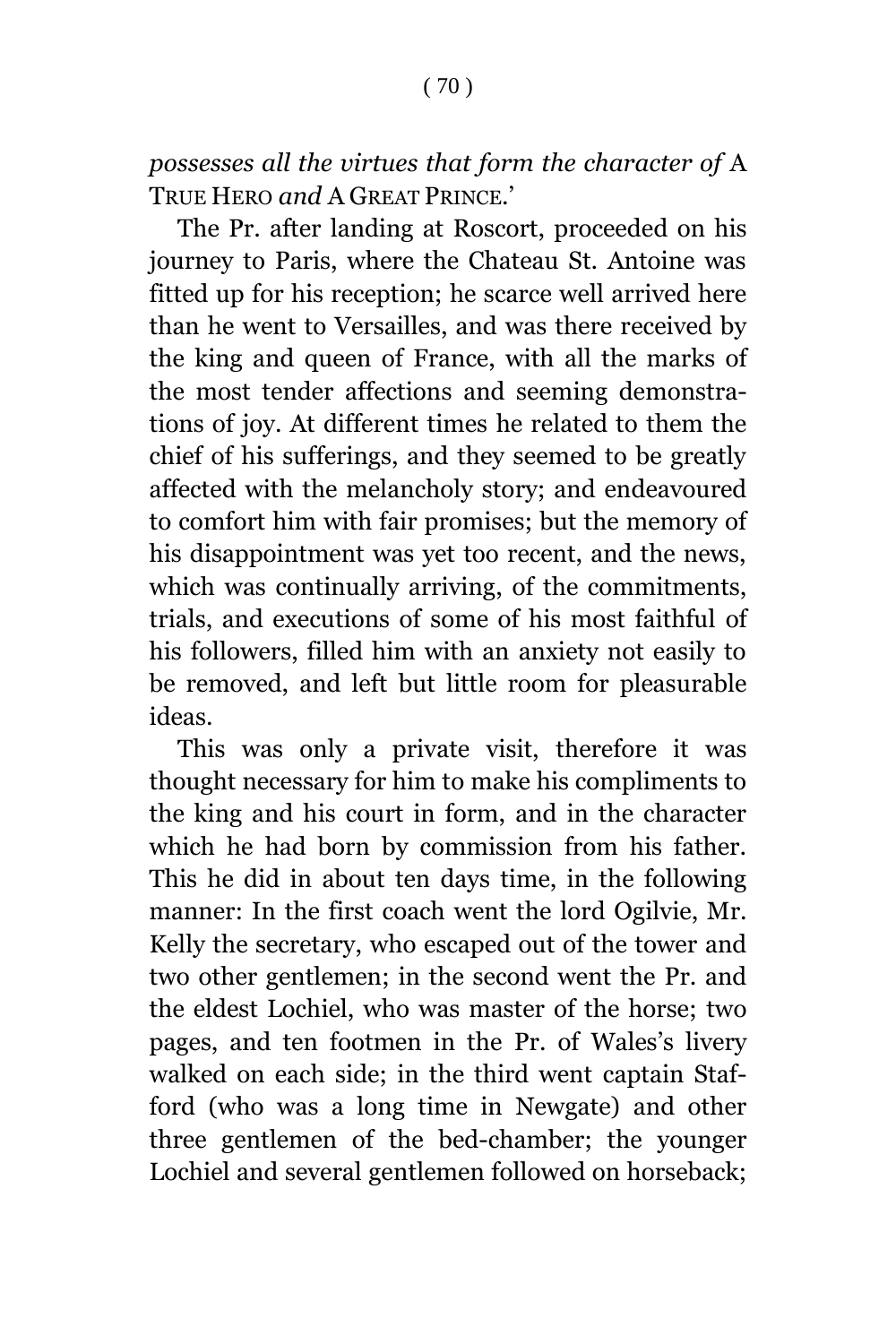*possesses all the virtues that form the character of* A TRUE HERO *and* A GREAT PRINCE.'

The Pr. after landing at Roscort, proceeded on his journey to Paris, where the Chateau St. Antoine was fitted up for his reception; he scarce well arrived here than he went to Versailles, and was there received by the king and queen of France, with all the marks of the most tender affections and seeming demonstrations of joy. At different times he related to them the chief of his sufferings, and they seemed to be greatly affected with the melancholy story; and endeavoured to comfort him with fair promises; but the memory of his disappointment was yet too recent, and the news, which was continually arriving, of the commitments, trials, and executions of some of his most faithful of his followers, filled him with an anxiety not easily to be removed, and left but little room for pleasurable ideas.

This was only a private visit, therefore it was thought necessary for him to make his compliments to the king and his court in form, and in the character which he had born by commission from his father. This he did in about ten days time, in the following manner: In the first coach went the lord Ogilvie, Mr. Kelly the secretary, who escaped out of the tower and two other gentlemen; in the second went the Pr. and the eldest Lochiel, who was master of the horse; two pages, and ten footmen in the Pr. of Wales's livery walked on each side; in the third went captain Stafford (who was a long time in Newgate) and other three gentlemen of the bed-chamber; the younger Lochiel and several gentlemen followed on horseback;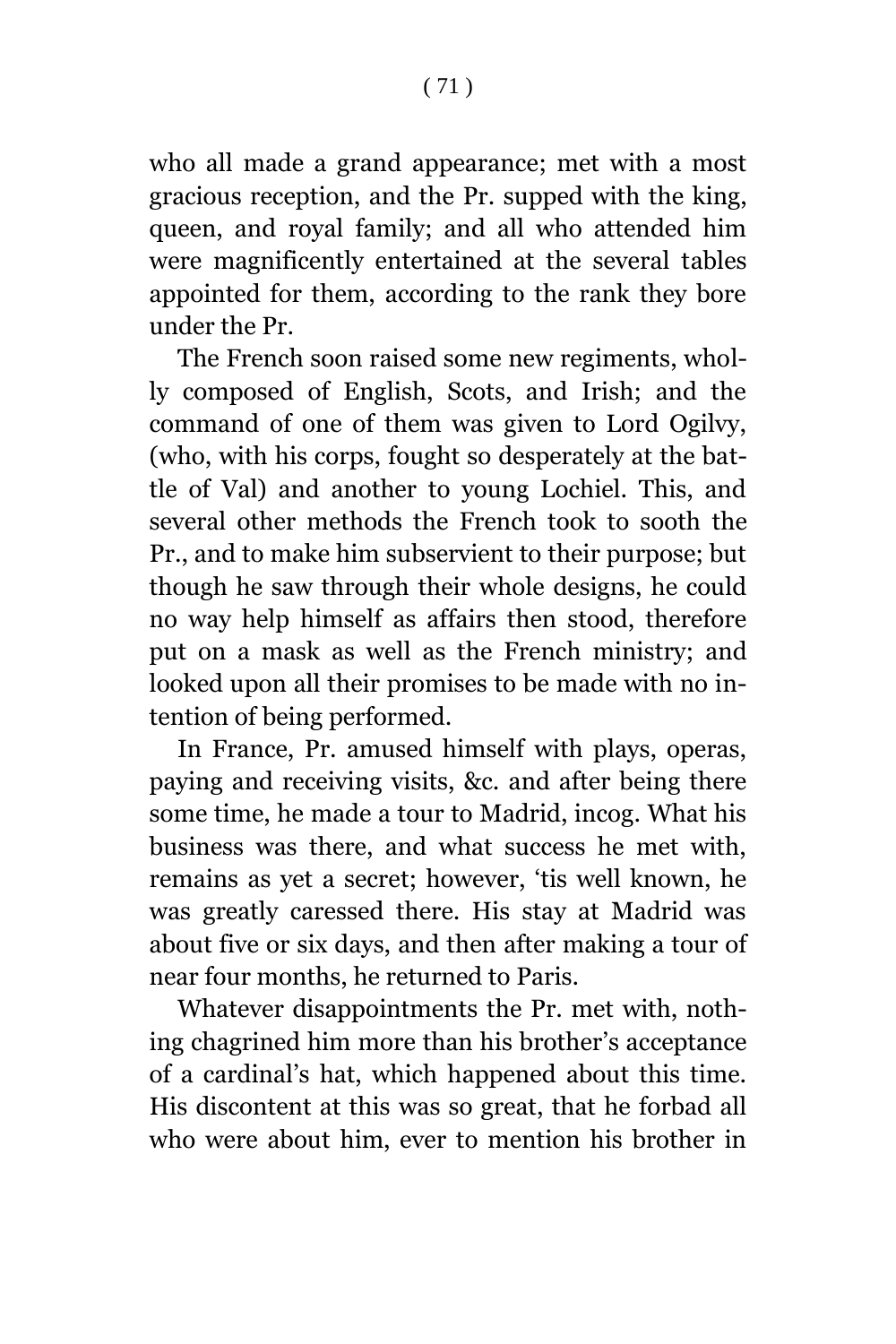who all made a grand appearance; met with a most gracious reception, and the Pr. supped with the king, queen, and royal family; and all who attended him were magnificently entertained at the several tables appointed for them, according to the rank they bore under the Pr.

The French soon raised some new regiments, wholly composed of English, Scots, and Irish; and the command of one of them was given to Lord Ogilvy, (who, with his corps, fought so desperately at the battle of Val) and another to young Lochiel. This, and several other methods the French took to sooth the Pr., and to make him subservient to their purpose; but though he saw through their whole designs, he could no way help himself as affairs then stood, therefore put on a mask as well as the French ministry; and looked upon all their promises to be made with no intention of being performed.

In France, Pr. amused himself with plays, operas, paying and receiving visits, &c. and after being there some time, he made a tour to Madrid, incog. What his business was there, and what success he met with, remains as yet a secret; however, 'tis well known, he was greatly caressed there. His stay at Madrid was about five or six days, and then after making a tour of near four months, he returned to Paris.

Whatever disappointments the Pr. met with, nothing chagrined him more than his brother's acceptance of a cardinal's hat, which happened about this time. His discontent at this was so great, that he forbad all who were about him, ever to mention his brother in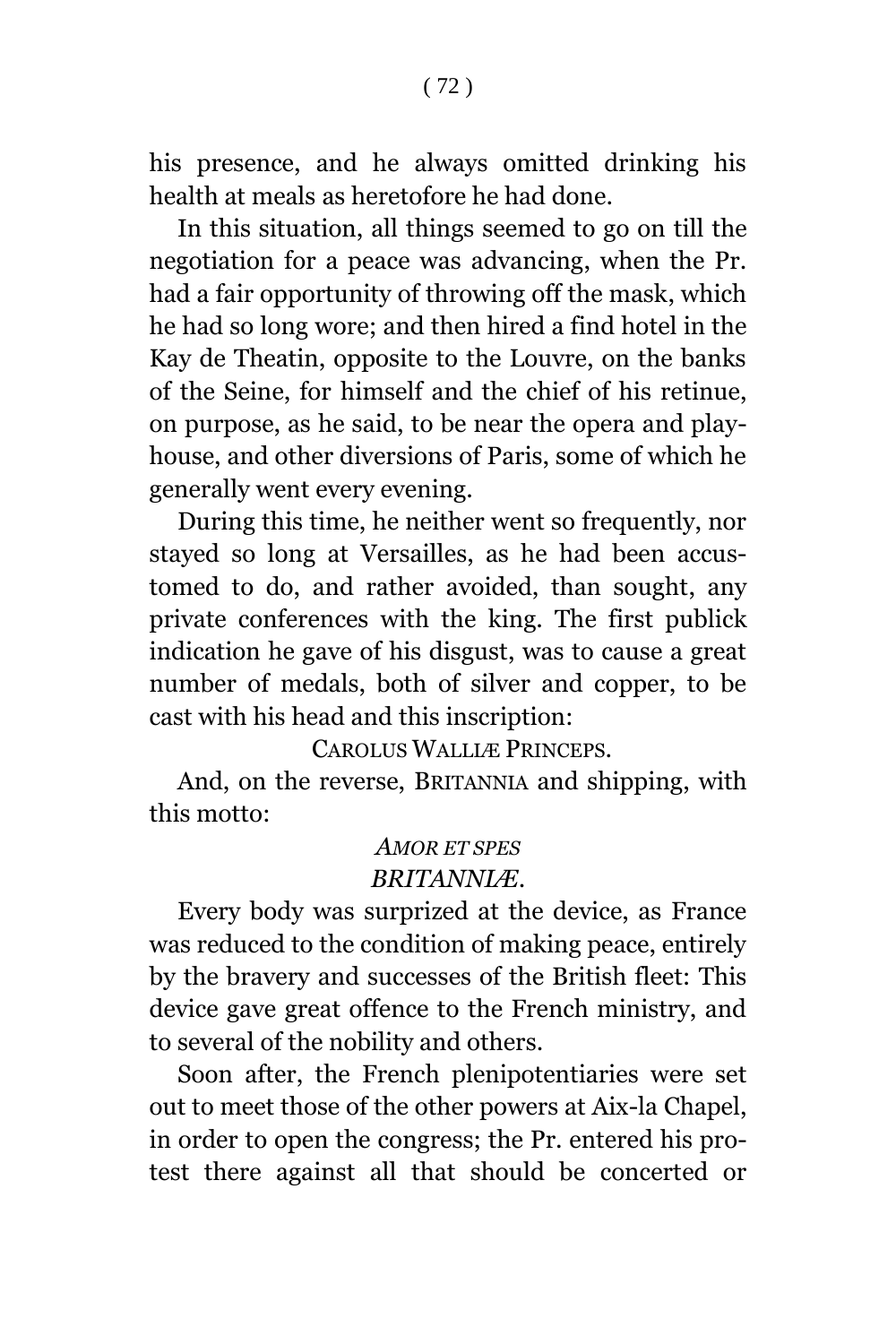his presence, and he always omitted drinking his health at meals as heretofore he had done.

In this situation, all things seemed to go on till the negotiation for a peace was advancing, when the Pr. had a fair opportunity of throwing off the mask, which he had so long wore; and then hired a find hotel in the Kay de Theatin, opposite to the Louvre, on the banks of the Seine, for himself and the chief of his retinue, on purpose, as he said, to be near the opera and playhouse, and other diversions of Paris, some of which he generally went every evening.

During this time, he neither went so frequently, nor stayed so long at Versailles, as he had been accustomed to do, and rather avoided, than sought, any private conferences with the king. The first publick indication he gave of his disgust, was to cause a great number of medals, both of silver and copper, to be cast with his head and this inscription:

CAROLUS WALLIÆ PRINCEPS.

And, on the reverse, BRITANNIA and shipping, with this motto:

## *AMOR ET SPES BRITANNIÆ*.

Every body was surprized at the device, as France was reduced to the condition of making peace, entirely by the bravery and successes of the British fleet: This device gave great offence to the French ministry, and to several of the nobility and others.

Soon after, the French plenipotentiaries were set out to meet those of the other powers at Aix-la Chapel, in order to open the congress; the Pr. entered his protest there against all that should be concerted or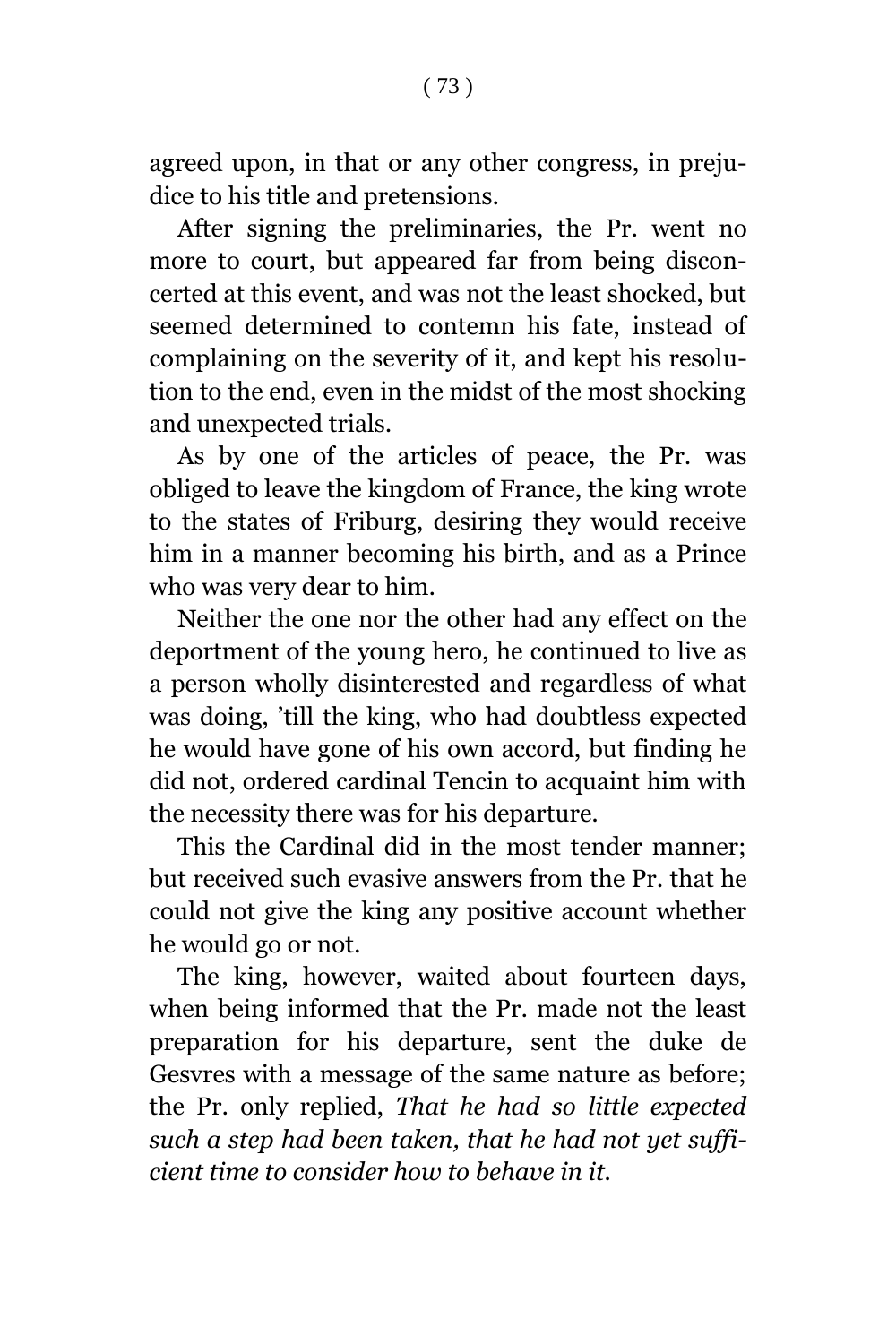agreed upon, in that or any other congress, in prejudice to his title and pretensions.

After signing the preliminaries, the Pr. went no more to court, but appeared far from being disconcerted at this event, and was not the least shocked, but seemed determined to contemn his fate, instead of complaining on the severity of it, and kept his resolution to the end, even in the midst of the most shocking and unexpected trials.

As by one of the articles of peace, the Pr. was obliged to leave the kingdom of France, the king wrote to the states of Friburg, desiring they would receive him in a manner becoming his birth, and as a Prince who was very dear to him.

Neither the one nor the other had any effect on the deportment of the young hero, he continued to live as a person wholly disinterested and regardless of what was doing, 'till the king, who had doubtless expected he would have gone of his own accord, but finding he did not, ordered cardinal Tencin to acquaint him with the necessity there was for his departure.

This the Cardinal did in the most tender manner; but received such evasive answers from the Pr. that he could not give the king any positive account whether he would go or not.

The king, however, waited about fourteen days, when being informed that the Pr. made not the least preparation for his departure, sent the duke de Gesvres with a message of the same nature as before; the Pr. only replied, *That he had so little expected such a step had been taken, that he had not yet sufficient time to consider how to behave in it.*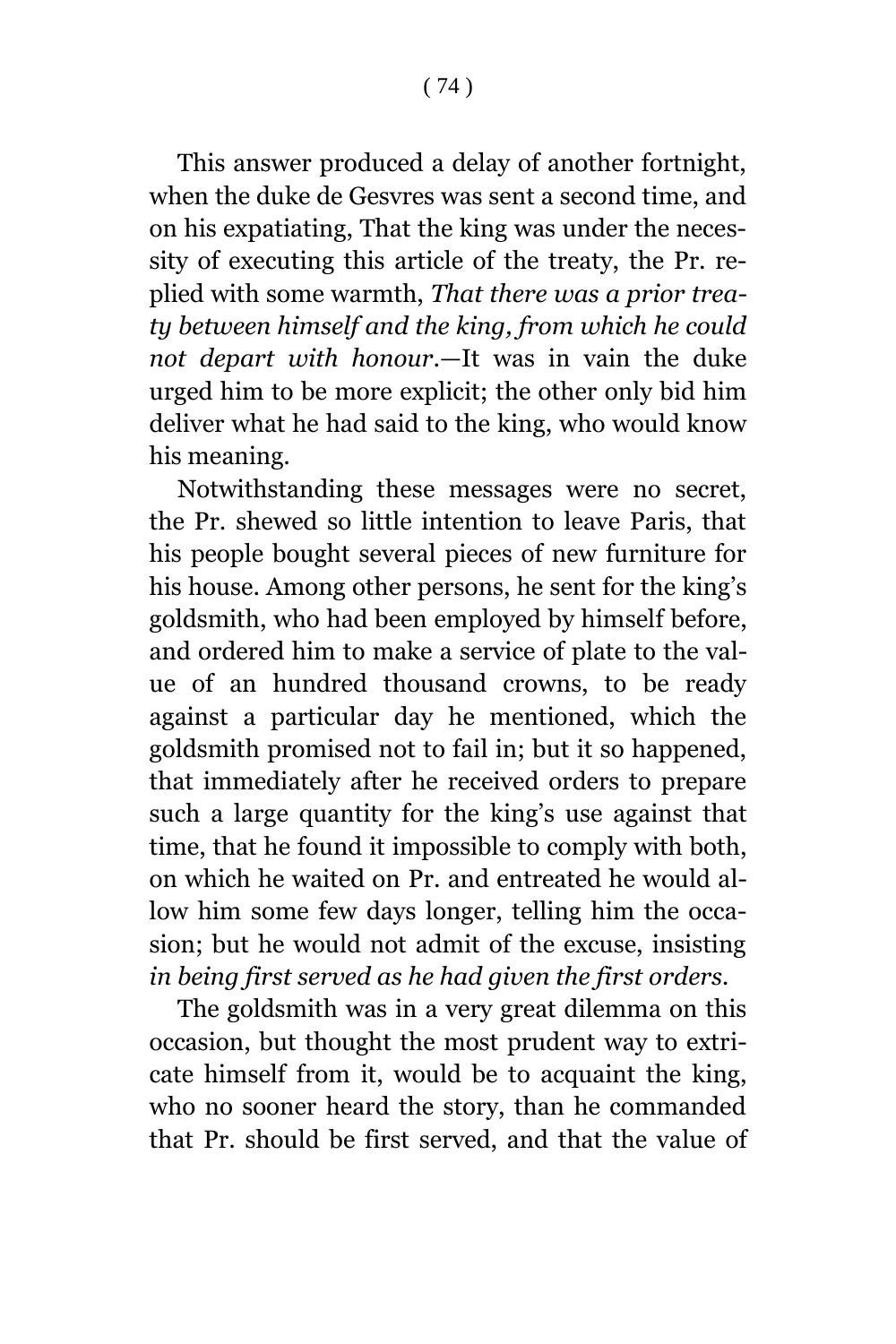This answer produced a delay of another fortnight, when the duke de Gesvres was sent a second time, and on his expatiating, That the king was under the necessity of executing this article of the treaty, the Pr. replied with some warmth, *That there was a prior treaty between himself and the king, from which he could not depart with honour*.—It was in vain the duke urged him to be more explicit; the other only bid him deliver what he had said to the king, who would know his meaning.

Notwithstanding these messages were no secret, the Pr. shewed so little intention to leave Paris, that his people bought several pieces of new furniture for his house. Among other persons, he sent for the king's goldsmith, who had been employed by himself before, and ordered him to make a service of plate to the value of an hundred thousand crowns, to be ready against a particular day he mentioned, which the goldsmith promised not to fail in; but it so happened, that immediately after he received orders to prepare such a large quantity for the king's use against that time, that he found it impossible to comply with both, on which he waited on Pr. and entreated he would allow him some few days longer, telling him the occasion; but he would not admit of the excuse, insisting *in being first served as he had given the first orders.*

The goldsmith was in a very great dilemma on this occasion, but thought the most prudent way to extricate himself from it, would be to acquaint the king, who no sooner heard the story, than he commanded that Pr. should be first served, and that the value of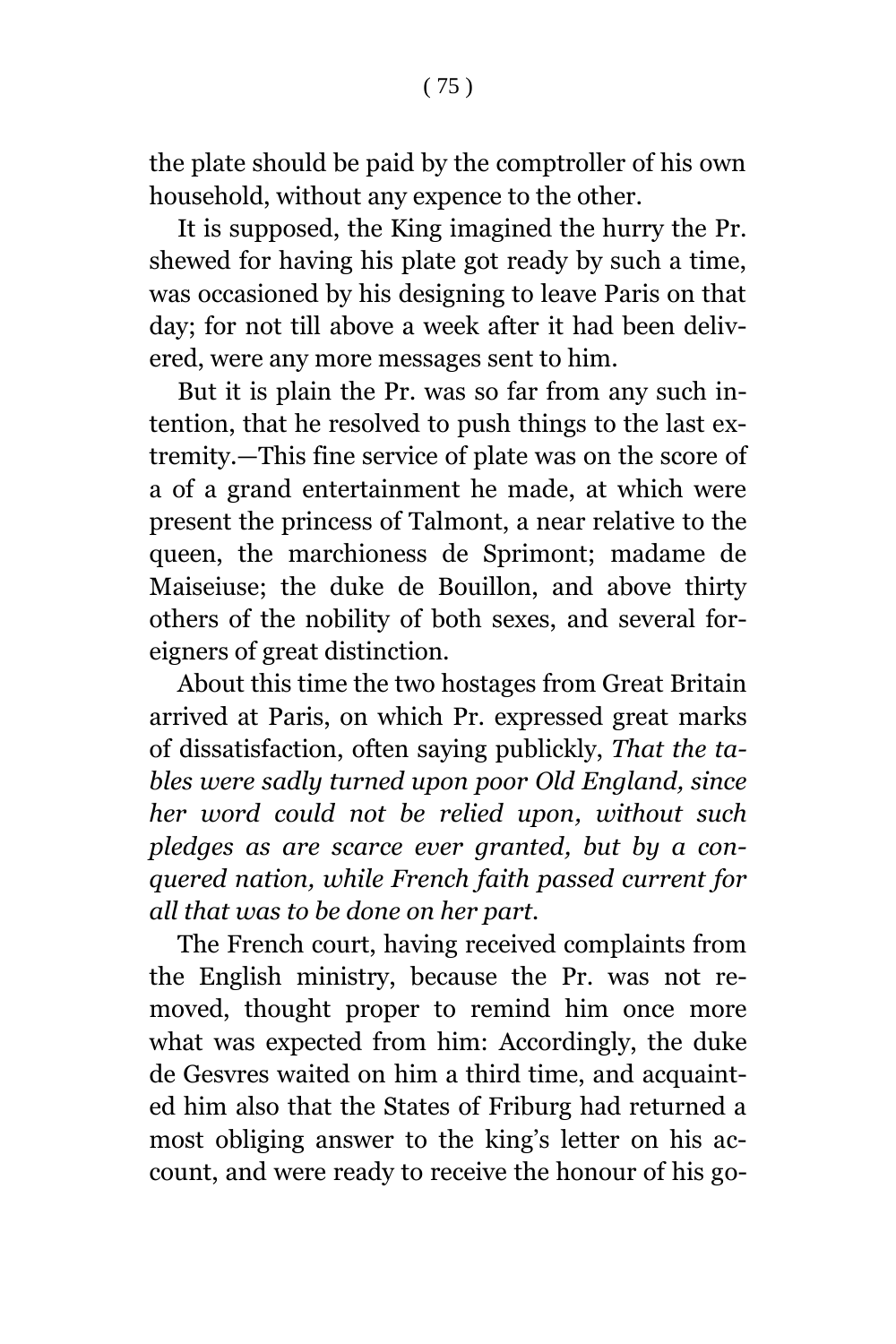the plate should be paid by the comptroller of his own household, without any expence to the other.

It is supposed, the King imagined the hurry the Pr. shewed for having his plate got ready by such a time, was occasioned by his designing to leave Paris on that day; for not till above a week after it had been delivered, were any more messages sent to him.

But it is plain the Pr. was so far from any such intention, that he resolved to push things to the last extremity.—This fine service of plate was on the score of a of a grand entertainment he made, at which were present the princess of Talmont, a near relative to the queen, the marchioness de Sprimont; madame de Maiseiuse; the duke de Bouillon, and above thirty others of the nobility of both sexes, and several foreigners of great distinction.

About this time the two hostages from Great Britain arrived at Paris, on which Pr. expressed great marks of dissatisfaction, often saying publickly, *That the tables were sadly turned upon poor Old England, since her word could not be relied upon, without such pledges as are scarce ever granted, but by a conquered nation, while French faith passed current for all that was to be done on her part.*

The French court, having received complaints from the English ministry, because the Pr. was not removed, thought proper to remind him once more what was expected from him: Accordingly, the duke de Gesvres waited on him a third time, and acquainted him also that the States of Friburg had returned a most obliging answer to the king's letter on his account, and were ready to receive the honour of his go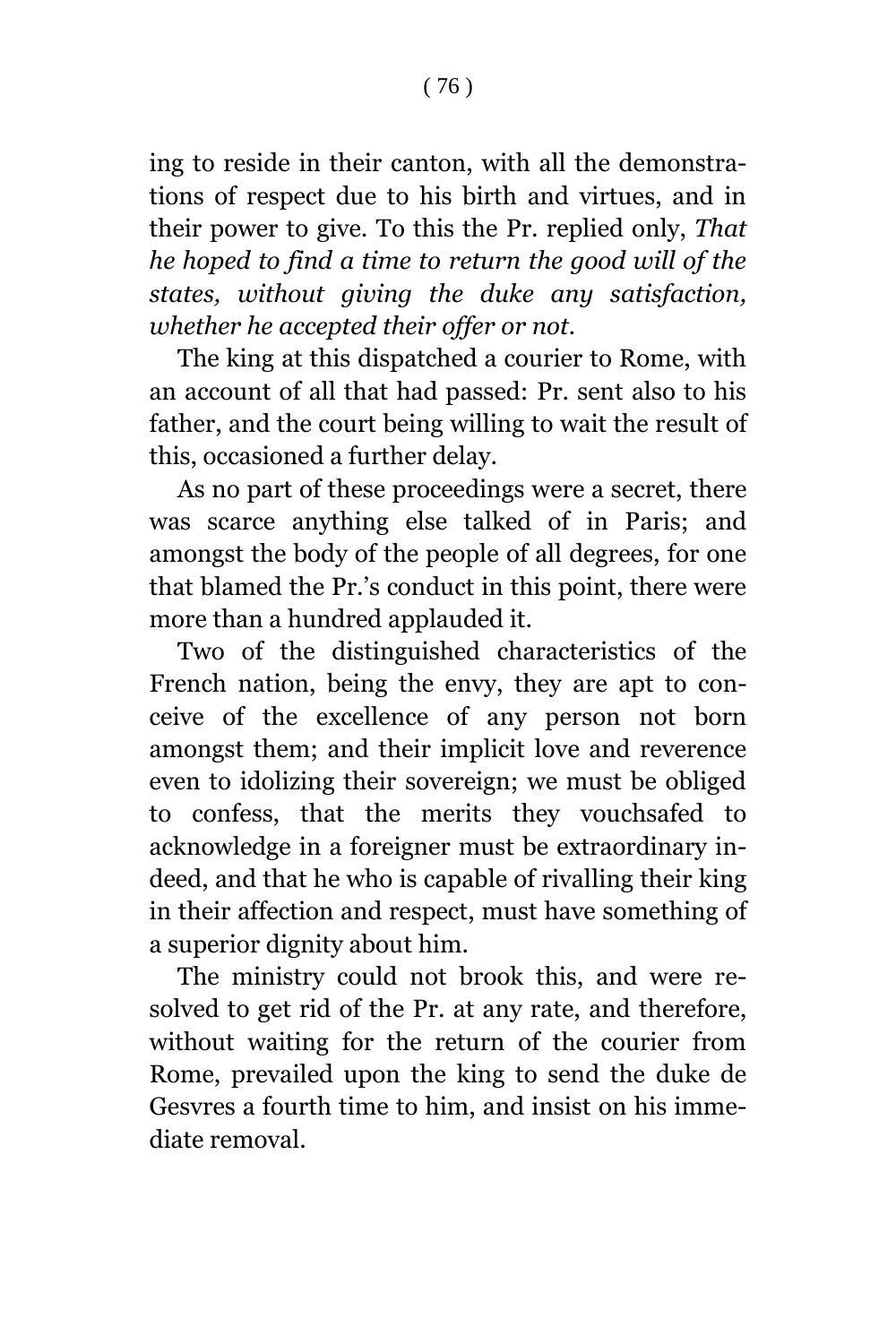ing to reside in their canton, with all the demonstrations of respect due to his birth and virtues, and in their power to give. To this the Pr. replied only, *That he hoped to find a time to return the good will of the states, without giving the duke any satisfaction, whether he accepted their offer or not.*

The king at this dispatched a courier to Rome, with an account of all that had passed: Pr. sent also to his father, and the court being willing to wait the result of this, occasioned a further delay.

As no part of these proceedings were a secret, there was scarce anything else talked of in Paris; and amongst the body of the people of all degrees, for one that blamed the Pr.'s conduct in this point, there were more than a hundred applauded it.

Two of the distinguished characteristics of the French nation, being the envy, they are apt to conceive of the excellence of any person not born amongst them; and their implicit love and reverence even to idolizing their sovereign; we must be obliged to confess, that the merits they vouchsafed to acknowledge in a foreigner must be extraordinary indeed, and that he who is capable of rivalling their king in their affection and respect, must have something of a superior dignity about him.

The ministry could not brook this, and were resolved to get rid of the Pr. at any rate, and therefore, without waiting for the return of the courier from Rome, prevailed upon the king to send the duke de Gesvres a fourth time to him, and insist on his immediate removal.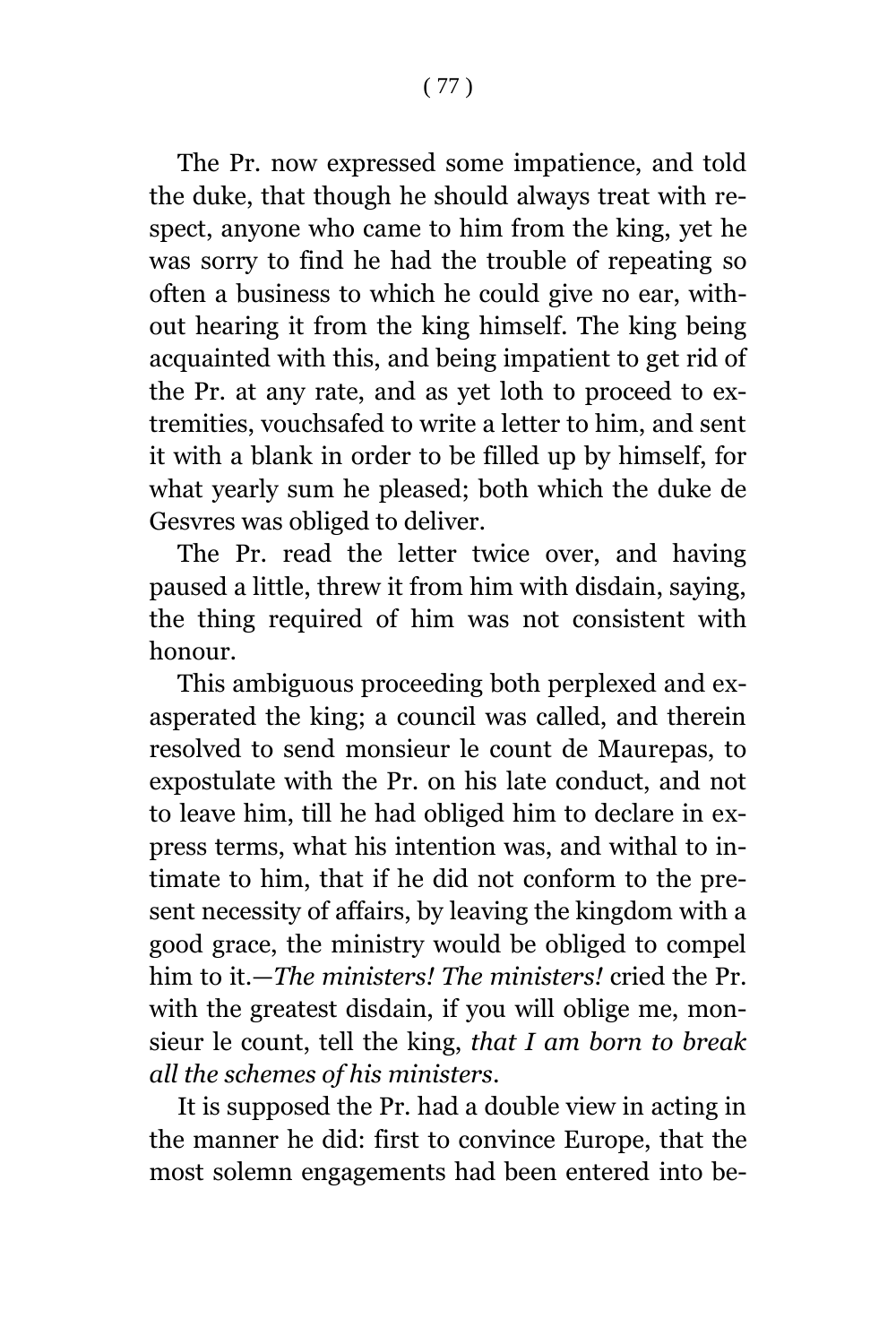The Pr. now expressed some impatience, and told the duke, that though he should always treat with respect, anyone who came to him from the king, yet he was sorry to find he had the trouble of repeating so often a business to which he could give no ear, without hearing it from the king himself. The king being acquainted with this, and being impatient to get rid of the Pr. at any rate, and as yet loth to proceed to extremities, vouchsafed to write a letter to him, and sent it with a blank in order to be filled up by himself, for what yearly sum he pleased; both which the duke de Gesvres was obliged to deliver.

The Pr. read the letter twice over, and having paused a little, threw it from him with disdain, saying, the thing required of him was not consistent with honour.

This ambiguous proceeding both perplexed and exasperated the king; a council was called, and therein resolved to send monsieur le count de Maurepas, to expostulate with the Pr. on his late conduct, and not to leave him, till he had obliged him to declare in express terms, what his intention was, and withal to intimate to him, that if he did not conform to the present necessity of affairs, by leaving the kingdom with a good grace, the ministry would be obliged to compel him to it.—*The ministers! The ministers!* cried the Pr. with the greatest disdain, if you will oblige me, monsieur le count, tell the king, *that I am born to break all the schemes of his ministers*.

It is supposed the Pr. had a double view in acting in the manner he did: first to convince Europe, that the most solemn engagements had been entered into be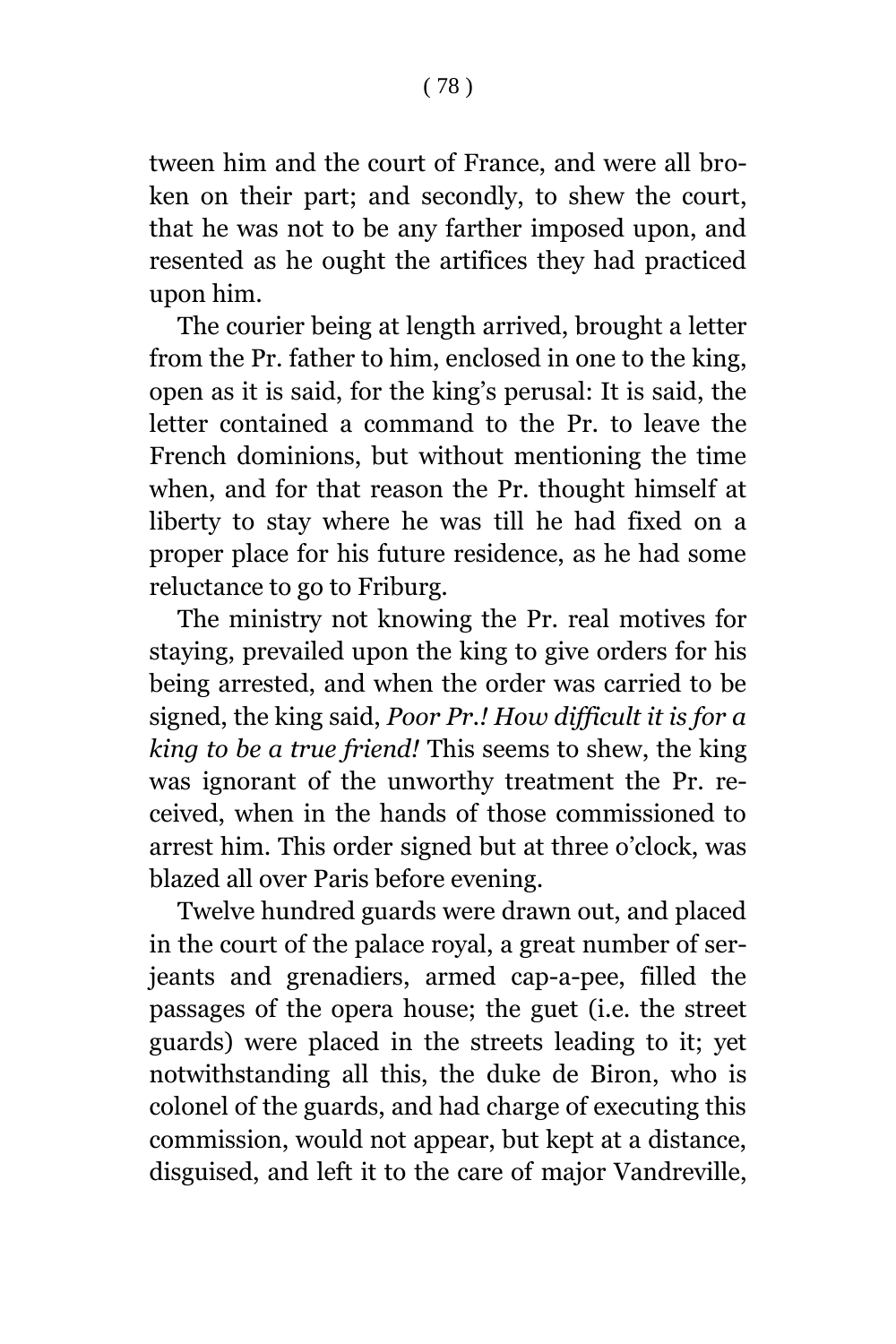tween him and the court of France, and were all broken on their part; and secondly, to shew the court, that he was not to be any farther imposed upon, and resented as he ought the artifices they had practiced upon him.

The courier being at length arrived, brought a letter from the Pr. father to him, enclosed in one to the king, open as it is said, for the king's perusal: It is said, the letter contained a command to the Pr. to leave the French dominions, but without mentioning the time when, and for that reason the Pr. thought himself at liberty to stay where he was till he had fixed on a proper place for his future residence, as he had some reluctance to go to Friburg.

The ministry not knowing the Pr. real motives for staying, prevailed upon the king to give orders for his being arrested, and when the order was carried to be signed, the king said, *Poor Pr.! How difficult it is for a king to be a true friend!* This seems to shew, the king was ignorant of the unworthy treatment the Pr. received, when in the hands of those commissioned to arrest him. This order signed but at three o'clock, was blazed all over Paris before evening.

Twelve hundred guards were drawn out, and placed in the court of the palace royal, a great number of serjeants and grenadiers, armed cap-a-pee, filled the passages of the opera house; the guet (i.e. the street guards) were placed in the streets leading to it; yet notwithstanding all this, the duke de Biron, who is colonel of the guards, and had charge of executing this commission, would not appear, but kept at a distance, disguised, and left it to the care of major Vandreville,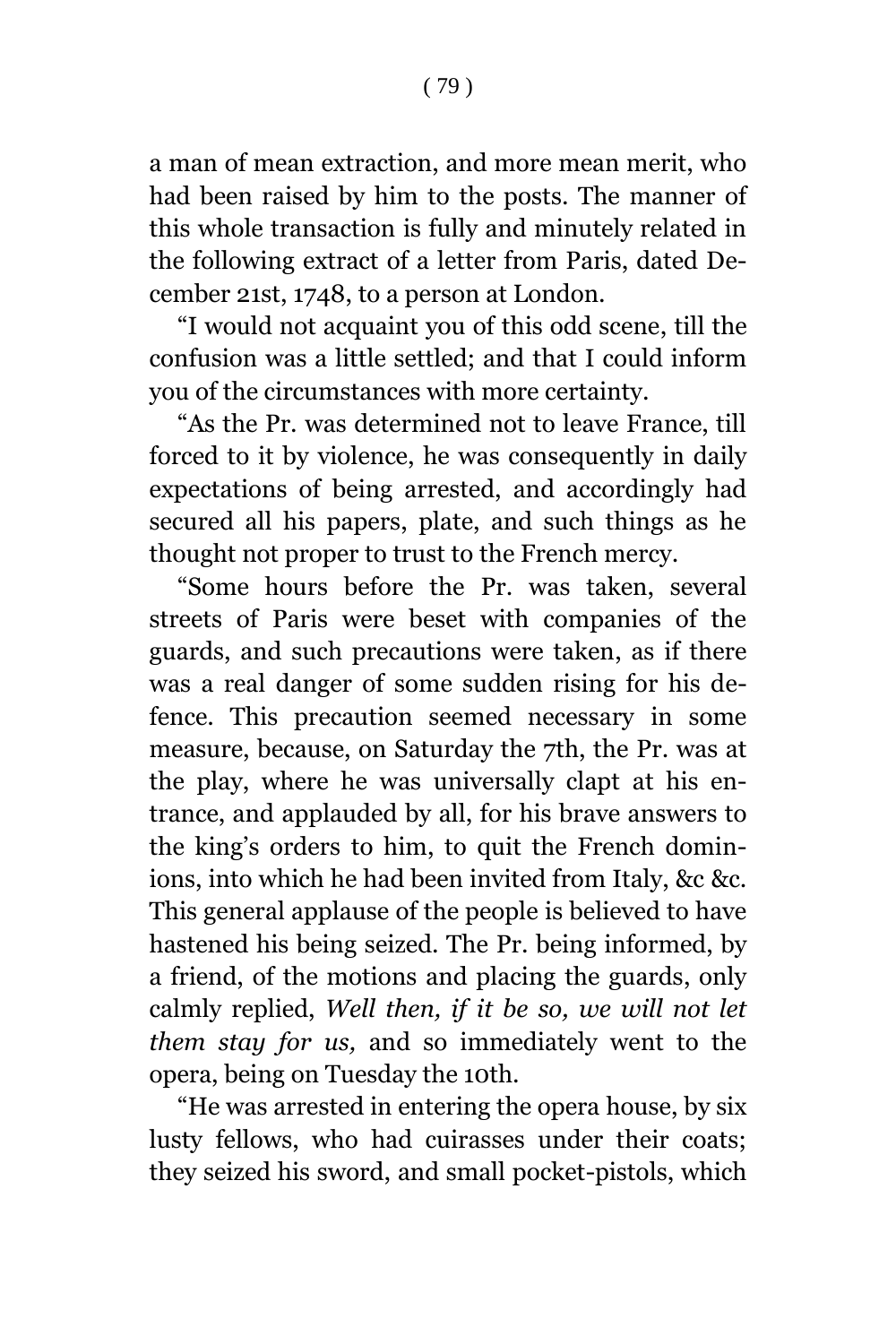a man of mean extraction, and more mean merit, who had been raised by him to the posts. The manner of this whole transaction is fully and minutely related in the following extract of a letter from Paris, dated December 21st, 1748, to a person at London.

"I would not acquaint you of this odd scene, till the confusion was a little settled; and that I could inform you of the circumstances with more certainty.

"As the Pr. was determined not to leave France, till forced to it by violence, he was consequently in daily expectations of being arrested, and accordingly had secured all his papers, plate, and such things as he thought not proper to trust to the French mercy.

"Some hours before the Pr. was taken, several streets of Paris were beset with companies of the guards, and such precautions were taken, as if there was a real danger of some sudden rising for his defence. This precaution seemed necessary in some measure, because, on Saturday the 7th, the Pr. was at the play, where he was universally clapt at his entrance, and applauded by all, for his brave answers to the king's orders to him, to quit the French dominions, into which he had been invited from Italy, &c &c. This general applause of the people is believed to have hastened his being seized. The Pr. being informed, by a friend, of the motions and placing the guards, only calmly replied, *Well then, if it be so, we will not let them stay for us,* and so immediately went to the opera, being on Tuesday the 10th.

"He was arrested in entering the opera house, by six lusty fellows, who had cuirasses under their coats; they seized his sword, and small pocket-pistols, which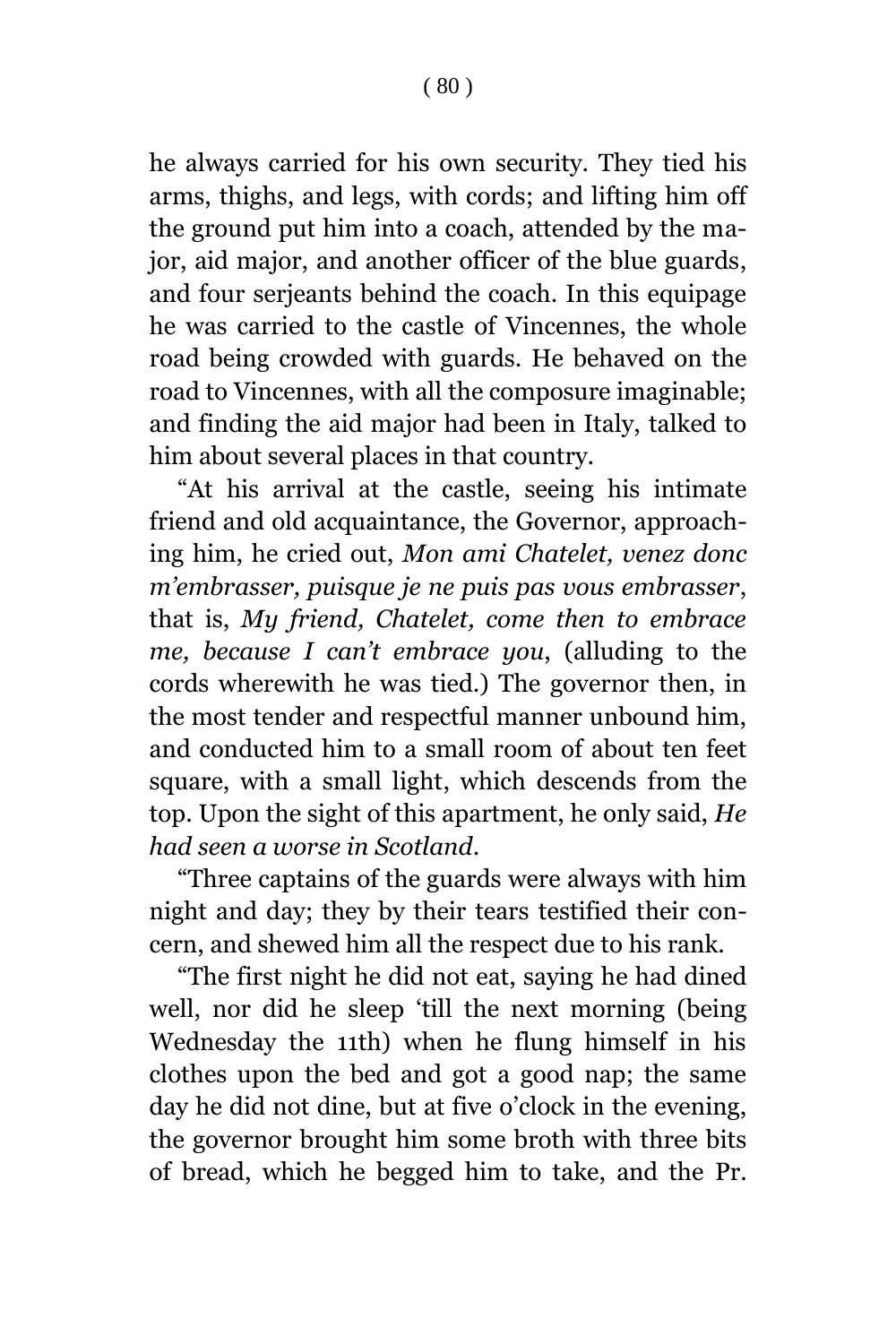he always carried for his own security. They tied his arms, thighs, and legs, with cords; and lifting him off the ground put him into a coach, attended by the major, aid major, and another officer of the blue guards, and four serjeants behind the coach. In this equipage he was carried to the castle of Vincennes, the whole road being crowded with guards. He behaved on the road to Vincennes, with all the composure imaginable; and finding the aid major had been in Italy, talked to him about several places in that country.

"At his arrival at the castle, seeing his intimate friend and old acquaintance, the Governor, approaching him, he cried out, *Mon ami Chatelet, venez donc m'embrasser, puisque je ne puis pas vous embrasser*, that is, *My friend, Chatelet, come then to embrace me, because I can't embrace you*, (alluding to the cords wherewith he was tied.) The governor then, in the most tender and respectful manner unbound him, and conducted him to a small room of about ten feet square, with a small light, which descends from the top. Upon the sight of this apartment, he only said, *He had seen a worse in Scotland*.

"Three captains of the guards were always with him night and day; they by their tears testified their concern, and shewed him all the respect due to his rank.

"The first night he did not eat, saying he had dined well, nor did he sleep 'till the next morning (being Wednesday the 11th) when he flung himself in his clothes upon the bed and got a good nap; the same day he did not dine, but at five o'clock in the evening, the governor brought him some broth with three bits of bread, which he begged him to take, and the Pr.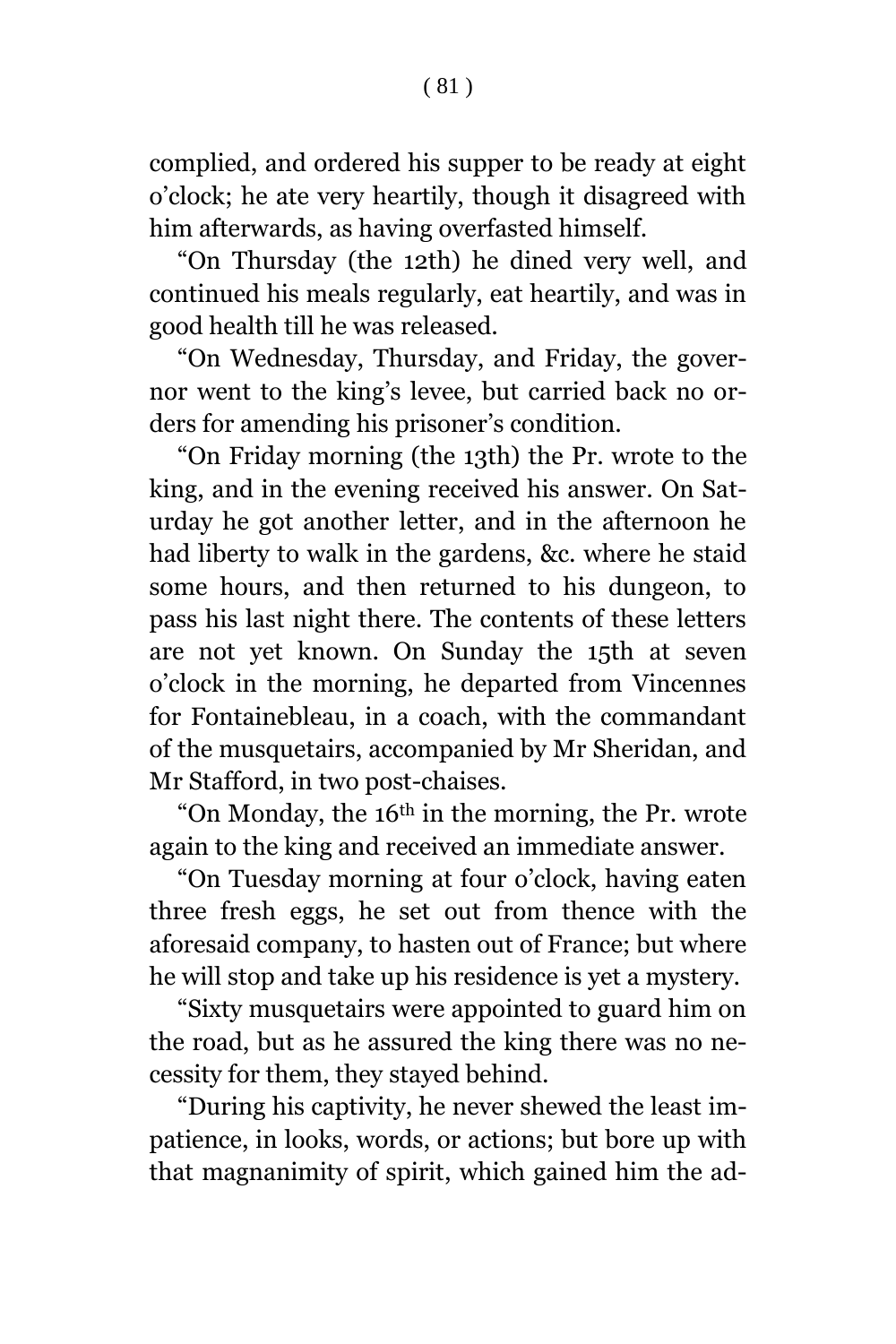## ( 81 )

complied, and ordered his supper to be ready at eight o'clock; he ate very heartily, though it disagreed with him afterwards, as having overfasted himself.

"On Thursday (the 12th) he dined very well, and continued his meals regularly, eat heartily, and was in good health till he was released.

"On Wednesday, Thursday, and Friday, the governor went to the king's levee, but carried back no orders for amending his prisoner's condition.

"On Friday morning (the 13th) the Pr. wrote to the king, and in the evening received his answer. On Saturday he got another letter, and in the afternoon he had liberty to walk in the gardens, &c. where he staid some hours, and then returned to his dungeon, to pass his last night there. The contents of these letters are not yet known. On Sunday the 15th at seven o'clock in the morning, he departed from Vincennes for Fontainebleau, in a coach, with the commandant of the musquetairs, accompanied by Mr Sheridan, and Mr Stafford, in two post-chaises.

"On Monday, the 16th in the morning, the Pr. wrote again to the king and received an immediate answer.

"On Tuesday morning at four o'clock, having eaten three fresh eggs, he set out from thence with the aforesaid company, to hasten out of France; but where he will stop and take up his residence is yet a mystery.

"Sixty musquetairs were appointed to guard him on the road, but as he assured the king there was no necessity for them, they stayed behind.

"During his captivity, he never shewed the least impatience, in looks, words, or actions; but bore up with that magnanimity of spirit, which gained him the ad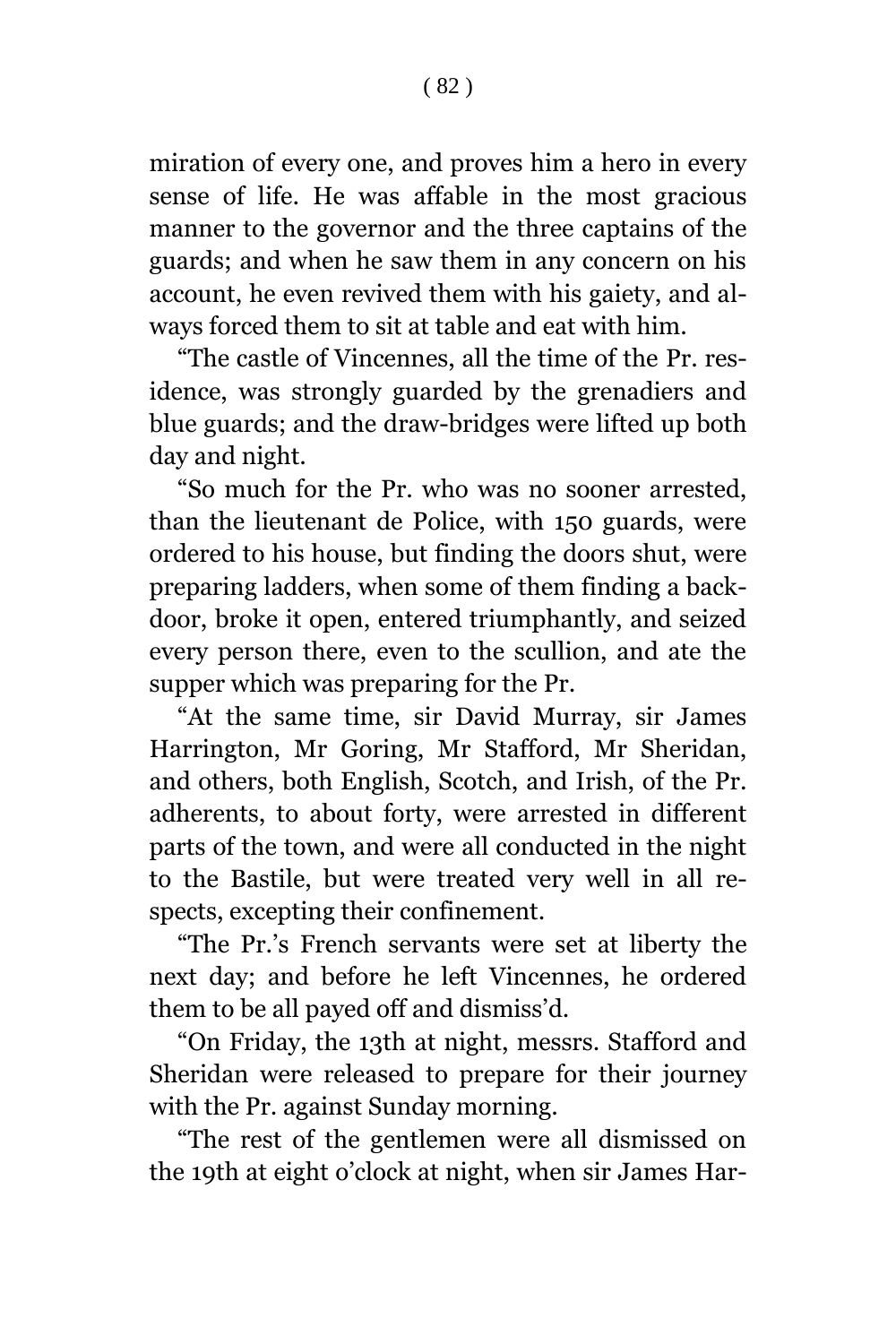miration of every one, and proves him a hero in every sense of life. He was affable in the most gracious manner to the governor and the three captains of the guards; and when he saw them in any concern on his account, he even revived them with his gaiety, and always forced them to sit at table and eat with him.

"The castle of Vincennes, all the time of the Pr. residence, was strongly guarded by the grenadiers and blue guards; and the draw-bridges were lifted up both day and night.

"So much for the Pr. who was no sooner arrested, than the lieutenant de Police, with 150 guards, were ordered to his house, but finding the doors shut, were preparing ladders, when some of them finding a backdoor, broke it open, entered triumphantly, and seized every person there, even to the scullion, and ate the supper which was preparing for the Pr.

"At the same time, sir David Murray, sir James Harrington, Mr Goring, Mr Stafford, Mr Sheridan, and others, both English, Scotch, and Irish, of the Pr. adherents, to about forty, were arrested in different parts of the town, and were all conducted in the night to the Bastile, but were treated very well in all respects, excepting their confinement.

"The Pr.'s French servants were set at liberty the next day; and before he left Vincennes, he ordered them to be all payed off and dismiss'd.

"On Friday, the 13th at night, messrs. Stafford and Sheridan were released to prepare for their journey with the Pr. against Sunday morning.

"The rest of the gentlemen were all dismissed on the 19th at eight o'clock at night, when sir James Har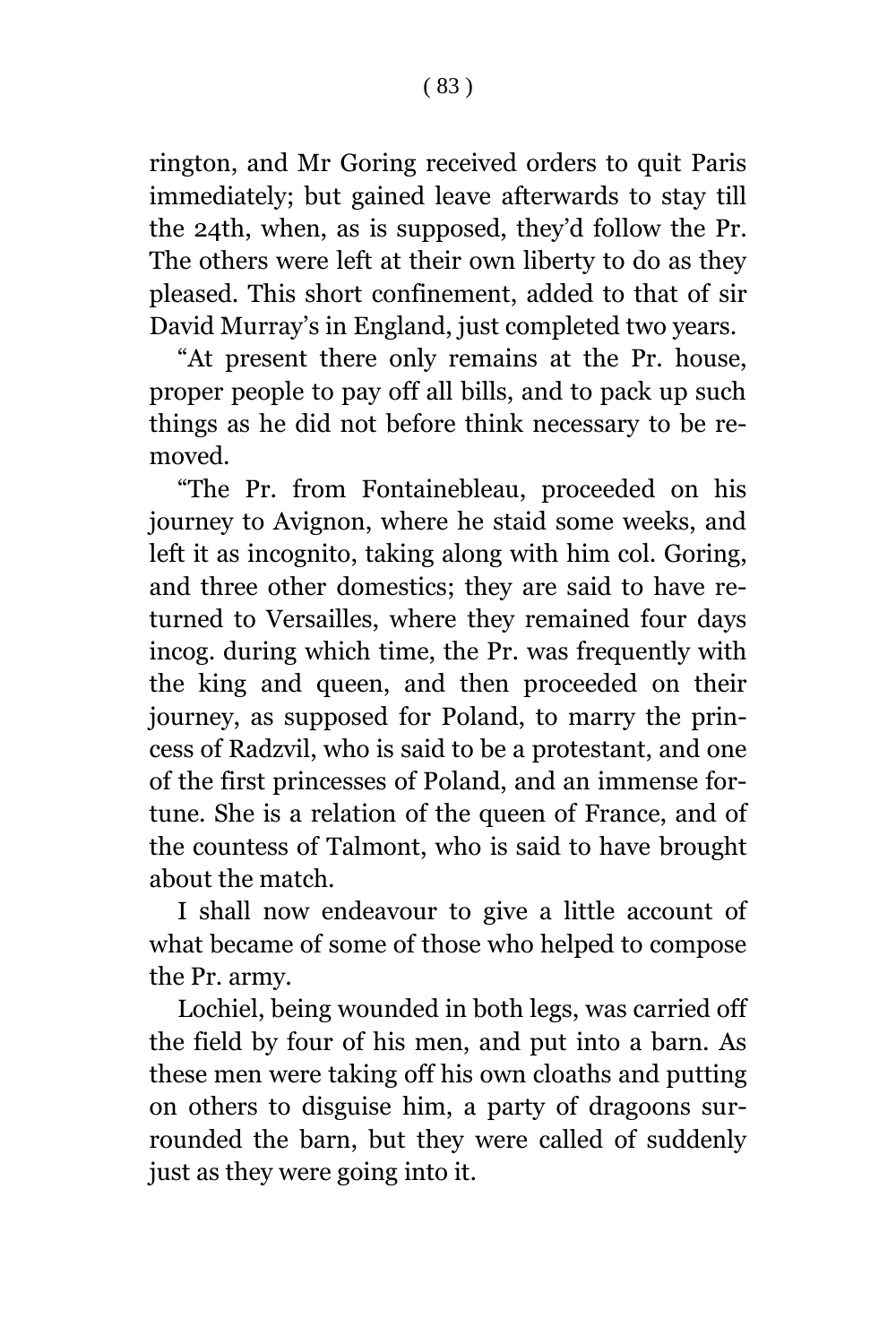rington, and Mr Goring received orders to quit Paris immediately; but gained leave afterwards to stay till the 24th, when, as is supposed, they'd follow the Pr. The others were left at their own liberty to do as they pleased. This short confinement, added to that of sir David Murray's in England, just completed two years.

"At present there only remains at the Pr. house, proper people to pay off all bills, and to pack up such things as he did not before think necessary to be removed.

"The Pr. from Fontainebleau, proceeded on his journey to Avignon, where he staid some weeks, and left it as incognito, taking along with him col. Goring, and three other domestics; they are said to have returned to Versailles, where they remained four days incog. during which time, the Pr. was frequently with the king and queen, and then proceeded on their journey, as supposed for Poland, to marry the princess of Radzvil, who is said to be a protestant, and one of the first princesses of Poland, and an immense fortune. She is a relation of the queen of France, and of the countess of Talmont, who is said to have brought about the match.

I shall now endeavour to give a little account of what became of some of those who helped to compose the Pr. army.

Lochiel, being wounded in both legs, was carried off the field by four of his men, and put into a barn. As these men were taking off his own cloaths and putting on others to disguise him, a party of dragoons surrounded the barn, but they were called of suddenly just as they were going into it.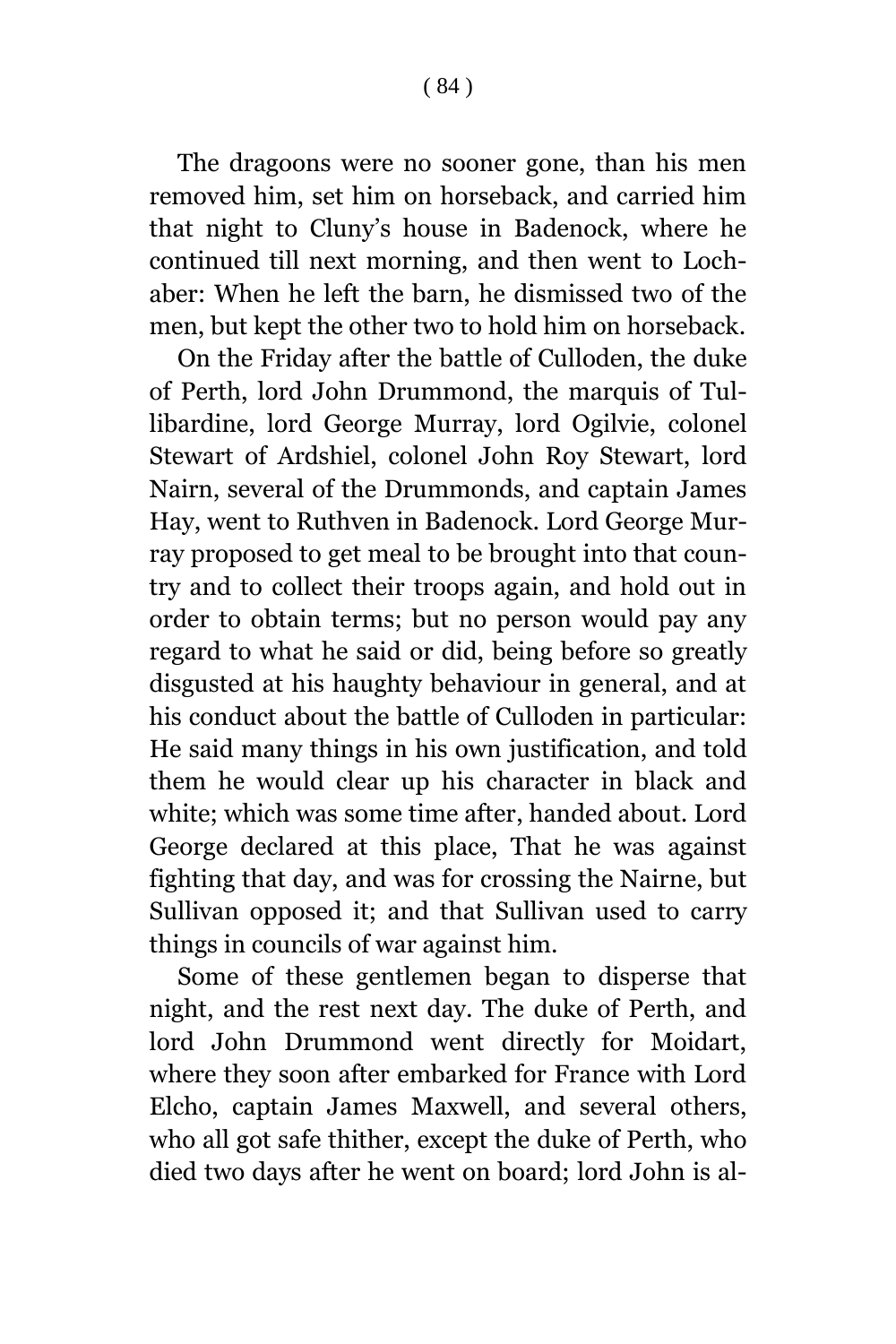The dragoons were no sooner gone, than his men removed him, set him on horseback, and carried him that night to Cluny's house in Badenock, where he continued till next morning, and then went to Lochaber: When he left the barn, he dismissed two of the men, but kept the other two to hold him on horseback.

On the Friday after the battle of Culloden, the duke of Perth, lord John Drummond, the marquis of Tullibardine, lord George Murray, lord Ogilvie, colonel Stewart of Ardshiel, colonel John Roy Stewart, lord Nairn, several of the Drummonds, and captain James Hay, went to Ruthven in Badenock. Lord George Murray proposed to get meal to be brought into that country and to collect their troops again, and hold out in order to obtain terms; but no person would pay any regard to what he said or did, being before so greatly disgusted at his haughty behaviour in general, and at his conduct about the battle of Culloden in particular: He said many things in his own justification, and told them he would clear up his character in black and white; which was some time after, handed about. Lord George declared at this place, That he was against fighting that day, and was for crossing the Nairne, but Sullivan opposed it; and that Sullivan used to carry things in councils of war against him.

Some of these gentlemen began to disperse that night, and the rest next day. The duke of Perth, and lord John Drummond went directly for Moidart, where they soon after embarked for France with Lord Elcho, captain James Maxwell, and several others, who all got safe thither, except the duke of Perth, who died two days after he went on board; lord John is al-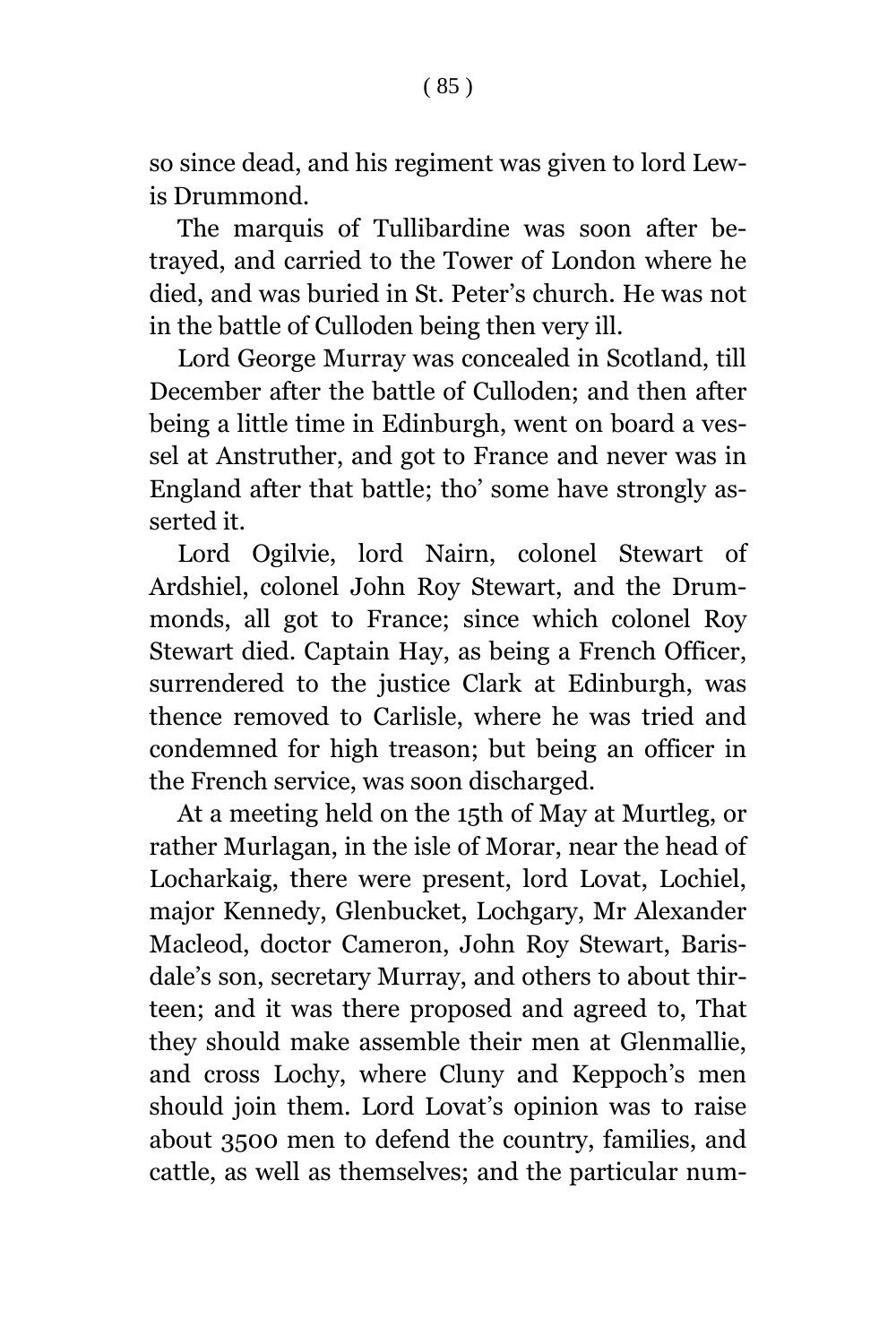The marquis of Tullibardine was soon after betrayed, and carried to the Tower of London where he died, and was buried in St. Peter's church. He was not in the battle of Culloden being then very ill.

Lord George Murray was concealed in Scotland, till December after the battle of Culloden; and then after being a little time in Edinburgh, went on board a vessel at Anstruther, and got to France and never was in England after that battle; tho' some have strongly asserted it.

Lord Ogilvie, lord Nairn, colonel Stewart of Ardshiel, colonel John Roy Stewart, and the Drummonds, all got to France; since which colonel Roy Stewart died. Captain Hay, as being a French Officer, surrendered to the justice Clark at Edinburgh, was thence removed to Carlisle, where he was tried and condemned for high treason; but being an officer in the French service, was soon discharged.

At a meeting held on the 15th of May at Murtleg, or rather Murlagan, in the isle of Morar, near the head of Locharkaig, there were present, lord Lovat, Lochiel, major Kennedy, Glenbucket, Lochgary, Mr Alexander Macleod, doctor Cameron, John Roy Stewart, Barisdale's son, secretary Murray, and others to about thirteen; and it was there proposed and agreed to, That they should make assemble their men at Glenmallie, and cross Lochy, where Cluny and Keppoch's men should join them. Lord Lovat's opinion was to raise about 3500 men to defend the country, families, and cattle, as well as themselves; and the particular num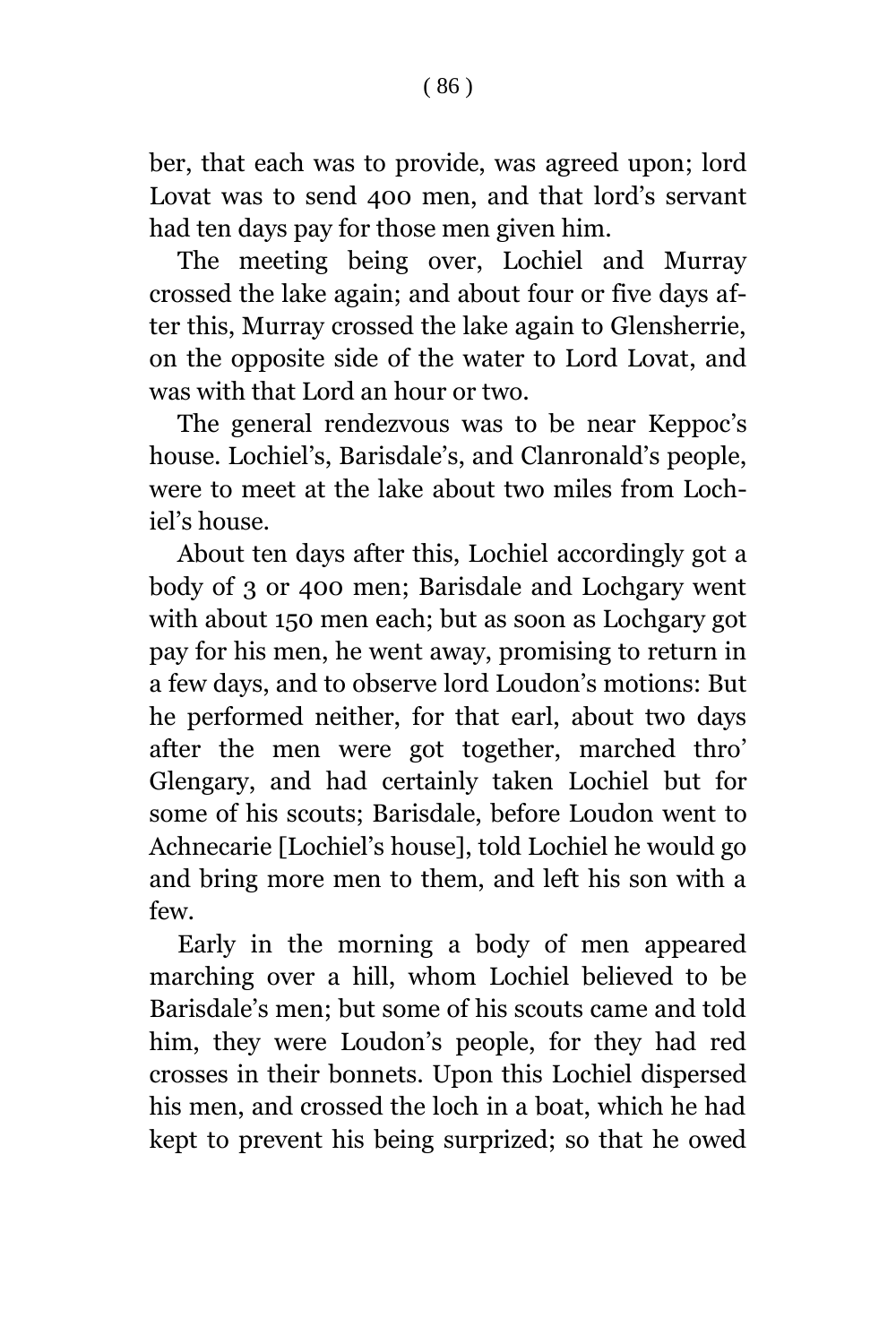ber, that each was to provide, was agreed upon; lord Lovat was to send 400 men, and that lord's servant had ten days pay for those men given him.

The meeting being over, Lochiel and Murray crossed the lake again; and about four or five days after this, Murray crossed the lake again to Glensherrie, on the opposite side of the water to Lord Lovat, and was with that Lord an hour or two.

The general rendezvous was to be near Keppoc's house. Lochiel's, Barisdale's, and Clanronald's people, were to meet at the lake about two miles from Lochiel's house.

About ten days after this, Lochiel accordingly got a body of 3 or 400 men; Barisdale and Lochgary went with about 150 men each; but as soon as Lochgary got pay for his men, he went away, promising to return in a few days, and to observe lord Loudon's motions: But he performed neither, for that earl, about two days after the men were got together, marched thro' Glengary, and had certainly taken Lochiel but for some of his scouts; Barisdale, before Loudon went to Achnecarie [Lochiel's house], told Lochiel he would go and bring more men to them, and left his son with a few.

Early in the morning a body of men appeared marching over a hill, whom Lochiel believed to be Barisdale's men; but some of his scouts came and told him, they were Loudon's people, for they had red crosses in their bonnets. Upon this Lochiel dispersed his men, and crossed the loch in a boat, which he had kept to prevent his being surprized; so that he owed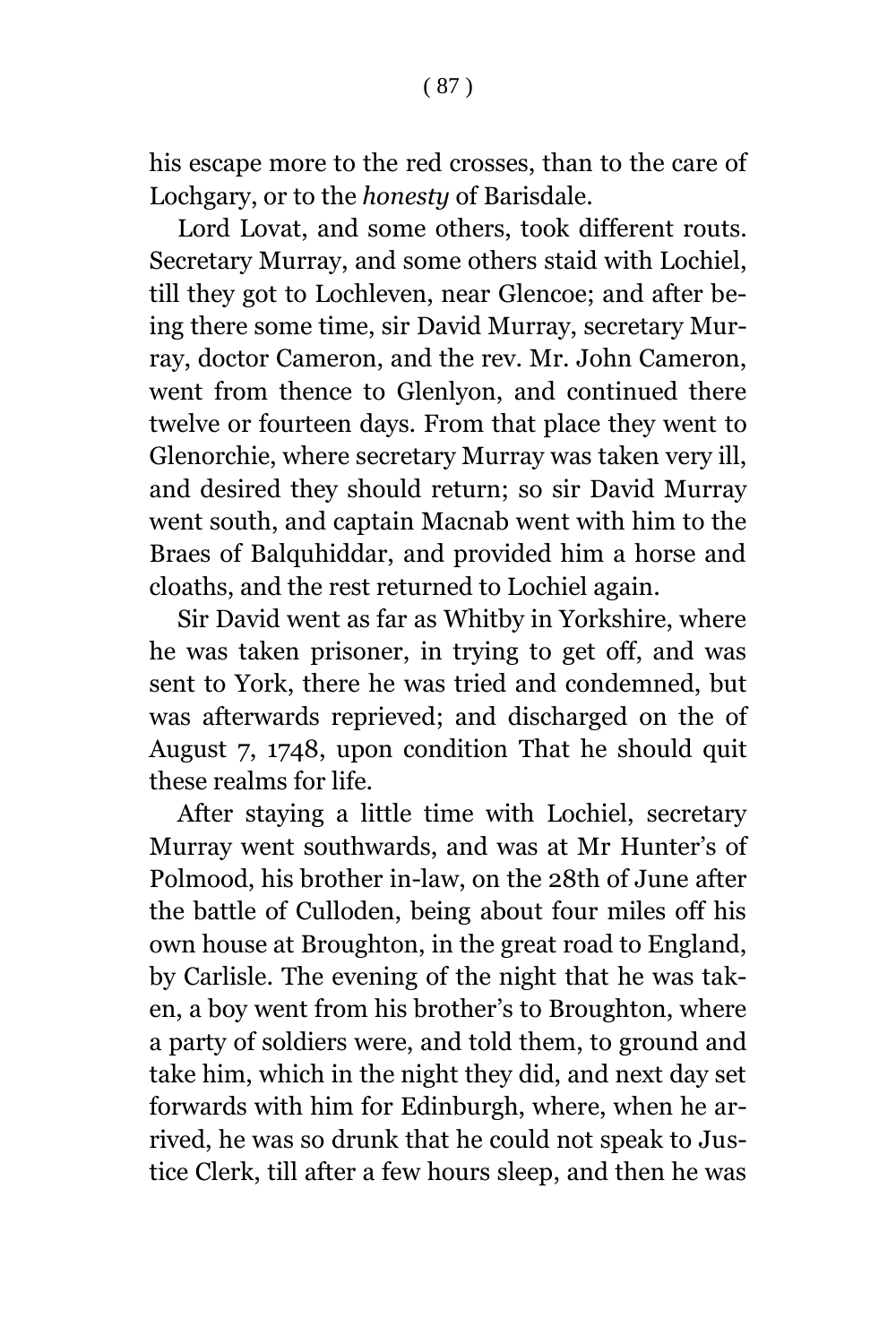his escape more to the red crosses, than to the care of Lochgary, or to the *honesty* of Barisdale.

Lord Lovat, and some others, took different routs. Secretary Murray, and some others staid with Lochiel, till they got to Lochleven, near Glencoe; and after being there some time, sir David Murray, secretary Murray, doctor Cameron, and the rev. Mr. John Cameron, went from thence to Glenlyon, and continued there twelve or fourteen days. From that place they went to Glenorchie, where secretary Murray was taken very ill, and desired they should return; so sir David Murray went south, and captain Macnab went with him to the Braes of Balquhiddar, and provided him a horse and cloaths, and the rest returned to Lochiel again.

Sir David went as far as Whitby in Yorkshire, where he was taken prisoner, in trying to get off, and was sent to York, there he was tried and condemned, but was afterwards reprieved; and discharged on the of August 7, 1748, upon condition That he should quit these realms for life.

After staying a little time with Lochiel, secretary Murray went southwards, and was at Mr Hunter's of Polmood, his brother in-law, on the 28th of June after the battle of Culloden, being about four miles off his own house at Broughton, in the great road to England, by Carlisle. The evening of the night that he was taken, a boy went from his brother's to Broughton, where a party of soldiers were, and told them, to ground and take him, which in the night they did, and next day set forwards with him for Edinburgh, where, when he arrived, he was so drunk that he could not speak to Justice Clerk, till after a few hours sleep, and then he was